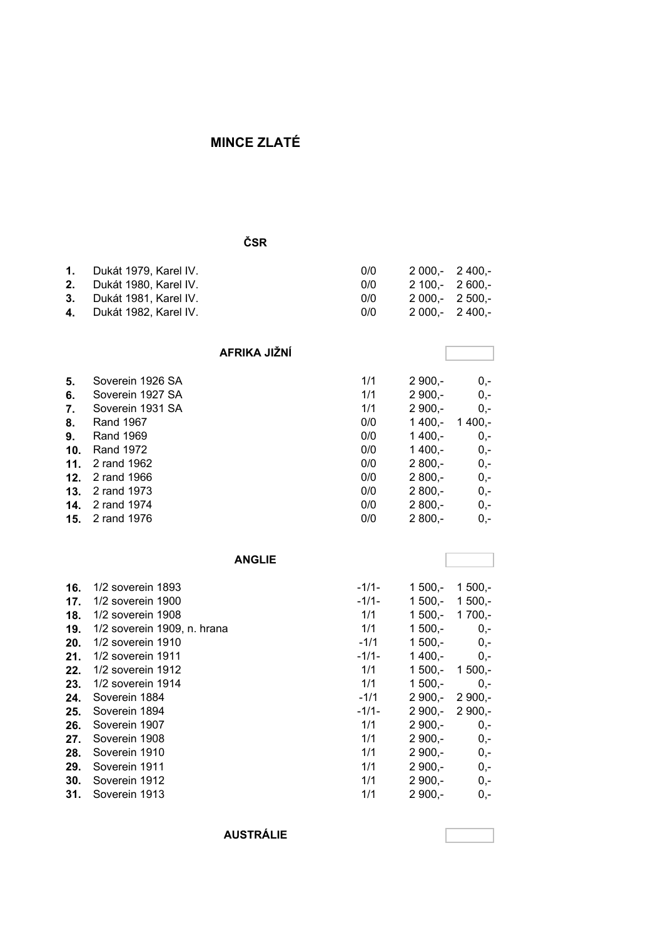## **MINCE ZLATÉ**

#### **ČSR**

| 1. Dukát 1979. Karel IV. | 0/0 |                                                                          |
|--------------------------|-----|--------------------------------------------------------------------------|
| 2. Dukát 1980. Karel IV. | 0/0 |                                                                          |
| 3. Dukát 1981. Karel IV. | 0/0 |                                                                          |
| 4. Dukát 1982. Karel IV. | 0/0 |                                                                          |
|                          |     | $2000 - 2400 -$<br>2 100.- 2 600.-<br>$2000 - 2500 -$<br>$2000 - 2400 -$ |

#### **AFRIKA JIŽNÍ**

| 5.  | Soverein 1926 SA       | 1/1 | $2900 -$ | $0,-$    |
|-----|------------------------|-----|----------|----------|
| 6.  | Soverein 1927 SA       | 1/1 | $2900 -$ | $0,-$    |
| 7.  | Soverein 1931 SA       | 1/1 | $2900,-$ | $0,-$    |
| 8.  | Rand 1967              | 0/0 | $1400,-$ | $1400 -$ |
| 9.  | Rand 1969              | 0/0 | $1400 -$ | $0,-$    |
| 10. | Rand 1972              | 0/0 | $1400 -$ | $0,-$    |
| 11. | 2 rand 1962            | 0/0 | $2800 -$ | $0,-$    |
|     | <b>12.</b> 2 rand 1966 | 0/0 | $2800 -$ | $0,-$    |
|     | <b>13.</b> 2 rand 1973 | 0/0 | $2800 -$ | $0,-$    |
|     | <b>14.</b> 2 rand 1974 | 0/0 | $2800 -$ | $0,-$    |
|     | <b>15.</b> 2 rand 1976 | 0/0 | $2800 -$ | $0,-$    |

|     | <b>ANGLIE</b>               |         |           |           |
|-----|-----------------------------|---------|-----------|-----------|
| 16. | 1/2 soverein 1893           | $-1/1-$ | $1,500,-$ | $1500,-$  |
| 17. | 1/2 soverein 1900           | $-1/1-$ | $1,500,-$ | $1500,-$  |
| 18. | 1/2 soverein 1908           | 1/1     | $1,500,-$ | $1700,-$  |
| 19. | 1/2 soverein 1909, n. hrana | 1/1     | $1500,-$  | $0,-$     |
| 20. | 1/2 soverein 1910           | $-1/1$  | $1500,-$  | $0,-$     |
| 21. | 1/2 soverein 1911           | $-1/1-$ | $1400,-$  | $0,-$     |
| 22. | 1/2 soverein 1912           | 1/1     | $1500,-$  | $1,500,-$ |
| 23. | 1/2 soverein 1914           | 1/1     | $1500 -$  | $0,-$     |
| 24. | Soverein 1884               | $-1/1$  | $2900 -$  | $2900 -$  |
| 25. | Soverein 1894               | $-1/1-$ | $2900 -$  | $2900 -$  |
| 26. | Soverein 1907               | 1/1     | $2900 -$  | $0,-$     |
| 27. | Soverein 1908               | 1/1     | $2900 -$  | $0,-$     |
| 28. | Soverein 1910               | 1/1     | $2900 -$  | $0,-$     |
| 29. | Soverein 1911               | 1/1     | $2900,-$  | $0,-$     |
| 30. | Soverein 1912               | 1/1     | $2900,-$  | $0,-$     |
| 31. | Soverein 1913               | 1/1     | $2900,-$  | $0,-$     |

**AUSTRÁLIE**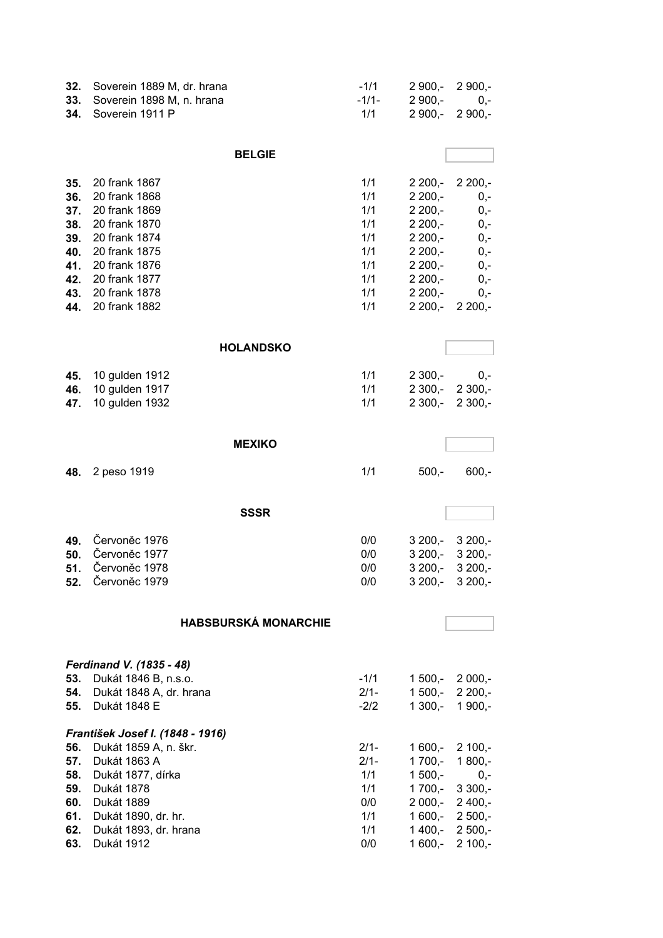| 32.        | Soverein 1889 M, dr. hrana              | $-1/1$            | $2900 -$             | $2900,-$             |
|------------|-----------------------------------------|-------------------|----------------------|----------------------|
| 33.        | Soverein 1898 M, n. hrana               | $-1/1-$           | $2900,-$             | $0,-$                |
| 34.        | Soverein 1911 P                         | 1/1               | $2900,-$             | $2900,-$             |
|            |                                         |                   |                      |                      |
|            | <b>BELGIE</b>                           |                   |                      |                      |
| 35.        | 20 frank 1867                           | 1/1               | $2200,-$             | $2200,-$             |
| 36.        | 20 frank 1868                           | 1/1               | $2200,-$             | $0,-$                |
| 37.        | 20 frank 1869                           | 1/1               | $2200,-$             | $0,-$                |
| 38.        | 20 frank 1870                           | 1/1               | $2200,-$             | $0,-$                |
| 39.        | 20 frank 1874                           | 1/1               | $2200,-$             | $0,-$                |
| 40.        | 20 frank 1875                           | 1/1               | $2200,-$             | $0,-$                |
| 41.        | 20 frank 1876                           | 1/1               | $2200,-$             | $0,-$                |
| 42.        | 20 frank 1877                           | 1/1               | $2200,-$             | $0,-$                |
| 43.        | 20 frank 1878                           | 1/1               | $2200,-$             | $0,-$                |
| 44.        | 20 frank 1882                           | 1/1               | $2200,-$             | $2200,-$             |
|            |                                         |                   |                      |                      |
|            | <b>HOLANDSKO</b>                        |                   |                      |                      |
| 45.        | 10 gulden 1912                          | 1/1               | $2300,-$             | $0,-$                |
| 46.        | 10 gulden 1917                          | 1/1               | $2300,-$             | $2300,-$             |
| 47.        | 10 gulden 1932                          | 1/1               | $2300,-$             | $2300,-$             |
|            |                                         |                   |                      |                      |
|            | <b>MEXIKO</b>                           |                   |                      |                      |
| 48.        | 2 peso 1919                             | 1/1               | $500,-$              | $600, -$             |
|            | <b>SSSR</b>                             |                   |                      |                      |
|            |                                         |                   |                      |                      |
| 49.        | Červoněc 1976                           | 0/0               | $3200,-$             | $3200,-$             |
| 50.        | Červoněc 1977                           | 0/0               | $3200,-$             | $3200,-$             |
| 51.        | Červoněc 1978                           | 0/0               | $3200,-$             | $3200,-$             |
| 52.        | Červoněc 1979                           | 0/0               |                      | $3200,- 3200,-$      |
|            |                                         |                   |                      |                      |
|            | <b>HABSBURSKÁ MONARCHIE</b>             |                   |                      |                      |
|            |                                         |                   |                      |                      |
|            | Ferdinand V. (1835 - 48)                |                   |                      |                      |
| 53.        | Dukát 1846 B, n.s.o.                    | $-1/1$            | $1500,-$             | $2000,-$             |
| 54.<br>55. | Dukát 1848 A, dr. hrana<br>Dukát 1848 E | $2/1 -$<br>$-2/2$ | $1500,-$<br>$1300,-$ | $2200,-$<br>$1900,-$ |
|            |                                         |                   |                      |                      |
|            | František Josef I. (1848 - 1916)        |                   |                      |                      |
| 56.        | Dukát 1859 A, n. škr.                   | $2/1 -$           | $1600,-$             | $2100,-$             |
| 57.        | Dukát 1863 A                            | $2/1-$            | $1700,-$             | $1800,-$             |
| 58.        | Dukát 1877, dírka                       | 1/1               | $1500,-$<br>$1700,-$ | $0,-$                |
| 59.<br>60. | Dukát 1878<br>Dukát 1889                | 1/1<br>0/0        | $2000,-$             | $3300,-$<br>$2400,-$ |
| 61.        | Dukát 1890, dr. hr.                     | 1/1               | $1600,-$             | $2500,-$             |
| 62.        | Dukát 1893, dr. hrana                   | 1/1               | $1400,-$             | $2500,-$             |
| 63.        | Dukát 1912                              | 0/0               | 1 600,-              | $2100,-$             |
|            |                                         |                   |                      |                      |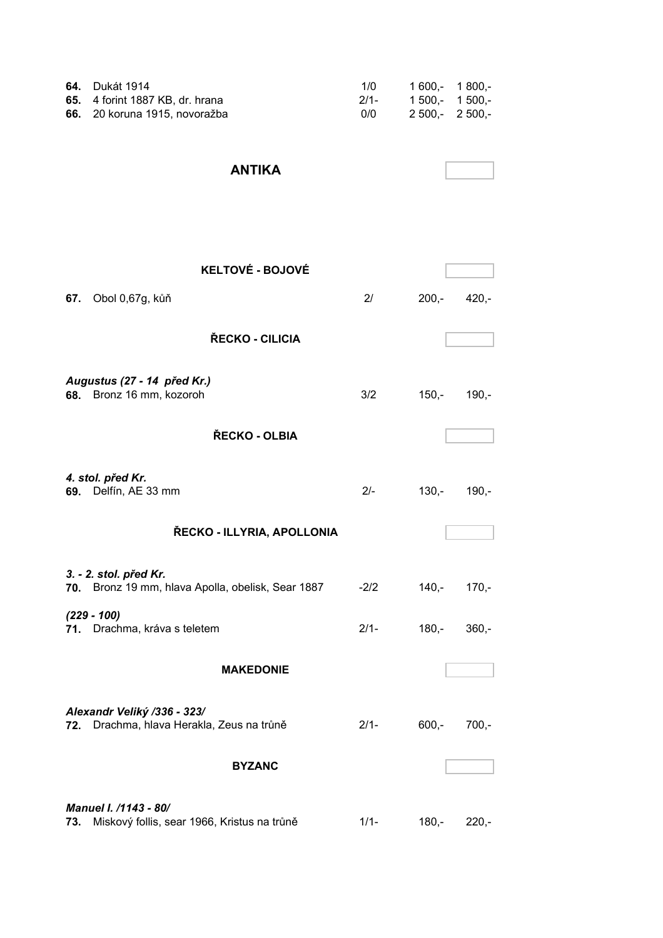| 64.<br>65.<br>66. | Dukát 1914<br>4 forint 1887 KB, dr. hrana<br>20 koruna 1915, novoražba      | 1/0<br>$2/1 -$<br>0/0 | $1600,-$<br>$1500,-$<br>$2500,-$ | $1800,-$<br>$1500,-$<br>$2500,-$ |
|-------------------|-----------------------------------------------------------------------------|-----------------------|----------------------------------|----------------------------------|
|                   | <b>ANTIKA</b>                                                               |                       |                                  |                                  |
|                   | <b>KELTOVÉ - BOJOVÉ</b>                                                     |                       |                                  |                                  |
| 67.               | Obol 0,67g, kůň                                                             | 2/                    | $200,-$                          | $420,-$                          |
|                   | ŘECKO - CILICIA                                                             |                       |                                  |                                  |
|                   | Augustus (27 - 14 před Kr.)<br>68. Bronz 16 mm, kozoroh                     | 3/2                   | $150,-$                          | $190,-$                          |
|                   | ŘECKO - OLBIA                                                               |                       |                                  |                                  |
|                   | 4. stol. před Kr.<br>69. Delfín, AE 33 mm                                   | $2/-$                 | $130,-$                          | $190,-$                          |
|                   | ŘECKO - ILLYRIA, APOLLONIA                                                  |                       |                                  |                                  |
|                   | 3. - 2. stol. před Kr.<br>70. Bronz 19 mm, hlava Apolla, obelisk, Sear 1887 | $-2/2$                | $140,-$                          | $170,-$                          |
|                   | $(229 - 100)$<br>71. Drachma, kráva s teletem                               | $2/1 -$               | $180,-$                          | $360,-$                          |
|                   | <b>MAKEDONIE</b>                                                            |                       |                                  |                                  |
|                   |                                                                             |                       |                                  |                                  |
|                   | Alexandr Veliký /336 - 323/<br>72. Drachma, hlava Herakla, Zeus na trůně    | $2/1 -$               | $600,-$                          | $700,-$                          |
|                   | <b>BYZANC</b>                                                               |                       |                                  |                                  |
| 73.               | Manuel I. /1143 - 80/<br>Miskový follis, sear 1966, Kristus na trůně        | $1/1 -$               | $180,-$                          | $220,-$                          |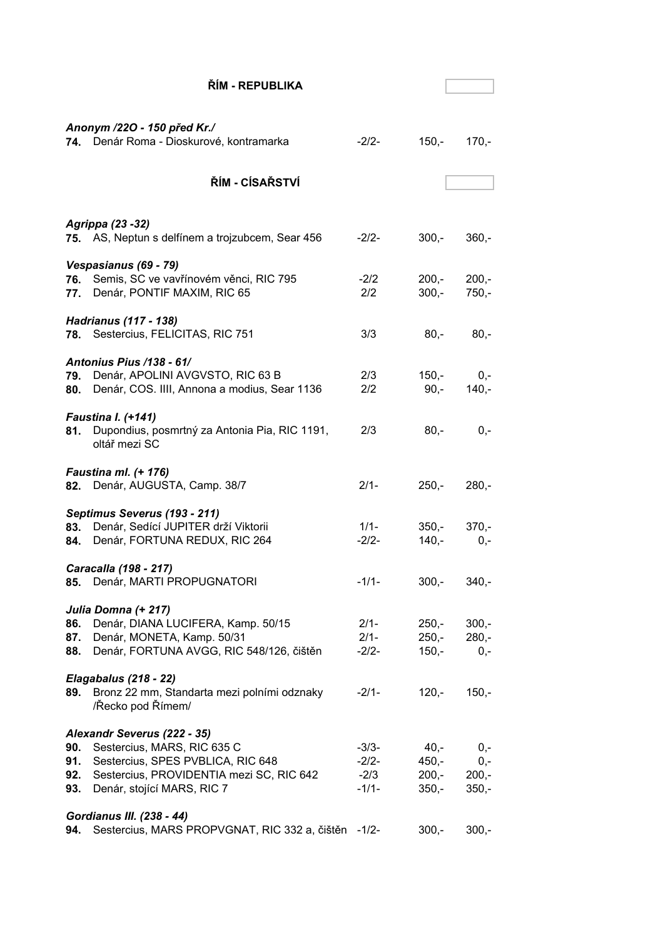|            | ŘÍM - REPUBLIKA                                                         |            |         |                |
|------------|-------------------------------------------------------------------------|------------|---------|----------------|
|            |                                                                         |            |         |                |
|            |                                                                         |            |         |                |
|            | Anonym /220 - 150 před Kr./<br>74. Denár Roma - Dioskurové, kontramarka | $-2/2-$    | $150,-$ | $170,-$        |
|            |                                                                         |            |         |                |
|            |                                                                         |            |         |                |
|            | ŘÍM - CÍSAŘSTVÍ                                                         |            |         |                |
|            |                                                                         |            |         |                |
|            | Agrippa (23 - 32)                                                       |            |         |                |
|            | 75. AS, Neptun s delfínem a trojzubcem, Sear 456                        | $-2/2-$    | $300 -$ | $360,-$        |
|            |                                                                         |            |         |                |
|            | Vespasianus (69 - 79)                                                   |            |         |                |
| 76.        | Semis, SC ve vavřínovém věnci, RIC 795                                  | $-2/2$     | $200,-$ | $200,-$        |
|            | 77. Denár, PONTIF MAXIM, RIC 65                                         | 2/2        | $300,-$ | $750,-$        |
|            | <b>Hadrianus (117 - 138)</b>                                            |            |         |                |
|            | 78. Sestercius, FELICITAS, RIC 751                                      | 3/3        | $80,-$  | $80,-$         |
|            |                                                                         |            |         |                |
|            | Antonius Pius /138 - 61/                                                |            |         |                |
|            | 79. Denár, APOLINI AVGVSTO, RIC 63 B                                    | 2/3<br>2/2 | $150,-$ | $0,-$          |
| 80.        | Denár, COS. IIII, Annona a modius, Sear 1136                            |            | $90,-$  | $140 -$        |
|            | <b>Faustina I. (+141)</b>                                               |            |         |                |
| 81.        | Dupondius, posmrtný za Antonia Pia, RIC 1191,                           | 2/3        | $80,-$  | $0,-$          |
|            | oltář mezi SC                                                           |            |         |                |
|            |                                                                         |            |         |                |
|            | <b>Faustina ml. (+ 176)</b><br>82. Denár, AUGUSTA, Camp. 38/7           | $2/1-$     | $250,-$ | $280,-$        |
|            |                                                                         |            |         |                |
|            | Septimus Severus (193 - 211)                                            |            |         |                |
| 83.        | Denár, Sedící JUPITER drží Viktorii                                     | $1/1 -$    | 350,-   | $370 -$        |
|            | 84. Denár, FORTUNA REDUX, RIC 264                                       | $-2/2-$    | $140,-$ | $0,-$          |
|            | Caracalla (198 - 217)                                                   |            |         |                |
| 85.        | Denár, MARTI PROPUGNATORI                                               | $-1/1-$    | $300,-$ | $340 -$        |
|            |                                                                         |            |         |                |
|            | Julia Domna (+ 217)                                                     |            |         |                |
| 86.        | Denár, DIANA LUCIFERA, Kamp. 50/15                                      | $2/1 -$    | $250,-$ | $300,-$        |
| 87.        | Denár, MONETA, Kamp. 50/31                                              | $2/1 -$    | $250 -$ | $280,-$        |
| 88.        | Denár, FORTUNA AVGG, RIC 548/126, čištěn                                | $-2/2-$    | $150,-$ | $0,-$          |
|            | Elagabalus (218 - 22)                                                   |            |         |                |
| 89.        | Bronz 22 mm, Standarta mezi polními odznaky                             | $-2/1-$    | $120,-$ | $150,-$        |
|            | /Řecko pod Římem/                                                       |            |         |                |
|            |                                                                         |            |         |                |
|            | Alexandr Severus (222 - 35)<br>Sestercius, MARS, RIC 635 C              | $-3/3-$    | 40,-    |                |
| 90.<br>91. | Sestercius, SPES PVBLICA, RIC 648                                       | $-2/2-$    | $450 -$ | $0,-$<br>$0,-$ |
| 92.        | Sestercius, PROVIDENTIA mezi SC, RIC 642                                | $-2/3$     | $200,-$ | $200,-$        |
| 93.        | Denár, stojící MARS, RIC 7                                              | $-1/1-$    | $350,-$ | $350,-$        |
|            |                                                                         |            |         |                |
|            | Gordianus III. (238 - 44)                                               |            |         |                |
| 94.        | Sestercius, MARS PROPVGNAT, RIC 332 a, čištěn                           | $-1/2-$    | $300,-$ | $300,-$        |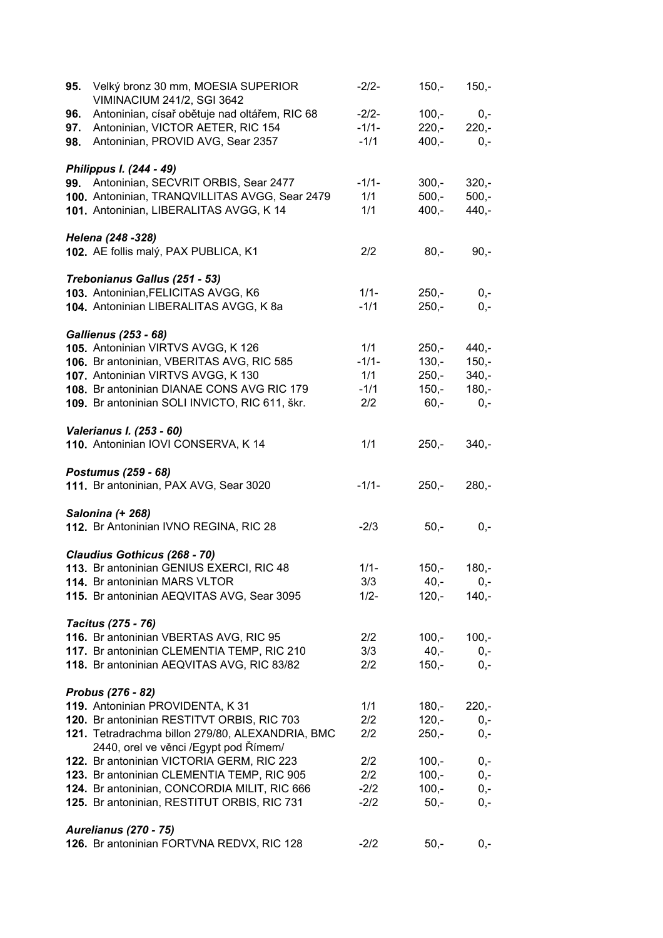| 95. | Velký bronz 30 mm, MOESIA SUPERIOR<br><b>VIMINACIUM 241/2, SGI 3642</b> | $-2/2-$ | $150,-$ | $150,-$ |
|-----|-------------------------------------------------------------------------|---------|---------|---------|
| 96. | Antoninian, císař obětuje nad oltářem, RIC 68                           | $-2/2-$ | $100,-$ | $0,-$   |
| 97. | Antoninian, VICTOR AETER, RIC 154                                       | $-1/1-$ | $220 -$ | $220,-$ |
| 98. | Antoninian, PROVID AVG, Sear 2357                                       | $-1/1$  | $400,-$ | $0,-$   |
|     |                                                                         |         |         |         |
|     | Philippus I. (244 - 49)                                                 |         |         |         |
|     | 99. Antoninian, SECVRIT ORBIS, Sear 2477                                | $-1/1-$ | $300,-$ | $320,-$ |
|     | 100. Antoninian, TRANQVILLITAS AVGG, Sear 2479                          | 1/1     | $500,-$ | $500,-$ |
|     | 101. Antoninian, LIBERALITAS AVGG, K 14                                 | 1/1     | $400,-$ | $440,-$ |
|     | Helena (248 - 328)                                                      |         |         |         |
|     | 102. AE follis malý, PAX PUBLICA, K1                                    | 2/2     | $80,-$  | $90,-$  |
|     |                                                                         |         |         |         |
|     | Trebonianus Gallus (251 - 53)                                           |         |         |         |
|     | 103. Antoninian, FELICITAS AVGG, K6                                     | $1/1 -$ | $250,-$ | $0,-$   |
|     | 104. Antoninian LIBERALITAS AVGG, K 8a                                  | $-1/1$  | $250,-$ | $0,-$   |
|     | <b>Gallienus (253 - 68)</b>                                             |         |         |         |
|     | 105. Antoninian VIRTVS AVGG, K126                                       | 1/1     | $250 -$ | $440,-$ |
|     | 106. Br antoninian, VBERITAS AVG, RIC 585                               | $-1/1-$ | $130 -$ | $150,-$ |
|     | 107. Antoninian VIRTVS AVGG, K130                                       | 1/1     | $250,-$ | $340,-$ |
|     | 108. Br antoninian DIANAE CONS AVG RIC 179                              | $-1/1$  | $150,-$ | $180,-$ |
|     | 109. Br antoninian SOLI INVICTO, RIC 611, škr.                          | 2/2     | $60,-$  | $0,-$   |
|     |                                                                         |         |         |         |
|     | Valerianus I. (253 - 60)                                                |         |         |         |
|     | 110. Antoninian IOVI CONSERVA, K 14                                     | 1/1     | $250,-$ | $340,-$ |
|     |                                                                         |         |         |         |
|     | Postumus (259 - 68)                                                     | $-1/1-$ |         |         |
|     | 111. Br antoninian, PAX AVG, Sear 3020                                  |         | $250 -$ | $280,-$ |
|     | Salonina (+ 268)                                                        |         |         |         |
|     | 112. Br Antoninian IVNO REGINA, RIC 28                                  | $-2/3$  | $50 -$  | $0,-$   |
|     |                                                                         |         |         |         |
|     | Claudius Gothicus (268 - 70)                                            |         |         |         |
|     | 113. Br antoninian GENIUS EXERCI, RIC 48                                | $1/1 -$ | $150,-$ | $180,-$ |
|     | 114. Br antoninian MARS VLTOR                                           | 3/3     | $40,-$  | 0,-     |
|     | 115. Br antoninian AEQVITAS AVG, Sear 3095                              | $1/2 -$ | $120,-$ | $140,-$ |
|     | Tacitus (275 - 76)                                                      |         |         |         |
|     | 116. Br antoninian VBERTAS AVG, RIC 95                                  | 2/2     | $100,-$ | $100,-$ |
|     | 117. Br antoninian CLEMENTIA TEMP, RIC 210                              | 3/3     | $40,-$  | $0,-$   |
|     | 118. Br antoninian AEQVITAS AVG, RIC 83/82                              | 2/2     | $150,-$ | $0,-$   |
|     |                                                                         |         |         |         |
|     | Probus (276 - 82)                                                       |         |         |         |
|     | 119. Antoninian PROVIDENTA, K 31                                        | 1/1     | $180,-$ | $220,-$ |
|     | 120. Br antoninian RESTITVT ORBIS, RIC 703                              | 2/2     | $120,-$ | $0,-$   |
|     | 121. Tetradrachma billon 279/80, ALEXANDRIA, BMC                        | 2/2     | $250,-$ | 0,-     |
|     | 2440, orel ve věnci /Egypt pod Římem/                                   |         |         |         |
|     | 122. Br antoninian VICTORIA GERM, RIC 223                               | 2/2     | $100,-$ | $0,-$   |
|     | 123. Br antoninian CLEMENTIA TEMP, RIC 905                              | 2/2     | $100,-$ | $0,-$   |
|     | 124. Br antoninian, CONCORDIA MILIT, RIC 666                            | $-2/2$  | $100,-$ | $0,-$   |
|     | 125. Br antoninian, RESTITUT ORBIS, RIC 731                             | $-2/2$  | $50,-$  | $0,-$   |
|     |                                                                         |         |         |         |
|     | <b>Aurelianus (270 - 75)</b>                                            | $-2/2$  | $50,-$  |         |
|     | 126. Br antoninian FORTVNA REDVX, RIC 128                               |         |         | $0,-$   |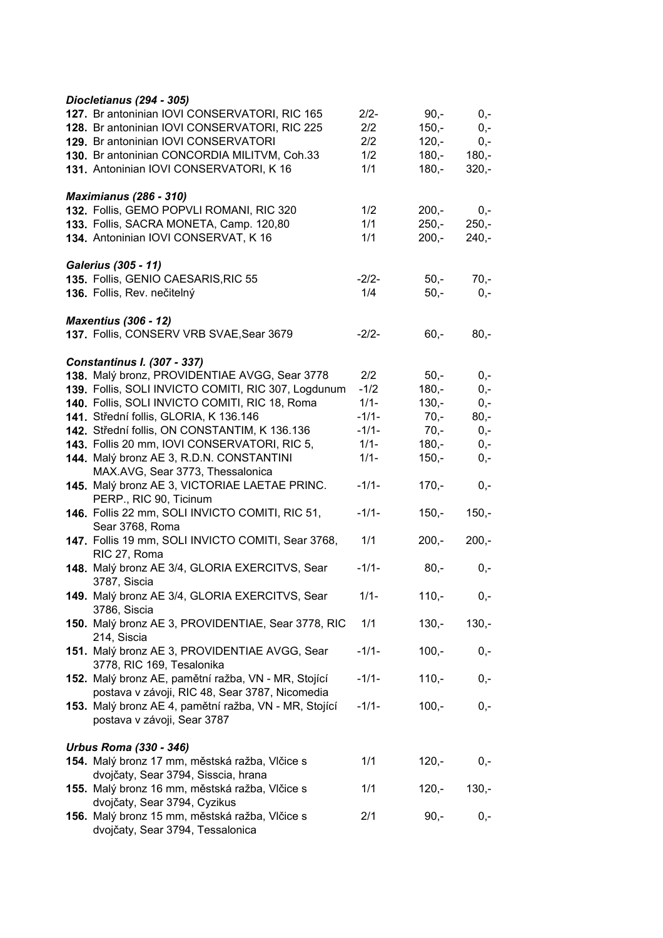| Diocletianus (294 - 305)                              |         |         |         |
|-------------------------------------------------------|---------|---------|---------|
| 127. Br antoninian IOVI CONSERVATORI, RIC 165         | $2/2-$  | $90,-$  | $0,-$   |
| 128. Br antoninian IOVI CONSERVATORI, RIC 225         | 2/2     | $150,-$ | $0,-$   |
| 129. Br antoninian IOVI CONSERVATORI                  | 2/2     | $120,-$ | $0,-$   |
| 130. Br antoninian CONCORDIA MILITVM, Coh.33          | 1/2     | $180,-$ | $180,-$ |
| 131. Antoninian IOVI CONSERVATORI, K 16               | 1/1     | $180,-$ | $320,-$ |
|                                                       |         |         |         |
| <b>Maximianus (286 - 310)</b>                         |         |         |         |
| 132. Follis, GEMO POPVLI ROMANI, RIC 320              | 1/2     | $200 -$ | $0,-$   |
| 133. Follis, SACRA MONETA, Camp. 120,80               | 1/1     | $250 -$ | $250,-$ |
| 134. Antoninian IOVI CONSERVAT, K 16                  | 1/1     | $200,-$ | $240,-$ |
|                                                       |         |         |         |
| <b>Galerius (305 - 11)</b>                            |         |         |         |
| 135. Follis, GENIO CAESARIS, RIC 55                   | $-2/2-$ | $50,-$  | $70,-$  |
| 136. Follis, Rev. nečitelný                           | 1/4     | $50,-$  | $0,-$   |
|                                                       |         |         |         |
| <b>Maxentius (306 - 12)</b>                           |         |         |         |
| 137. Follis, CONSERV VRB SVAE, Sear 3679              | $-2/2-$ | $60,-$  | $80,-$  |
|                                                       |         |         |         |
| <b>Constantinus I. (307 - 337)</b>                    |         |         |         |
| 138. Malý bronz, PROVIDENTIAE AVGG, Sear 3778         | 2/2     | $50 -$  | $0,-$   |
| 139. Follis, SOLI INVICTO COMITI, RIC 307, Logdunum   | $-1/2$  | $180,-$ | $0,-$   |
| 140. Follis, SOLI INVICTO COMITI, RIC 18, Roma        | $1/1 -$ | $130,-$ | $0,-$   |
| 141. Střední follis, GLORIA, K 136.146                | $-1/1-$ | $70,-$  | $80,-$  |
| 142. Střední follis, ON CONSTANTIM, K 136.136         | $-1/1-$ | $70,-$  | $0,-$   |
| 143. Follis 20 mm, IOVI CONSERVATORI, RIC 5,          | $1/1 -$ | $180,-$ | $0,-$   |
| 144. Malý bronz AE 3, R.D.N. CONSTANTINI              | $1/1 -$ | $150,-$ | $0,-$   |
| MAX.AVG, Sear 3773, Thessalonica                      |         |         |         |
| 145. Malý bronz AE 3, VICTORIAE LAETAE PRINC.         | $-1/1-$ | $170,-$ | $0,-$   |
| PERP., RIC 90, Ticinum                                |         |         |         |
| 146. Follis 22 mm, SOLI INVICTO COMITI, RIC 51,       | $-1/1-$ | $150,-$ | $150,-$ |
| Sear 3768, Roma                                       |         |         |         |
| 147. Follis 19 mm, SOLI INVICTO COMITI, Sear 3768,    | 1/1     | $200,-$ | $200,-$ |
| RIC 27, Roma                                          |         |         |         |
| 148. Malý bronz AE 3/4, GLORIA EXERCITVS, Sear        | $-1/1-$ | $80,-$  | $0,-$   |
| 3787, Siscia                                          |         |         |         |
| 149. Malý bronz AE 3/4, GLORIA EXERCITVS, Sear        | $1/1 -$ | $110,-$ | $0,-$   |
| 3786, Siscia                                          |         |         |         |
| 150. Malý bronz AE 3, PROVIDENTIAE, Sear 3778, RIC    | 1/1     | $130,-$ | $130,-$ |
| 214, Siscia                                           |         |         |         |
| 151. Malý bronz AE 3, PROVIDENTIAE AVGG, Sear         | $-1/1-$ | $100,-$ |         |
|                                                       |         |         | 0,-     |
| 3778, RIC 169, Tesalonika                             |         |         |         |
| 152. Malý bronz AE, pamětní ražba, VN - MR, Stojící   | $-1/1-$ | $110,-$ | $0,-$   |
| postava v závoji, RIC 48, Sear 3787, Nicomedia        |         |         |         |
| 153. Malý bronz AE 4, pamětní ražba, VN - MR, Stojící | $-1/1-$ | $100,-$ | $0,-$   |
| postava v závoji, Sear 3787                           |         |         |         |
| Urbus Roma (330 - 346)                                |         |         |         |
| 154. Malý bronz 17 mm, městská ražba, Vlčice s        | 1/1     | $120,-$ | 0,-     |
|                                                       |         |         |         |
| dvojčaty, Sear 3794, Sisscia, hrana                   |         |         |         |
| 155. Malý bronz 16 mm, městská ražba, Vlčice s        | 1/1     | $120,-$ | $130,-$ |
| dvojčaty, Sear 3794, Cyzikus                          |         |         |         |
| 156. Malý bronz 15 mm, městská ražba, Vlčice s        | 2/1     | $90,-$  | $0,-$   |
| dvojčaty, Sear 3794, Tessalonica                      |         |         |         |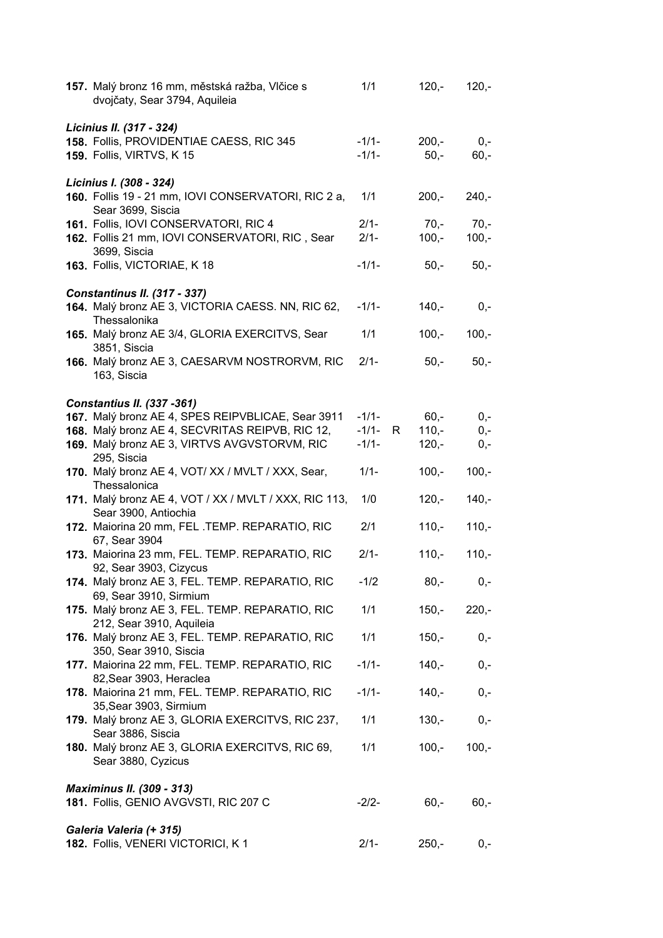| 157. Malý bronz 16 mm, městská ražba, Vlčice s<br>dvojčaty, Sear 3794, Aquileia        | 1/1     |   | $120,-$ | $120,-$ |
|----------------------------------------------------------------------------------------|---------|---|---------|---------|
| Licinius II. (317 - 324)<br>158. Follis, PROVIDENTIAE CAESS, RIC 345                   | $-1/1-$ |   | $200,-$ | $0,-$   |
| <b>159. Follis, VIRTVS, K15</b>                                                        | $-1/1-$ |   | $50,-$  | $60,-$  |
|                                                                                        |         |   |         |         |
| Licinius I. (308 - 324)                                                                | 1/1     |   |         |         |
| 160. Follis 19 - 21 mm, IOVI CONSERVATORI, RIC 2 a,<br>Sear 3699, Siscia               |         |   | $200,-$ | $240,-$ |
| 161. Follis, IOVI CONSERVATORI, RIC 4                                                  | $2/1-$  |   | $70,-$  | $70,-$  |
| 162. Follis 21 mm, IOVI CONSERVATORI, RIC, Sear                                        | $2/1 -$ |   | $100,-$ | $100,-$ |
| 3699, Siscia                                                                           |         |   |         |         |
| 163. Follis, VICTORIAE, K 18                                                           | $-1/1-$ |   | $50,-$  | $50,-$  |
| <b>Constantinus II. (317 - 337)</b>                                                    |         |   |         |         |
| 164. Malý bronz AE 3, VICTORIA CAESS. NN, RIC 62,                                      | $-1/1-$ |   | $140,-$ | $0,-$   |
| Thessalonika                                                                           |         |   |         |         |
| 165. Malý bronz AE 3/4, GLORIA EXERCITVS, Sear<br>3851, Siscia                         | 1/1     |   | $100,-$ | $100,-$ |
| 166. Malý bronz AE 3, CAESARVM NOSTRORVM, RIC                                          | $2/1 -$ |   | $50 -$  | $50,-$  |
| 163, Siscia                                                                            |         |   |         |         |
|                                                                                        |         |   |         |         |
| <b>Constantius II. (337 -361)</b><br>167. Malý bronz AE 4, SPES REIPVBLICAE, Sear 3911 | $-1/1-$ |   | $60,-$  | $0,-$   |
| 168. Malý bronz AE 4, SECVRITAS REIPVB, RIC 12,                                        | $-1/1-$ | R | $110,-$ | $0,-$   |
| 169. Malý bronz AE 3, VIRTVS AVGVSTORVM, RIC                                           | $-1/1-$ |   | $120,-$ | $0,-$   |
| 295, Siscia                                                                            |         |   |         |         |
| 170. Malý bronz AE 4, VOT/XX / MVLT / XXX, Sear,                                       | $1/1 -$ |   | $100,-$ | $100,-$ |
| Thessalonica<br>171. Malý bronz AE 4, VOT / XX / MVLT / XXX, RIC 113,                  | 1/0     |   | $120,-$ | $140,-$ |
| Sear 3900, Antiochia                                                                   |         |   |         |         |
| 172. Maiorina 20 mm, FEL .TEMP. REPARATIO, RIC                                         | 2/1     |   | $110,-$ | $110,-$ |
| 67, Sear 3904                                                                          |         |   |         |         |
| 173. Maiorina 23 mm, FEL. TEMP. REPARATIO, RIC                                         | $2/1-$  |   | $110,-$ | $110,-$ |
| 92, Sear 3903, Cizycus<br>174. Malý bronz AE 3, FEL. TEMP. REPARATIO, RIC              | $-1/2$  |   | $80,-$  | $0,-$   |
| 69, Sear 3910, Sirmium                                                                 |         |   |         |         |
| 175. Malý bronz AE 3, FEL. TEMP. REPARATIO, RIC                                        | 1/1     |   | $150,-$ | $220,-$ |
| 212, Sear 3910, Aquileia                                                               |         |   |         |         |
| 176. Malý bronz AE 3, FEL. TEMP. REPARATIO, RIC<br>350, Sear 3910, Siscia              | 1/1     |   | $150,-$ | 0,-     |
| 177. Maiorina 22 mm, FEL. TEMP. REPARATIO, RIC                                         | $-1/1-$ |   | $140,-$ | $0,-$   |
| 82, Sear 3903, Heraclea                                                                |         |   |         |         |
| 178. Maiorina 21 mm, FEL. TEMP. REPARATIO, RIC                                         | $-1/1-$ |   | $140,-$ | 0,-     |
| 35, Sear 3903, Sirmium<br>179. Malý bronz AE 3, GLORIA EXERCITVS, RIC 237,             | 1/1     |   | $130,-$ | 0,-     |
| Sear 3886, Siscia                                                                      |         |   |         |         |
| 180. Malý bronz AE 3, GLORIA EXERCITVS, RIC 69,                                        | 1/1     |   | $100,-$ | $100,-$ |
| Sear 3880, Cyzicus                                                                     |         |   |         |         |
|                                                                                        |         |   |         |         |
| <b>Maximinus II. (309 - 313)</b><br>181. Follis, GENIO AVGVSTI, RIC 207 C              | $-2/2-$ |   | $60,-$  | $60,-$  |
|                                                                                        |         |   |         |         |
| Galeria Valeria (+ 315)                                                                |         |   |         |         |
| 182. Follis, VENERI VICTORICI, K1                                                      | $2/1 -$ |   | $250,-$ | $0,-$   |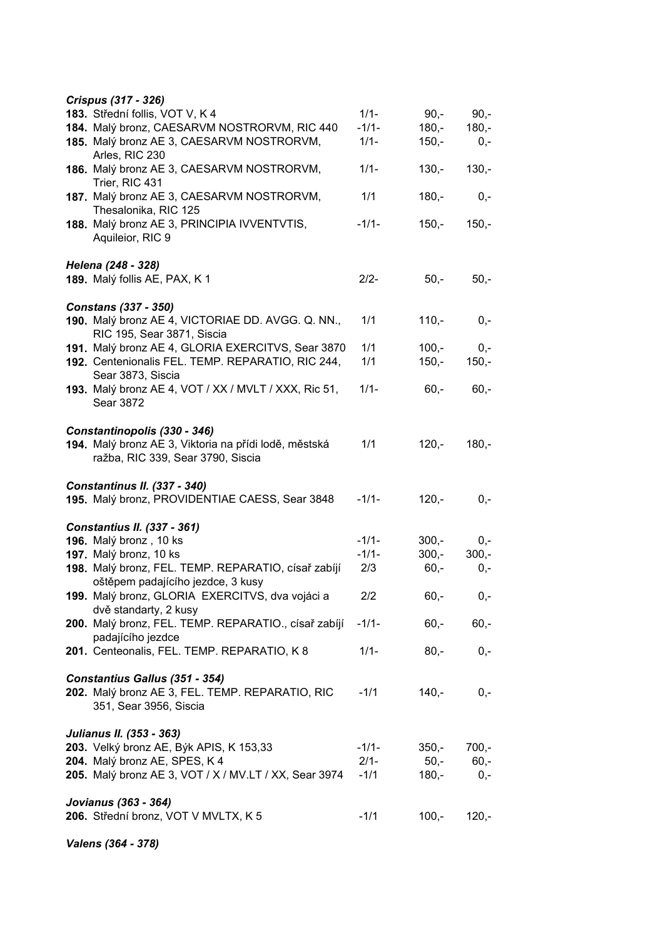| Crispus (317 - 326)                                             |         |         |         |
|-----------------------------------------------------------------|---------|---------|---------|
| 183. Střední follis, VOT V, K 4                                 | $1/1 -$ | $90,-$  | $90 -$  |
| 184. Malý bronz, CAESARVM NOSTRORVM, RIC 440                    | $-1/1-$ | $180,-$ | $180,-$ |
| 185. Malý bronz AE 3, CAESARVM NOSTRORVM,                       | $1/1 -$ | $150,-$ | $0,-$   |
| Arles, RIC 230                                                  |         |         |         |
| 186. Malý bronz AE 3, CAESARVM NOSTRORVM,                       | $1/1 -$ | $130,-$ | $130,-$ |
| Trier, RIC 431                                                  |         |         |         |
| 187. Malý bronz AE 3, CAESARVM NOSTRORVM,                       | 1/1     | $180 -$ | $0,-$   |
| Thesalonika, RIC 125                                            |         |         |         |
| 188. Malý bronz AE 3, PRINCIPIA IVVENTVTIS,<br>Aquileior, RIC 9 | $-1/1-$ | $150,-$ | $150 -$ |
| Helena (248 - 328)                                              |         |         |         |
| 189. Malý follis AE, PAX, K 1                                   | $2/2-$  | $50,-$  | $50,-$  |
|                                                                 |         |         |         |
| <b>Constans (337 - 350)</b>                                     |         |         |         |
| 190. Malý bronz AE 4, VICTORIAE DD. AVGG. Q. NN.,               | 1/1     | $110,-$ | $0,-$   |
| RIC 195, Sear 3871, Siscia                                      |         |         |         |
| 191. Malý bronz AE 4, GLORIA EXERCITVS, Sear 3870               | 1/1     | $100,-$ | $0,-$   |
| 192. Centenionalis FEL. TEMP. REPARATIO, RIC 244,               | 1/1     | $150,-$ | $150,-$ |
| Sear 3873, Siscia                                               |         |         |         |
| 193. Malý bronz AE 4, VOT / XX / MVLT / XXX, Ric 51,            | $1/1 -$ | $60,-$  | $60,-$  |
| Sear 3872                                                       |         |         |         |
|                                                                 |         |         |         |
| Constantinopolis (330 - 346)                                    |         |         |         |
| 194. Malý bronz AE 3, Viktoria na přídi lodě, městská           | 1/1     | $120,-$ | $180,-$ |
| ražba, RIC 339, Sear 3790, Siscia                               |         |         |         |
|                                                                 |         |         |         |
| Constantinus II. (337 - 340)                                    |         |         |         |
| 195. Malý bronz, PROVIDENTIAE CAESS, Sear 3848                  | $-1/1-$ | $120,-$ | $0,-$   |
|                                                                 |         |         |         |
| <b>Constantius II. (337 - 361)</b>                              |         |         |         |
| 196. Malý bronz, 10 ks                                          | $-1/1-$ | $300,-$ | $0,-$   |
| 197. Malý bronz, 10 ks                                          | $-1/1-$ | $300,-$ | $300,-$ |
| 198. Malý bronz, FEL. TEMP. REPARATIO, císař zabíjí             | 2/3     | $60,-$  | $0,-$   |
| oštěpem padajícího jezdce, 3 kusy                               |         |         |         |
| 199. Malý bronz, GLORIA EXERCITVS, dva vojáci a                 | 2/2     | $60,-$  | $0,-$   |
| dvě standarty, 2 kusy                                           |         |         |         |
| 200. Malý bronz, FEL. TEMP. REPARATIO., císař zabíjí            | $-1/1-$ | $60,-$  | $60,-$  |
| padajícího jezdce                                               |         |         |         |
| 201. Centeonalis, FEL. TEMP. REPARATIO, K 8                     | $1/1 -$ | $80,-$  | $0,-$   |
|                                                                 |         |         |         |
| Constantius Gallus (351 - 354)                                  |         |         |         |
| 202. Malý bronz AE 3, FEL. TEMP. REPARATIO, RIC                 | $-1/1$  | $140 -$ | $0,-$   |
| 351, Sear 3956, Siscia                                          |         |         |         |
|                                                                 |         |         |         |
| Julianus II. (353 - 363)                                        |         |         |         |
| 203. Velký bronz AE, Býk APIS, K 153,33                         | $-1/1-$ | $350,-$ | $700,-$ |
| 204. Malý bronz AE, SPES, K 4                                   | $2/1 -$ | $50,-$  | $60,-$  |
| 205. Malý bronz AE 3, VOT / X / MV.LT / XX, Sear 3974           | $-1/1$  | $180,-$ | $0,-$   |
|                                                                 |         |         |         |
| Jovianus (363 - 364)                                            |         |         |         |
| 206. Střední bronz, VOT V MVLTX, K 5                            | $-1/1$  | $100,-$ | $120,-$ |
|                                                                 |         |         |         |

*Valens (364 - 378)*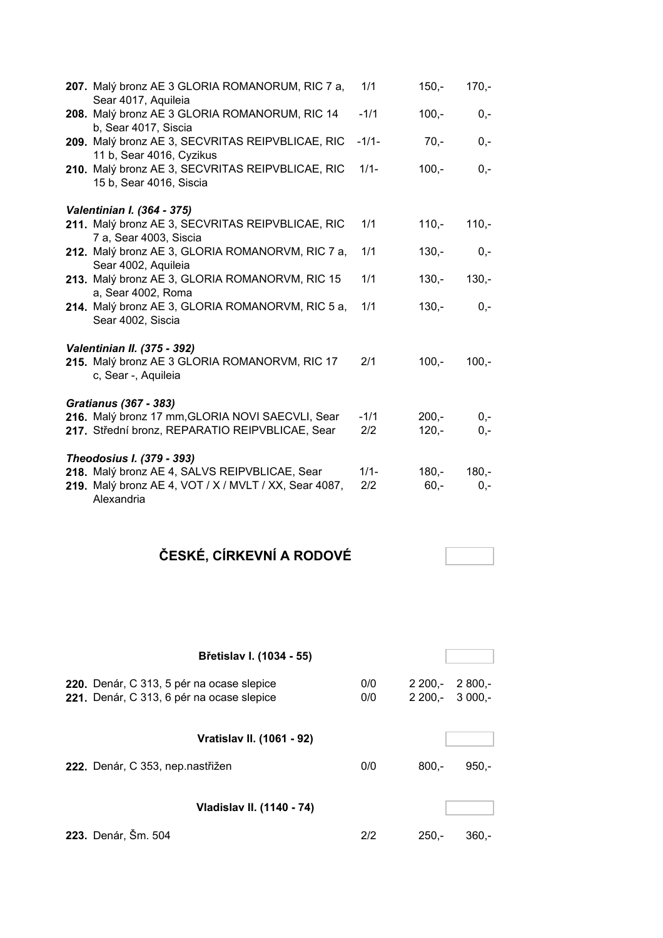| 207. Malý bronz AE 3 GLORIA ROMANORUM, RIC 7 a,<br>Sear 4017, Aquileia                              | 1/1           | $150,-$            | $170 -$        |
|-----------------------------------------------------------------------------------------------------|---------------|--------------------|----------------|
| 208. Malý bronz AE 3 GLORIA ROMANORUM, RIC 14<br>b, Sear 4017, Siscia                               | $-1/1$        | $100,-$            | $0,-$          |
| 209. Malý bronz AE 3, SECVRITAS REIPVBLICAE, RIC<br>11 b, Sear 4016, Cyzikus                        | $-1/1-$       | $70,-$             | $0,-$          |
| 210. Malý bronz AE 3, SECVRITAS REIPVBLICAE, RIC<br>15 b, Sear 4016, Siscia                         | $1/1 -$       | $100,-$            | $0,-$          |
| Valentinian I. (364 - 375)                                                                          |               |                    |                |
| 211. Malý bronz AE 3, SECVRITAS REIPVBLICAE, RIC<br>7 a, Sear 4003, Siscia                          | 1/1           | $110,-$            | $110,-$        |
| 212. Malý bronz AE 3, GLORIA ROMANORVM, RIC 7 a,<br>Sear 4002, Aquileia                             | 1/1           | $130 -$            | $0,-$          |
| 213. Malý bronz AE 3, GLORIA ROMANORVM, RIC 15<br>a, Sear 4002, Roma                                | 1/1           | $130 -$            | $130 -$        |
| 214. Malý bronz AE 3, GLORIA ROMANORVM, RIC 5 a,<br>Sear 4002, Siscia                               | 1/1           | $130 -$            | $0,-$          |
| <b>Valentinian II. (375 - 392)</b>                                                                  |               |                    |                |
| 215. Malý bronz AE 3 GLORIA ROMANORVM, RIC 17<br>c, Sear -, Aquileia                                | 2/1           | $100,-$            | $100 -$        |
| <b>Gratianus (367 - 383)</b>                                                                        |               |                    |                |
| 216. Malý bronz 17 mm, GLORIA NOVI SAECVLI, Sear<br>217. Střední bronz, REPARATIO REIPVBLICAE, Sear | $-1/1$<br>2/2 | $200 -$<br>$120,-$ | $0 -$<br>$0,-$ |
| Theodosius I. (379 - 393)<br>218. Malý bronz AE 4, SALVS REIPVBLICAE, Sear                          | $1/1 -$       | $180 -$            | $180 -$        |
| 219. Malý bronz AE 4, VOT / X / MVLT / XX, Sear 4087,<br>Alexandria                                 | 2/2           | $60,-$             | $0,-$          |

# **ČESKÉ, CÍRKEVNÍ A RODOVÉ**

| Břetislav I. (1034 - 55)                                                               |            |                     |                      |
|----------------------------------------------------------------------------------------|------------|---------------------|----------------------|
| 220. Denár, C 313, 5 pér na ocase slepice<br>221. Denár, C 313, 6 pér na ocase slepice | 0/0<br>0/0 | $2200 -$<br>2 200.- | $2800 -$<br>$3000 -$ |
| Vratislav II. (1061 - 92)                                                              |            |                     |                      |
| 222. Denár, C 353, nep.nastřižen                                                       | 0/0        | $800 -$             | $950 -$              |
| Vladislav II. (1140 - 74)                                                              |            |                     |                      |
| 223. Denár, Šm. 504                                                                    | 2/2        | $250 -$             | 360.-                |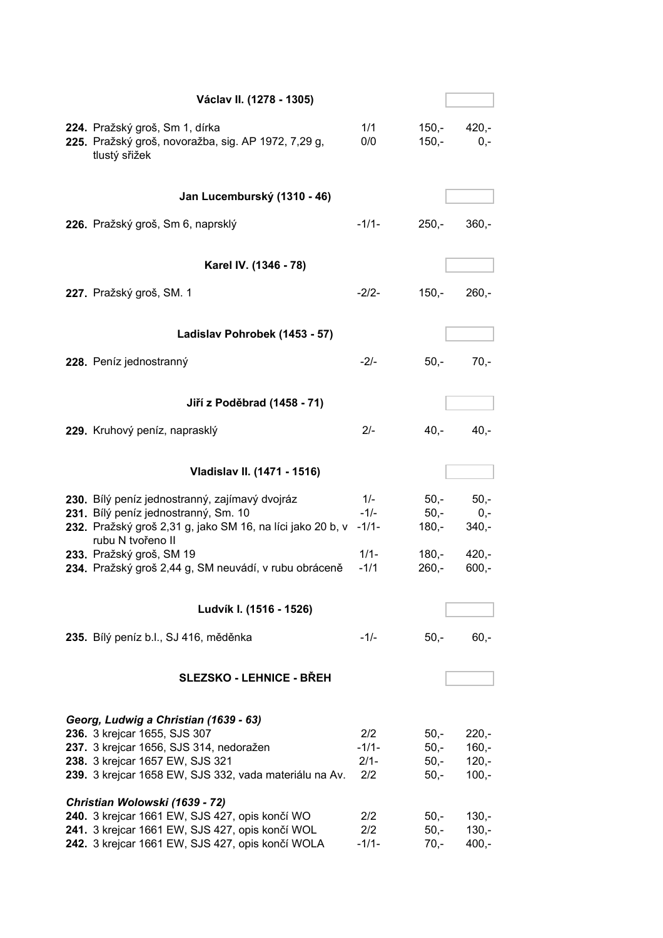| Václav II. (1278 - 1305)                                                                                                                                                                                      |                                 |                                      |                                          |
|---------------------------------------------------------------------------------------------------------------------------------------------------------------------------------------------------------------|---------------------------------|--------------------------------------|------------------------------------------|
| 224. Pražský groš, Sm 1, dírka<br>225. Pražský groš, novoražba, sig. AP 1972, 7,29 g,<br>tlustý sřižek                                                                                                        | 1/1<br>0/0                      | 150,-<br>$150,-$                     | $420,-$<br>$0,-$                         |
| Jan Lucemburský (1310 - 46)                                                                                                                                                                                   |                                 |                                      |                                          |
| 226. Pražský groš, Sm 6, naprsklý                                                                                                                                                                             | $-1/1-$                         | $250 -$                              | $360 -$                                  |
| Karel IV. (1346 - 78)                                                                                                                                                                                         |                                 |                                      |                                          |
| 227. Pražský groš, SM. 1                                                                                                                                                                                      | $-2/2-$                         | $150,-$                              | $260 -$                                  |
| Ladislav Pohrobek (1453 - 57)                                                                                                                                                                                 |                                 |                                      |                                          |
| 228. Peníz jednostranný                                                                                                                                                                                       | $-2/-$                          | $50,-$                               | $70,-$                                   |
| Jiří z Poděbrad (1458 - 71)                                                                                                                                                                                   |                                 |                                      |                                          |
| 229. Kruhový peníz, naprasklý                                                                                                                                                                                 | $2/-$                           | 40,-                                 | $40,-$                                   |
| Vladislav II. (1471 - 1516)                                                                                                                                                                                   |                                 |                                      |                                          |
| 230. Bílý peníz jednostranný, zajímavý dvojráz<br>231. Bílý peníz jednostranný, Sm. 10<br>232. Pražský groš 2,31 g, jako SM 16, na líci jako 20 b, v<br>rubu N tvořeno II                                     | $1/-$<br>$-1/-$<br>$-1/1-$      | $50,-$<br>$50,-$<br>180,-            | $50,-$<br>$0,-$<br>$340,-$               |
| 233. Pražský groš, SM 19<br>234. Pražský groš 2,44 g, SM neuvádí, v rubu obráceně                                                                                                                             | $1/1 -$<br>$-1/1$               | 180,-<br>$260,-$                     | $420,-$<br>$600,-$                       |
| Ludvík I. (1516 - 1526)                                                                                                                                                                                       |                                 |                                      |                                          |
| 235. Bílý peníz b.l., SJ 416, měděnka                                                                                                                                                                         | $-1/-$                          | $50,-$                               | $60,-$                                   |
|                                                                                                                                                                                                               |                                 |                                      |                                          |
| <b>SLEZSKO - LEHNICE - BŘEH</b>                                                                                                                                                                               |                                 |                                      |                                          |
| Georg, Ludwig a Christian (1639 - 63)<br>236. 3 krejcar 1655, SJS 307<br>237. 3 krejcar 1656, SJS 314, nedoražen<br>238. 3 krejcar 1657 EW, SJS 321<br>239. 3 krejcar 1658 EW, SJS 332, vada materiálu na Av. | 2/2<br>$-1/1-$<br>$2/1-$<br>2/2 | $50,-$<br>$50,-$<br>$50,-$<br>$50,-$ | $220,-$<br>$160,-$<br>$120,-$<br>$100,-$ |
| Christian Wolowski (1639 - 72)<br>240. 3 krejcar 1661 EW, SJS 427, opis končí WO<br>241. 3 krejcar 1661 EW, SJS 427, opis končí WOL<br>242. 3 krejcar 1661 EW, SJS 427, opis končí WOLA                       | 2/2<br>2/2<br>$-1/1-$           | $50,-$<br>$50,-$<br>$70,-$           | $130,-$<br>$130,-$<br>$400,-$            |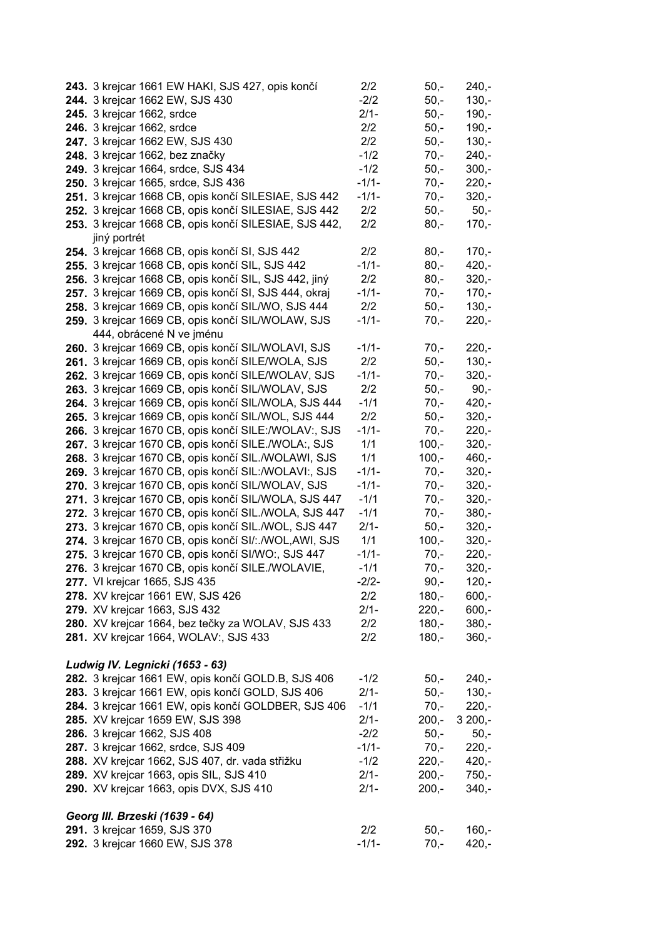| 243. 3 krejcar 1661 EW HAKI, SJS 427, opis končí        | 2/2     | $50,-$            | $240,-$  |  |
|---------------------------------------------------------|---------|-------------------|----------|--|
| 244. 3 krejcar 1662 EW, SJS 430                         | $-2/2$  | $50,-$<br>$130,-$ |          |  |
| 245. 3 krejcar 1662, srdce                              | $2/1 -$ | $50,-$            | $190,-$  |  |
| 246. 3 krejcar 1662, srdce                              | 2/2     | $50,-$            | $190,-$  |  |
| 247. 3 krejcar 1662 EW, SJS 430                         | 2/2     | $50,-$            | $130,-$  |  |
| 248. 3 krejcar 1662, bez značky                         | $-1/2$  | $70,-$            | $240,-$  |  |
| 249. 3 krejcar 1664, srdce, SJS 434                     | $-1/2$  | $50,-$            | $300,-$  |  |
| 250. 3 krejcar 1665, srdce, SJS 436                     | $-1/1-$ | $70,-$            | $220,-$  |  |
| 251. 3 krejcar 1668 CB, opis končí SILESIAE, SJS 442    | $-1/1-$ | $70,-$            | $320,-$  |  |
| 252. 3 krejcar 1668 CB, opis končí SILESIAE, SJS 442    | 2/2     | $50,-$            | $50,-$   |  |
| 253. 3 krejcar 1668 CB, opis končí SILESIAE, SJS 442,   | 2/2     | $80,-$            | $170,-$  |  |
| jiný portrét                                            |         |                   |          |  |
| 254. 3 krejcar 1668 CB, opis končí SI, SJS 442          | 2/2     | $80,-$            | $170,-$  |  |
| 255. 3 krejcar 1668 CB, opis končí SIL, SJS 442         | $-1/1-$ | $80,-$            | $420,-$  |  |
| 256. 3 krejcar 1668 CB, opis končí SIL, SJS 442, jiný   | 2/2     | $80,-$            | $320 -$  |  |
| 257. 3 krejcar 1669 CB, opis končí SI, SJS 444, okraj   | $-1/1-$ | $70,-$            | $170,-$  |  |
| 258. 3 krejcar 1669 CB, opis končí SIL/WO, SJS 444      | 2/2     | $50,-$            | $130,-$  |  |
| 259. 3 krejcar 1669 CB, opis končí SIL/WOLAW, SJS       | $-1/1-$ | $70,-$            | $220,-$  |  |
| 444, obrácené N ve jménu                                |         |                   |          |  |
| 260. 3 krejcar 1669 CB, opis končí SIL/WOLAVI, SJS      | $-1/1-$ | $70,-$            | $220,-$  |  |
| 261. 3 krejcar 1669 CB, opis končí SILE/WOLA, SJS       | 2/2     | $50 -$            | $130,-$  |  |
| 262. 3 krejcar 1669 CB, opis končí SILE/WOLAV, SJS      | $-1/1-$ | $70,-$            | $320,-$  |  |
| 263. 3 krejcar 1669 CB, opis končí SIL/WOLAV, SJS       | 2/2     | $50,-$            | $90,-$   |  |
| 264. 3 krejcar 1669 CB, opis končí SIL/WOLA, SJS 444    | $-1/1$  | $70,-$            | $420,-$  |  |
| 265. 3 krejcar 1669 CB, opis končí SIL/WOL, SJS 444     | 2/2     | $50,-$            | $320,-$  |  |
| 266. 3 krejcar 1670 CB, opis končí SILE:/WOLAV:, SJS    | $-1/1-$ | $70,-$            | $220,-$  |  |
| 267. 3 krejcar 1670 CB, opis končí SILE./WOLA:, SJS     | 1/1     | $100,-$           | $320,-$  |  |
| 268. 3 krejcar 1670 CB, opis končí SIL./WOLAWI, SJS     | 1/1     | $100,-$           | $460,-$  |  |
| 269. 3 krejcar 1670 CB, opis končí SIL:/WOLAVI:, SJS    | $-1/1-$ | $70,-$            | $320,-$  |  |
| 270. 3 krejcar 1670 CB, opis končí SIL/WOLAV, SJS       | $-1/1-$ | $70,-$            | $320,-$  |  |
| 271. 3 krejcar 1670 CB, opis končí SIL/WOLA, SJS 447    | $-1/1$  | $70,-$            | $320,-$  |  |
| 272. 3 krejcar 1670 CB, opis končí SIL./WOLA, SJS 447   | $-1/1$  | $70 -$            | $380 -$  |  |
| 273. 3 krejcar 1670 CB, opis končí SIL./WOL, SJS 447    | $2/1 -$ | $50,-$            | $320,-$  |  |
| 274. 3 krejcar 1670 CB, opis končí SI/: ./WOL, AWI, SJS | 1/1     | $100,-$           | $320 -$  |  |
| 275. 3 krejcar 1670 CB, opis končí SI/WO:, SJS 447      | $-1/1-$ | $70,-$            | $220,-$  |  |
| 276. 3 krejcar 1670 CB, opis končí SILE./WOLAVIE,       | $-1/1$  | $70,-$            | $320,-$  |  |
| 277. VI krejcar 1665, SJS 435                           | $-2/2-$ | $90, -$           | $120,-$  |  |
| 278. XV krejcar 1661 EW, SJS 426                        | 2/2     | $180 -$           | $600,-$  |  |
| 279. XV krejcar 1663, SJS 432                           | $2/1 -$ | $220,-$           | $600,-$  |  |
| 280. XV krejcar 1664, bez tečky za WOLAV, SJS 433       | 2/2     | $180,-$           | $380 -$  |  |
| 281. XV krejcar 1664, WOLAV:, SJS 433                   | 2/2     | $180 -$           | $360,-$  |  |
|                                                         |         |                   |          |  |
| Ludwig IV. Legnicki (1653 - 63)                         |         |                   |          |  |
| 282. 3 krejcar 1661 EW, opis končí GOLD.B, SJS 406      | $-1/2$  | $50,-$            | $240 -$  |  |
| 283. 3 krejcar 1661 EW, opis končí GOLD, SJS 406        | $2/1 -$ | $50,-$            | $130,-$  |  |
| 284. 3 krejcar 1661 EW, opis končí GOLDBER, SJS 406     | $-1/1$  | $70,-$            | $220,-$  |  |
| 285. XV krejcar 1659 EW, SJS 398                        | $2/1 -$ | $200,-$           | $3200,-$ |  |
| 286. 3 krejcar 1662, SJS 408                            | $-2/2$  | $50,-$            | $50,-$   |  |
| 287. 3 krejcar 1662, srdce, SJS 409                     | $-1/1-$ | $70,-$            | $220,-$  |  |
| 288. XV krejcar 1662, SJS 407, dr. vada střižku         | $-1/2$  | $220,-$           | $420,-$  |  |
| 289. XV krejcar 1663, opis SIL, SJS 410                 | $2/1 -$ | $200,-$           | $750,-$  |  |
| 290. XV krejcar 1663, opis DVX, SJS 410                 | $2/1 -$ | $200,-$           | $340,-$  |  |
| Georg III. Brzeski (1639 - 64)                          |         |                   |          |  |
| 291. 3 krejcar 1659, SJS 370                            | 2/2     | $50,-$            | $160,-$  |  |
| 292. 3 krejcar 1660 EW, SJS 378                         | $-1/1-$ | $70,-$            | $420,-$  |  |
|                                                         |         |                   |          |  |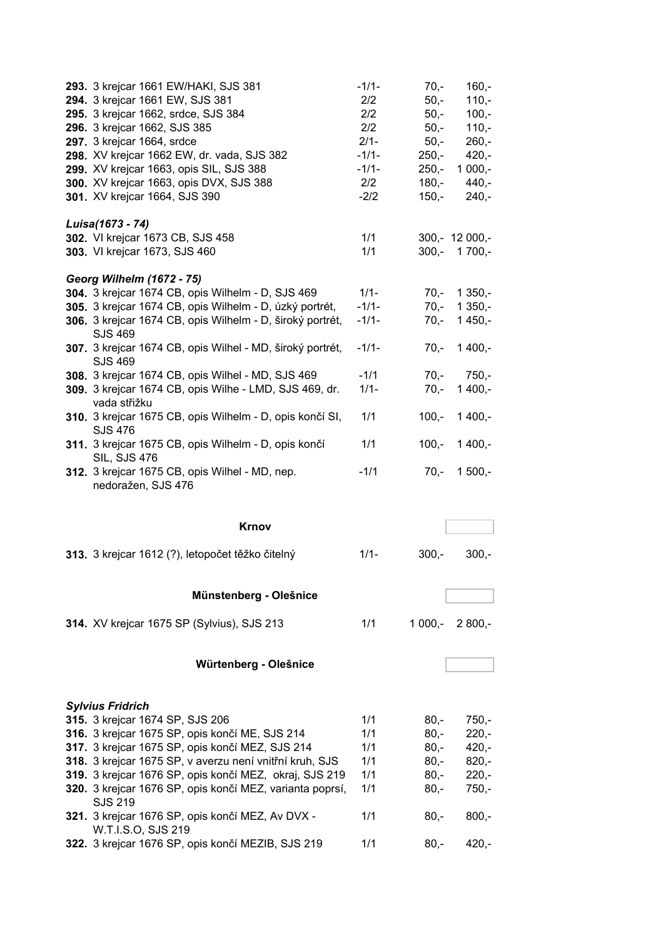| 293. 3 krejcar 1661 EW/HAKI, SJS 381<br>294. 3 krejcar 1661 EW, SJS 381<br>295. 3 krejcar 1662, srdce, SJS 384<br>296. 3 krejcar 1662, SJS 385<br>297. 3 krejcar 1664, srdce<br>298. XV krejcar 1662 EW, dr. vada, SJS 382<br>299. XV krejcar 1663, opis SIL, SJS 388<br>300. XV krejcar 1663, opis DVX, SJS 388<br>301. XV krejcar 1664, SJS 390 | $-1/1-$<br>2/2<br>2/2<br>2/2<br>$2/1-$<br>$-1/1-$<br>$-1/1-$<br>2/2<br>$-2/2$ | $70,-$<br>$50 -$<br>$50,-$<br>$50,-$<br>$50,-$<br>$250,-$<br>$250,-$<br>$180,-$<br>$150,-$ | $160,-$<br>$110,-$<br>$100 -$<br>$110,-$<br>$260 -$<br>$420 -$<br>$1000,-$<br>$440,-$<br>$240,-$ |
|---------------------------------------------------------------------------------------------------------------------------------------------------------------------------------------------------------------------------------------------------------------------------------------------------------------------------------------------------|-------------------------------------------------------------------------------|--------------------------------------------------------------------------------------------|--------------------------------------------------------------------------------------------------|
| Luisa(1673 - 74)                                                                                                                                                                                                                                                                                                                                  |                                                                               |                                                                                            |                                                                                                  |
| 302. VI krejcar 1673 CB, SJS 458                                                                                                                                                                                                                                                                                                                  | 1/1                                                                           |                                                                                            | $300 - 12000 -$                                                                                  |
| 303. VI krejcar 1673, SJS 460                                                                                                                                                                                                                                                                                                                     | 1/1                                                                           | $300,-$                                                                                    | $1700,-$                                                                                         |
|                                                                                                                                                                                                                                                                                                                                                   |                                                                               |                                                                                            |                                                                                                  |
| <b>Georg Wilhelm (1672 - 75)</b>                                                                                                                                                                                                                                                                                                                  |                                                                               |                                                                                            |                                                                                                  |
| 304. 3 krejcar 1674 CB, opis Wilhelm - D, SJS 469                                                                                                                                                                                                                                                                                                 | $1/1 -$                                                                       | $70,-$                                                                                     | $1350,-$                                                                                         |
| 305. 3 krejcar 1674 CB, opis Wilhelm - D, úzký portrét,                                                                                                                                                                                                                                                                                           | $-1/1-$                                                                       | $70,-$                                                                                     | $1350,-$                                                                                         |
| 306. 3 krejcar 1674 CB, opis Wilhelm - D, široký portrét,                                                                                                                                                                                                                                                                                         | $-1/1-$                                                                       | $70,-$                                                                                     | $1450,-$                                                                                         |
| SJS 469<br>307. 3 krejcar 1674 CB, opis Wilhel - MD, široký portrét,<br>SJS 469                                                                                                                                                                                                                                                                   | $-1/1-$                                                                       | $70,-$                                                                                     | $1400,-$                                                                                         |
| 308. 3 krejcar 1674 CB, opis Wilhel - MD, SJS 469                                                                                                                                                                                                                                                                                                 | $-1/1$                                                                        | $70 -$                                                                                     | $750,-$                                                                                          |
| 309. 3 krejcar 1674 CB, opis Wilhe - LMD, SJS 469, dr.                                                                                                                                                                                                                                                                                            | $1/1 -$                                                                       | $70,-$                                                                                     | $1400,-$                                                                                         |
| vada střižku                                                                                                                                                                                                                                                                                                                                      |                                                                               |                                                                                            |                                                                                                  |
| 310. 3 krejcar 1675 CB, opis Wilhelm - D, opis končí SI,                                                                                                                                                                                                                                                                                          | 1/1                                                                           | $100,-$                                                                                    | $1400,-$                                                                                         |
| <b>SJS 476</b>                                                                                                                                                                                                                                                                                                                                    |                                                                               |                                                                                            |                                                                                                  |
| 311. 3 krejcar 1675 CB, opis Wilhelm - D, opis končí<br><b>SIL, SJS 476</b>                                                                                                                                                                                                                                                                       | 1/1                                                                           | $100,-$                                                                                    | $1400,-$                                                                                         |
| 312. 3 krejcar 1675 CB, opis Wilhel - MD, nep.<br>nedoražen, SJS 476                                                                                                                                                                                                                                                                              | $-1/1$                                                                        | $70,-$                                                                                     | $1500,-$                                                                                         |
|                                                                                                                                                                                                                                                                                                                                                   |                                                                               |                                                                                            |                                                                                                  |
| Krnov                                                                                                                                                                                                                                                                                                                                             |                                                                               |                                                                                            |                                                                                                  |
| 313. 3 krejcar 1612 (?), letopočet těžko čitelný                                                                                                                                                                                                                                                                                                  | $1/1 -$                                                                       | $300,-$                                                                                    | $300 -$                                                                                          |
| Münstenberg - Olešnice                                                                                                                                                                                                                                                                                                                            |                                                                               |                                                                                            |                                                                                                  |
| 314. XV krejcar 1675 SP (Sylvius), SJS 213                                                                                                                                                                                                                                                                                                        | 1/1                                                                           | $1000,-$                                                                                   | $2800,-$                                                                                         |
| Würtenberg - Olešnice                                                                                                                                                                                                                                                                                                                             |                                                                               |                                                                                            |                                                                                                  |
|                                                                                                                                                                                                                                                                                                                                                   |                                                                               |                                                                                            |                                                                                                  |
|                                                                                                                                                                                                                                                                                                                                                   |                                                                               |                                                                                            |                                                                                                  |
| <b>Sylvius Fridrich</b>                                                                                                                                                                                                                                                                                                                           | 1/1                                                                           |                                                                                            | $750 -$                                                                                          |
| 315. 3 krejcar 1674 SP, SJS 206                                                                                                                                                                                                                                                                                                                   |                                                                               | $80,-$<br>$80 -$                                                                           | $220,-$                                                                                          |
| 316. 3 krejcar 1675 SP, opis končí ME, SJS 214                                                                                                                                                                                                                                                                                                    | 1/1                                                                           |                                                                                            |                                                                                                  |
| 317. 3 krejcar 1675 SP, opis končí MEZ, SJS 214                                                                                                                                                                                                                                                                                                   | 1/1                                                                           | $80 -$                                                                                     | $420 -$                                                                                          |
| 318. 3 krejcar 1675 SP, v averzu není vnitřní kruh, SJS                                                                                                                                                                                                                                                                                           | 1/1                                                                           | $80 -$                                                                                     | $820,-$                                                                                          |
| 319. 3 krejcar 1676 SP, opis končí MEZ, okraj, SJS 219                                                                                                                                                                                                                                                                                            | 1/1                                                                           | $80 -$                                                                                     | $220,-$                                                                                          |
| 320. 3 krejcar 1676 SP, opis končí MEZ, varianta poprsí,<br>SJS 219                                                                                                                                                                                                                                                                               | 1/1                                                                           | $80 -$                                                                                     | $750 -$                                                                                          |
| 321. 3 krejcar 1676 SP, opis končí MEZ, Av DVX -<br>W.T.I.S.O, SJS 219                                                                                                                                                                                                                                                                            | 1/1                                                                           | $80 -$                                                                                     | $800,-$                                                                                          |
| 322. 3 krejcar 1676 SP, opis končí MEZIB, SJS 219                                                                                                                                                                                                                                                                                                 | 1/1                                                                           | $80,-$                                                                                     | $420,-$                                                                                          |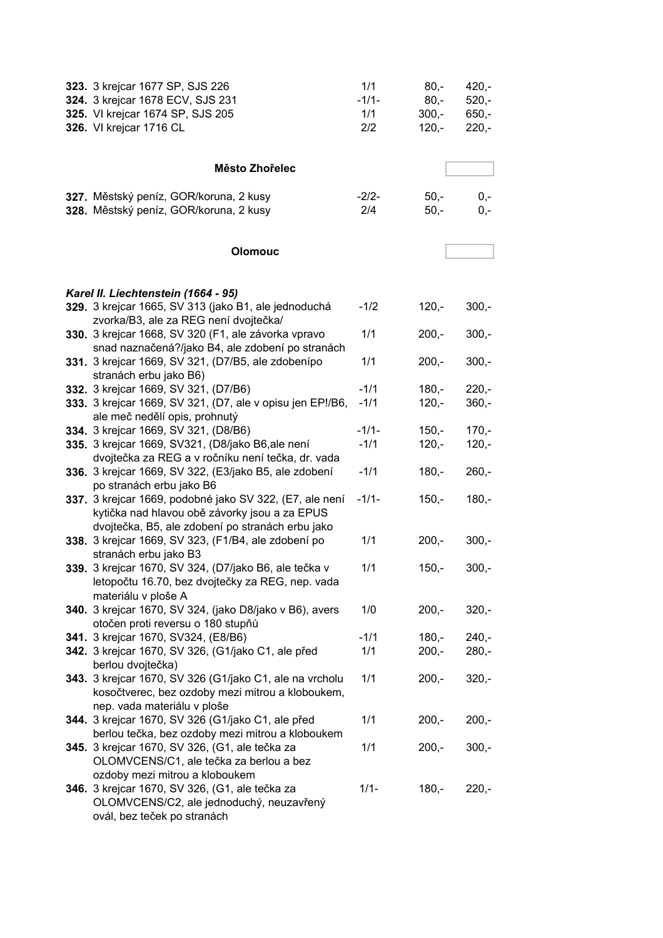| 323. 3 krejcar 1677 SP, SJS 226<br>324. 3 krejcar 1678 ECV, SJS 231             | 1/1<br>$-1/1-$ | $80,-$<br>$80,-$ | $420,-$<br>$520,-$ |
|---------------------------------------------------------------------------------|----------------|------------------|--------------------|
| 325. VI krejcar 1674 SP, SJS 205                                                | 1/1            | $300,-$          | $650 -$            |
| 326. VI krejcar 1716 CL                                                         | 2/2            | $120,-$          | $220,-$            |
|                                                                                 |                |                  |                    |
|                                                                                 |                |                  |                    |
| Město Zhořelec                                                                  |                |                  |                    |
| 327. Městský peníz, GOR/koruna, 2 kusy                                          | $-2/2-$        | $50,-$           | $0,-$              |
| 328. Městský peníz, GOR/koruna, 2 kusy                                          | 2/4            | $50,-$           | $0,-$              |
|                                                                                 |                |                  |                    |
|                                                                                 |                |                  |                    |
| <b>Olomouc</b>                                                                  |                |                  |                    |
| Karel II. Liechtenstein (1664 - 95)                                             |                |                  |                    |
| 329. 3 krejcar 1665, SV 313 (jako B1, ale jednoduchá                            | $-1/2$         | $120,-$          | $300,-$            |
| zvorka/B3, ale za REG není dvojtečka/                                           |                |                  |                    |
| 330. 3 krejcar 1668, SV 320 (F1, ale závorka vpravo                             | 1/1            | $200,-$          | $300,-$            |
| snad naznačená?/jako B4, ale zdobení po stranách                                |                |                  |                    |
| 331. 3 krejcar 1669, SV 321, (D7/B5, ale zdobenípo                              | 1/1            | $200,-$          | $300,-$            |
| stranách erbu jako B6)<br>332. 3 krejcar 1669, SV 321, (D7/B6)                  | $-1/1$         | $180 -$          | $220,-$            |
| 333. 3 krejcar 1669, SV 321, (D7, ale v opisu jen EP!/B6,                       | $-1/1$         | $120 -$          | $360,-$            |
| ale meč nedělí opis, prohnutý                                                   |                |                  |                    |
| 334. 3 krejcar 1669, SV 321, (D8/B6)                                            | $-1/1-$        | $150,-$          | $170,-$            |
| 335. 3 krejcar 1669, SV321, (D8/jako B6,ale není                                | $-1/1$         | $120,-$          | $120,-$            |
| dvojtečka za REG a v ročníku není tečka, dr. vada                               |                |                  |                    |
| 336. 3 krejcar 1669, SV 322, (E3/jako B5, ale zdobení                           | $-1/1$         | $180,-$          | $260,-$            |
| po stranách erbu jako B6                                                        |                |                  |                    |
| 337. 3 krejcar 1669, podobné jako SV 322, (E7, ale není                         | $-1/1-$        | $150,-$          | $180,-$            |
| kytička nad hlavou obě závorky jsou a za EPUS                                   |                |                  |                    |
| dvojtečka, B5, ale zdobení po stranách erbu jako                                |                |                  |                    |
| 338. 3 krejcar 1669, SV 323, (F1/B4, ale zdobení po<br>stranách erbu jako B3    | 1/1            | $200 -$          | $300,-$            |
| 339. 3 krejcar 1670, SV 324, (D7/jako B6, ale tečka v                           | 1/1            | $150,-$          | $300,-$            |
| letopočtu 16.70, bez dvojtečky za REG, nep. vada                                |                |                  |                    |
| materiálu v ploše A                                                             |                |                  |                    |
| 340. 3 krejcar 1670, SV 324, (jako D8/jako v B6), avers                         | 1/0            | $200,-$          | $320,-$            |
| otočen proti reversu o 180 stupňů                                               |                |                  |                    |
| 341. 3 krejcar 1670, SV324, (E8/B6)                                             | $-1/1$         | $180,-$          | $240,-$            |
| 342. 3 krejcar 1670, SV 326, (G1/jako C1, ale před                              | 1/1            | $200,-$          | $280 -$            |
| berlou dvojtečka)                                                               |                |                  |                    |
| 343. 3 krejcar 1670, SV 326 (G1/jako C1, ale na vrcholu                         | 1/1            | $200,-$          | $320,-$            |
| kosočtverec, bez ozdoby mezi mitrou a kloboukem,<br>nep. vada materiálu v ploše |                |                  |                    |
| 344. 3 krejcar 1670, SV 326 (G1/jako C1, ale před                               | 1/1            | $200,-$          | $200,-$            |
| berlou tečka, bez ozdoby mezi mitrou a kloboukem                                |                |                  |                    |
| 345. 3 krejcar 1670, SV 326, (G1, ale tečka za                                  | 1/1            | $200,-$          | $300,-$            |
| OLOMVCENS/C1, ale tečka za berlou a bez                                         |                |                  |                    |
| ozdoby mezi mitrou a kloboukem                                                  |                |                  |                    |
| 346. 3 krejcar 1670, SV 326, (G1, ale tečka za                                  | $1/1 -$        | $180,-$          | $220,-$            |
| OLOMVCENS/C2, ale jednoduchý, neuzavřený                                        |                |                  |                    |
| ovál, bez teček po stranách                                                     |                |                  |                    |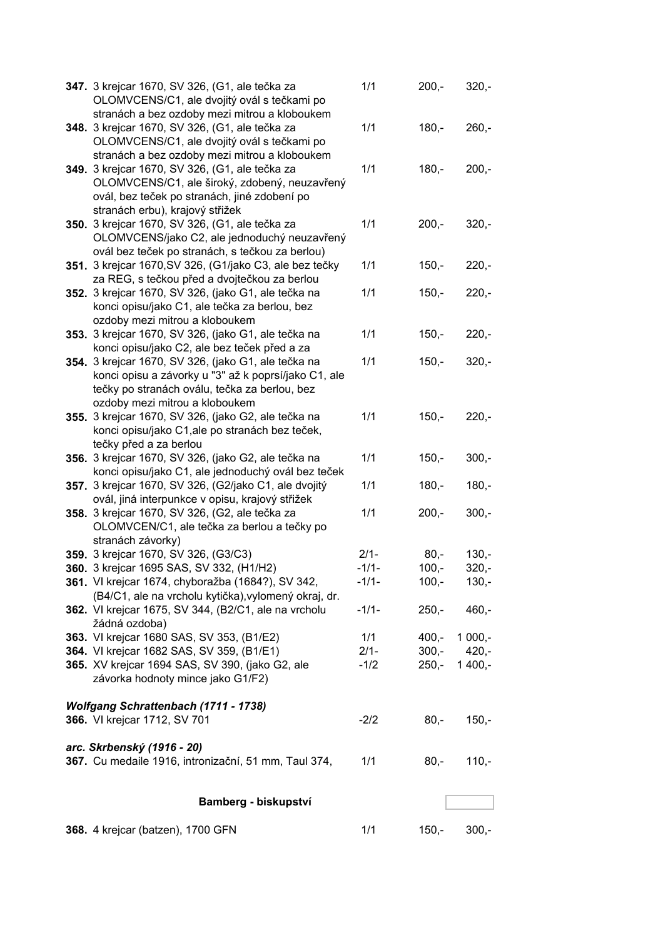| 347. 3 krejcar 1670, SV 326, (G1, ale tečka za<br>OLOMVCENS/C1, ale dvojitý ovál s tečkami po               | 1/1     | $200,-$ | $320,-$  |
|-------------------------------------------------------------------------------------------------------------|---------|---------|----------|
| stranách a bez ozdoby mezi mitrou a kloboukem                                                               |         |         |          |
| 348. 3 krejcar 1670, SV 326, (G1, ale tečka za                                                              | 1/1     | $180,-$ | $260,-$  |
| OLOMVCENS/C1, ale dvojitý ovál s tečkami po                                                                 |         |         |          |
| stranách a bez ozdoby mezi mitrou a kloboukem                                                               |         |         |          |
| 349. 3 krejcar 1670, SV 326, (G1, ale tečka za                                                              | 1/1     | $180,-$ | $200,-$  |
| OLOMVCENS/C1, ale široký, zdobený, neuzavřený                                                               |         |         |          |
| ovál, bez teček po stranách, jiné zdobení po<br>stranách erbu), krajový střižek                             |         |         |          |
| 350. 3 krejcar 1670, SV 326, (G1, ale tečka za                                                              | 1/1     | $200,-$ | $320,-$  |
| OLOMVCENS/jako C2, ale jednoduchý neuzavřený                                                                |         |         |          |
| ovál bez teček po stranách, s tečkou za berlou)                                                             |         |         |          |
| 351. 3 krejcar 1670, SV 326, (G1/jako C3, ale bez tečky                                                     | 1/1     | $150,-$ | $220 -$  |
| za REG, s tečkou před a dvojtečkou za berlou                                                                |         |         |          |
| 352. 3 krejcar 1670, SV 326, (jako G1, ale tečka na                                                         | 1/1     | $150,-$ | $220,-$  |
| konci opisu/jako C1, ale tečka za berlou, bez                                                               |         |         |          |
| ozdoby mezi mitrou a kloboukem                                                                              |         |         |          |
| 353. 3 krejcar 1670, SV 326, (jako G1, ale tečka na                                                         | 1/1     | $150,-$ | $220,-$  |
| konci opisu/jako C2, ale bez teček před a za                                                                |         |         |          |
| 354. 3 krejcar 1670, SV 326, (jako G1, ale tečka na                                                         | 1/1     | $150,-$ | $320,-$  |
| konci opisu a závorky u "3" až k poprsí/jako C1, ale                                                        |         |         |          |
| tečky po stranách oválu, tečka za berlou, bez                                                               |         |         |          |
| ozdoby mezi mitrou a kloboukem                                                                              |         |         |          |
| 355. 3 krejcar 1670, SV 326, (jako G2, ale tečka na                                                         | 1/1     | $150,-$ | $220,-$  |
| konci opisu/jako C1, ale po stranách bez teček,                                                             |         |         |          |
| tečky před a za berlou                                                                                      |         |         |          |
| 356. 3 krejcar 1670, SV 326, (jako G2, ale tečka na                                                         | 1/1     | $150,-$ | $300,-$  |
| konci opisu/jako C1, ale jednoduchý ovál bez teček<br>357. 3 krejcar 1670, SV 326, (G2/jako C1, ale dvojitý | 1/1     | $180,-$ | $180,-$  |
| ovál, jiná interpunkce v opisu, krajový střižek                                                             |         |         |          |
| 358. 3 krejcar 1670, SV 326, (G2, ale tečka za                                                              | 1/1     | $200,-$ | $300 -$  |
| OLOMVCEN/C1, ale tečka za berlou a tečky po                                                                 |         |         |          |
| stranách závorky)                                                                                           |         |         |          |
| 359. 3 krejcar 1670, SV 326, (G3/C3)                                                                        | $2/1-$  | $80,-$  | $130 -$  |
| 360. 3 krejcar 1695 SAS, SV 332, (H1/H2)                                                                    | $-1/1-$ | $100,-$ | $320,-$  |
| 361. VI krejcar 1674, chyboražba (1684?), SV 342,                                                           | $-1/1-$ | $100,-$ | $130,-$  |
| (B4/C1, ale na vrcholu kytička), vylomený okraj, dr.                                                        |         |         |          |
| 362. VI krejcar 1675, SV 344, (B2/C1, ale na vrcholu                                                        | $-1/1-$ | $250,-$ | $460,-$  |
| žádná ozdoba)                                                                                               |         |         |          |
| 363. VI krejcar 1680 SAS, SV 353, (B1/E2)                                                                   | 1/1     | $400,-$ | $1000,-$ |
| 364. VI krejcar 1682 SAS, SV 359, (B1/E1)                                                                   | $2/1 -$ | $300,-$ | $420,-$  |
| 365. XV krejcar 1694 SAS, SV 390, (jako G2, ale                                                             | $-1/2$  | $250,-$ | $1400,-$ |
| závorka hodnoty mince jako G1/F2)                                                                           |         |         |          |
| Wolfgang Schrattenbach (1711 - 1738)                                                                        |         |         |          |
| 366. VI krejcar 1712, SV 701                                                                                | $-2/2$  | $80,-$  | $150,-$  |
|                                                                                                             |         |         |          |
| arc. Skrbenský (1916 - 20)                                                                                  |         |         |          |
| 367. Cu medaile 1916, intronizační, 51 mm, Taul 374,                                                        | 1/1     | $80,-$  | $110,-$  |
| Bamberg - biskupství                                                                                        |         |         |          |
|                                                                                                             |         |         |          |
| 368. 4 krejcar (batzen), 1700 GFN                                                                           | 1/1     | $150,-$ | $300,-$  |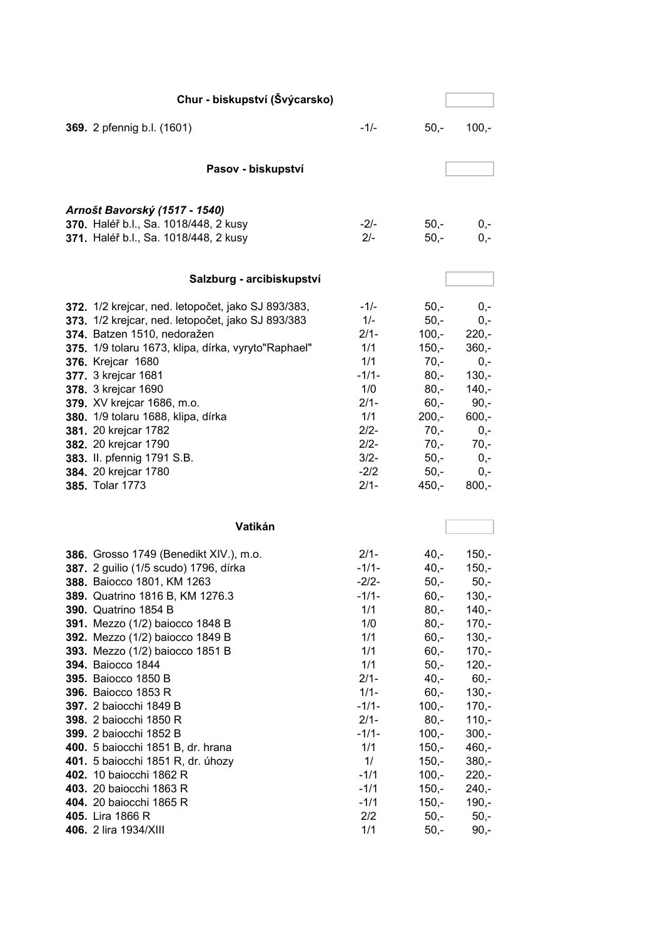| Chur - biskupství (Švýcarsko)                       |         |         |                  |
|-----------------------------------------------------|---------|---------|------------------|
| 369. 2 pfennig b.l. (1601)                          | $-1/-$  | $50,-$  | $100,-$          |
|                                                     |         |         |                  |
| Pasov - biskupství                                  |         |         |                  |
|                                                     |         |         |                  |
| Arnošt Bavorský (1517 - 1540)                       |         |         |                  |
| 370. Haléř b.l., Sa. 1018/448, 2 kusy               | $-2/-$  | $50,-$  | $0,-$            |
| 371. Haléř b.l., Sa. 1018/448, 2 kusy               | $2/-$   | $50,-$  | $0,-$            |
|                                                     |         |         |                  |
| Salzburg - arcibiskupství                           |         |         |                  |
| 372. 1/2 krejcar, ned. letopočet, jako SJ 893/383,  | $-1/-$  | $50,-$  | $0,-$            |
| 373. 1/2 krejcar, ned. letopočet, jako SJ 893/383   | $1/-$   | $50,-$  | $0,-$            |
| 374. Batzen 1510, nedoražen                         | $2/1-$  | $100,-$ | $220 -$          |
| 375. 1/9 tolaru 1673, klipa, dírka, vyryto"Raphael" | 1/1     | $150,-$ | $360,-$          |
| <b>376.</b> Krejcar 1680                            | 1/1     | $70,-$  | $0,-$            |
| 377. 3 krejcar 1681                                 | $-1/1-$ | $80,-$  | $130 -$          |
|                                                     | 1/0     | $80,-$  | $140,-$          |
| 378. 3 krejcar 1690                                 | $2/1-$  | $60,-$  | $90,-$           |
| 379. XV krejcar 1686, m.o.                          | 1/1     | $200,-$ | $600,-$          |
| 380. 1/9 tolaru 1688, klipa, dírka                  | $2/2 -$ | $70,-$  | $0,-$            |
| 381. 20 krejcar 1782                                | $2/2-$  | $70,-$  | $70,-$           |
| 382. 20 krejcar 1790<br>383. II. pfennig 1791 S.B.  | $3/2 -$ | $50,-$  | $0,-$            |
| 384. 20 krejcar 1780                                | $-2/2$  | $50,-$  |                  |
| 385. Tolar 1773                                     | $2/1 -$ | $450,-$ | $0,-$<br>$800,-$ |
|                                                     |         |         |                  |
| Vatikán                                             |         |         |                  |
| 386. Grosso 1749 (Benedikt XIV.), m.o.              | $2/1 -$ | $40 -$  | $150,-$          |
| 387. 2 guilio (1/5 scudo) 1796, dírka               | $-1/1-$ | $40,-$  | $150 -$          |
| 388. Baiocco 1801, KM 1263                          | $-2/2-$ | $50,-$  | $50,-$           |
| 389. Quatrino 1816 B, KM 1276.3                     | $-1/1-$ | $60,-$  | $130,-$          |
| 390. Quatrino 1854 B                                | 1/1     | $80,-$  | $140,-$          |
| 391. Mezzo (1/2) baiocco 1848 B                     | 1/0     | $80,-$  | $170,-$          |
| 392. Mezzo (1/2) baiocco 1849 B                     | 1/1     | $60, -$ | $130,-$          |
| 393. Mezzo (1/2) baiocco 1851 B                     | 1/1     | $60, -$ | $170,-$          |
| 394. Baiocco 1844                                   | 1/1     | $50,-$  | $120,-$          |
| 395. Baiocco 1850 B                                 | $2/1 -$ | $40,-$  | $60,-$           |
| 396. Baiocco 1853 R                                 | $1/1 -$ | $60,-$  | $130,-$          |
| 397. 2 baiocchi 1849 B                              | $-1/1-$ | $100,-$ | $170,-$          |
| 398. 2 baiocchi 1850 R                              | $2/1 -$ | $80,-$  | $110,-$          |
| 399. 2 baiocchi 1852 B                              | $-1/1-$ | $100,-$ | $300,-$          |
| 400. 5 baiocchi 1851 B, dr. hrana                   | 1/1     | $150,-$ | $460,-$          |
| 401. 5 baiocchi 1851 R, dr. úhozy                   | 1/      | $150,-$ | $380 -$          |
| 402. 10 baiocchi 1862 R                             | $-1/1$  | $100,-$ | $220 -$          |
| 403. 20 baiocchi 1863 R                             | $-1/1$  | $150,-$ | $240,-$          |
| 404. 20 baiocchi 1865 R                             | $-1/1$  | $150,-$ | $190,-$          |
| 405. Lira 1866 R                                    | $2/2$   | $50,-$  | $50,-$           |
| 406. 2 lira 1934/XIII                               | 1/1     | $50,-$  | 90,-             |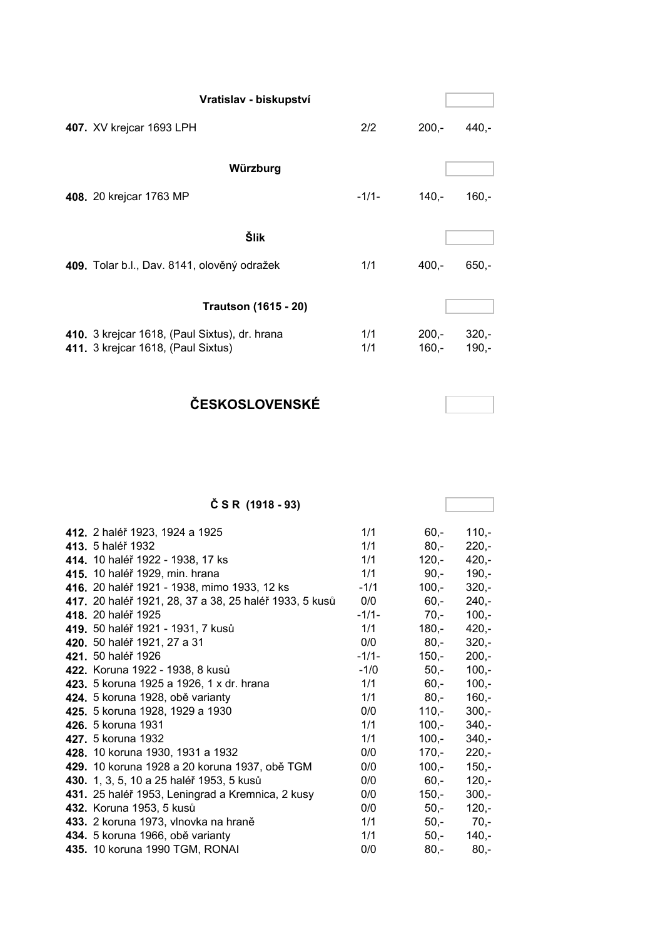| Vratislav - biskupství                                                              |            |                    |                    |
|-------------------------------------------------------------------------------------|------------|--------------------|--------------------|
| 407. XV krejcar 1693 LPH                                                            | 2/2        | $200,-$            | 440,-              |
| Würzburg                                                                            |            |                    |                    |
| 408. 20 krejcar 1763 MP                                                             | $-1/1-$    | $140 -$            | $160 -$            |
| Šlik                                                                                |            |                    |                    |
| 409. Tolar b.l., Dav. 8141, olověný odražek                                         | 1/1        | $400 -$            | $650 -$            |
| <b>Trautson (1615 - 20)</b>                                                         |            |                    |                    |
| 410. 3 krejcar 1618, (Paul Sixtus), dr. hrana<br>411. 3 krejcar 1618, (Paul Sixtus) | 1/1<br>1/1 | $200,-$<br>$160,-$ | $320 -$<br>$190,-$ |

**ČESKOSLOVENSKÉ**

### **Č S R (1918 - 93)**

| 412. 2 haléř 1923, 1924 a 1925                         | 1/1     | $60,-$  | $110,-$ |
|--------------------------------------------------------|---------|---------|---------|
| 413. 5 haléř 1932                                      | 1/1     | $80,-$  | $220,-$ |
| 414. 10 haléř 1922 - 1938, 17 ks                       | 1/1     | 120,-   | $420,-$ |
| 415. 10 haléř 1929, min. hrana                         | 1/1     | $90,-$  | $190,-$ |
| 416. 20 haléř 1921 - 1938, mimo 1933, 12 ks            | $-1/1$  | 100,-   | $320,-$ |
| 417. 20 haléř 1921, 28, 37 a 38, 25 haléř 1933, 5 kusů | 0/0     | $60,-$  | $240 -$ |
| 418. 20 haléř 1925                                     | $-1/1-$ | $70,-$  | $100,-$ |
| 419. 50 haléř 1921 - 1931, 7 kusů                      | 1/1     | 180,-   | $420,-$ |
| 420. 50 haléř 1921, 27 a 31                            | 0/0     | 80,-    | $320 -$ |
| 421. 50 haléř 1926                                     | $-1/1-$ | 150,-   | $200,-$ |
| 422. Koruna 1922 - 1938, 8 kusů                        | $-1/0$  | 50,-    | $100,-$ |
| 423. 5 koruna 1925 a 1926, 1 x dr. hrana               | 1/1     | 60,-    | $100,-$ |
| 424. 5 koruna 1928, obě varianty                       | 1/1     | 80,-    | $160,-$ |
| 425. 5 koruna 1928, 1929 a 1930                        | 0/0     | $110,-$ | $300 -$ |
| 426. 5 koruna 1931                                     | 1/1     | 100,-   | $340 -$ |
| 427. 5 koruna 1932                                     | 1/1     | 100,-   | $340,-$ |
| 428. 10 koruna 1930, 1931 a 1932                       | 0/0     | 170,-   | $220,-$ |
| 429. 10 koruna 1928 a 20 koruna 1937, obě TGM          | 0/0     | 100,-   | $150,-$ |
| 430. 1, 3, 5, 10 a 25 haléř 1953, 5 kusů               | 0/0     | 60,-    | $120,-$ |
| 431. 25 haléř 1953, Leningrad a Kremnica, 2 kusy       | 0/0     | 150,-   | $300,-$ |
| 432. Koruna 1953, 5 kusů                               | 0/0     | $50,-$  | $120,-$ |
| 433. 2 koruna 1973, vlnovka na hraně                   | 1/1     | $50,-$  | 70,-    |
| 434. 5 koruna 1966, obě varianty                       | 1/1     | 50,-    | $140,-$ |
| 435. 10 koruna 1990 TGM, RONAI                         | 0/0     | $80,-$  | $80,-$  |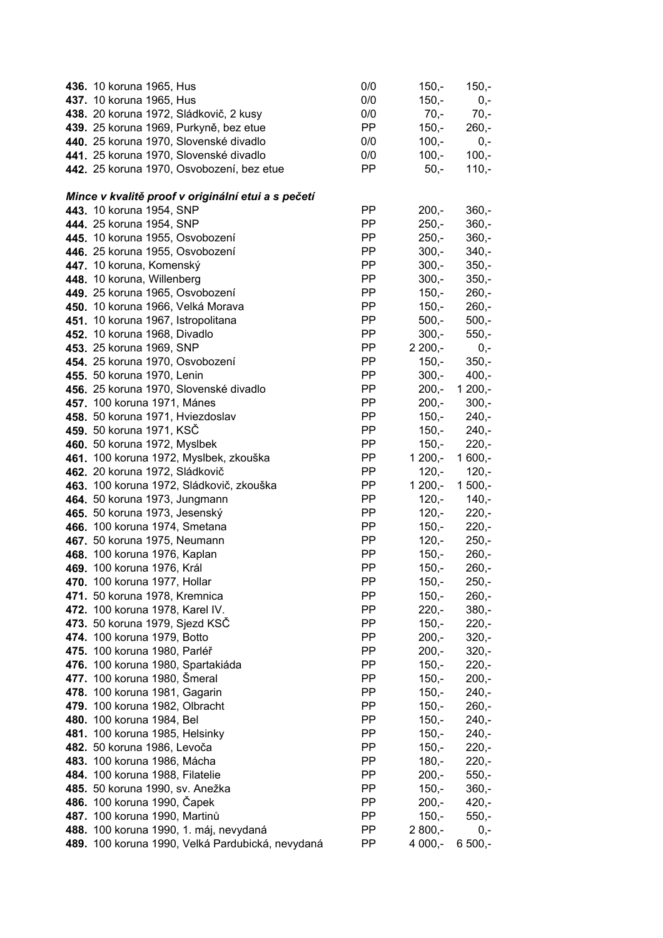| <b>436.</b> 10 koruna 1965, Hus                    | 0/0       | $150,-$  | $150,-$  |
|----------------------------------------------------|-----------|----------|----------|
| 437. 10 koruna 1965, Hus                           | 0/0       | $150,-$  | $0,-$    |
| 438. 20 koruna 1972, Sládkovič, 2 kusy             | 0/0       | $70,-$   | $70,-$   |
| 439. 25 koruna 1969, Purkyně, bez etue             | <b>PP</b> | $150,-$  | $260,-$  |
| 440. 25 koruna 1970, Slovenské divadlo             | 0/0       | $100,-$  | $0,-$    |
| 441. 25 koruna 1970, Slovenské divadlo             | 0/0       | $100,-$  | $100,-$  |
| 442. 25 koruna 1970, Osvobození, bez etue          | PP        | $50,-$   | $110,-$  |
|                                                    |           |          |          |
| Mince v kvalitě proof v originální etui a s pečetí |           |          |          |
| 443. 10 koruna 1954, SNP                           | PP        | $200,-$  | $360,-$  |
| 444. 25 koruna 1954, SNP                           | <b>PP</b> | $250,-$  | $360,-$  |
| 445. 10 koruna 1955, Osvobození                    | PP        | $250 -$  | $360,-$  |
| 446. 25 koruna 1955, Osvobození                    | PP        | $300,-$  | $340,-$  |
| 447. 10 koruna, Komenský                           | PP        | $300,-$  | $350,-$  |
| 448. 10 koruna, Willenberg                         | PP        | $300,-$  | $350,-$  |
| 449. 25 koruna 1965, Osvobození                    | <b>PP</b> | $150,-$  | $260,-$  |
| 450. 10 koruna 1966, Velká Morava                  | <b>PP</b> | $150,-$  | $260,-$  |
| 451. 10 koruna 1967, Istropolitana                 | PP        | $500,-$  | $500,-$  |
| 452. 10 koruna 1968, Divadlo                       | <b>PP</b> | $300,-$  | $550,-$  |
| 453. 25 koruna 1969, SNP                           | PP        | $2200,-$ | $0,-$    |
| 454. 25 koruna 1970, Osvobození                    | PP        | $150,-$  | $350,-$  |
| 455. 50 koruna 1970, Lenin                         | PP        | $300,-$  | $400,-$  |
| 456. 25 koruna 1970, Slovenské divadlo             | PP        | $200,-$  | $1200,-$ |
| 457. 100 koruna 1971, Mánes                        | PP        | $200,-$  | $300,-$  |
| 458. 50 koruna 1971, Hviezdoslav                   | PP        | $150,-$  | $240,-$  |
| 459. 50 koruna 1971, KSC                           | PP        | $150,-$  | $240,-$  |
| 460. 50 koruna 1972, Myslbek                       | PP        | $150,-$  | $220,-$  |
| 461. 100 koruna 1972, Myslbek, zkouška             | PP        | $1200,-$ | $1600,-$ |
| 462. 20 koruna 1972, Sládkovič                     | PP        | $120,-$  | $120,-$  |
| 463. 100 koruna 1972, Sládkovič, zkouška           | <b>PP</b> | $1200,-$ | $1500,-$ |
| 464. 50 koruna 1973, Jungmann                      | PP        | $120,-$  | $140,-$  |
| 465. 50 koruna 1973, Jesenský                      | <b>PP</b> | $120,-$  | $220 -$  |
| 466. 100 koruna 1974, Smetana                      | <b>PP</b> | $150,-$  | $220,-$  |
| 467. 50 koruna 1975, Neumann                       | <b>PP</b> | $120,-$  | $250,-$  |
| 468. 100 koruna 1976, Kaplan                       | PP        | $150,-$  | $260,-$  |
| 469. 100 koruna 1976, Král                         | PP        | $150,-$  | $260,-$  |
| 470. 100 koruna 1977, Hollar                       | PP        | $150,-$  | $250,-$  |
| 471. 50 koruna 1978, Kremnica                      | PP        | $150,-$  | $260,-$  |
| 472. 100 koruna 1978, Karel IV.                    | PP        | $220,-$  | $380,-$  |
| 473. 50 koruna 1979, Sjezd KSČ                     | PP        | $150,-$  | $220,-$  |
| 474. 100 koruna 1979, Botto                        | <b>PP</b> | $200,-$  | $320,-$  |
| 475. 100 koruna 1980, Parléř                       | <b>PP</b> | $200,-$  | $320,-$  |
| 476. 100 koruna 1980, Spartakiáda                  | PP        | $150,-$  | $220,-$  |
| 477. 100 koruna 1980, Šmeral                       | PP        | $150,-$  | $200,-$  |
| 478. 100 koruna 1981, Gagarin                      | PP        | $150,-$  | $240,-$  |
| 479. 100 koruna 1982, Olbracht                     | PP        | $150,-$  | $260,-$  |
| 480. 100 koruna 1984, Bel                          | PP        | $150,-$  | $240,-$  |
| 481. 100 koruna 1985, Helsinky                     | PP        | $150,-$  | $240,-$  |
| 482. 50 koruna 1986, Levoča                        | <b>PP</b> | $150,-$  | $220,-$  |
| 483. 100 koruna 1986, Mácha                        | PP        | $180,-$  | $220,-$  |
| 484. 100 koruna 1988, Filatelie                    | <b>PP</b> | $200,-$  | $550,-$  |
| 485. 50 koruna 1990, sv. Anežka                    | PP        | $150,-$  | $360,-$  |
| 486. 100 koruna 1990, Čapek                        | PP        | $200,-$  | $420,-$  |
| 487. 100 koruna 1990, Martinů                      | PP        | $150,-$  | $550,-$  |
| 488. 100 koruna 1990, 1. máj, nevydaná             | PP        | $2800,-$ | $0,-$    |
| 489. 100 koruna 1990, Velká Pardubická, nevydaná   | PP        | 4 000,-  | $6500,-$ |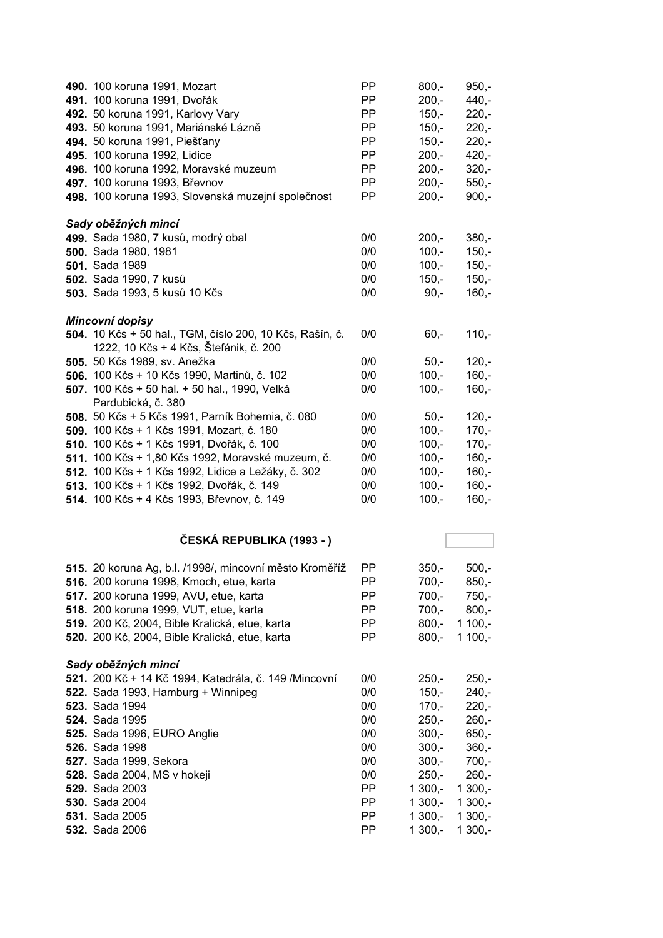| 490. 100 koruna 1991, Mozart                             | <b>PP</b>  | $800,-$            | $950 -$  |
|----------------------------------------------------------|------------|--------------------|----------|
| 491. 100 koruna 1991, Dvořák                             | <b>PP</b>  | $200 -$            | $440 -$  |
| 492. 50 koruna 1991, Karlovy Vary                        | <b>PP</b>  | $150 -$            | $220,-$  |
| 493. 50 koruna 1991, Mariánské Lázně                     | <b>PP</b>  | $150 -$            | $220,-$  |
| 494. 50 koruna 1991, Piešťany                            | <b>PP</b>  | $150,-$            | $220,-$  |
| 495. 100 koruna 1992, Lidice                             | <b>PP</b>  | $200,-$            | $420 -$  |
| 496. 100 koruna 1992, Moravské muzeum                    | PP         | $200,-$            | $320,-$  |
| 497. 100 koruna 1993, Břevnov                            | PP.        | $200,-$            | $550,-$  |
| 498. 100 koruna 1993, Slovenská muzejní společnost       | PP.        | $200,-$            | $900,-$  |
| Sady oběžných mincí                                      |            |                    |          |
| 499. Sada 1980, 7 kusů, modrý obal                       | 0/0        | $200,-$            | $380 -$  |
| 500. Sada 1980, 1981                                     | 0/0        | $100,-$            | $150,-$  |
| 501. Sada 1989                                           | 0/0        | $100,-$            | $150,-$  |
| 502. Sada 1990, 7 kusů                                   | 0/0        | $150,-$            | $150 -$  |
| 503. Sada 1993, 5 kusů 10 Kčs                            | 0/0        | $90,-$             | $160,-$  |
| Mincovní dopisy                                          |            |                    |          |
| 504. 10 Kčs + 50 hal., TGM, číslo 200, 10 Kčs, Rašín, č. | 0/0        | $60,-$             | $110,-$  |
| 1222, 10 Kčs + 4 Kčs, Štefánik, č. 200                   |            |                    |          |
| 505. 50 Kčs 1989, sv. Anežka                             | 0/0        | $50 -$             | $120,-$  |
| 506. 100 Kčs + 10 Kčs 1990, Martinů, č. 102              | 0/0        | $100 -$            | $160,-$  |
| 507. 100 Kčs + 50 hal. + 50 hal., 1990, Velká            | 0/0        | $100 -$            | $160,-$  |
| Pardubická, č. 380                                       |            |                    |          |
| 508. 50 Kčs + 5 Kčs 1991, Parník Bohemia, č. 080         | 0/0        | $50,-$             | $120,-$  |
| 509. 100 Kčs + 1 Kčs 1991, Mozart, č. 180                | 0/0        | $100,-$            | $170,-$  |
| 510. 100 Kčs + 1 Kčs 1991, Dvořák, č. 100                | 0/0        | $100,-$            | $170,-$  |
| 511. 100 Kčs + 1,80 Kčs 1992, Moravské muzeum, č.        | 0/0        | $100,-$            | $160,-$  |
| 512. 100 Kčs + 1 Kčs 1992, Lidice a Ležáky, č. 302       | 0/0        | $100,-$            | $160,-$  |
| 513. 100 Kčs + 1 Kčs 1992, Dvořák, č. 149                | 0/0<br>0/0 | $100,-$<br>$100,-$ | $160,-$  |
| 514. 100 Kčs + 4 Kčs 1993, Břevnov, č. 149               |            |                    | $160,-$  |
| ČESKÁ REPUBLIKA (1993 - )                                |            |                    |          |
| 515. 20 koruna Ag, b.l. /1998/, mincovní město Kroměříž  | PP.        | $350,-$            | $500,-$  |
| 516. 200 koruna 1998, Kmoch, etue, karta                 | PP         | $700,-$            | $850,-$  |
| 517. 200 koruna 1999, AVU, etue, karta                   | PP         | $700,-$            | $750,-$  |
| 518. 200 koruna 1999, VUT, etue, karta                   | PP         | $700,-$            | $800,-$  |
| 519. 200 Kč, 2004, Bible Kralická, etue, karta           | PP         | $800,-$            | $1100,-$ |
| 520. 200 Kč, 2004, Bible Kralická, etue, karta           | PP         | $800,-$            | $1100,-$ |
| Sady oběžných mincí                                      |            |                    |          |
| 521. 200 Kč + 14 Kč 1994, Katedrála, č. 149 / Mincovní   | 0/0        | $250,-$            | $250,-$  |
| 522. Sada 1993, Hamburg + Winnipeg                       | 0/0        | $150,-$            | $240,-$  |
| 523. Sada 1994                                           | 0/0        | $170,-$            | $220 -$  |
| 524. Sada 1995                                           | 0/0        | $250,-$            | $260,-$  |
| <b>525.</b> Sada 1996, EURO Anglie                       | 0/0        | $300,-$            | $650,-$  |
| 526. Sada 1998                                           | 0/0        | $300,-$            | $360,-$  |
| <b>527.</b> Sada 1999, Sekora                            | 0/0        | $300,-$            | $700,-$  |
| <b>528.</b> Sada 2004, MS v hokeji                       | 0/0        | $250,-$            | $260,-$  |
| <b>529.</b> Sada 2003                                    | PP.        | $1300,-$           | $1300,-$ |
| 530. Sada 2004                                           | PP.        | $1300,-$           | $1300,-$ |
| 531. Sada 2005                                           | PP.        | $1300,-$           | $1300,-$ |
| 532. Sada 2006                                           | PP.        | $1300,-$           | $1300,-$ |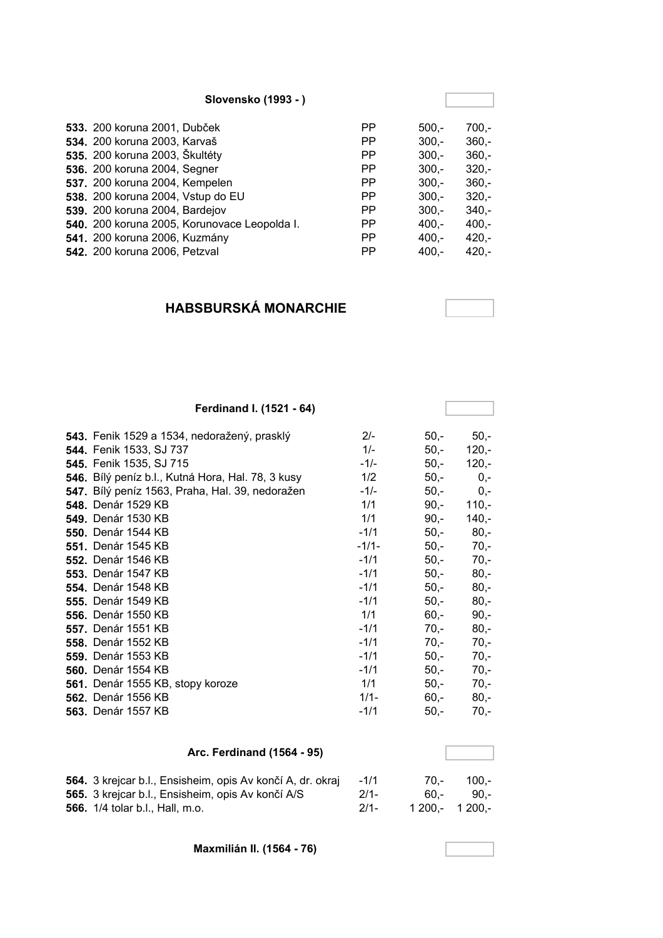| Slovensko (1993 - )                          |           |         |         |
|----------------------------------------------|-----------|---------|---------|
| <b>533.</b> 200 koruna 2001, Dubček          | PP        | $500 -$ | $700,-$ |
| 534. 200 koruna 2003, Karvaš                 | PP        | $300 -$ | $360 -$ |
| <b>535.</b> 200 koruna 2003, Škultéty        | <b>PP</b> | $300 -$ | $360 -$ |
| <b>536.</b> 200 koruna 2004, Segner          | PP        | $300 -$ | $320 -$ |
| <b>537.</b> 200 koruna 2004, Kempelen        | <b>PP</b> | $300 -$ | $360 -$ |
| 538. 200 koruna 2004, Vstup do EU            | <b>PP</b> | $300 -$ | $320 -$ |
| <b>539.</b> 200 koruna 2004, Bardejov        | <b>PP</b> | $300 -$ | $340 -$ |
| 540. 200 koruna 2005, Korunovace Leopolda I. | <b>PP</b> | $400 -$ | $400 -$ |
| 541. 200 koruna 2006, Kuzmány                | <b>PP</b> | $400 -$ | $420 -$ |
| <b>542.</b> 200 koruna 2006, Petzval         | <b>PP</b> | $400 -$ | $420 -$ |

## **HABSBURSKÁ MONARCHIE**

## **Ferdinand I. (1521 - 64)**

| 543. Fenik 1529 a 1534, nedoražený, prasklý       | $2/-$   | $50,-$ | $50,-$  |
|---------------------------------------------------|---------|--------|---------|
| <b>544. Fenik 1533, SJ 737</b>                    | $1/-$   | 50,-   | $120 -$ |
| 545. Fenik 1535, SJ 715                           | $-1/-$  | $50,-$ | $120,-$ |
| 546. Bílý peníz b.l., Kutná Hora, Hal. 78, 3 kusy | 1/2     | 50,-   | $0,-$   |
| 547. Bílý peníz 1563, Praha, Hal. 39, nedoražen   | $-1/-$  | 50,-   | $0,-$   |
| <b>548.</b> Denár 1529 KB                         | 1/1     | $90,-$ | $110,-$ |
| <b>549. Denár 1530 KB</b>                         | 1/1     | $90,-$ | $140,-$ |
| <b>550.</b> Denár 1544 KB                         | $-1/1$  | $50,-$ | $80,-$  |
| <b>551.</b> Denár 1545 KB                         | $-1/1-$ | $50,-$ | $70,-$  |
| <b>552.</b> Denár 1546 KB                         | $-1/1$  | $50,-$ | $70,-$  |
| 553. Denár 1547 KB                                | $-1/1$  | $50,-$ | $80 -$  |
| 554. Denár 1548 KB                                | $-1/1$  | $50,-$ | $80,-$  |
| <b>555.</b> Denár 1549 KB                         | $-1/1$  | $50,-$ | $80,-$  |
| <b>556.</b> Denár 1550 KB                         | 1/1     | 60,-   | $90,-$  |
| <b>557.</b> Denár 1551 KB                         | $-1/1$  | $70,-$ | $80 -$  |
| <b>558.</b> Denár 1552 KB                         | $-1/1$  | $70,-$ | $70,-$  |
| <b>559. Denár 1553 KB</b>                         | $-1/1$  | $50,-$ | $70,-$  |
| <b>560.</b> Denár 1554 KB                         | $-1/1$  | $50,-$ | $70,-$  |
| 561. Denár 1555 KB, stopy koroze                  | 1/1     | $50,-$ | $70,-$  |
| <b>562.</b> Denár 1556 KB                         | $1/1 -$ | 60,-   | $80 -$  |
| 563. Denár 1557 KB                                | $-1/1$  | 50,-   | $70,-$  |

### **Arc. Ferdinand (1564 - 95)**

| 564. 3 krejcar b.l., Ensisheim, opis Av končí A, dr. okraj | $-1/1$ | $70 -$          | 100.-     |
|------------------------------------------------------------|--------|-----------------|-----------|
| <b>565.</b> 3 krejcar b.l., Ensisheim, opis Av končí A/S   | 2/1    |                 | 60.- 90.- |
| <b>566.</b> 1/4 tolar b.l., Hall, m.o.                     | $2/1-$ | 1 200.- 1 200.- |           |

**Maxmilián II. (1564 - 76)**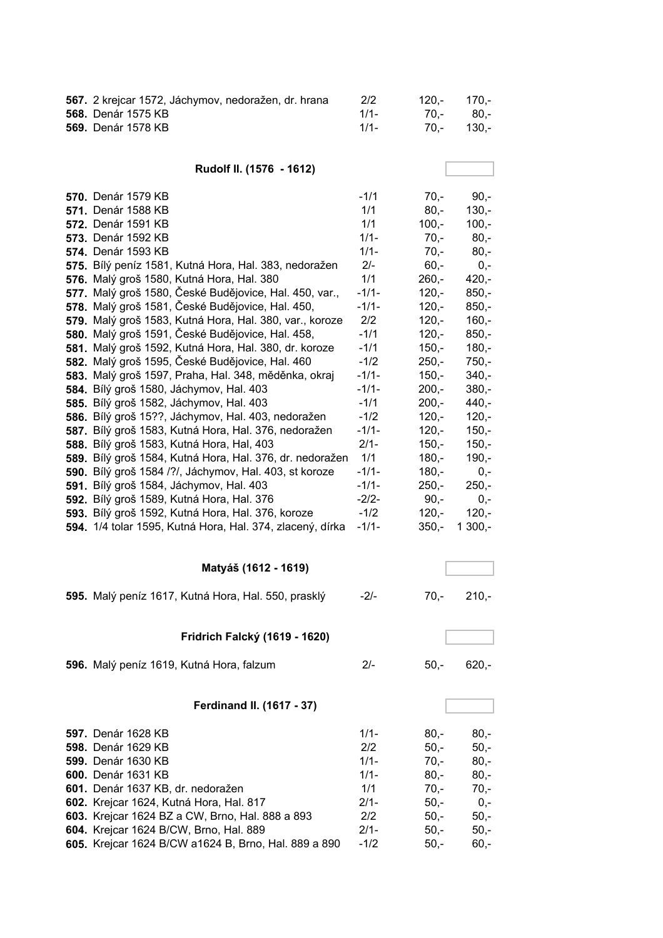| 567. 2 krejcar 1572, Jáchymov, nedoražen, dr. hrana | 2/2     | $120 - 170 -$ |            |
|-----------------------------------------------------|---------|---------------|------------|
| <b>568.</b> Denár 1575 KB                           | $1/1$ - |               | 70.- 80.-  |
| <b>569.</b> Denár 1578 KB                           | 1/1     |               | 70.- 130.- |

**Rudolf II. (1576 - 1612)**

| <b>570.</b> Denár 1579 KB                                 | $-1/1$  | $70 -$  | $90 -$  |
|-----------------------------------------------------------|---------|---------|---------|
| <b>571.</b> Denár 1588 KB                                 | 1/1     | $80 -$  | $130,-$ |
| <b>572.</b> Denár 1591 KB                                 | 1/1     | $100,-$ | $100,-$ |
| <b>573.</b> Denár 1592 KB                                 | $1/1 -$ | $70,-$  | $80 -$  |
| <b>574.</b> Denár 1593 KB                                 | $1/1 -$ | $70 -$  | $80 -$  |
| 575. Bílý peníz 1581, Kutná Hora, Hal. 383, nedoražen     | $2/-$   | $60 -$  | $0 -$   |
| 576. Malý groš 1580, Kutná Hora, Hal. 380                 | 1/1     | $260 -$ | $420 -$ |
| 577. Malý groš 1580, České Budějovice, Hal. 450, var.,    | $-1/1-$ | $120 -$ | $850 -$ |
| 578. Malý groš 1581, České Budějovice, Hal. 450,          | $-1/1-$ | $120 -$ | $850,-$ |
| 579. Malý groš 1583, Kutná Hora, Hal. 380, var., koroze   | 2/2     | $120 -$ | $160 -$ |
| 580. Malý groš 1591, České Budějovice, Hal. 458,          | $-1/1$  | $120 -$ | $850 -$ |
| 581. Malý groš 1592, Kutná Hora, Hal. 380, dr. koroze     | $-1/1$  | $150 -$ | $180 -$ |
| 582. Malý groš 1595, České Budějovice, Hal. 460           | $-1/2$  | $250 -$ | $750 -$ |
| 583. Malý groš 1597, Praha, Hal. 348, měděnka, okraj      | $-1/1-$ | $150 -$ | $340 -$ |
| <b>584.</b> Bílý groš 1580, Jáchymov, Hal. 403            | $-1/1-$ | $200,-$ | $380 -$ |
| 585. Bílý groš 1582, Jáchymov, Hal. 403                   | $-1/1$  | $200 -$ | $440,-$ |
| 586. Bílý groš 15??, Jáchymov, Hal. 403, nedoražen        | $-1/2$  | $120 -$ | $120 -$ |
| 587. Bílý groš 1583, Kutná Hora, Hal. 376, nedoražen      | $-1/1-$ | $120 -$ | $150 -$ |
| <b>588.</b> Bílý groš 1583, Kutná Hora, Hal, 403          | $2/1-$  | $150 -$ | $150 -$ |
| 589. Bílý groš 1584, Kutná Hora, Hal. 376, dr. nedoražen  | 1/1     | $180 -$ | $190 -$ |
| 590. Bílý groš 1584 /?/, Jáchymov, Hal. 403, st koroze    | $-1/1-$ | $180 -$ | $0,-$   |
| 591. Bílý groš 1584, Jáchymov, Hal. 403                   | $-1/1-$ | $250 -$ | $250 -$ |
| 592. Bílý groš 1589, Kutná Hora, Hal. 376                 | $-2/2-$ | $90 -$  | $0 -$   |
| 593. Bílý groš 1592, Kutná Hora, Hal. 376, koroze         | $-1/2$  | $120 -$ | $120 -$ |
| 594. 1/4 tolar 1595, Kutná Hora, Hal. 374, zlacený, dírka | $-1/1-$ | $350 -$ | 1 300,- |
|                                                           |         |         |         |
|                                                           |         |         |         |

| Matyáš (1612 - 1619)                                |        |        |         |
|-----------------------------------------------------|--------|--------|---------|
| 595. Malý peníz 1617, Kutná Hora, Hal. 550, prasklý | $-2/-$ | 70.-   | $210 -$ |
| Fridrich Falcký (1619 - 1620)                       |        |        |         |
| 596. Malý peníz 1619, Kutná Hora, falzum            | $2/-$  | $50 -$ | $620 -$ |
| Ferdinand II. (1617 - 37)                           |        |        |         |

| 597. Denár 1628 KB                                   | $1/1-$  | $80 -$ | $80 -$ |
|------------------------------------------------------|---------|--------|--------|
| 598. Denár 1629 KB                                   | 2/2     | $50 -$ | $50 -$ |
| 599. Denár 1630 KB                                   | $1/1 -$ | $70 -$ | $80 -$ |
| 600. Denár 1631 KB                                   | $1/1 -$ | $80 -$ | $80 -$ |
| 601. Denár 1637 KB, dr. nedoražen                    | 1/1     | $70 -$ | $70 -$ |
| 602. Krejcar 1624, Kutná Hora, Hal. 817              | $2/1-$  | $50 -$ | $0 -$  |
| 603. Krejcar 1624 BZ a CW, Brno, Hal. 888 a 893      | 2/2     | $50 -$ | $50.-$ |
| 604. Krejcar 1624 B/CW, Brno, Hal. 889               | $2/1-$  | $50 -$ | $50 -$ |
| 605. Krejcar 1624 B/CW a1624 B, Brno, Hal. 889 a 890 | $-1/2$  | $50 -$ | $60 -$ |
|                                                      |         |        |        |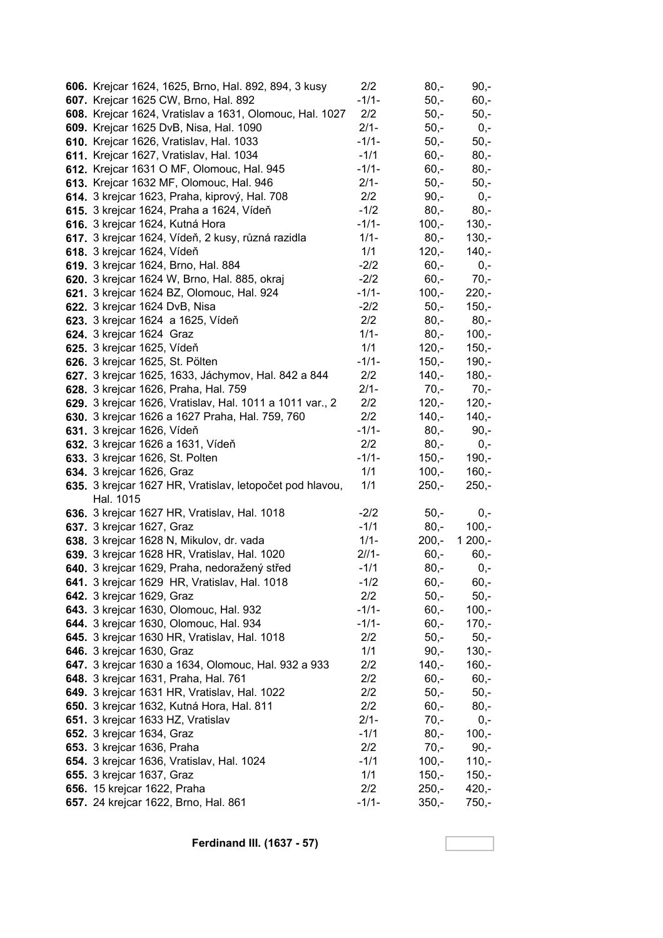| 606. Krejcar 1624, 1625, Brno, Hal. 892, 894, 3 kusy                                  | 2/2            | $80,-$             | $90,-$             |
|---------------------------------------------------------------------------------------|----------------|--------------------|--------------------|
| 607. Krejcar 1625 CW, Brno, Hal. 892                                                  | $-1/1-$        | $50,-$             | $60,-$             |
| 608. Krejcar 1624, Vratislav a 1631, Olomouc, Hal. 1027                               | 2/2            | $50,-$             | $50,-$             |
| 609. Krejcar 1625 DvB, Nisa, Hal. 1090                                                | $2/1-$         | $50,-$             | $0,-$              |
| 610. Krejcar 1626, Vratislav, Hal. 1033                                               | $-1/1-$        | $50,-$             | $50,-$             |
| 611. Krejcar 1627, Vratislav, Hal. 1034                                               | $-1/1$         | $60,-$             | $80,-$             |
| 612. Krejcar 1631 O MF, Olomouc, Hal. 945                                             | $-1/1-$        | $60, -$            | $80,-$             |
| 613. Krejcar 1632 MF, Olomouc, Hal. 946                                               | $2/1 -$        | $50,-$             | $50,-$             |
| 614. 3 krejcar 1623, Praha, kiprový, Hal. 708                                         | 2/2            | $90, -$            | $0,-$              |
| 615. 3 krejcar 1624, Praha a 1624, Vídeň                                              | $-1/2$         | $80,-$             | $80,-$             |
| 616. 3 krejcar 1624, Kutná Hora                                                       | $-1/1-$        | $100,-$            | $130,-$            |
| 617. 3 krejcar 1624, Vídeň, 2 kusy, různá razidla                                     | $1/1 -$        | $80,-$             | $130,-$            |
| 618. 3 krejcar 1624, Vídeň                                                            | 1/1            | $120,-$            | $140,-$            |
| 619. 3 krejcar 1624, Brno, Hal. 884                                                   | $-2/2$         | $60,-$             | $0,-$              |
| 620. 3 krejcar 1624 W, Brno, Hal. 885, okraj                                          | $-2/2$         | $60,-$             | $70,-$             |
| 621. 3 krejcar 1624 BZ, Olomouc, Hal. 924                                             | $-1/1-$        | $100,-$            | $220,-$            |
| 622. 3 krejcar 1624 DvB, Nisa                                                         | $-2/2$         | $50,-$             | $150,-$            |
| 623. 3 krejcar 1624 a 1625, Vídeň                                                     | 2/2            | $80,-$             | $80,-$             |
| <b>624.</b> 3 krejcar 1624 Graz                                                       | $1/1 -$        | $80,-$             | $100,-$            |
| 625. 3 krejcar 1625, Vídeň                                                            | 1/1            | $120,-$            | $150,-$            |
| 626. 3 krejcar 1625, St. Pölten                                                       | $-1/1-$        | $150,-$            | $190,-$            |
| 627. 3 krejcar 1625, 1633, Jáchymov, Hal. 842 a 844                                   | 2/2            | $140,-$            | $180,-$            |
| 628. 3 krejcar 1626, Praha, Hal. 759                                                  | $2/1 -$        | $70,-$             | $70,-$             |
| 629. 3 krejcar 1626, Vratislav, Hal. 1011 a 1011 var., 2                              | 2/2            | $120,-$            | $120,-$            |
| 630. 3 krejcar 1626 a 1627 Praha, Hal. 759, 760                                       | 2/2            | $140,-$            | $140,-$            |
| 631. 3 krejcar 1626, Vídeň                                                            | $-1/1-$        | $80,-$             | $90,-$             |
| 632. 3 krejcar 1626 a 1631, Vídeň                                                     | 2/2            | $80,-$             | $0,-$              |
| <b>633.</b> 3 krejcar 1626, St. Polten                                                | $-1/1-$<br>1/1 | $150,-$<br>$100,-$ | $190,-$            |
| 634. 3 krejcar 1626, Graz<br>635. 3 krejcar 1627 HR, Vratislav, letopočet pod hlavou, | 1/1            | $250,-$            | $160,-$<br>$250,-$ |
| Hal. 1015                                                                             |                |                    |                    |
| 636. 3 krejcar 1627 HR, Vratislav, Hal. 1018                                          | $-2/2$         | $50,-$             | $0,-$              |
| 637. 3 krejcar 1627, Graz                                                             | $-1/1$         | $80,-$             | $100,-$            |
| 638. 3 krejcar 1628 N, Mikulov, dr. vada                                              | $1/1 -$        | $200,-$            | $1200,-$           |
| 639. 3 krejcar 1628 HR, Vratislav, Hal. 1020                                          | $21/1-$        | $60,-$             | $60,-$             |
| 640. 3 krejcar 1629, Praha, nedoražený střed                                          | $-1/1$         | $80,-$             | 0,-                |
| 641. 3 krejcar 1629 HR, Vratislav, Hal. 1018                                          | $-1/2$         | $60,-$             | $60,-$             |
| 642. 3 krejcar 1629, Graz                                                             | 2/2            | $50,-$             | $50,-$             |
| 643. 3 krejcar 1630, Olomouc, Hal. 932                                                | $-1/1-$        | $60,-$             | $100,-$            |
| 644. 3 krejcar 1630, Olomouc, Hal. 934                                                | $-1/1-$        | $60 -$             | $170,-$            |
| 645. 3 krejcar 1630 HR, Vratislav, Hal. 1018                                          | 2/2            | $50,-$             | $50,-$             |
| 646. 3 krejcar 1630, Graz                                                             | 1/1            | $90,-$             | $130,-$            |
| 647. 3 krejcar 1630 a 1634, Olomouc, Hal. 932 a 933                                   | 2/2            | $140,-$            | $160,-$            |
| 648. 3 krejcar 1631, Praha, Hal. 761                                                  | 2/2            | $60,-$             | $60,-$             |
| 649. 3 krejcar 1631 HR, Vratislav, Hal. 1022                                          | 2/2            | $50,-$             | $50,-$             |
| 650. 3 krejcar 1632, Kutná Hora, Hal. 811                                             | 2/2            | $60,-$             | $80,-$             |
| 651. 3 krejcar 1633 HZ, Vratislav                                                     | $2/1 -$        | $70,-$             | $0,-$              |
| 652. 3 krejcar 1634, Graz                                                             | $-1/1$         | $80,-$             | $100,-$            |
| 653. 3 krejcar 1636, Praha                                                            | 2/2            | $70,-$             | $90,-$             |
| 654. 3 krejcar 1636, Vratislav, Hal. 1024                                             | $-1/1$         | $100,-$            | $110,-$            |
| 655. 3 krejcar 1637, Graz                                                             | 1/1            | $150,-$            | $150,-$            |
| 656. 15 krejcar 1622, Praha                                                           | 2/2            | $250,-$            | $420,-$            |
| 657. 24 krejcar 1622, Brno, Hal. 861                                                  | $-1/1-$        | $350,-$            | 750,-              |

**Ferdinand III. (1637 - 57)**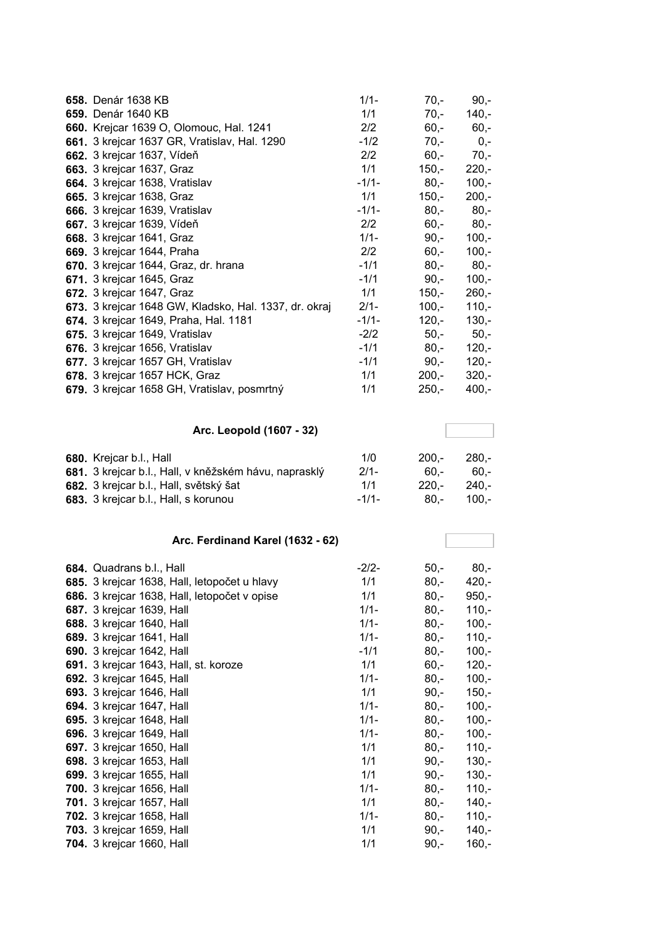| 658. Denár 1638 KB                                    | $1/1 -$        | $70,-$            | $90,-$             |
|-------------------------------------------------------|----------------|-------------------|--------------------|
| 659. Denár 1640 KB                                    | 1/1            | $70,-$            | $140 -$            |
| 660. Krejcar 1639 O, Olomouc, Hal. 1241               | 2/2            | $60,-$            | $60,-$             |
| 661. 3 krejcar 1637 GR, Vratislav, Hal. 1290          | $-1/2$         | $70 -$            | $0,-$              |
| 662. 3 krejcar 1637, Vídeň                            | 2/2            | $60 -$            | $70,-$             |
| 663. 3 krejcar 1637, Graz                             | 1/1            | $150 -$           | $220,-$            |
| 664. 3 krejcar 1638, Vratislav                        | $-1/1-$        | $80 -$            | $100,-$            |
| 665. 3 krejcar 1638, Graz                             | 1/1            | $150,-$           | $200,-$            |
| 666. 3 krejcar 1639, Vratislav                        | $-1/1-$        | $80,-$            | $80,-$             |
| 667. 3 krejcar 1639, Vídeň                            | 2/2            | $60, -$           | $80,-$             |
| 668. 3 krejcar 1641, Graz                             | $1/1 -$        | $90 -$            | $100,-$            |
| 669. 3 krejcar 1644, Praha                            | 2/2            | $60,-$            | $100,-$            |
| 670. 3 krejcar 1644, Graz, dr. hrana                  | $-1/1$         | $80,-$            | $80,-$             |
| 671. 3 krejcar 1645, Graz                             | $-1/1$         | $90,-$            | $100,-$            |
| 672. 3 krejcar 1647, Graz                             | 1/1            | $150,-$           | $260,-$            |
| 673. 3 krejcar 1648 GW, Kladsko, Hal. 1337, dr. okraj | $2/1 -$        | $100,-$           | $110,-$            |
| 674. 3 krejcar 1649, Praha, Hal. 1181                 | $-1/1-$        | $120 -$           | $130,-$            |
| 675. 3 krejcar 1649, Vratislav                        | $-2/2$         | $50,-$            | $50,-$             |
| 676. 3 krejcar 1656, Vratislav                        | $-1/1$         | $80,-$            | $120,-$            |
| 677. 3 krejcar 1657 GH, Vratislav                     | $-1/1$         | $90,-$            | $120,-$            |
| 678. 3 krejcar 1657 HCK, Graz                         | 1/1            | $200,-$           | $320,-$            |
| 679. 3 krejcar 1658 GH, Vratislav, posmrtný           | 1/1            | $250,-$           | $400,-$            |
|                                                       |                |                   |                    |
|                                                       |                |                   |                    |
| Arc. Leopold (1607 - 32)                              |                |                   |                    |
|                                                       |                |                   |                    |
| 680. Krejcar b.l., Hall                               | 1/0            | $200,-$           | $280,-$            |
| 681. 3 krejcar b.l., Hall, v kněžském hávu, naprasklý | $2/1 -$<br>1/1 | $60,-$            | $60,-$             |
| 682. 3 krejcar b.l., Hall, světský šat                | $-1/1-$        | $220,-$<br>$80,-$ | $240,-$<br>$100,-$ |
| 683. 3 krejcar b.l., Hall, s korunou                  |                |                   |                    |
|                                                       |                |                   |                    |
| Arc. Ferdinand Karel (1632 - 62)                      |                |                   |                    |
| 684. Quadrans b.l., Hall                              | $-2/2-$        | $50 -$            | $80,-$             |
| 685. 3 krejcar 1638, Hall, letopočet u hlavy          | 1/1            | $80,-$            | $420,-$            |
| 686. 3 krejcar 1638, Hall, letopočet v opise          | 1/1            | $80,-$            | 950,-              |
| 687. 3 krejcar 1639, Hall                             | $1/1 -$        | $80,-$            | $110,-$            |
| 688. 3 krejcar 1640, Hall                             | $1/1 -$        | $80,-$            | $100,-$            |
| 689. 3 krejcar 1641, Hall                             | $1/1 -$        | $80,-$            | $110,-$            |
| 690. 3 krejcar 1642, Hall                             | $-1/1$         | $80,-$            | $100,-$            |
| 691. 3 krejcar 1643, Hall, st. koroze                 | 1/1            | $60 -$            | $120,-$            |
| 692. 3 krejcar 1645, Hall                             | $1/1 -$        | $80,-$            | $100,-$            |
| 693. 3 krejcar 1646, Hall                             | 1/1            | $90,-$            | $150,-$            |
| 694. 3 krejcar 1647, Hall                             | $1/1 -$        | $80,-$            | $100,-$            |
| 695. 3 krejcar 1648, Hall                             | $1/1 -$        | $80,-$            | $100,-$            |
| 696. 3 krejcar 1649, Hall                             | $1/1 -$        | $80,-$            | $100,-$            |
| 697. 3 krejcar 1650, Hall                             | 1/1            | $80,-$            | $110,-$            |
| 698. 3 krejcar 1653, Hall                             | 1/1            | $90,-$            | $130,-$            |
| 699. 3 krejcar 1655, Hall                             | 1/1            | $90,-$            | $130,-$            |
| 700. 3 krejcar 1656, Hall                             | $1/1 -$        | $80,-$            | $110,-$            |
| 701. 3 krejcar 1657, Hall                             | 1/1            | $80,-$            | $140,-$            |
| 702. 3 krejcar 1658, Hall                             | $1/1 -$        | $80,-$            | $110,-$            |
| <b>703.</b> 3 krejcar 1659, Hall                      | 1/1            | $90,-$            | $140,-$            |
|                                                       |                |                   |                    |
| 704. 3 krejcar 1660, Hall                             | 1/1            | $90,-$            | $160,-$            |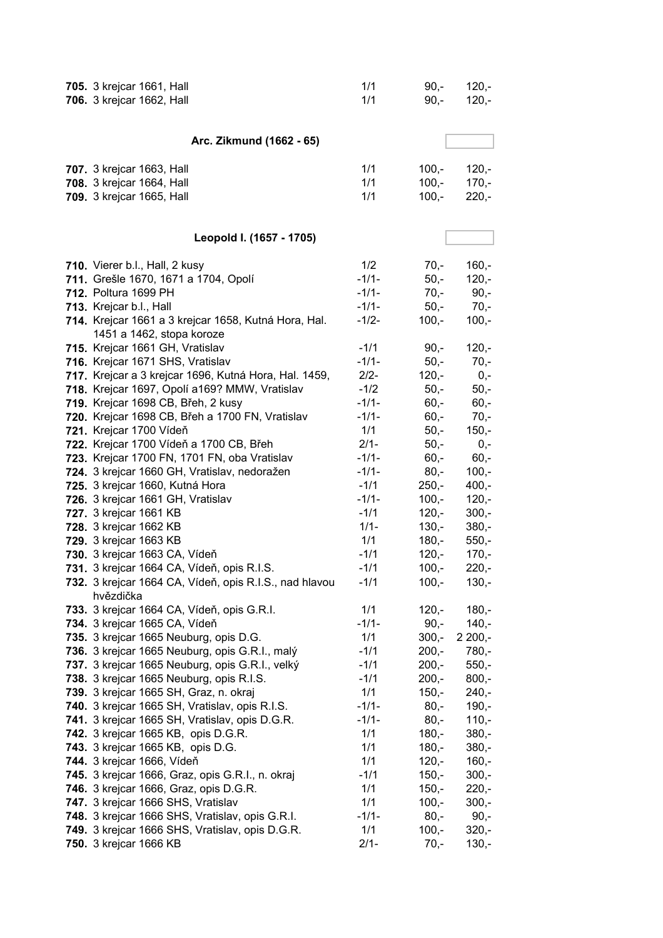| <b>705.</b> 3 krejcar 1661, Hall<br>706. 3 krejcar 1662, Hall             | 1/1<br>1/1        | $90,-$<br>$90, -$  | $120,-$<br>$120,-$ |
|---------------------------------------------------------------------------|-------------------|--------------------|--------------------|
|                                                                           |                   |                    |                    |
| Arc. Zikmund (1662 - 65)                                                  |                   |                    |                    |
| 707. 3 krejcar 1663, Hall                                                 | 1/1               | $100,-$            | $120,-$            |
| 708. 3 krejcar 1664, Hall                                                 | 1/1               | $100,-$            | $170,-$            |
| 709. 3 krejcar 1665, Hall                                                 | 1/1               | $100,-$            | $220,-$            |
| Leopold I. (1657 - 1705)                                                  |                   |                    |                    |
| 710. Vierer b.l., Hall, 2 kusy                                            | 1/2               | $70,-$             | $160,-$            |
| 711. Grešle 1670, 1671 a 1704, Opolí                                      | $-1/1-$           | $50 -$             | $120,-$            |
| 712. Poltura 1699 PH                                                      | $-1/1-$           | $70,-$             | $90,-$             |
| 713. Krejcar b.l., Hall                                                   | $-1/1-$           | $50,-$             | $70,-$             |
| 714. Krejcar 1661 a 3 krejcar 1658, Kutná Hora, Hal.                      | $-1/2-$           | $100,-$            | $100,-$            |
| 1451 a 1462, stopa koroze                                                 |                   |                    |                    |
| 715. Krejcar 1661 GH, Vratislav                                           | $-1/1$            | $90 -$             | $120,-$            |
| 716. Krejcar 1671 SHS, Vratislav                                          | $-1/1-$           | $50,-$             | $70,-$             |
| 717. Krejcar a 3 krejcar 1696, Kutná Hora, Hal. 1459,                     | $2/2-$            | $120,-$            | $0,-$              |
| 718. Krejcar 1697, Opolí a169? MMW, Vratislav                             | $-1/2$            | $50,-$             | $50,-$             |
| 719. Krejcar 1698 CB, Břeh, 2 kusy                                        | $-1/1-$           | $60,-$             | $60,-$             |
| 720. Krejcar 1698 CB, Břeh a 1700 FN, Vratislav                           | $-1/1-$           | $60,-$             | $70,-$             |
| 721. Krejcar 1700 Vídeň                                                   | 1/1               | $50,-$             | $150,-$            |
| 722. Krejcar 1700 Vídeň a 1700 CB, Břeh                                   | $2/1 -$           | $50,-$             | $0,-$              |
| 723. Krejcar 1700 FN, 1701 FN, oba Vratislav                              | $-1/1-$           | $60,-$             | $60,-$             |
| 724. 3 krejcar 1660 GH, Vratislav, nedoražen                              | $-1/1-$           | $80,-$             | $100,-$            |
| 725. 3 krejcar 1660, Kutná Hora                                           | $-1/1$<br>$-1/1-$ | $250 -$<br>$100 -$ | $400,-$<br>$120,-$ |
| 726. 3 krejcar 1661 GH, Vratislav<br>727. 3 krejcar 1661 KB               | $-1/1$            | $120 -$            | $300,-$            |
| 728. 3 krejcar 1662 KB                                                    | $1/1 -$           | $130,-$            | $380,-$            |
| 729. 3 krejcar 1663 KB                                                    | 1/1               | $180,-$            | $550,-$            |
| 730. 3 krejcar 1663 CA, Vídeň                                             | $-1/1$            | $120,-$            | $170,-$            |
| 731. 3 krejcar 1664 CA, Vídeň, opis R.I.S.                                | $-1/1$            | $100,-$            | $220,-$            |
| 732. 3 krejcar 1664 CA, Vídeň, opis R.I.S., nad hlavou                    | $-1/1$            | $100,-$            | $130,-$            |
| hvězdička                                                                 |                   |                    |                    |
| 733. 3 krejcar 1664 CA, Vídeň, opis G.R.I.                                | 1/1               | $120,-$            | $180,-$            |
| 734. 3 krejcar 1665 CA, Vídeň                                             | $-1/1-$           | $90,-$             | $140,-$            |
| 735. 3 krejcar 1665 Neuburg, opis D.G.                                    | 1/1               | $300,-$            | $2200,-$           |
| 736. 3 krejcar 1665 Neuburg, opis G.R.I., malý                            | $-1/1$            | $200,-$            | 780,-              |
| 737. 3 krejcar 1665 Neuburg, opis G.R.I., velký                           | $-1/1$            | $200,-$            | $550,-$            |
| 738. 3 krejcar 1665 Neuburg, opis R.I.S.                                  | $-1/1$            | $200,-$            | $800,-$            |
| 739. 3 krejcar 1665 SH, Graz, n. okraj                                    | 1/1               | $150,-$            | $240,-$            |
| 740. 3 krejcar 1665 SH, Vratislav, opis R.I.S.                            | $-1/1-$           | $80,-$             | $190,-$            |
| 741. 3 krejcar 1665 SH, Vratislav, opis D.G.R.                            | $-1/1-$           | $80,-$             | $110,-$            |
| <b>742.</b> 3 krejcar 1665 KB, opis D.G.R.                                | 1/1               | $180,-$            | $380 -$            |
| <b>743.</b> 3 krejcar 1665 KB, opis D.G.                                  | 1/1               | $180,-$            | $380 -$            |
| 744. 3 krejcar 1666, Vídeň                                                | 1/1               | $120,-$            | $160,-$            |
| 745. 3 krejcar 1666, Graz, opis G.R.I., n. okraj                          | $-1/1$            | $150,-$            | $300,-$            |
| 746. 3 krejcar 1666, Graz, opis D.G.R.                                    | 1/1               | $150,-$            | $220,-$            |
| 747. 3 krejcar 1666 SHS, Vratislav                                        | 1/1               | $100,-$            | $300,-$            |
| 748. 3 krejcar 1666 SHS, Vratislav, opis G.R.I.                           | $-1/1-$<br>1/1    | $80,-$<br>$100,-$  | $90,-$             |
| 749. 3 krejcar 1666 SHS, Vratislav, opis D.G.R.<br>750. 3 krejcar 1666 KB | $2/1 -$           | $70,-$             | $320,-$<br>$130,-$ |
|                                                                           |                   |                    |                    |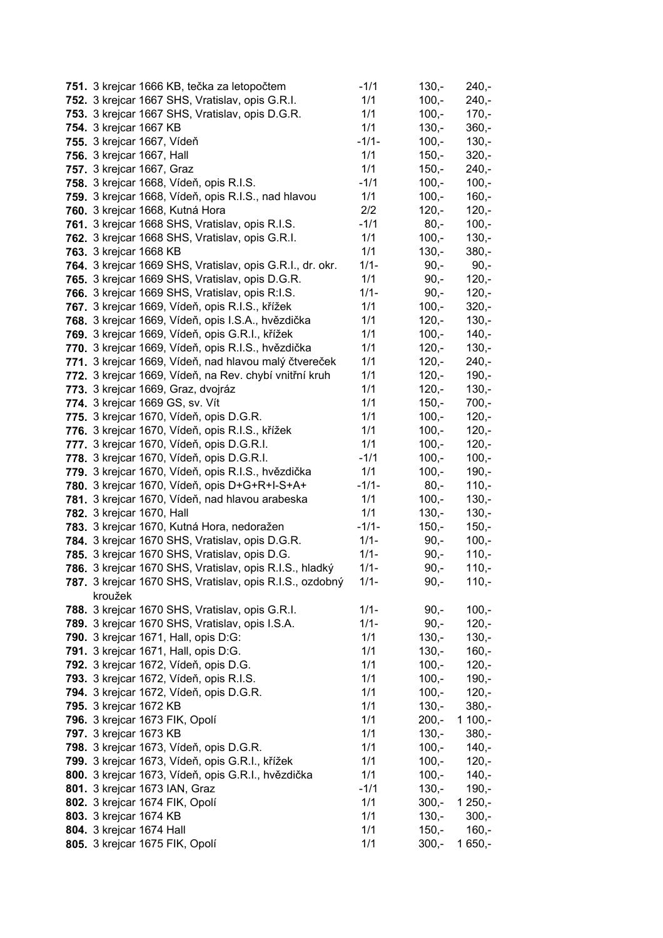| 751. 3 krejcar 1666 KB, tečka za letopočtem               | $-1/1$  | $130,-$ | $240,-$  |
|-----------------------------------------------------------|---------|---------|----------|
| 752. 3 krejcar 1667 SHS, Vratislav, opis G.R.I.           | 1/1     | $100,-$ | $240,-$  |
| 753. 3 krejcar 1667 SHS, Vratislav, opis D.G.R.           | 1/1     | $100,-$ | $170 -$  |
| 754. 3 krejcar 1667 KB                                    | 1/1     | $130,-$ | $360,-$  |
| 755. 3 krejcar 1667, Vídeň                                | $-1/1-$ | $100,-$ | $130,-$  |
| 756. 3 krejcar 1667, Hall                                 | 1/1     | $150,-$ | $320 -$  |
| 757. 3 krejcar 1667, Graz                                 | 1/1     | $150,-$ | $240,-$  |
| 758. 3 krejcar 1668, Vídeň, opis R.I.S.                   | $-1/1$  | $100,-$ | $100,-$  |
| 759. 3 krejcar 1668, Vídeň, opis R.I.S., nad hlavou       | 1/1     | $100,-$ | $160,-$  |
| 760. 3 krejcar 1668, Kutná Hora                           | 2/2     | $120,-$ | $120,-$  |
| 761. 3 krejcar 1668 SHS, Vratislav, opis R.I.S.           | $-1/1$  | $80,-$  | $100,-$  |
| 762. 3 krejcar 1668 SHS, Vratislav, opis G.R.I.           | 1/1     | $100,-$ | $130,-$  |
| 763. 3 krejcar 1668 KB                                    | 1/1     | $130,-$ | $380,-$  |
| 764. 3 krejcar 1669 SHS, Vratislav, opis G.R.I., dr. okr. | $1/1 -$ | $90,-$  | $90,-$   |
| 765. 3 krejcar 1669 SHS, Vratislav, opis D.G.R.           | 1/1     | $90,-$  | $120,-$  |
| 766. 3 krejcar 1669 SHS, Vratislav, opis R:I.S.           | $1/1 -$ | $90,-$  | $120,-$  |
| 767. 3 krejcar 1669, Vídeň, opis R.I.S., křížek           | 1/1     | $100,-$ | $320 -$  |
| 768. 3 krejcar 1669, Vídeň, opis I.S.A., hvězdička        | 1/1     | $120,-$ | $130,-$  |
| 769. 3 krejcar 1669, Vídeň, opis G.R.I., křížek           | 1/1     | $100,-$ | $140,-$  |
| 770. 3 krejcar 1669, Vídeň, opis R.I.S., hvězdička        | 1/1     | $120,-$ | $130,-$  |
| 771. 3 krejcar 1669, Vídeň, nad hlavou malý čtvereček     | 1/1     | $120,-$ | $240,-$  |
| 772. 3 krejcar 1669, Vídeň, na Rev. chybí vnitřní kruh    | 1/1     | $120 -$ | $190,-$  |
| 773. 3 krejcar 1669, Graz, dvojráz                        | 1/1     | $120,-$ | $130,-$  |
| 774. 3 krejcar 1669 GS, sv. Vít                           | 1/1     | $150,-$ | $700,-$  |
| 775. 3 krejcar 1670, Vídeň, opis D.G.R.                   | 1/1     | $100,-$ | $120,-$  |
| 776. 3 krejcar 1670, Vídeň, opis R.I.S., křížek           | 1/1     | $100,-$ | $120,-$  |
| 777. 3 krejcar 1670, Vídeň, opis D.G.R.I.                 | 1/1     | $100,-$ | $120,-$  |
| 778. 3 krejcar 1670, Vídeň, opis D.G.R.I.                 | $-1/1$  | $100,-$ | $100,-$  |
| 779. 3 krejcar 1670, Vídeň, opis R.I.S., hvězdička        | 1/1     | $100,-$ | $190,-$  |
| 780. 3 krejcar 1670, Vídeň, opis D+G+R+I-S+A+             | $-1/1-$ | $80,-$  | $110,-$  |
| 781. 3 krejcar 1670, Vídeň, nad hlavou arabeska           | 1/1     | $100,-$ | $130,-$  |
| 782. 3 krejcar 1670, Hall                                 | 1/1     | $130,-$ | $130,-$  |
| 783. 3 krejcar 1670, Kutná Hora, nedoražen                | $-1/1-$ | $150,-$ | $150,-$  |
| 784. 3 krejcar 1670 SHS, Vratislav, opis D.G.R.           | $1/1 -$ | $90,-$  | $100,-$  |
| 785. 3 krejcar 1670 SHS, Vratislav, opis D.G.             | $1/1 -$ | $90,-$  | $110,-$  |
| 786. 3 krejcar 1670 SHS, Vratislav, opis R.I.S., hladký   | $1/1 -$ | $90,-$  | $110,-$  |
| 787. 3 krejcar 1670 SHS, Vratislav, opis R.I.S., ozdobný  | $1/1 -$ | $90,-$  | $110,-$  |
| kroužek                                                   |         |         |          |
| 788. 3 krejcar 1670 SHS, Vratislav, opis G.R.I.           | $1/1 -$ | $90,-$  | $100,-$  |
| 789. 3 krejcar 1670 SHS, Vratislav, opis I.S.A.           | $1/1 -$ | $90,-$  | $120,-$  |
| 790. 3 krejcar 1671, Hall, opis D:G:                      | 1/1     | $130,-$ | $130,-$  |
| 791. 3 krejcar 1671, Hall, opis D:G.                      | 1/1     | $130,-$ | $160,-$  |
| 792. 3 krejcar 1672, Vídeň, opis D.G.                     | 1/1     | $100,-$ | $120,-$  |
| 793. 3 krejcar 1672, Vídeň, opis R.I.S.                   | 1/1     | $100,-$ | $190,-$  |
| 794. 3 krejcar 1672, Vídeň, opis D.G.R.                   | 1/1     | $100,-$ | $120,-$  |
| 795. 3 krejcar 1672 KB                                    | 1/1     | $130,-$ | $380 -$  |
| 796. 3 krejcar 1673 FIK, Opolí                            | 1/1     | $200,-$ | $1100,-$ |
| 797. 3 krejcar 1673 KB                                    | 1/1     | $130,-$ | $380,-$  |
| 798. 3 krejcar 1673, Vídeň, opis D.G.R.                   | 1/1     | $100,-$ | $140,-$  |
| 799. 3 krejcar 1673, Vídeň, opis G.R.I., křížek           | 1/1     | $100,-$ | $120,-$  |
| 800. 3 krejcar 1673, Vídeň, opis G.R.I., hvězdička        | 1/1     | $100,-$ | $140,-$  |
| 801. 3 krejcar 1673 IAN, Graz                             | $-1/1$  | $130,-$ | $190,-$  |
| 802. 3 krejcar 1674 FIK, Opolí                            | 1/1     | $300,-$ | $1250,-$ |
| 803. 3 krejcar 1674 KB                                    | 1/1     | $130,-$ | $300,-$  |
| 804. 3 krejcar 1674 Hall                                  | 1/1     | $150,-$ | $160,-$  |
| 805. 3 krejcar 1675 FIK, Opolí                            | 1/1     | $300,-$ | $1650,-$ |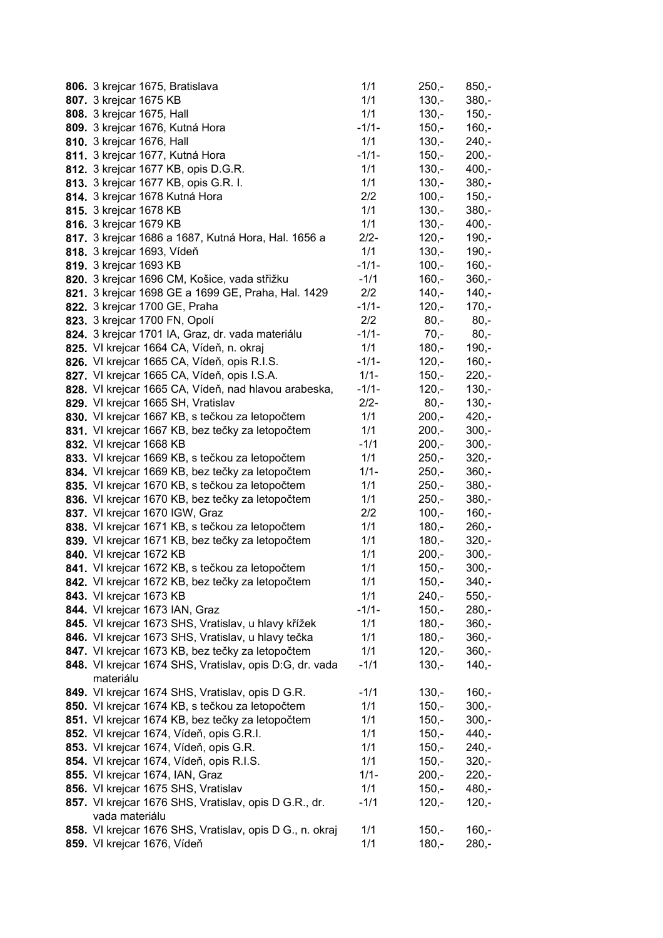| 806. 3 krejcar 1675, Bratislava                          | 1/1     | $250,-$ | $850,-$ |
|----------------------------------------------------------|---------|---------|---------|
| 807. 3 krejcar 1675 KB                                   | 1/1     | $130,-$ | $380,-$ |
| 808. 3 krejcar 1675, Hall                                | 1/1     | $130,-$ | $150,-$ |
| 809. 3 krejcar 1676, Kutná Hora                          | $-1/1-$ | $150,-$ | $160,-$ |
| 810. 3 krejcar 1676, Hall                                | 1/1     | $130,-$ | $240,-$ |
| 811. 3 krejcar 1677, Kutná Hora                          | $-1/1-$ | $150,-$ | $200 -$ |
| 812. 3 krejcar 1677 KB, opis D.G.R.                      | 1/1     | $130,-$ | $400,-$ |
| 813. 3 krejcar 1677 KB, opis G.R. I.                     | 1/1     | $130 -$ | $380,-$ |
| 814. 3 krejcar 1678 Kutná Hora                           | 2/2     | $100,-$ | $150,-$ |
| 815. 3 krejcar 1678 KB                                   | 1/1     | $130 -$ | $380 -$ |
| 816. 3 krejcar 1679 KB                                   | 1/1     | $130,-$ | $400,-$ |
| 817. 3 krejcar 1686 a 1687, Kutná Hora, Hal. 1656 a      | $2/2 -$ | $120,-$ | $190,-$ |
| 818. 3 krejcar 1693, Vídeň                               | 1/1     | $130,-$ | $190,-$ |
| 819. 3 krejcar 1693 KB                                   | $-1/1-$ | $100,-$ | $160,-$ |
| 820. 3 krejcar 1696 CM, Košice, vada střižku             | $-1/1$  | $160,-$ | $360,-$ |
| 821. 3 krejcar 1698 GE a 1699 GE, Praha, Hal. 1429       | 2/2     | $140,-$ | $140,-$ |
| 822. 3 krejcar 1700 GE, Praha                            | $-1/1-$ | $120,-$ | $170,-$ |
| 823. 3 krejcar 1700 FN, Opolí                            | 2/2     | $80,-$  | $80,-$  |
| 824. 3 krejcar 1701 IA, Graz, dr. vada materiálu         | $-1/1-$ | $70,-$  | $80 -$  |
| 825. VI krejcar 1664 CA, Vídeň, n. okraj                 | 1/1     | $180,-$ | $190,-$ |
| 826. VI krejcar 1665 CA, Vídeň, opis R.I.S.              | $-1/1-$ | $120,-$ | $160,-$ |
| 827. VI krejcar 1665 CA, Vídeň, opis I.S.A.              | $1/1 -$ | $150,-$ | $220 -$ |
| 828. VI krejcar 1665 CA, Vídeň, nad hlavou arabeska,     | $-1/1-$ | $120,-$ | $130,-$ |
| 829. VI krejcar 1665 SH, Vratislav                       | $2/2 -$ | $80,-$  | $130 -$ |
| 830. VI krejcar 1667 KB, s tečkou za letopočtem          | 1/1     | $200,-$ | $420,-$ |
| 831. VI krejcar 1667 KB, bez tečky za letopočtem         | 1/1     | $200,-$ | $300,-$ |
| 832. VI krejcar 1668 KB                                  | $-1/1$  | $200,-$ | $300,-$ |
| 833. VI krejcar 1669 KB, s tečkou za letopočtem          | 1/1     | $250,-$ | $320,-$ |
| 834. VI krejcar 1669 KB, bez tečky za letopočtem         | $1/1 -$ | $250,-$ | $360,-$ |
| 835. VI krejcar 1670 KB, s tečkou za letopočtem          | 1/1     | $250,-$ | $380,-$ |
| 836. VI krejcar 1670 KB, bez tečky za letopočtem         | 1/1     | $250,-$ | $380,-$ |
| 837. VI krejcar 1670 IGW, Graz                           | 2/2     | $100,-$ | $160,-$ |
| 838. VI krejcar 1671 KB, s tečkou za letopočtem          | 1/1     | $180,-$ | $260,-$ |
| 839. VI krejcar 1671 KB, bez tečky za letopočtem         | 1/1     | $180,-$ | $320,-$ |
| 840. VI krejcar 1672 KB                                  | 1/1     | $200 -$ | $300,-$ |
| 841. VI krejcar 1672 KB, s tečkou za letopočtem          | 1/1     | $150,-$ | $300,-$ |
| 842. VI krejcar 1672 KB, bez tečky za letopočtem         | 1/1     | 150,-   | 340,-   |
| 843. VI krejcar 1673 KB                                  | 1/1     | $240 -$ | $550 -$ |
| 844. VI krejcar 1673 IAN, Graz                           | $-1/1-$ | $150,-$ | $280,-$ |
| 845. VI krejcar 1673 SHS, Vratislav, u hlavy křížek      | 1/1     | $180,-$ | $360,-$ |
| 846. VI krejcar 1673 SHS, Vratislav, u hlavy tečka       | 1/1     | $180,-$ | $360,-$ |
| 847. VI krejcar 1673 KB, bez tečky za letopočtem         | 1/1     | $120 -$ | $360,-$ |
| 848. VI krejcar 1674 SHS, Vratislav, opis D:G, dr. vada  | $-1/1$  | $130,-$ | $140,-$ |
| materiálu                                                |         |         |         |
| 849. VI krejcar 1674 SHS, Vratislav, opis D G.R.         | $-1/1$  | $130,-$ | $160,-$ |
| 850. VI krejcar 1674 KB, s tečkou za letopočtem          | 1/1     | $150,-$ | $300,-$ |
| 851. VI krejcar 1674 KB, bez tečky za letopočtem         | 1/1     | $150 -$ | $300,-$ |
| 852. VI krejcar 1674, Vídeň, opis G.R.I.                 | 1/1     | $150,-$ | 440,-   |
| 853. VI krejcar 1674, Vídeň, opis G.R.                   | 1/1     | $150,-$ | $240,-$ |
| 854. VI krejcar 1674, Vídeň, opis R.I.S.                 | 1/1     | $150,-$ | $320,-$ |
| 855. VI krejcar 1674, IAN, Graz                          | $1/1 -$ | $200,-$ | $220 -$ |
| 856. VI krejcar 1675 SHS, Vratislav                      | 1/1     | $150,-$ | $480,-$ |
| 857. VI krejcar 1676 SHS, Vratislav, opis D G.R., dr.    | $-1/1$  | $120,-$ | $120,-$ |
| vada materiálu                                           |         |         |         |
| 858. VI krejcar 1676 SHS, Vratislav, opis D G., n. okraj | 1/1     | $150,-$ | $160,-$ |
| 859. VI krejcar 1676, Vídeň                              | 1/1     | $180,-$ | $280,-$ |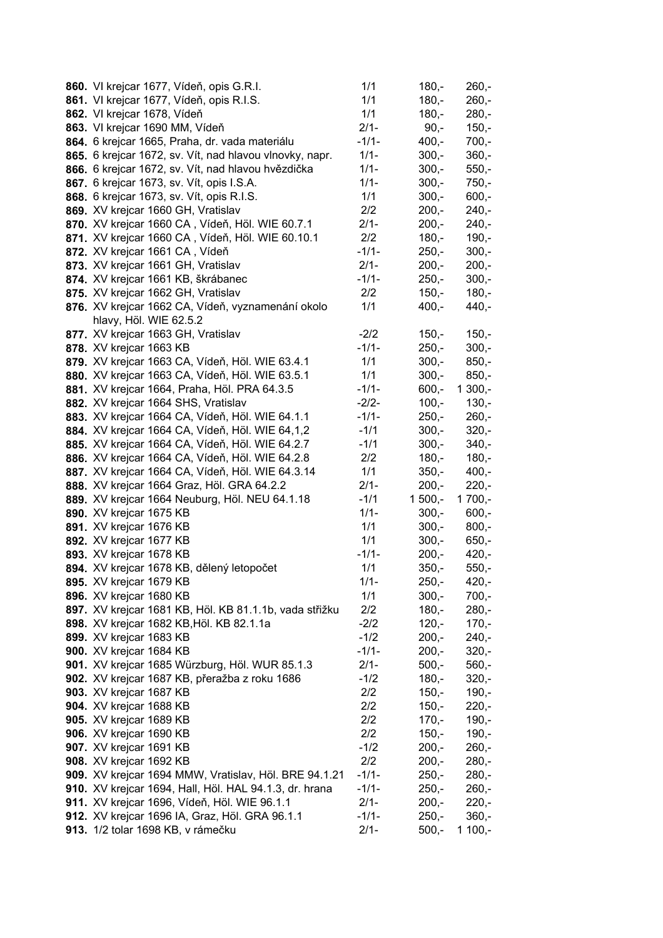| 860. VI krejcar 1677, Vídeň, opis G.R.I.                | 1/1     | $180,-$  | $260,-$  |
|---------------------------------------------------------|---------|----------|----------|
| 861. VI krejcar 1677, Vídeň, opis R.I.S.                | 1/1     | $180,-$  | $260,-$  |
| 862. VI krejcar 1678, Vídeň                             | 1/1     | $180 -$  | $280,-$  |
| 863. VI krejcar 1690 MM, Vídeň                          | $2/1 -$ | $90, -$  | $150,-$  |
| 864. 6 krejcar 1665, Praha, dr. vada materiálu          | $-1/1-$ | $400,-$  | $700,-$  |
| 865. 6 krejcar 1672, sv. Vít, nad hlavou vlnovky, napr. | $1/1 -$ | $300,-$  | $360,-$  |
| 866. 6 krejcar 1672, sv. Vít, nad hlavou hvězdička      | $1/1 -$ | $300,-$  | $550,-$  |
| 867. 6 krejcar 1673, sv. Vít, opis I.S.A.               | $1/1 -$ | $300,-$  | $750,-$  |
| 868. 6 krejcar 1673, sv. Vít, opis R.I.S.               | 1/1     | $300,-$  | $600,-$  |
| 869. XV krejcar 1660 GH, Vratislav                      | 2/2     | $200,-$  | $240,-$  |
| 870. XV krejcar 1660 CA, Vídeň, Höl. WIE 60.7.1         | $2/1 -$ | $200,-$  | $240,-$  |
| 871. XV krejcar 1660 CA, Vídeň, Höl. WIE 60.10.1        | 2/2     | $180,-$  | $190,-$  |
| 872. XV krejcar 1661 CA, Vídeň                          | $-1/1-$ | $250,-$  | $300,-$  |
| 873. XV krejcar 1661 GH, Vratislav                      | $2/1 -$ | $200,-$  | $200,-$  |
| 874. XV krejcar 1661 KB, škrábanec                      | $-1/1-$ | $250,-$  | $300,-$  |
| 875. XV krejcar 1662 GH, Vratislav                      | 2/2     | $150,-$  | $180,-$  |
| 876. XV krejcar 1662 CA, Vídeň, vyznamenání okolo       | 1/1     | $400,-$  | $440,-$  |
| hlavy, Höl. WIE 62.5.2                                  |         |          |          |
| 877. XV krejcar 1663 GH, Vratislav                      | $-2/2$  | $150,-$  | $150,-$  |
| 878. XV krejcar 1663 KB                                 | $-1/1-$ | $250,-$  | $300,-$  |
| 879. XV krejcar 1663 CA, Vídeň, Höl. WIE 63.4.1         | 1/1     | $300,-$  | $850,-$  |
| 880. XV krejcar 1663 CA, Vídeň, Höl. WIE 63.5.1         | 1/1     | $300,-$  | $850,-$  |
| 881. XV krejcar 1664, Praha, Höl. PRA 64.3.5            | $-1/1-$ | $600,-$  | $1300,-$ |
| 882. XV krejcar 1664 SHS, Vratislav                     | $-2/2-$ | $100,-$  | $130,-$  |
| 883. XV krejcar 1664 CA, Vídeň, Höl. WIE 64.1.1         | $-1/1-$ | $250,-$  | $260,-$  |
| 884. XV krejcar 1664 CA, Vídeň, Höl. WIE 64,1,2         | $-1/1$  | $300,-$  | $320,-$  |
| 885. XV krejcar 1664 CA, Vídeň, Höl. WIE 64.2.7         | $-1/1$  | $300,-$  | $340,-$  |
| 886. XV krejcar 1664 CA, Vídeň, Höl. WIE 64.2.8         | 2/2     | $180,-$  | $180,-$  |
| 887. XV krejcar 1664 CA, Vídeň, Höl. WIE 64.3.14        | 1/1     | $350,-$  | $400,-$  |
| 888. XV krejcar 1664 Graz, Höl. GRA 64.2.2              | $2/1 -$ | $200,-$  | $220,-$  |
| 889. XV krejcar 1664 Neuburg, Höl. NEU 64.1.18          | $-1/1$  | $1500,-$ | $1700,-$ |
| 890. XV krejcar 1675 KB                                 | $1/1 -$ | $300,-$  | $600,-$  |
| 891. XV krejcar 1676 KB                                 | 1/1     | $300,-$  | $800,-$  |
| 892. XV krejcar 1677 KB                                 | 1/1     | $300,-$  | $650,-$  |
| 893. XV krejcar 1678 KB                                 | $-1/1-$ | $200,-$  | $420,-$  |
| 894. XV krejcar 1678 KB, dělený letopočet               | 1/1     | $350,-$  | $550,-$  |
| 895. XV krejcar 1679 KB                                 | $1/1 -$ | $250,-$  | $420,-$  |
| 896. XV krejcar 1680 KB                                 | 1/1     | $300,-$  | $700,-$  |
| 897. XV krejcar 1681 KB, Höl. KB 81.1.1b, vada střižku  | 2/2     | $180,-$  | $280,-$  |
| 898. XV krejcar 1682 KB, Höl. KB 82.1.1a                | $-2/2$  | $120,-$  | $170,-$  |
| 899. XV krejcar 1683 KB                                 | $-1/2$  | $200,-$  | $240,-$  |
| 900. XV krejcar 1684 KB                                 | $-1/1-$ | $200,-$  | $320 -$  |
| 901. XV krejcar 1685 Würzburg, Höl. WUR 85.1.3          | $2/1 -$ | $500,-$  | $560,-$  |
| 902. XV krejcar 1687 KB, přeražba z roku 1686           | $-1/2$  | $180,-$  | $320,-$  |
| <b>903. XV krejcar 1687 KB</b>                          | 2/2     | $150,-$  | $190,-$  |
| <b>904. XV krejcar 1688 KB</b>                          | 2/2     | $150,-$  | $220,-$  |
| <b>905. XV krejcar 1689 KB</b>                          | 2/2     | $170,-$  | 190,-    |
| 906. XV krejcar 1690 KB                                 | 2/2     | $150,-$  | $190,-$  |
| <b>907.</b> XV krejcar 1691 KB                          | $-1/2$  | $200,-$  | $260,-$  |
| 908. XV krejcar 1692 KB                                 | 2/2     | $200,-$  | $280,-$  |
| 909. XV krejcar 1694 MMW, Vratislav, Höl. BRE 94.1.21   | $-1/1-$ | $250,-$  | $280,-$  |
| 910. XV krejcar 1694, Hall, Höl. HAL 94.1.3, dr. hrana  | $-1/1-$ | $250,-$  | $260,-$  |
| 911. XV krejcar 1696, Vídeň, Höl. WIE 96.1.1            | $2/1 -$ | $200,-$  | $220 -$  |
| 912. XV krejcar 1696 IA, Graz, Höl. GRA 96.1.1          | $-1/1-$ | $250,-$  | $360,-$  |
| 913. 1/2 tolar 1698 KB, v rámečku                       | $2/1 -$ | $500,-$  | $1100,-$ |
|                                                         |         |          |          |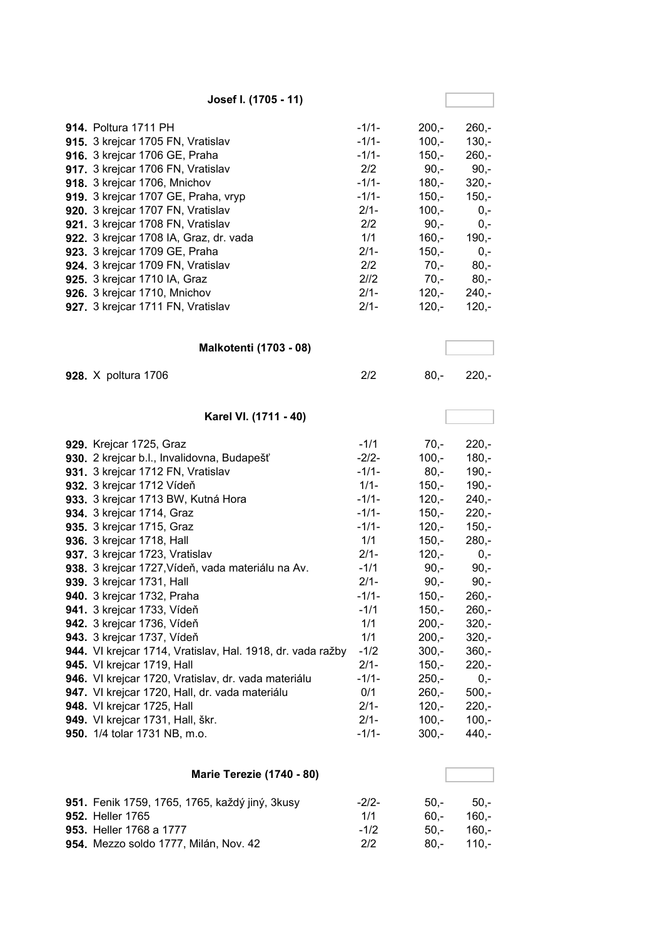| Josef I. (1705 - 11)                                                                                                                                                                                                                                                                                                                                                                                                                                                                                                                                                                                                                                                                                                                                                                                                           |                                                                                                                                                                                                                           |                                                                                                                                                                                                                                             |                                                                                                                                                                                                                                          |
|--------------------------------------------------------------------------------------------------------------------------------------------------------------------------------------------------------------------------------------------------------------------------------------------------------------------------------------------------------------------------------------------------------------------------------------------------------------------------------------------------------------------------------------------------------------------------------------------------------------------------------------------------------------------------------------------------------------------------------------------------------------------------------------------------------------------------------|---------------------------------------------------------------------------------------------------------------------------------------------------------------------------------------------------------------------------|---------------------------------------------------------------------------------------------------------------------------------------------------------------------------------------------------------------------------------------------|------------------------------------------------------------------------------------------------------------------------------------------------------------------------------------------------------------------------------------------|
| <b>914. Poltura 1711 PH</b><br>915. 3 krejcar 1705 FN, Vratislav<br>916. 3 krejcar 1706 GE, Praha<br>917. 3 krejcar 1706 FN, Vratislav<br>918. 3 krejcar 1706, Mnichov<br>919. 3 krejcar 1707 GE, Praha, vryp<br>920. 3 krejcar 1707 FN, Vratislav<br>921. 3 krejcar 1708 FN, Vratislav<br>922. 3 krejcar 1708 IA, Graz, dr. vada<br>923. 3 krejcar 1709 GE, Praha<br>924. 3 krejcar 1709 FN, Vratislav<br>925. 3 krejcar 1710 IA, Graz<br>926. 3 krejcar 1710, Mnichov<br>927. 3 krejcar 1711 FN, Vratislav                                                                                                                                                                                                                                                                                                                   | $-1/1-$<br>$-1/1-$<br>$-1/1-$<br>2/2<br>$-1/1-$<br>$-1/1-$<br>$2/1-$<br>2/2<br>1/1<br>$2/1-$<br>2/2<br>2/2<br>$2/1-$<br>$2/1 -$                                                                                           | $200,-$<br>$100,-$<br>$150,-$<br>$90,-$<br>$180,-$<br>$150,-$<br>$100,-$<br>$90,-$<br>$160,-$<br>$150,-$<br>$70,-$<br>$70,-$<br>$120,-$<br>$120,-$                                                                                          | $260,-$<br>$130,-$<br>$260,-$<br>$90,-$<br>$320 -$<br>$150,-$<br>$0,-$<br>$0,-$<br>$190,-$<br>$0,-$<br>$80,-$<br>$80,-$<br>$240,-$<br>$120,-$                                                                                            |
| <b>Malkotenti (1703 - 08)</b>                                                                                                                                                                                                                                                                                                                                                                                                                                                                                                                                                                                                                                                                                                                                                                                                  |                                                                                                                                                                                                                           |                                                                                                                                                                                                                                             |                                                                                                                                                                                                                                          |
| 928. X poltura 1706                                                                                                                                                                                                                                                                                                                                                                                                                                                                                                                                                                                                                                                                                                                                                                                                            | 2/2                                                                                                                                                                                                                       | $80,-$                                                                                                                                                                                                                                      | $220,-$                                                                                                                                                                                                                                  |
| Karel VI. (1711 - 40)                                                                                                                                                                                                                                                                                                                                                                                                                                                                                                                                                                                                                                                                                                                                                                                                          |                                                                                                                                                                                                                           |                                                                                                                                                                                                                                             |                                                                                                                                                                                                                                          |
| 929. Krejcar 1725, Graz<br>930. 2 krejcar b.l., Invalidovna, Budapešť<br>931. 3 krejcar 1712 FN, Vratislav<br>932. 3 krejcar 1712 Vídeň<br>933. 3 krejcar 1713 BW, Kutná Hora<br>934. 3 krejcar 1714, Graz<br>935. 3 krejcar 1715, Graz<br>936. 3 krejcar 1718, Hall<br>937. 3 krejcar 1723, Vratislav<br>938. 3 krejcar 1727, Vídeň, vada materiálu na Av.<br>939. 3 krejcar 1731, Hall<br><b>940.</b> 3 krejcar 1732, Praha<br>941. 3 krejcar 1733, Vídeň<br>942. 3 krejcar 1736, Vídeň<br>943. 3 krejcar 1737, Vídeň<br>944. VI krejcar 1714, Vratislav, Hal. 1918, dr. vada ražby<br>945. VI krejcar 1719, Hall<br>946. VI krejcar 1720, Vratislav, dr. vada materiálu<br>947. VI krejcar 1720, Hall, dr. vada materiálu<br>948. VI krejcar 1725, Hall<br>949. VI krejcar 1731, Hall, škr.<br>950. 1/4 tolar 1731 NB, m.o. | $-1/1$<br>$-2/2-$<br>$-1/1-$<br>$1/1 -$<br>$-1/1-$<br>$-1/1-$<br>$-1/1-$<br>1/1<br>$2/1 -$<br>$-1/1$<br>$2/1 -$<br>$-1/1-$<br>$-1/1$<br>1/1<br>1/1<br>$-1/2$<br>$2/1 -$<br>$-1/1-$<br>0/1<br>$2/1 -$<br>$2/1-$<br>$-1/1-$ | $70 -$<br>$100 -$<br>$80,-$<br>$150,-$<br>$120,-$<br>$150,-$<br>$120,-$<br>$150,-$<br>$120,-$<br>$90, -$<br>$90,-$<br>$150,-$<br>$150,-$<br>$200,-$<br>$200,-$<br>$300,-$<br>$150,-$<br>$250,-$<br>$260,-$<br>$120,-$<br>$100,-$<br>$300,-$ | $220,-$<br>$180,-$<br>$190,-$<br>$190,-$<br>$240,-$<br>$220,-$<br>$150,-$<br>$280,-$<br>$0,-$<br>$90,-$<br>$90,-$<br>$260,-$<br>$260,-$<br>$320 -$<br>$320,-$<br>$360,-$<br>$220,-$<br>$0,-$<br>$500,-$<br>$220,-$<br>$100,-$<br>$440,-$ |
| <b>Marie Terezie (1740 - 80)</b>                                                                                                                                                                                                                                                                                                                                                                                                                                                                                                                                                                                                                                                                                                                                                                                               |                                                                                                                                                                                                                           |                                                                                                                                                                                                                                             |                                                                                                                                                                                                                                          |

| 951. Fenik 1759, 1765, 1765, každý jiný, 3kusy | $-2/2-$ | $50 -$ | $50 -$       |
|------------------------------------------------|---------|--------|--------------|
| <b>952. Heller 1765</b>                        | 1/1     | 60.-   | -.160        |
| <b>953.</b> Heller 1768 a 1777                 | $-1/2$  |        | $50 - 160 -$ |
| 954. Mezzo soldo 1777, Milán, Nov. 42          | 2/2     |        | $80 - 110 -$ |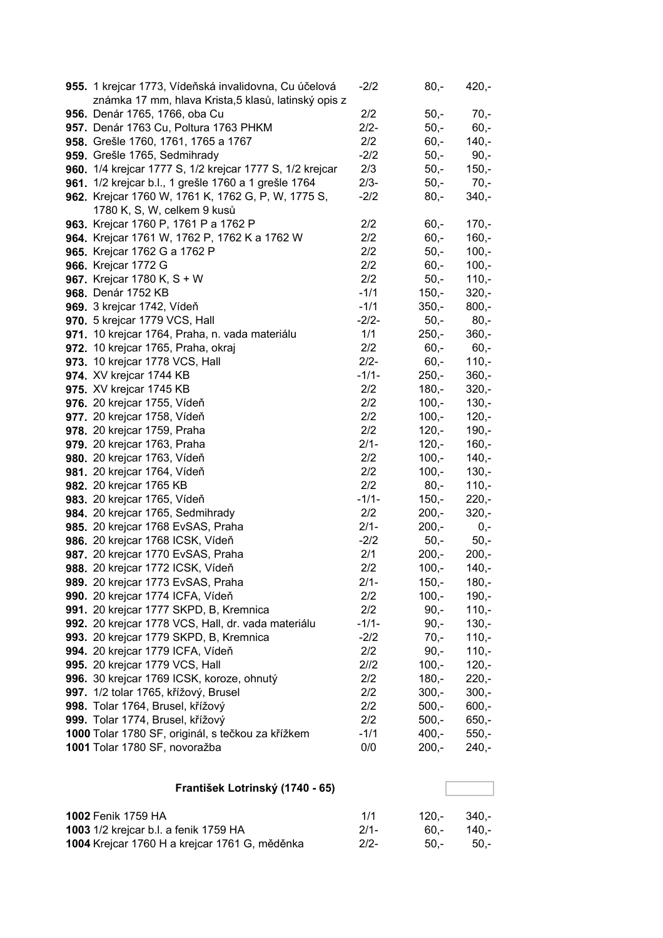| 955. 1 krejcar 1773, Vídeňská invalidovna, Cu účelová    | $-2/2$  | $80 -$  | $420,-$ |
|----------------------------------------------------------|---------|---------|---------|
| známka 17 mm, hlava Krista, 5 klasů, latinský opis z     |         |         |         |
| 956. Denár 1765, 1766, oba Cu                            | 2/2     | $50,-$  | $70,-$  |
| 957. Denár 1763 Cu, Poltura 1763 PHKM                    | $2/2-$  | $50,-$  | $60,-$  |
| 958. Grešle 1760, 1761, 1765 a 1767                      | 2/2     | $60,-$  | $140,-$ |
| 959. Grešle 1765, Sedmihrady                             | $-2/2$  | $50,-$  | $90,-$  |
| 960. 1/4 krejcar 1777 S, 1/2 krejcar 1777 S, 1/2 krejcar | 2/3     | $50,-$  | $150,-$ |
| 961. 1/2 krejcar b.l., 1 grešle 1760 a 1 grešle 1764     | $2/3 -$ | $50,-$  | 70,-    |
| 962. Krejcar 1760 W, 1761 K, 1762 G, P, W, 1775 S,       | $-2/2$  | $80,-$  | $340,-$ |
| 1780 K, S, W, celkem 9 kusů                              |         |         |         |
| 963. Krejcar 1760 P, 1761 P a 1762 P                     | 2/2     | $60,-$  | $170,-$ |
| 964. Krejcar 1761 W, 1762 P, 1762 K a 1762 W             | 2/2     | $60,-$  | $160,-$ |
| 965. Krejcar 1762 G a 1762 P                             | 2/2     | $50,-$  | $100,-$ |
| 966. Krejcar 1772 G                                      | 2/2     | $60,-$  | $100,-$ |
| 967. Krejcar 1780 K, S + W                               | 2/2     | $50,-$  | $110,-$ |
| 968. Denár 1752 KB                                       | $-1/1$  | $150,-$ | $320,-$ |
| 969. 3 krejcar 1742, Vídeň                               | $-1/1$  | $350,-$ | $800,-$ |
| <b>970.</b> 5 krejcar 1779 VCS, Hall                     | $-2/2-$ | $50,-$  | $80,-$  |
| 971. 10 krejcar 1764, Praha, n. vada materiálu           | 1/1     | $250,-$ | $360,-$ |
| 972. 10 krejcar 1765, Praha, okraj                       | 2/2     | $60,-$  | $60,-$  |
| 973. 10 krejcar 1778 VCS, Hall                           | $2/2 -$ | $60,-$  | $110,-$ |
| 974. XV krejcar 1744 KB                                  | $-1/1-$ | $250,-$ | $360,-$ |
| 975. XV krejcar 1745 KB                                  | 2/2     | $180,-$ | $320,-$ |
| 976. 20 krejcar 1755, Vídeň                              | 2/2     | $100,-$ | $130,-$ |
| 977. 20 krejcar 1758, Vídeň                              | 2/2     | $100,-$ | $120,-$ |
| 978. 20 krejcar 1759, Praha                              | 2/2     | $120,-$ | $190,-$ |
| 979. 20 krejcar 1763, Praha                              | $2/1 -$ | $120,-$ | $160,-$ |
| 980. 20 krejcar 1763, Vídeň                              | 2/2     | $100,-$ | $140,-$ |
| 981. 20 krejcar 1764, Vídeň                              | 2/2     | $100,-$ | $130,-$ |
| 982. 20 krejcar 1765 KB                                  | 2/2     | $80,-$  | $110,-$ |
| 983. 20 krejcar 1765, Vídeň                              | $-1/1-$ | $150,-$ | $220,-$ |
| 984. 20 krejcar 1765, Sedmihrady                         | 2/2     | $200,-$ | $320,-$ |
| 985. 20 krejcar 1768 EvSAS, Praha                        | $2/1 -$ | $200,-$ | $0,-$   |
| 986. 20 krejcar 1768 ICSK, Vídeň                         | $-2/2$  | $50,-$  | $50,-$  |
| 987. 20 krejcar 1770 EvSAS, Praha                        | 2/1     | $200,-$ | $200,-$ |
| 988. 20 krejcar 1772 ICSK, Vídeň                         | 2/2     | $100,-$ | $140,-$ |
| 989. 20 krejcar 1773 EvSAS, Praha                        | $2/1-$  | $150,-$ | $180,-$ |
| 990. 20 krejcar 1774 ICFA, Vídeň                         | 2/2     | $100,-$ | $190,-$ |
| 991. 20 krejcar 1777 SKPD, B, Kremnica                   | 2/2     | $90,-$  | $110,-$ |
| 992. 20 krejcar 1778 VCS, Hall, dr. vada materiálu       | $-1/1-$ | $90 -$  | $130,-$ |
| 993. 20 krejcar 1779 SKPD, B, Kremnica                   | $-2/2$  | $70,-$  | $110,-$ |
| 994. 20 krejcar 1779 ICFA, Vídeň                         | 2/2     | $90 -$  | $110,-$ |
| 995. 20 krejcar 1779 VCS, Hall                           | 2/12    | $100,-$ | $120,-$ |
| 996. 30 krejcar 1769 ICSK, koroze, ohnutý                | 2/2     | $180,-$ | $220,-$ |
| 997. 1/2 tolar 1765, křížový, Brusel                     | 2/2     | $300,-$ | $300,-$ |
| 998. Tolar 1764, Brusel, křížový                         | 2/2     | $500,-$ | $600,-$ |
| 999. Tolar 1774, Brusel, křížový                         | 2/2     | $500,-$ | $650,-$ |
| 1000 Tolar 1780 SF, originál, s tečkou za křížkem        | $-1/1$  | $400,-$ | $550,-$ |
| 1001 Tolar 1780 SF, novoražba                            | 0/0     | $200,-$ | $240,-$ |

# **František Lotrinský (1740 - 65)**

| <b>1002 Fenik 1759 HA</b>                     | 1/1    | $120 - 340 -$ |             |
|-----------------------------------------------|--------|---------------|-------------|
| 1003 1/2 krejcar b.l. a fenik 1759 HA         | $2/1-$ |               | 60.- 140.-  |
| 1004 Krejcar 1760 H a krejcar 1761 G, měděnka | $2/2-$ |               | $50 - 50 -$ |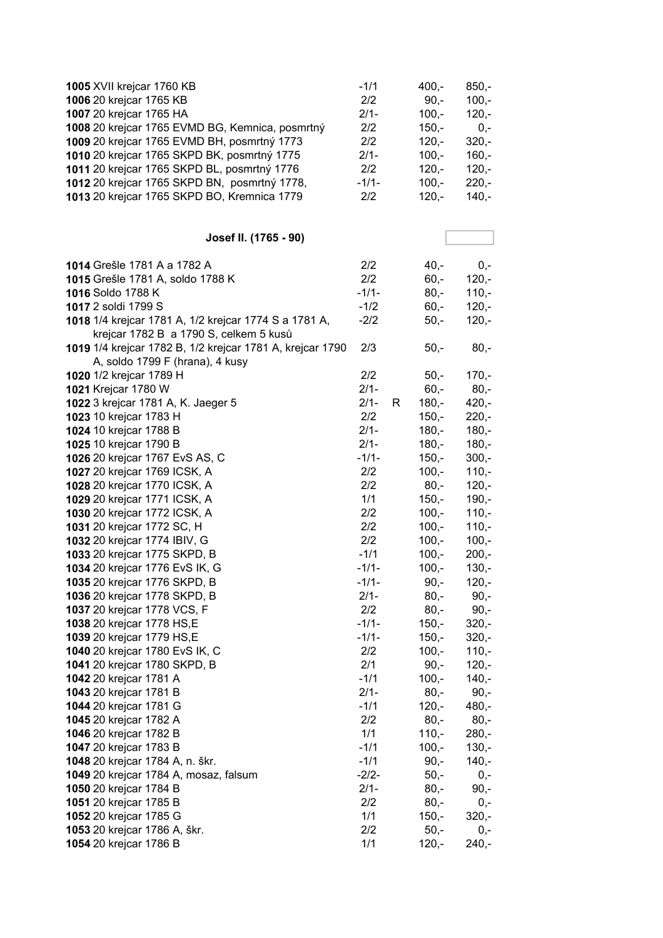| 1005 XVII krejcar 1760 KB                                 | $-1/1$  |    | $400,-$ | $850,-$ |
|-----------------------------------------------------------|---------|----|---------|---------|
| 1006 20 krejcar 1765 KB                                   | 2/2     |    | $90, -$ | $100,-$ |
| 1007 20 krejcar 1765 HA                                   | $2/1 -$ |    | $100,-$ | $120,-$ |
| 1008 20 krejcar 1765 EVMD BG, Kemnica, posmrtný           | 2/2     |    | $150,-$ | $0,-$   |
| 1009 20 krejcar 1765 EVMD BH, posmrtný 1773               | 2/2     |    | $120,-$ | $320 -$ |
| 1010 20 krejcar 1765 SKPD BK, posmrtný 1775               | $2/1 -$ |    | $100,-$ | $160,-$ |
| 1011 20 krejcar 1765 SKPD BL, posmrtný 1776               | 2/2     |    | $120,-$ | $120,-$ |
| 1012 20 krejcar 1765 SKPD BN, posmrtný 1778,              | $-1/1-$ |    | $100,-$ | $220,-$ |
| 1013 20 krejcar 1765 SKPD BO, Kremnica 1779               | 2/2     |    | $120,-$ | $140,-$ |
|                                                           |         |    |         |         |
|                                                           |         |    |         |         |
| Josef II. (1765 - 90)                                     |         |    |         |         |
| 1014 Grešle 1781 A a 1782 A                               | 2/2     |    | $40,-$  | $0,-$   |
| 1015 Grešle 1781 A, soldo 1788 K                          | 2/2     |    | $60,-$  | $120,-$ |
| 1016 Soldo 1788 K                                         | $-1/1-$ |    | $80,-$  | $110,-$ |
| 1017 2 soldi 1799 S                                       | $-1/2$  |    | $60,-$  | $120,-$ |
| 1018 1/4 krejcar 1781 A, 1/2 krejcar 1774 S a 1781 A,     | $-2/2$  |    | $50,-$  | $120,-$ |
| krejcar 1782 B a 1790 S, celkem 5 kusů                    |         |    |         |         |
| 1019 1/4 krejcar 1782 B, 1/2 krejcar 1781 A, krejcar 1790 | 2/3     |    | $50,-$  | $80,-$  |
| A, soldo 1799 F (hrana), 4 kusy                           |         |    |         |         |
| 1020 1/2 krejcar 1789 H                                   | 2/2     |    | $50,-$  | $170,-$ |
| <b>1021 Krejcar 1780 W</b>                                | $2/1 -$ |    | $60,-$  | $80,-$  |
| 1022 3 krejcar 1781 A, K. Jaeger 5                        | $2/1 -$ | R. | $180,-$ | $420,-$ |
| 1023 10 krejcar 1783 H                                    | 2/2     |    | $150,-$ | $220,-$ |
| 1024 10 krejcar 1788 B                                    | $2/1 -$ |    | $180,-$ | $180,-$ |
| 1025 10 krejcar 1790 B                                    | $2/1 -$ |    | $180,-$ | $180,-$ |
| 1026 20 krejcar 1767 EvS AS, C                            | $-1/1-$ |    | $150,-$ | $300,-$ |
| 1027 20 krejcar 1769 ICSK, A                              | 2/2     |    | $100,-$ | $110,-$ |
| 1028 20 krejcar 1770 ICSK, A                              | 2/2     |    | $80,-$  | $120,-$ |
| 1029 20 krejcar 1771 ICSK, A                              | 1/1     |    | $150,-$ | $190,-$ |
| 1030 20 krejcar 1772 ICSK, A                              | 2/2     |    | $100,-$ | $110,-$ |
| 1031 20 krejcar 1772 SC, H                                | 2/2     |    | $100,-$ | $110,-$ |
| 1032 20 krejcar 1774 IBIV, G                              | 2/2     |    | $100,-$ | $100,-$ |
| 1033 20 krejcar 1775 SKPD, B                              | $-1/1$  |    | $100,-$ | $200,-$ |
| 1034 20 krejcar 1776 EvS IK, G                            | $-1/1-$ |    | $100,-$ | $130,-$ |
| 1035 20 krejcar 1776 SKPD, B                              | $-1/1-$ |    | $90,-$  | $120,-$ |
| 1036 20 krejcar 1778 SKPD, B                              | $2/1 -$ |    | $80,-$  | $90,-$  |
| 1037 20 krejcar 1778 VCS, F                               | 2/2     |    | $80,-$  | $90,-$  |
| 1038 20 krejcar 1778 HS,E                                 | $-1/1-$ |    | $150,-$ | $320,-$ |
| 1039 20 krejcar 1779 HS, E                                | $-1/1-$ |    | $150,-$ | $320,-$ |
| 1040 20 krejcar 1780 EvS IK, C                            | 2/2     |    | $100,-$ | $110,-$ |
| 1041 20 krejcar 1780 SKPD, B                              | 2/1     |    | $90,-$  | $120,-$ |
| 1042 20 krejcar 1781 A                                    | $-1/1$  |    | $100,-$ | $140,-$ |
| 1043 20 krejcar 1781 B                                    | $2/1-$  |    | $80 -$  | $90,-$  |
| 1044 20 krejcar 1781 G                                    | $-1/1$  |    | $120,-$ | 480,-   |
| 1045 20 krejcar 1782 A                                    | 2/2     |    | $80,-$  | $80,-$  |
| 1046 20 krejcar 1782 B                                    | 1/1     |    | $110,-$ | $280,-$ |
| 1047 20 krejcar 1783 B                                    | $-1/1$  |    | $100,-$ | $130,-$ |
| 1048 20 krejcar 1784 A, n. škr.                           | $-1/1$  |    | $90,-$  | $140,-$ |
| 1049 20 krejcar 1784 A, mosaz, falsum                     | $-2/2-$ |    | $50,-$  | $0,-$   |
| 1050 20 krejcar 1784 B                                    | $2/1 -$ |    | $80 -$  | $90,-$  |
| 1051 20 krejcar 1785 B                                    | 2/2     |    | $80,-$  | 0,-     |
| 1052 20 krejcar 1785 G                                    | 1/1     |    | $150,-$ | 320,-   |
| 1053 20 krejcar 1786 A, škr.                              | 2/2     |    | $50,-$  | 0,-     |
| 1054 20 krejcar 1786 B                                    | 1/1     |    | $120,-$ | 240,-   |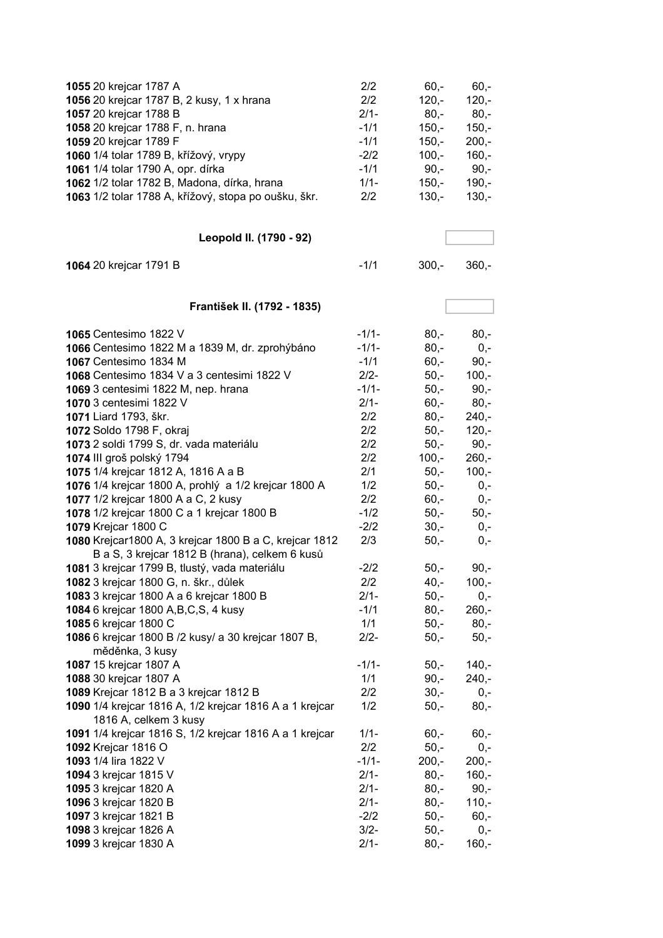| 1055 20 krejcar 1787 A<br>1056 20 krejcar 1787 B, 2 kusy, 1 x hrana<br>1057 20 krejcar 1788 B<br>1058 20 krejcar 1788 F, n. hrana<br>1059 20 krejcar 1789 F | 2/2<br>2/2<br>$2/1 -$<br>$-1/1$<br>$-1/1$ | $60,-$<br>$120 -$<br>$80,-$<br>$150,-$<br>$150,-$ | $60,-$<br>$120,-$<br>$80,-$<br>$150,-$<br>$200,-$ |
|-------------------------------------------------------------------------------------------------------------------------------------------------------------|-------------------------------------------|---------------------------------------------------|---------------------------------------------------|
| 1060 1/4 tolar 1789 B, křížový, vrypy                                                                                                                       | $-2/2$                                    | $100,-$                                           | $160,-$                                           |
| 1061 1/4 tolar 1790 A, opr. dírka                                                                                                                           | $-1/1$                                    | $90,-$                                            | $90,-$                                            |
| 1062 1/2 tolar 1782 B, Madona, dírka, hrana                                                                                                                 | $1/1 -$                                   | $150,-$                                           | $190,-$                                           |
| 1063 1/2 tolar 1788 A, křížový, stopa po oušku, škr.                                                                                                        | 2/2                                       | $130,-$                                           | $130,-$                                           |
| Leopold II. (1790 - 92)                                                                                                                                     |                                           |                                                   |                                                   |
| 1064 20 krejcar 1791 B                                                                                                                                      | $-1/1$                                    | $300,-$                                           | $360,-$                                           |
| František II. (1792 - 1835)                                                                                                                                 |                                           |                                                   |                                                   |
| 1065 Centesimo 1822 V                                                                                                                                       | $-1/1-$                                   | $80,-$                                            | $80,-$                                            |
| 1066 Centesimo 1822 M a 1839 M, dr. zprohýbáno                                                                                                              | $-1/1-$                                   | $80 -$                                            | $0,-$                                             |
| 1067 Centesimo 1834 M                                                                                                                                       | $-1/1$                                    | $60,-$                                            | $90,-$                                            |
| 1068 Centesimo 1834 V a 3 centesimi 1822 V                                                                                                                  | $2/2 -$                                   | $50,-$                                            | $100,-$                                           |
| 1069 3 centesimi 1822 M, nep. hrana                                                                                                                         | $-1/1-$                                   | $50,-$                                            | $90,-$                                            |
| 1070 3 centesimi 1822 V                                                                                                                                     | $2/1 -$                                   | $60, -$                                           | $80,-$                                            |
| 1071 Liard 1793, škr.                                                                                                                                       | 2/2                                       | $80,-$                                            | $240,-$                                           |
| 1072 Soldo 1798 F, okraj                                                                                                                                    | 2/2                                       | $50,-$                                            | $120,-$                                           |
| 1073 2 soldi 1799 S, dr. vada materiálu                                                                                                                     | 2/2                                       | $50,-$                                            | $90,-$                                            |
| 1074 III groš polský 1794                                                                                                                                   | 2/2                                       | $100,-$                                           | $260,-$                                           |
| 1075 1/4 krejcar 1812 A, 1816 A a B                                                                                                                         | 2/1                                       | $50,-$                                            | $100,-$                                           |
| 1076 1/4 krejcar 1800 A, prohlý a 1/2 krejcar 1800 A                                                                                                        | 1/2                                       | $50,-$                                            | $0,-$                                             |
| 1077 1/2 krejcar 1800 A a C, 2 kusy                                                                                                                         | 2/2                                       | $60,-$                                            | $0,-$                                             |
| 1078 1/2 krejcar 1800 C a 1 krejcar 1800 B                                                                                                                  | $-1/2$                                    | $50,-$                                            | $50,-$                                            |
| 1079 Krejcar 1800 C                                                                                                                                         | $-2/2$                                    | $30,-$                                            | $0,-$                                             |
| 1080 Krejcar1800 A, 3 krejcar 1800 B a C, krejcar 1812<br>B a S, 3 krejcar 1812 B (hrana), celkem 6 kusů                                                    | 2/3                                       | $50,-$                                            | $0,-$                                             |
| 1081 3 krejcar 1799 B, tlustý, vada materiálu                                                                                                               | $-2/2$                                    | $50,-$                                            | $90,-$                                            |
| 1082 3 krejcar 1800 G, n. škr., důlek                                                                                                                       | 2/2                                       | $40,-$                                            | $100,-$                                           |
| 1083 3 krejcar 1800 A a 6 krejcar 1800 B                                                                                                                    | $2/1 -$                                   | $50,-$                                            | $0,-$                                             |
| 1084 6 krejcar 1800 A, B, C, S, 4 kusy                                                                                                                      | $-1/1$                                    | $80,-$                                            | $260,-$                                           |
| 1085 6 krejcar 1800 C                                                                                                                                       | 1/1                                       | $50,-$                                            | $80,-$                                            |
| 1086 6 krejcar 1800 B /2 kusy/ a 30 krejcar 1807 B,<br>měděnka, 3 kusy                                                                                      | $2/2 -$                                   | $50,-$                                            | $50,-$                                            |
| 1087 15 krejcar 1807 A                                                                                                                                      | $-1/1-$                                   | $50,-$                                            | $140,-$                                           |
| 1088 30 krejcar 1807 A                                                                                                                                      | 1/1                                       | $90,-$                                            | $240,-$                                           |
| 1089 Krejcar 1812 B a 3 krejcar 1812 B                                                                                                                      | 2/2                                       | $30 -$                                            | $0,-$                                             |
| 1090 1/4 krejcar 1816 A, 1/2 krejcar 1816 A a 1 krejcar<br>1816 A, celkem 3 kusy                                                                            | 1/2                                       | $50,-$                                            | $80,-$                                            |
| 1091 1/4 krejcar 1816 S, 1/2 krejcar 1816 A a 1 krejcar                                                                                                     | $1/1 -$                                   | $60,-$                                            | $60,-$                                            |
| 1092 Krejcar 1816 O                                                                                                                                         | 2/2                                       | $50,-$                                            | $0,-$                                             |
| 1093 1/4 lira 1822 V                                                                                                                                        | $-1/1-$                                   | $200,-$                                           | $200,-$                                           |
| 1094 3 krejcar 1815 V                                                                                                                                       | $2/1 -$                                   | $80,-$                                            | $160,-$                                           |
| 1095 3 krejcar 1820 A                                                                                                                                       | $2/1 -$                                   | $80,-$                                            | $90,-$                                            |
| 1096 3 krejcar 1820 B                                                                                                                                       | $2/1 -$                                   | $80,-$                                            | $110,-$                                           |
| 1097 3 krejcar 1821 B                                                                                                                                       | $-2/2$                                    | $50,-$                                            | $60,-$                                            |
| 1098 3 krejcar 1826 A                                                                                                                                       | $3/2 -$                                   | $50,-$                                            | $0,-$                                             |
| 1099 3 krejcar 1830 A                                                                                                                                       | $2/1 -$                                   | $80,-$                                            | $160,-$                                           |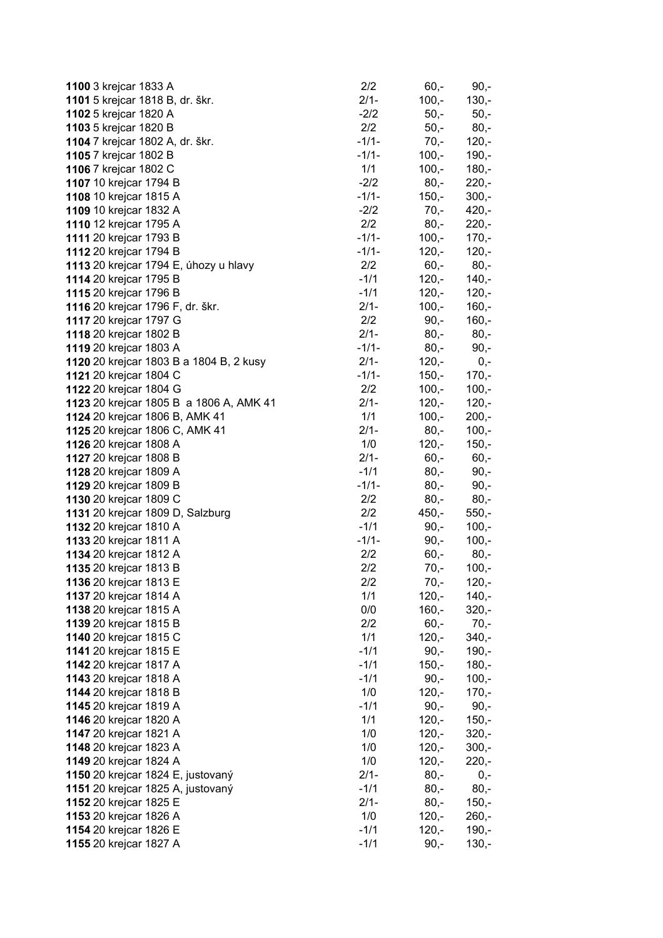| 1100 3 krejcar 1833 A                   | 2/2     | $60,-$  | $90,-$  |
|-----------------------------------------|---------|---------|---------|
| 1101 5 krejcar 1818 B, dr. škr.         | $2/1 -$ | $100,-$ | $130,-$ |
| 1102 5 krejcar 1820 A                   | $-2/2$  | $50,-$  | $50,-$  |
| 1103 5 krejcar 1820 B                   | 2/2     | $50,-$  | $80,-$  |
| 1104 7 krejcar 1802 A, dr. škr.         | $-1/1-$ | $70,-$  | $120,-$ |
| 1105 7 krejcar 1802 B                   | $-1/1-$ | $100,-$ | $190 -$ |
| 1106 7 krejcar 1802 C                   | 1/1     | $100,-$ | $180,-$ |
| 1107 10 krejcar 1794 B                  | $-2/2$  | $80,-$  | $220,-$ |
| 1108 10 krejcar 1815 A                  | $-1/1-$ | $150,-$ | $300,-$ |
| 1109 10 krejcar 1832 A                  | $-2/2$  | $70,-$  | $420,-$ |
| 1110 12 krejcar 1795 A                  | 2/2     | $80,-$  | $220,-$ |
| 1111 20 krejcar 1793 B                  | $-1/1-$ | $100,-$ | $170,-$ |
| 1112 20 krejcar 1794 B                  | $-1/1-$ | $120,-$ | $120,-$ |
| 1113 20 krejcar 1794 E, úhozy u hlavy   | 2/2     | $60,-$  | 80,-    |
| 1114 20 krejcar 1795 B                  | $-1/1$  | $120,-$ | $140,-$ |
| 1115 20 krejcar 1796 B                  | $-1/1$  | $120,-$ | $120,-$ |
| 1116 20 krejcar 1796 F, dr. škr.        | $2/1 -$ | $100,-$ | $160,-$ |
| 1117 20 krejcar 1797 G                  | 2/2     | $90, -$ | $160,-$ |
| 1118 20 krejcar 1802 B                  | $2/1 -$ | $80,-$  | $80,-$  |
| 1119 20 krejcar 1803 A                  | $-1/1-$ | $80,-$  | $90,-$  |
| 1120 20 krejcar 1803 B a 1804 B, 2 kusy | $2/1-$  | $120,-$ | $0,-$   |
| 1121 20 krejcar 1804 C                  | $-1/1-$ | $150,-$ | $170,-$ |
| 1122 20 krejcar 1804 G                  | 2/2     | $100,-$ | $100,-$ |
| 1123 20 krejcar 1805 B a 1806 A, AMK 41 | $2/1 -$ | $120,-$ | $120,-$ |
| 1124 20 krejcar 1806 B, AMK 41          | 1/1     | $100,-$ | $200,-$ |
| 1125 20 krejcar 1806 C, AMK 41          | $2/1-$  | $80,-$  | $100,-$ |
| 1126 20 krejcar 1808 A                  | 1/0     | $120,-$ | $150,-$ |
| 1127 20 krejcar 1808 B                  | $2/1 -$ | $60,-$  | $60,-$  |
| 1128 20 krejcar 1809 A                  | $-1/1$  | $80,-$  | $90,-$  |
| 1129 20 krejcar 1809 B                  | $-1/1-$ | $80,-$  | $90,-$  |
| 1130 20 krejcar 1809 C                  | 2/2     | $80,-$  | $80,-$  |
| 1131 20 krejcar 1809 D, Salzburg        | 2/2     | $450,-$ | $550,-$ |
| 1132 20 krejcar 1810 A                  | $-1/1$  | $90, -$ | $100,-$ |
| 1133 20 krejcar 1811 A                  | $-1/1-$ | $90,-$  | $100,-$ |
| 1134 20 krejcar 1812 A                  | 2/2     | $60,-$  | 80,-    |
| 1135 20 krejcar 1813 B                  | 2/2     | $70,-$  | $100,-$ |
| 1136 20 krejcar 1813 E                  | 2/2     | 70,-    | 120,-   |
| 1137 20 krejcar 1814 A                  | 1/1     | $120,-$ | $140 -$ |
| 1138 20 krejcar 1815 A                  | 0/0     | $160,-$ | $320,-$ |
| 1139 20 krejcar 1815 B                  | 2/2     | $60,-$  | $70,-$  |
| 1140 20 krejcar 1815 C                  | 1/1     | $120,-$ | $340,-$ |
| 1141 20 krejcar 1815 E                  | $-1/1$  | $90,-$  | $190,-$ |
| 1142 20 krejcar 1817 A                  | $-1/1$  | $150,-$ | $180,-$ |
| 1143 20 krejcar 1818 A                  | $-1/1$  | $90,-$  | $100,-$ |
| 1144 20 krejcar 1818 B                  | 1/0     | $120,-$ | $170,-$ |
| 1145 20 krejcar 1819 A                  | $-1/1$  | $90,-$  | $90,-$  |
| 1146 20 krejcar 1820 A                  | 1/1     | $120,-$ | $150,-$ |
| 1147 20 krejcar 1821 A                  | 1/0     | $120,-$ | $320,-$ |
| 1148 20 krejcar 1823 A                  | 1/0     | $120,-$ | $300,-$ |
| 1149 20 krejcar 1824 A                  | 1/0     | $120,-$ | $220,-$ |
| 1150 20 krejcar 1824 E, justovaný       | $2/1 -$ | $80,-$  | $0,-$   |
| 1151 20 krejcar 1825 A, justovaný       | $-1/1$  | $80,-$  | $80 -$  |
| 1152 20 krejcar 1825 E                  | $2/1 -$ | $80,-$  | $150,-$ |
| 1153 20 krejcar 1826 A                  | 1/0     | $120,-$ | $260,-$ |
| 1154 20 krejcar 1826 E                  | $-1/1$  | $120,-$ | $190,-$ |
|                                         | $-1/1$  |         |         |
| 1155 20 krejcar 1827 A                  |         | $90,-$  | $130,-$ |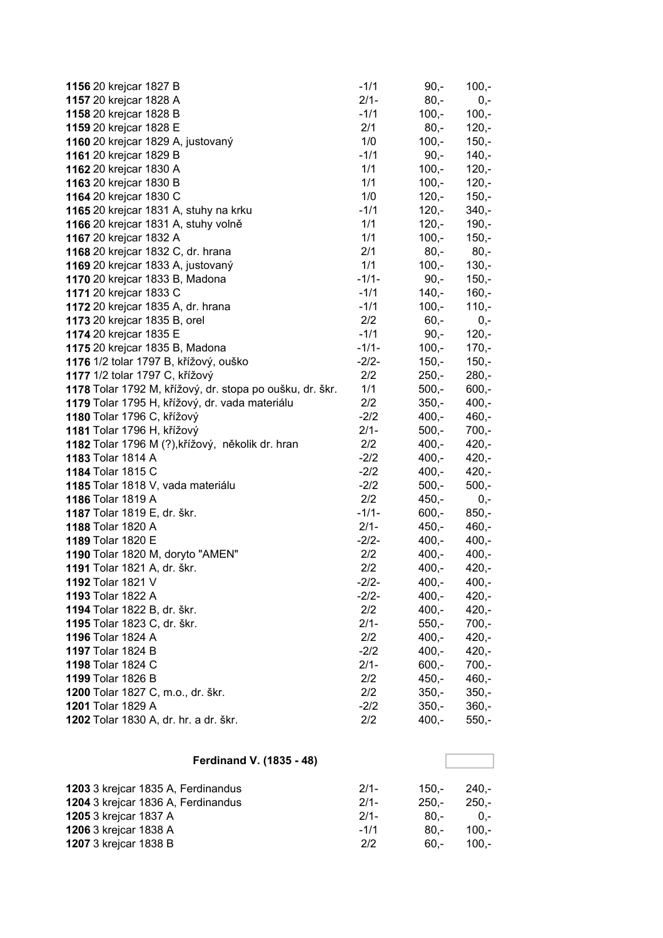| 1156 20 krejcar 1827 B                                   | $-1/1$  | $90,-$  | $100,-$ |
|----------------------------------------------------------|---------|---------|---------|
| 1157 20 krejcar 1828 A                                   | $2/1 -$ | $80,-$  | $0,-$   |
| 1158 20 krejcar 1828 B                                   | $-1/1$  | $100,-$ | $100 -$ |
| 1159 20 krejcar 1828 E                                   | 2/1     | $80,-$  | $120,-$ |
| 1160 20 krejcar 1829 A, justovaný                        | 1/0     | $100,-$ | $150,-$ |
| 1161 20 krejcar 1829 B                                   | $-1/1$  | $90,-$  | $140,-$ |
| 1162 20 krejcar 1830 A                                   | 1/1     | $100,-$ | $120,-$ |
| 1163 20 krejcar 1830 B                                   | 1/1     | $100,-$ | $120,-$ |
| 1164 20 krejcar 1830 C                                   | 1/0     | $120,-$ | $150,-$ |
| 1165 20 krejcar 1831 A, stuhy na krku                    | $-1/1$  | $120 -$ | $340,-$ |
| 1166 20 krejcar 1831 A, stuhy volně                      | 1/1     | $120,-$ | $190,-$ |
| 1167 20 krejcar 1832 A                                   | 1/1     | $100,-$ | $150,-$ |
| 1168 20 krejcar 1832 C, dr. hrana                        | 2/1     | $80,-$  | $80,-$  |
| 1169 20 krejcar 1833 A, justovaný                        | 1/1     | $100,-$ | $130,-$ |
| 1170 20 krejcar 1833 B, Madona                           | $-1/1-$ | $90,-$  | $150,-$ |
| 1171 20 krejcar 1833 C                                   | $-1/1$  | $140,-$ | $160,-$ |
| 1172 20 krejcar 1835 A, dr. hrana                        | $-1/1$  | $100,-$ | $110,-$ |
| 1173 20 krejcar 1835 B, orel                             | 2/2     | $60,-$  | $0,-$   |
| 1174 20 krejcar 1835 E                                   | $-1/1$  | $90,-$  | $120,-$ |
| 1175 20 krejcar 1835 B, Madona                           | $-1/1-$ | $100,-$ | $170 -$ |
| 1176 1/2 tolar 1797 B, křížový, ouško                    | $-2/2-$ | $150,-$ | $150,-$ |
| 1177 1/2 tolar 1797 C, křížový                           | 2/2     | $250,-$ | $280,-$ |
| 1178 Tolar 1792 M, křížový, dr. stopa po oušku, dr. škr. | 1/1     | $500,-$ | $600,-$ |
| 1179 Tolar 1795 H, křížový, dr. vada materiálu           | 2/2     | $350,-$ | $400,-$ |
| 1180 Tolar 1796 C, křížový                               | $-2/2$  | $400,-$ | $460,-$ |
| 1181 Tolar 1796 H, křížový                               | $2/1 -$ | $500,-$ | $700,-$ |
| 1182 Tolar 1796 M (?), křížový, několik dr. hran         | 2/2     | $400,-$ | $420,-$ |
| 1183 Tolar 1814 A                                        | $-2/2$  | $400,-$ | $420,-$ |
| 1184 Tolar 1815 C                                        | $-2/2$  | $400,-$ | $420,-$ |
| 1185 Tolar 1818 V, vada materiálu                        | $-2/2$  | $500,-$ | $500,-$ |
| 1186 Tolar 1819 A                                        | 2/2     | $450,-$ | $0,-$   |
| 1187 Tolar 1819 E, dr. škr.                              | $-1/1-$ | $600,-$ | $850,-$ |
| 1188 Tolar 1820 A                                        | $2/1 -$ | $450,-$ | $460,-$ |
| 1189 Tolar 1820 E                                        | $-2/2-$ | $400,-$ | $400,-$ |
| 1190 Tolar 1820 M, doryto "AMEN"                         | 2/2     | $400,-$ | $400,-$ |
| 1191 Tolar 1821 A, dr. škr.                              | 2/2     | $400,-$ | $420,-$ |
| 1192 Tolar 1821 V                                        | $-2/2-$ | $400,-$ | $400,-$ |
| 1193 Tolar 1822 A                                        | $-2/2-$ | $400,-$ | $420,-$ |
| 1194 Tolar 1822 B, dr. škr.                              | 2/2     | $400,-$ | $420,-$ |
| 1195 Tolar 1823 C, dr. škr.                              | $2/1 -$ | $550,-$ | $700,-$ |
| 1196 Tolar 1824 A                                        | 2/2     | $400,-$ | $420,-$ |
| 1197 Tolar 1824 B                                        | $-2/2$  | $400,-$ | $420,-$ |
| 1198 Tolar 1824 C                                        | $2/1 -$ | $600,-$ | 700,-   |
| 1199 Tolar 1826 B                                        | 2/2     | $450,-$ | $460,-$ |
| 1200 Tolar 1827 C, m.o., dr. škr.                        | 2/2     | $350,-$ | $350,-$ |
| 1201 Tolar 1829 A                                        | $-2/2$  | $350 -$ | $360,-$ |
| 1202 Tolar 1830 A, dr. hr. a dr. škr.                    | 2/2     | $400,-$ | $550,-$ |

#### **Ferdinand V. (1835 - 48)**

| 1203 3 krejcar 1835 A, Ferdinandus | $2/1-$ | 150.-   | -.240   |
|------------------------------------|--------|---------|---------|
|                                    |        |         |         |
| 1204 3 krejcar 1836 A, Ferdinandus | $2/1-$ | $250 -$ | $250 -$ |
| <b>1205</b> 3 krejcar 1837 A       | $2/1-$ | -.80    | $0 -$   |
| 1206 3 krejcar 1838 A              | $-1/1$ | $80 -$  | $100 -$ |
| <b>1207</b> 3 krejcar 1838 B       | 2/2    | 60.-    | 100.-   |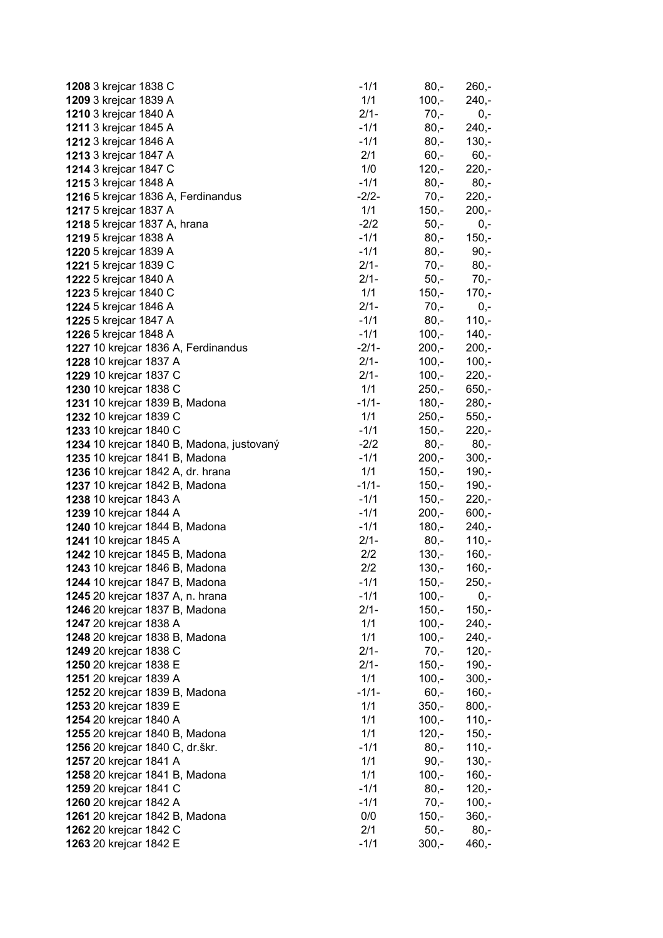| 1208 3 krejcar 1838 C                                             | $-1/1$  | $80,-$  | $260,-$            |
|-------------------------------------------------------------------|---------|---------|--------------------|
| 1209 3 krejcar 1839 A                                             | 1/1     | $100,-$ | $240,-$            |
| 1210 3 krejcar 1840 A                                             | $2/1 -$ | $70 -$  | $0,-$              |
| <b>1211</b> 3 krejcar 1845 A                                      | $-1/1$  | $80,-$  | $240,-$            |
| 1212 3 krejcar 1846 A                                             | $-1/1$  | $80,-$  | $130,-$            |
| 1213 3 krejcar 1847 A                                             | 2/1     | $60, -$ | $60,-$             |
| 1214 3 krejcar 1847 C                                             | 1/0     | $120,-$ | $220,-$            |
| 1215 3 krejcar 1848 A                                             | $-1/1$  | $80,-$  | $80,-$             |
| 1216 5 krejcar 1836 A, Ferdinandus                                | $-2/2-$ | $70,-$  | $220,-$            |
| 1217 5 krejcar 1837 A                                             | 1/1     | $150 -$ | $200,-$            |
| 1218 5 krejcar 1837 A, hrana                                      | $-2/2$  | $50,-$  | $0,-$              |
| <b>1219</b> 5 krejcar 1838 A                                      | $-1/1$  | $80,-$  | $150,-$            |
| 1220 5 krejcar 1839 A                                             | $-1/1$  | $80,-$  | $90,-$             |
| 1221 5 krejcar 1839 C                                             | $2/1 -$ | $70,-$  | $80,-$             |
| 1222 5 krejcar 1840 A                                             | $2/1-$  | $50,-$  | 70,-               |
| 1223 5 krejcar 1840 C                                             | 1/1     | $150,-$ | $170,-$            |
| <b>1224</b> 5 krejcar 1846 A                                      | $2/1 -$ | $70,-$  | $0,-$              |
| 1225 5 krejcar 1847 A                                             | $-1/1$  | $80,-$  | $110,-$            |
| <b>1226</b> 5 krejcar 1848 A                                      | $-1/1$  | $100,-$ | $140,-$            |
| 1227 10 krejcar 1836 A, Ferdinandus                               | $-2/1-$ | $200,-$ | $200,-$            |
| 1228 10 krejcar 1837 A                                            | $2/1 -$ | $100 -$ | $100,-$            |
| 1229 10 krejcar 1837 C                                            | $2/1 -$ | $100,-$ | $220,-$            |
| 1230 10 krejcar 1838 C                                            | 1/1     | $250,-$ | $650,-$            |
| 1231 10 krejcar 1839 B, Madona                                    | $-1/1-$ | $180,-$ | $280,-$            |
| 1232 10 krejcar 1839 C                                            | 1/1     | $250,-$ | $550,-$            |
| 1233 10 krejcar 1840 C                                            | $-1/1$  | $150,-$ | $220,-$            |
| 1234 10 krejcar 1840 B, Madona, justovaný                         | $-2/2$  | $80,-$  | $80,-$             |
| 1235 10 krejcar 1841 B, Madona                                    | $-1/1$  | $200,-$ | $300,-$            |
| 1236 10 krejcar 1842 A, dr. hrana                                 | 1/1     | $150,-$ | $190,-$            |
| 1237 10 krejcar 1842 B, Madona                                    | $-1/1-$ | $150,-$ | $190,-$            |
| <b>1238</b> 10 krejcar 1843 A                                     | $-1/1$  | $150,-$ | $220 -$            |
| 1239 10 krejcar 1844 A                                            | $-1/1$  | $200,-$ | $600,-$            |
| <b>1240</b> 10 krejcar 1844 B, Madona                             | $-1/1$  | $180 -$ | $240,-$            |
| <b>1241</b> 10 krejcar 1845 A                                     | $2/1 -$ | $80,-$  | $110,-$            |
| <b>1242</b> 10 krejcar 1845 B, Madona                             | 2/2     | $130,-$ | $160,-$            |
| 1243 10 krejcar 1846 B, Madona                                    | 2/2     | $130,-$ | $160,-$            |
| 1244 10 krejcar 1847 B, Madona                                    | $-1/1$  | $150,-$ | $250,-$            |
| 1245 20 krejcar 1837 A, n. hrana                                  | $-1/1$  | $100,-$ | $0,-$              |
| 1246 20 krejcar 1837 B, Madona                                    | $2/1 -$ | $150,-$ | $150,-$            |
| 1247 20 krejcar 1838 A                                            | 1/1     | $100,-$ | $240 -$            |
| 1248 20 krejcar 1838 B, Madona                                    | 1/1     | $100,-$ | $240,-$            |
| 1249 20 krejcar 1838 C                                            | $2/1 -$ | $70,-$  | $120 -$            |
| 1250 20 krejcar 1838 E                                            | $2/1-$  | $150,-$ | $190,-$            |
| 1251 20 krejcar 1839 A                                            | 1/1     | $100,-$ | $300,-$            |
| 1252 20 krejcar 1839 B, Madona                                    | $-1/1-$ | $60, -$ | $160,-$            |
| 1253 20 krejcar 1839 E                                            | 1/1     | $350 -$ | $800,-$            |
| 1254 20 krejcar 1840 A                                            | 1/1     | $100,-$ | $110,-$            |
|                                                                   | 1/1     | $120,-$ |                    |
| 1255 20 krejcar 1840 B, Madona<br>1256 20 krejcar 1840 C, dr.škr. | $-1/1$  | $80,-$  | $150,-$<br>$110,-$ |
| 1257 20 krejcar 1841 A                                            | 1/1     | $90,-$  | $130,-$            |
|                                                                   | 1/1     | $100,-$ |                    |
| 1258 20 krejcar 1841 B, Madona<br>1259 20 krejcar 1841 C          | $-1/1$  | $80,-$  | $160,-$            |
| 1260 20 krejcar 1842 A                                            | $-1/1$  | $70,-$  | $120,-$<br>$100,-$ |
|                                                                   | 0/0     | $150,-$ |                    |
| 1261 20 krejcar 1842 B, Madona                                    | 2/1     | $50,-$  | $360,-$            |
| 1262 20 krejcar 1842 C                                            |         |         | $80,-$             |
| 1263 20 krejcar 1842 E                                            | $-1/1$  | $300,-$ | $460,-$            |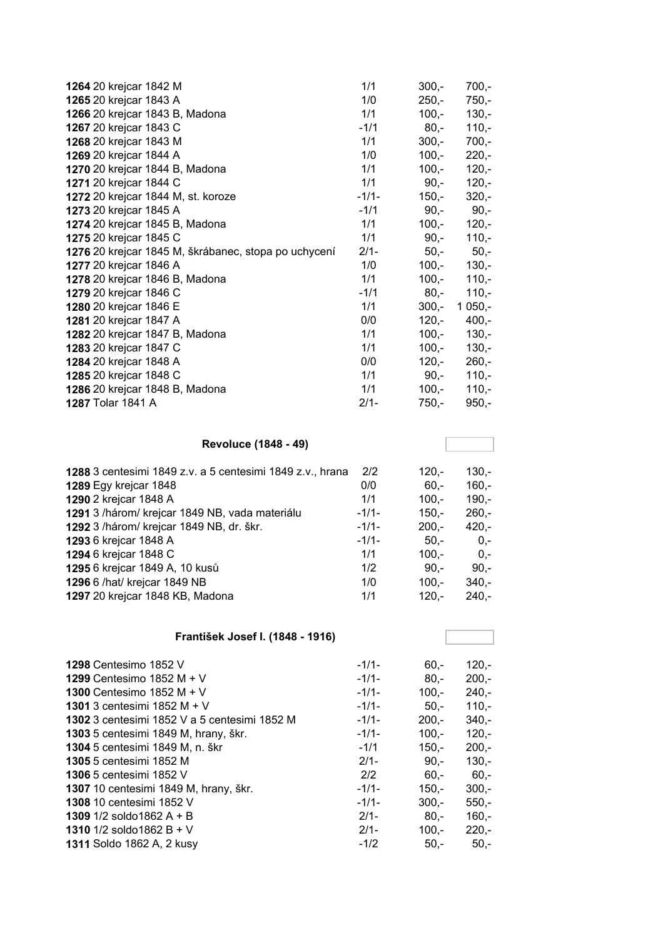| 1264 20 krejcar 1842 M                                    | 1/1               | $300,-$            | $700,-$            |
|-----------------------------------------------------------|-------------------|--------------------|--------------------|
| 1265 20 krejcar 1843 A                                    | 1/0               | $250,-$            | $750,-$            |
| 1266 20 krejcar 1843 B, Madona                            | 1/1               | $100,-$            | $130,-$            |
| 1267 20 krejcar 1843 C                                    | $-1/1$            | $80,-$             | $110,-$            |
| 1268 20 krejcar 1843 M                                    | 1/1               | $300,-$            | $700,-$            |
| 1269 20 krejcar 1844 A                                    | 1/0               | $100,-$            | $220,-$            |
| 1270 20 krejcar 1844 B, Madona                            | 1/1               | $100,-$            | $120,-$            |
| 1271 20 krejcar 1844 C                                    | 1/1               | $90,-$             | $120,-$            |
| 1272 20 krejcar 1844 M, st. koroze                        | $-1/1-$           | $150,-$            | $320 -$            |
| 1273 20 krejcar 1845 A                                    | $-1/1$            | $90,-$             | $90,-$             |
| 1274 20 krejcar 1845 B, Madona                            | 1/1               | $100,-$            | $120,-$            |
| 1275 20 krejcar 1845 C                                    | 1/1               | $90,-$             | $110,-$            |
| 1276 20 krejcar 1845 M, škrábanec, stopa po uchycení      | $2/1 -$           | $50,-$             | $50,-$             |
| 1277 20 krejcar 1846 A                                    | 1/0               | $100,-$            | $130 -$            |
| 1278 20 krejcar 1846 B, Madona                            | 1/1               | $100,-$            | $110,-$            |
| 1279 20 krejcar 1846 C                                    | $-1/1$            | $80,-$             | $110,-$            |
| 1280 20 krejcar 1846 E                                    | 1/1               | $300,-$            | $1050,-$           |
| 1281 20 krejcar 1847 A                                    | 0/0               | $120,-$            | $400,-$            |
| 1282 20 krejcar 1847 B, Madona                            | 1/1               | $100,-$            | $130,-$            |
| 1283 20 krejcar 1847 C                                    | 1/1               | $100,-$            | $130,-$            |
| 1284 20 krejcar 1848 A                                    | 0/0               | $120,-$            | $260,-$            |
| 1285 20 krejcar 1848 C                                    | 1/1               | $90,-$             | $110,-$            |
| 1286 20 krejcar 1848 B, Madona                            | 1/1               | $100,-$            | $110,-$            |
| 1287 Tolar 1841 A                                         | $2/1-$            | $750,-$            | $950,-$            |
|                                                           |                   |                    |                    |
| <b>Revoluce (1848 - 49)</b>                               |                   |                    |                    |
| 1288 3 centesimi 1849 z.v. a 5 centesimi 1849 z.v., hrana | 2/2               | $120,-$            | $130,-$            |
| 1289 Egy krejcar 1848                                     | 0/0               | $60,-$             | $160,-$            |
| 1290 2 krejcar 1848 A                                     | 1/1               | $100,-$            | $190,-$            |
| 1291 3 /három/ krejcar 1849 NB, vada materiálu            | $-1/1-$           | $150,-$            | $260,-$            |
| 1292 3 / három/ krejcar 1849 NB, dr. škr.                 | $-1/1-$           | $200,-$            | $420,-$            |
| 1293 6 krejcar 1848 A                                     | $-1/1-$           | $50,-$             | $0,-$              |
| 1294 6 krejcar 1848 C                                     | 1/1               | $100,-$            | $0,-$              |
| 1295 6 krejcar 1849 A, 10 kusů                            | 1/2               | $90,-$             | $90,-$             |
| 1296 6 /hat/ krejcar 1849 NB                              | 1/0               | $100,-$            | $340 -$            |
| 1297 20 krejcar 1848 KB, Madona                           | 1/1               | $120,-$            | $240,-$            |
|                                                           |                   |                    |                    |
| František Josef I. (1848 - 1916)                          |                   |                    |                    |
|                                                           |                   |                    |                    |
| <b>1298 Centesimo 1852 V</b>                              | $-1/1-$           | $60,-$             | $120,-$            |
| 1299 Centesimo 1852 M + V                                 | $-1/1-$           | $80,-$             | $200,-$            |
| 1300 Centesimo 1852 M + V                                 | $-1/1-$           | $100,-$            | $240,-$            |
| 1301 3 centesimi 1852 M + V                               | $-1/1-$           | $50,-$             | $110,-$            |
| 1302 3 centesimi 1852 V a 5 centesimi 1852 M              | $-1/1-$           | $200,-$            | $340,-$            |
| 1303 5 centesimi 1849 M, hrany, škr.                      |                   |                    |                    |
| 1304 5 centesimi 1849 M, n. škr                           | $-1/1-$<br>$-1/1$ | $100,-$<br>$150,-$ | $120,-$<br>$200,-$ |

**1305** 5 centesimi 1852 M<br> **1306** 5 centesimi 1852 V<br> **1306** 5 centesimi 1852 V

 10 centesimi 1849 M, hrany, škr. -1/1- 150,- 300,- 10 centesimi 1852 V -1/1- 300,- 550,- 1/2 soldo1862 A + B 2/1- 80,- 160,- 1/2 soldo1862 B + V 2/1- 2/1- 220,-Soldo 1862 A, 2 kusy  $-1/2$  50,- 50,-

5 centesimi 1852 V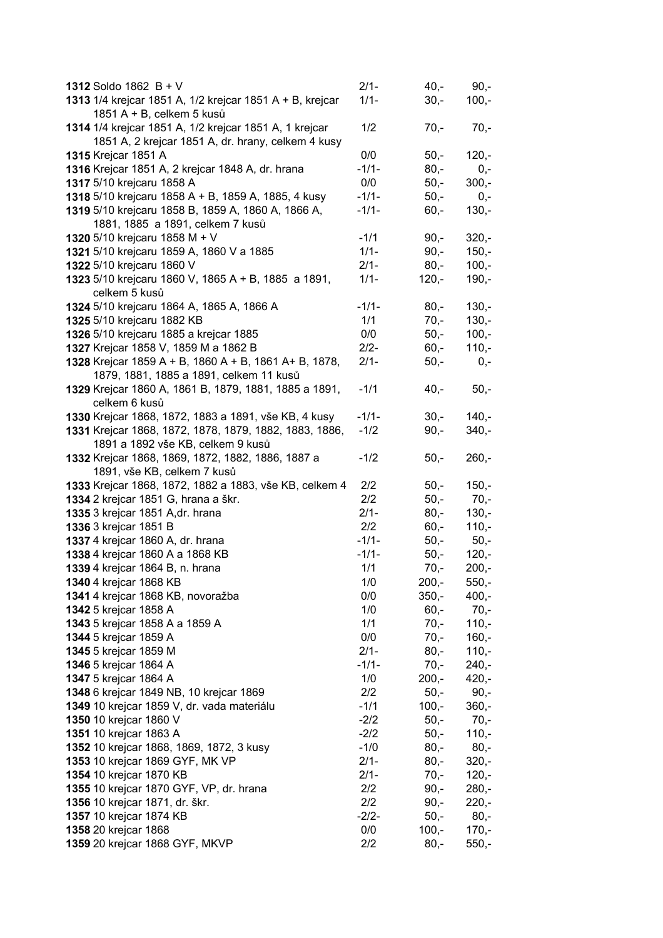| 1312 Soldo 1862 $B + V$                                  | $2/1 -$ | $40,-$  | $90,-$             |
|----------------------------------------------------------|---------|---------|--------------------|
| 1313 1/4 krejcar 1851 A, 1/2 krejcar 1851 A + B, krejcar | $1/1 -$ | $30 -$  | $100,-$            |
| 1851 A + B, celkem 5 kusů                                |         |         |                    |
| 1314 1/4 krejcar 1851 A, 1/2 krejcar 1851 A, 1 krejcar   | 1/2     | $70,-$  | $70,-$             |
| 1851 A, 2 krejcar 1851 A, dr. hrany, celkem 4 kusy       |         |         |                    |
| <b>1315 Krejcar 1851 A</b>                               | 0/0     | $50,-$  | $120,-$            |
| 1316 Krejcar 1851 A, 2 krejcar 1848 A, dr. hrana         | $-1/1-$ | $80,-$  | $0,-$              |
| 1317 5/10 krejcaru 1858 A                                | 0/0     | $50,-$  | $300,-$            |
| 1318 5/10 krejcaru 1858 A + B, 1859 A, 1885, 4 kusy      | $-1/1-$ | $50,-$  | $0,-$              |
| 1319 5/10 krejcaru 1858 B, 1859 A, 1860 A, 1866 A,       | $-1/1-$ | $60,-$  | $130 -$            |
| 1881, 1885 a 1891, celkem 7 kusů                         |         |         |                    |
| 1320 5/10 krejcaru 1858 M + V                            | $-1/1$  | $90, -$ | $320,-$            |
| 1321 5/10 krejcaru 1859 A, 1860 V a 1885                 | $1/1 -$ | $90, -$ | $150,-$            |
| 1322 5/10 krejcaru 1860 V                                | $2/1 -$ | $80,-$  | $100,-$            |
|                                                          | $1/1 -$ |         |                    |
| 1323 5/10 krejcaru 1860 V, 1865 A + B, 1885 a 1891,      |         | $120,-$ | $190,-$            |
| celkem 5 kusů                                            |         |         |                    |
| 1324 5/10 krejcaru 1864 A, 1865 A, 1866 A                | $-1/1-$ | $80,-$  | $130,-$<br>$130 -$ |
| 1325 5/10 krejcaru 1882 KB                               | 1/1     | $70,-$  |                    |
| 1326 5/10 krejcaru 1885 a krejcar 1885                   | 0/0     | $50,-$  | $100,-$            |
| 1327 Krejcar 1858 V, 1859 M a 1862 B                     | $2/2-$  | $60,-$  | $110,-$            |
| 1328 Krejcar 1859 A + B, 1860 A + B, 1861 A+ B, 1878,    | $2/1 -$ | $50,-$  | $0,-$              |
| 1879, 1881, 1885 a 1891, celkem 11 kusů                  |         |         |                    |
| 1329 Krejcar 1860 A, 1861 B, 1879, 1881, 1885 a 1891,    | $-1/1$  | $40,-$  | $50,-$             |
| celkem 6 kusů                                            |         |         |                    |
| 1330 Krejcar 1868, 1872, 1883 a 1891, vše KB, 4 kusy     | $-1/1-$ | $30 -$  | $140,-$            |
| 1331 Krejcar 1868, 1872, 1878, 1879, 1882, 1883, 1886,   | $-1/2$  | $90,-$  | $340,-$            |
| 1891 a 1892 vše KB, celkem 9 kusů                        |         |         |                    |
| 1332 Krejcar 1868, 1869, 1872, 1882, 1886, 1887 a        | $-1/2$  | $50,-$  | $260,-$            |
| 1891, vše KB, celkem 7 kusů                              |         |         |                    |
| 1333 Krejcar 1868, 1872, 1882 a 1883, vše KB, celkem 4   | 2/2     | $50,-$  | $150,-$            |
| 1334 2 krejcar 1851 G, hrana a škr.                      | 2/2     | $50,-$  | $70,-$             |
| 1335 3 krejcar 1851 A, dr. hrana                         | $2/1 -$ | $80,-$  | $130,-$            |
| 1336 3 krejcar 1851 B                                    | 2/2     | $60, -$ | $110,-$            |
| 1337 4 krejcar 1860 A, dr. hrana                         | $-1/1-$ | $50,-$  | $50,-$             |
| 1338 4 krejcar 1860 A a 1868 KB                          | $-1/1-$ | $50,-$  | $120,-$            |
| 1339 4 krejcar 1864 B, n. hrana                          | 1/1     | $70,-$  | $200,-$            |
| 1340 4 krejcar 1868 KB                                   | 1/0     | $200,-$ | $550,-$            |
| 1341 4 krejcar 1868 KB, novoražba                        | 0/0     | $350,-$ | $400,-$            |
| 1342 5 krejcar 1858 A                                    | 1/0     | $60 -$  | $70,-$             |
| 1343 5 krejcar 1858 A a 1859 A                           | 1/1     | $70,-$  | $110,-$            |
| 1344 5 krejcar 1859 A                                    | 0/0     | $70,-$  | $160,-$            |
| 1345 5 krejcar 1859 M                                    | $2/1 -$ | $80,-$  | $110,-$            |
| 1346 5 krejcar 1864 A                                    | $-1/1-$ | $70,-$  | $240,-$            |
| 1347 5 krejcar 1864 A                                    | 1/0     | $200,-$ | $420,-$            |
| 1348 6 krejcar 1849 NB, 10 krejcar 1869                  | 2/2     | $50,-$  | $90,-$             |
| 1349 10 krejcar 1859 V, dr. vada materiálu               | $-1/1$  | $100,-$ | $360,-$            |
| 1350 10 krejcar 1860 V                                   | $-2/2$  | $50,-$  | $70,-$             |
| 1351 10 krejcar 1863 A                                   | $-2/2$  | $50,-$  | $110,-$            |
| 1352 10 krejcar 1868, 1869, 1872, 3 kusy                 | $-1/0$  | $80,-$  | $80,-$             |
| 1353 10 krejcar 1869 GYF, MK VP                          | $2/1 -$ | $80,-$  | $320,-$            |
| 1354 10 krejcar 1870 KB                                  | $2/1-$  | $70,-$  | $120,-$            |
| 1355 10 krejcar 1870 GYF, VP, dr. hrana                  | 2/2     | $90,-$  | $280,-$            |
| 1356 10 krejcar 1871, dr. škr.                           | 2/2     | $90,-$  | $220,-$            |
| <b>1357</b> 10 krejcar 1874 KB                           | $-2/2-$ | $50,-$  | $80,-$             |
| 1358 20 krejcar 1868                                     | 0/0     | $100,-$ | $170,-$            |
| 1359 20 krejcar 1868 GYF, MKVP                           | 2/2     | $80,-$  | $550,-$            |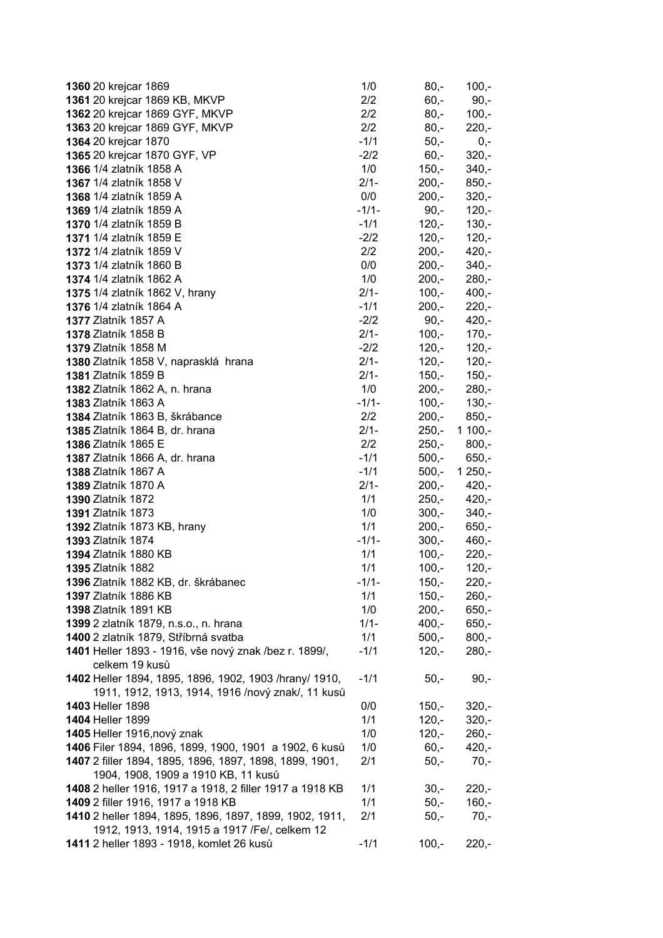| 1360 20 krejcar 1869                                     | 1/0     | $80,-$  | $100,-$  |
|----------------------------------------------------------|---------|---------|----------|
| 1361 20 krejcar 1869 KB, MKVP                            | 2/2     | $60,-$  | $90,-$   |
| 1362 20 krejcar 1869 GYF, MKVP                           | 2/2     | $80,-$  | $100,-$  |
| 1363 20 krejcar 1869 GYF, MKVP                           | 2/2     | $80,-$  | $220,-$  |
| 1364 20 krejcar 1870                                     | $-1/1$  | $50,-$  | $0,-$    |
| 1365 20 krejcar 1870 GYF, VP                             | $-2/2$  | $60,-$  | $320,-$  |
| 1366 1/4 zlatník 1858 A                                  | 1/0     | $150,-$ | $340,-$  |
| <b>1367</b> 1/4 zlatník 1858 V                           | $2/1 -$ | $200,-$ | $850,-$  |
| <b>1368</b> 1/4 zlatník 1859 A                           | 0/0     | $200,-$ | $320,-$  |
| <b>1369</b> 1/4 zlatník 1859 A                           | $-1/1-$ | $90,-$  | $120,-$  |
| 1370 1/4 zlatník 1859 B                                  | $-1/1$  | $120,-$ | $130,-$  |
| 1371 1/4 zlatník 1859 E                                  | $-2/2$  | $120,-$ | $120,-$  |
| 1372 1/4 zlatník 1859 V                                  | 2/2     | $200,-$ | $420,-$  |
| 1373 1/4 zlatník 1860 B                                  | 0/0     | $200,-$ | $340,-$  |
| 1374 1/4 zlatník 1862 A                                  | 1/0     | $200,-$ | $280 -$  |
| 1375 1/4 zlatník 1862 V, hrany                           | $2/1 -$ | $100,-$ | $400,-$  |
| 1376 1/4 zlatník 1864 A                                  | $-1/1$  | $200,-$ | $220 -$  |
| <b>1377 Zlatník 1857 A</b>                               | $-2/2$  | $90,-$  | $420,-$  |
| <b>1378 Zlatník 1858 B</b>                               | $2/1-$  | $100,-$ | $170,-$  |
| <b>1379 Zlatník 1858 M</b>                               | $-2/2$  | $120,-$ | $120 -$  |
| 1380 Zlatník 1858 V, naprasklá hrana                     | $2/1 -$ | $120,-$ | $120,-$  |
| 1381 Zlatník 1859 B                                      | $2/1-$  | $150,-$ | $150,-$  |
| 1382 Zlatník 1862 A, n. hrana                            | 1/0     | $200,-$ | $280,-$  |
| 1383 Zlatník 1863 A                                      | $-1/1-$ | $100,-$ | $130,-$  |
| 1384 Zlatník 1863 B, škrábance                           | 2/2     | $200,-$ | $850,-$  |
| 1385 Zlatník 1864 B, dr. hrana                           | $2/1-$  | $250,-$ | $1100,-$ |
| 1386 Zlatník 1865 E                                      | 2/2     | $250,-$ | $800,-$  |
| 1387 Zlatník 1866 A, dr. hrana                           | $-1/1$  | $500,-$ | $650,-$  |
| <b>1388 Zlatník 1867 A</b>                               | $-1/1$  | $500,-$ | $1250,-$ |
| <b>1389 Zlatník 1870 A</b>                               | $2/1 -$ | $200,-$ | $420,-$  |
| <b>1390 Zlatník 1872</b>                                 | 1/1     | $250,-$ | $420,-$  |
| 1391 Zlatník 1873                                        | 1/0     | $300,-$ | $340,-$  |
| 1392 Zlatník 1873 KB, hrany                              | 1/1     | $200,-$ | $650,-$  |
| <b>1393 Zlatník 1874</b>                                 | $-1/1-$ | $300,-$ | $460,-$  |
| 1394 Zlatník 1880 KB                                     | 1/1     | $100,-$ | $220,-$  |
| 1395 Zlatník 1882                                        | 1/1     | $100,-$ | $120,-$  |
| 1396 Zlatník 1882 KB, dr. škrábanec                      | $-1/1-$ | $150,-$ | $220,-$  |
| 1397 Zlatník 1886 KB                                     | 1/1     | $150,-$ | $260,-$  |
| 1398 Zlatník 1891 KB                                     | 1/0     | $200,-$ | $650,-$  |
| 1399 2 zlatník 1879, n.s.o., n. hrana                    | $1/1 -$ | $400,-$ | $650,-$  |
| 1400 2 zlatník 1879, Stříbrná svatba                     | 1/1     | $500 -$ | $800,-$  |
| 1401 Heller 1893 - 1916, vše nový znak /bez r. 1899/,    | $-1/1$  | $120,-$ | $280,-$  |
| celkem 19 kusů                                           |         |         |          |
| 1402 Heller 1894, 1895, 1896, 1902, 1903 /hrany/ 1910,   | $-1/1$  | $50,-$  | $90,-$   |
| 1911, 1912, 1913, 1914, 1916 /nový znak/, 11 kusů        |         |         |          |
| 1403 Heller 1898                                         | 0/0     | $150,-$ | $320,-$  |
| 1404 Heller 1899                                         | 1/1     | $120,-$ | $320,-$  |
| 1405 Heller 1916, nový znak                              | 1/0     | $120,-$ | $260,-$  |
| 1406 Filer 1894, 1896, 1899, 1900, 1901 a 1902, 6 kusů   | 1/0     | $60,-$  | $420,-$  |
| 1407 2 filler 1894, 1895, 1896, 1897, 1898, 1899, 1901,  | 2/1     | $50,-$  | $70,-$   |
| 1904, 1908, 1909 a 1910 KB, 11 kusů                      |         |         |          |
| 1408 2 heller 1916, 1917 a 1918, 2 filler 1917 a 1918 KB | 1/1     | $30 -$  | $220,-$  |
| 1409 2 filler 1916, 1917 a 1918 KB                       | 1/1     | $50,-$  | $160,-$  |
| 1410 2 heller 1894, 1895, 1896, 1897, 1899, 1902, 1911,  | 2/1     | $50,-$  | $70,-$   |
| 1912, 1913, 1914, 1915 a 1917 / Fe/, celkem 12           |         |         |          |
| 1411 2 heller 1893 - 1918, komlet 26 kusů                | $-1/1$  | $100,-$ | $220 -$  |
|                                                          |         |         |          |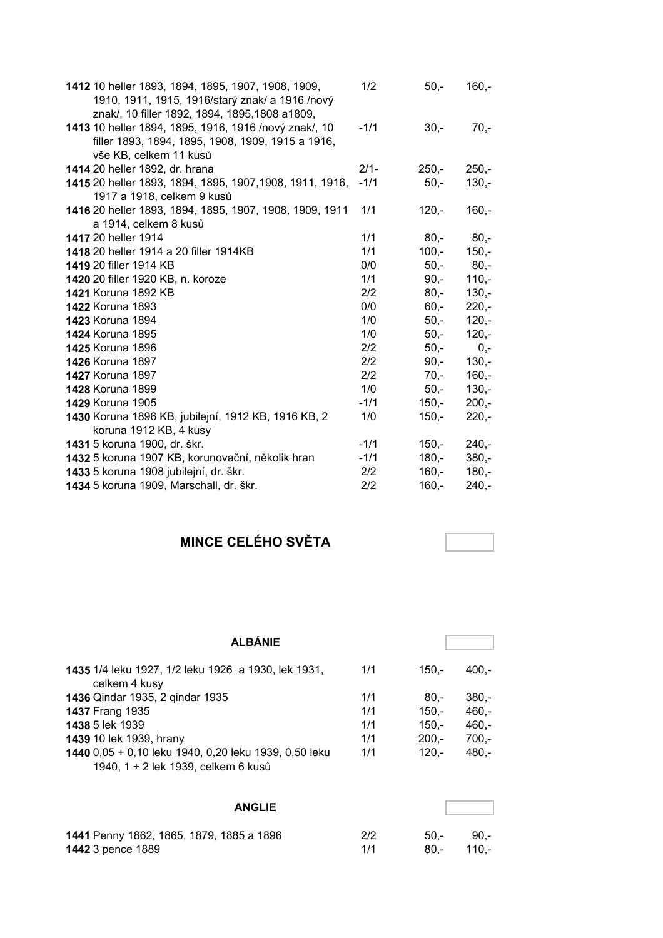| 1412 10 heller 1893, 1894, 1895, 1907, 1908, 1909,<br>1910, 1911, 1915, 1916/starý znak/ a 1916 /nový | 1/2     | $50,-$  | $160 -$ |
|-------------------------------------------------------------------------------------------------------|---------|---------|---------|
| znak/, 10 filler 1892, 1894, 1895, 1808 a 1809,                                                       |         |         |         |
| 1413 10 heller 1894, 1895, 1916, 1916 /nový znak/, 10                                                 | $-1/1$  | $30 -$  | $70,-$  |
| filler 1893, 1894, 1895, 1908, 1909, 1915 a 1916,                                                     |         |         |         |
| vše KB, celkem 11 kusů                                                                                |         |         |         |
| 1414 20 heller 1892, dr. hrana                                                                        | $2/1 -$ | $250 -$ | $250 -$ |
| 1415 20 heller 1893, 1894, 1895, 1907, 1908, 1911, 1916,                                              | $-1/1$  | $50,-$  | $130 -$ |
| 1917 a 1918, celkem 9 kusů                                                                            |         |         |         |
| 1416 20 heller 1893, 1894, 1895, 1907, 1908, 1909, 1911                                               | 1/1     | $120 -$ | $160 -$ |
| a 1914, celkem 8 kusů                                                                                 |         |         |         |
| 1417 20 heller 1914                                                                                   | 1/1     | $80 -$  | $80 -$  |
| 1418 20 heller 1914 a 20 filler 1914KB                                                                | 1/1     | $100,-$ | $150 -$ |
| 1419 20 filler 1914 KB                                                                                | 0/0     | $50,-$  | $80 -$  |
| 1420 20 filler 1920 KB, n. koroze                                                                     | 1/1     | $90 -$  | $110 -$ |
| <b>1421 Koruna 1892 KB</b>                                                                            | 2/2     | $80,-$  | $130 -$ |
| <b>1422 Koruna 1893</b>                                                                               | 0/0     | $60 -$  | $220 -$ |
| <b>1423 Koruna 1894</b>                                                                               | 1/0     | $50,-$  | $120 -$ |
| <b>1424 Koruna 1895</b>                                                                               | 1/0     | $50,-$  | $120 -$ |
| <b>1425 Koruna 1896</b>                                                                               | 2/2     | $50,-$  | $0 -$   |
| <b>1426 Koruna 1897</b>                                                                               | 2/2     | $90 -$  | $130 -$ |
| <b>1427 Koruna 1897</b>                                                                               | 2/2     | $70,-$  | $160 -$ |
| <b>1428 Koruna 1899</b>                                                                               | 1/0     | $50,-$  | $130 -$ |
| <b>1429 Koruna 1905</b>                                                                               | $-1/1$  | $150,-$ | $200,-$ |
| 1430 Koruna 1896 KB, jubilejní, 1912 KB, 1916 KB, 2                                                   | 1/0     | $150,-$ | $220 -$ |
| koruna 1912 KB, 4 kusy                                                                                |         |         |         |
| 1431 5 koruna 1900, dr. škr.                                                                          | $-1/1$  | $150 -$ | $240 -$ |
| 1432 5 koruna 1907 KB, korunovační, několik hran                                                      | $-1/1$  | $180 -$ | $380 -$ |
| 1433 5 koruna 1908 jubilejní, dr. škr.                                                                | 2/2     | $160 -$ | $180 -$ |
| 1434 5 koruna 1909, Marschall, dr. škr.                                                               | 2/2     | $160,-$ | $240 -$ |

## **MINCE CELÉHO SVĚTA**

| <b>ALBÁNIE</b>                                                                               |     |         |         |
|----------------------------------------------------------------------------------------------|-----|---------|---------|
| 1435 1/4 leku 1927, 1/2 leku 1926 a 1930, lek 1931,<br>celkem 4 kusy                         | 1/1 | $150 -$ | $400 -$ |
| 1436 Qindar 1935, 2 qindar 1935                                                              | 1/1 | -.80    | $380 -$ |
| 1437 Frang 1935                                                                              | 1/1 | $150 -$ | $460,-$ |
| <b>1438</b> 5 lek 1939                                                                       | 1/1 | $150 -$ | $460 -$ |
| 1439 10 lek 1939, hrany                                                                      | 1/1 | $200 -$ | $700 -$ |
| 1440 0,05 + 0,10 leku 1940, 0,20 leku 1939, 0,50 leku<br>1940, 1 + 2 lek 1939, celkem 6 kusů | 1/1 | $120 -$ | $480 -$ |
| <b>ANGLIE</b>                                                                                |     |         |         |

| 1441 Penny 1862, 1865, 1879, 1885 a 1896 | 2/2 | 50.-          | - 90.- |
|------------------------------------------|-----|---------------|--------|
| <b>1442</b> 3 pence 1889                 |     | -.010 - 80. - |        |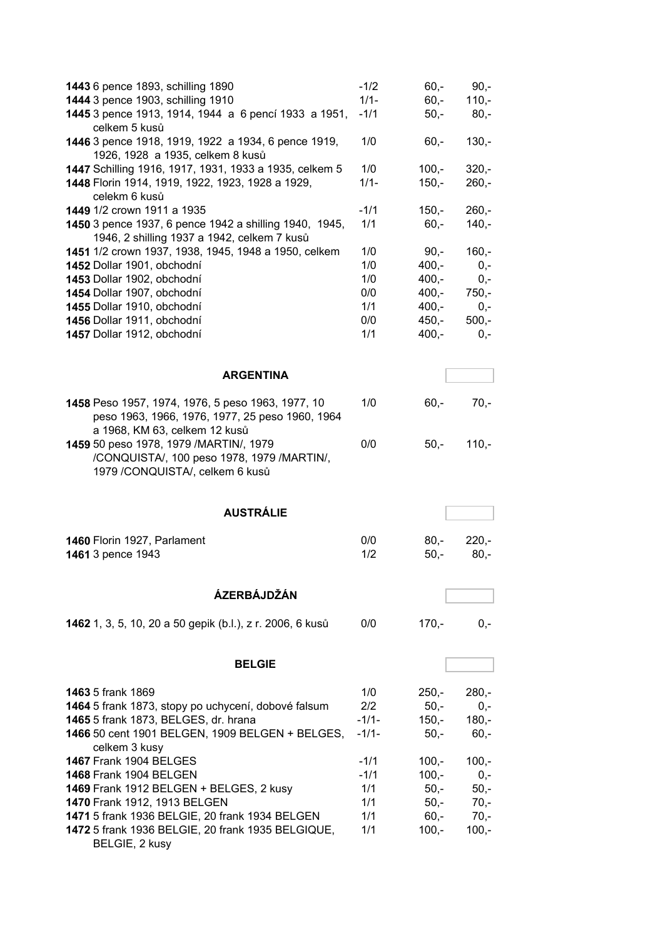| 1443 6 pence 1893, schilling 1890                                             | $-1/2$             | $60 -$            | $90,-$  |
|-------------------------------------------------------------------------------|--------------------|-------------------|---------|
| 1444 3 pence 1903, schilling 1910                                             | $1/1 -$            | $60 -$            | $110,-$ |
| 1445 3 pence 1913, 1914, 1944 a 6 pencí 1933 a 1951,                          | $-1/1$             | $50,-$            | $80,-$  |
| celkem 5 kusů<br>1446 3 pence 1918, 1919, 1922 a 1934, 6 pence 1919,          | 1/0                | $60,-$            | $130 -$ |
| 1926, 1928 a 1935, celkem 8 kusů                                              |                    |                   |         |
| 1447 Schilling 1916, 1917, 1931, 1933 a 1935, celkem 5                        | 1/0                | $100,-$           | $320,-$ |
| 1448 Florin 1914, 1919, 1922, 1923, 1928 a 1929,                              | $1/1 -$            | $150,-$           | $260,-$ |
| celekm 6 kusů                                                                 |                    |                   |         |
| 1449 1/2 crown 1911 a 1935                                                    | $-1/1$             | $150,-$           | $260,-$ |
| 1450 3 pence 1937, 6 pence 1942 a shilling 1940, 1945,                        | 1/1                | $60 -$            | $140,-$ |
| 1946, 2 shilling 1937 a 1942, celkem 7 kusů                                   |                    |                   |         |
| 1451 1/2 crown 1937, 1938, 1945, 1948 a 1950, celkem                          | 1/0                | $90,-$            | $160,-$ |
| 1452 Dollar 1901, obchodní                                                    | 1/0                | $400,-$           | $0,-$   |
| 1453 Dollar 1902, obchodní                                                    | 1/0                | $400 -$           | $0,-$   |
| 1454 Dollar 1907, obchodní                                                    | 0/0                | $400,-$           | $750,-$ |
| 1455 Dollar 1910, obchodní                                                    | 1/1                | $400,-$           | $0,-$   |
| 1456 Dollar 1911, obchodní                                                    | 0/0                | $450,-$           | $500 -$ |
| 1457 Dollar 1912, obchodní                                                    | 1/1                | $400,-$           | $0,-$   |
|                                                                               |                    |                   |         |
| <b>ARGENTINA</b>                                                              |                    |                   |         |
|                                                                               |                    |                   |         |
| 1458 Peso 1957, 1974, 1976, 5 peso 1963, 1977, 10                             | 1/0                | $60, -$           | $70,-$  |
| peso 1963, 1966, 1976, 1977, 25 peso 1960, 1964                               |                    |                   |         |
| a 1968, KM 63, celkem 12 kusů                                                 |                    |                   |         |
| 1459 50 peso 1978, 1979 / MARTIN/, 1979                                       | 0/0                | $50,-$            | $110,-$ |
| /CONQUISTA/, 100 peso 1978, 1979 /MARTIN/,<br>1979 /CONQUISTA/, celkem 6 kusů |                    |                   |         |
|                                                                               |                    |                   |         |
| <b>AUSTRÁLIE</b>                                                              |                    |                   |         |
|                                                                               |                    |                   |         |
| 1460 Florin 1927, Parlament                                                   | 0/0                | $80 -$            | $220 -$ |
| 1461 3 pence 1943                                                             | 1/2                | $50,-$            | $80,-$  |
|                                                                               |                    |                   |         |
| ÁZERBÁJDŽÁN                                                                   |                    |                   |         |
|                                                                               |                    |                   |         |
| 1462 1, 3, 5, 10, 20 a 50 gepik (b.l.), z r. 2006, 6 kusů                     | 0/0                | $170 -$           | $0,-$   |
|                                                                               |                    |                   |         |
|                                                                               |                    |                   |         |
| <b>BELGIE</b>                                                                 |                    |                   |         |
| <b>1463</b> 5 frank 1869                                                      |                    |                   |         |
| 1464 5 frank 1873, stopy po uchycení, dobové falsum                           |                    |                   |         |
|                                                                               | 1/0                | $250,-$           | $280,-$ |
|                                                                               | 2/2                | $50 -$            | $0,-$   |
| 1465 5 frank 1873, BELGES, dr. hrana                                          | $-1/1-$<br>$-1/1-$ | $150,-$<br>$50 -$ | $180 -$ |
| 1466 50 cent 1901 BELGEN, 1909 BELGEN + BELGES,<br>celkem 3 kusy              |                    |                   | $60,-$  |
| <b>1467 Frank 1904 BELGES</b>                                                 | $-1/1$             | $100,-$           | $100,-$ |
| <b>1468 Frank 1904 BELGEN</b>                                                 | $-1/1$             | $100,-$           | $0,-$   |
| 1469 Frank 1912 BELGEN + BELGES, 2 kusy                                       | 1/1                | $50 -$            | $50,-$  |
| 1470 Frank 1912, 1913 BELGEN                                                  | 1/1                | $50 -$            | $70 -$  |
| 1471 5 frank 1936 BELGIE, 20 frank 1934 BELGEN                                | 1/1                | $60 -$            | $70 -$  |
| 1472 5 frank 1936 BELGIE, 20 frank 1935 BELGIQUE,                             | 1/1                | $100,-$           | $100,-$ |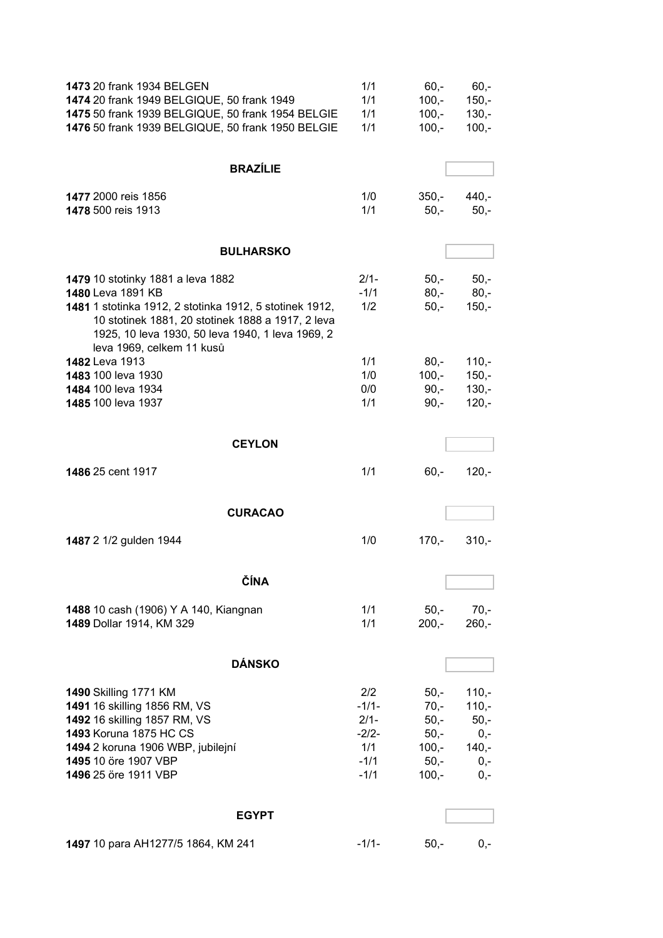| 1473 20 frank 1934 BELGEN<br>1474 20 frank 1949 BELGIQUE, 50 frank 1949<br>1475 50 frank 1939 BELGIQUE, 50 frank 1954 BELGIE<br>1476 50 frank 1939 BELGIQUE, 50 frank 1950 BELGIE                                                                       | 1/1<br>1/1<br>1/1<br>1/1                                        | $60 -$<br>$100,-$<br>$100,-$<br>$100,-$                              | $60,-$<br>$150,-$<br>$130,-$<br>$100,-$                            |
|---------------------------------------------------------------------------------------------------------------------------------------------------------------------------------------------------------------------------------------------------------|-----------------------------------------------------------------|----------------------------------------------------------------------|--------------------------------------------------------------------|
| <b>BRAZÍLIE</b>                                                                                                                                                                                                                                         |                                                                 |                                                                      |                                                                    |
| 1477 2000 reis 1856<br>1478 500 reis 1913                                                                                                                                                                                                               | 1/0<br>1/1                                                      | $350 -$<br>$50 -$                                                    | $440,-$<br>$50 -$                                                  |
| <b>BULHARSKO</b>                                                                                                                                                                                                                                        |                                                                 |                                                                      |                                                                    |
| 1479 10 stotinky 1881 a leva 1882<br>1480 Leva 1891 KB<br>1481 1 stotinka 1912, 2 stotinka 1912, 5 stotinek 1912,<br>10 stotinek 1881, 20 stotinek 1888 a 1917, 2 leva<br>1925, 10 leva 1930, 50 leva 1940, 1 leva 1969, 2<br>leva 1969, celkem 11 kusů | $2/1-$<br>$-1/1$<br>1/2                                         | $50 -$<br>$80 -$<br>$50,-$                                           | $50 -$<br>$80,-$<br>$150,-$                                        |
| 1482 Leva 1913<br><b>1483</b> 100 leva 1930<br>1484 100 leva 1934<br>1485 100 leva 1937                                                                                                                                                                 | 1/1<br>1/0<br>0/0<br>1/1                                        | $80 -$<br>$100,-$<br>$90,-$<br>$90,-$                                | $110,-$<br>$150,-$<br>$130,-$<br>$120,-$                           |
| <b>CEYLON</b>                                                                                                                                                                                                                                           |                                                                 |                                                                      |                                                                    |
| <b>1486 25 cent 1917</b>                                                                                                                                                                                                                                | 1/1                                                             | $60,-$                                                               | $120,-$                                                            |
| <b>CURACAO</b>                                                                                                                                                                                                                                          |                                                                 |                                                                      |                                                                    |
| 1487 2 1/2 gulden 1944                                                                                                                                                                                                                                  | 1/0                                                             | $170,-$                                                              | $310,-$                                                            |
| <b>CINA</b>                                                                                                                                                                                                                                             |                                                                 |                                                                      |                                                                    |
| 1488 10 cash (1906) Y A 140, Kiangnan<br>1489 Dollar 1914, KM 329                                                                                                                                                                                       | 1/1<br>1/1                                                      | $50 -$<br>$200,-$                                                    | $70,-$<br>$260,-$                                                  |
| <b>DÁNSKO</b>                                                                                                                                                                                                                                           |                                                                 |                                                                      |                                                                    |
| <b>1490 Skilling 1771 KM</b><br>1491 16 skilling 1856 RM, VS<br>1492 16 skilling 1857 RM, VS<br>1493 Koruna 1875 HC CS<br>1494 2 koruna 1906 WBP, jubilejní<br>1495 10 öre 1907 VBP<br>1496 25 öre 1911 VBP                                             | 2/2<br>$-1/1-$<br>$2/1 -$<br>$-2/2-$<br>1/1<br>$-1/1$<br>$-1/1$ | $50 -$<br>$70,-$<br>$50,-$<br>$50,-$<br>$100,-$<br>$50,-$<br>$100,-$ | $110,-$<br>$110,-$<br>$50,-$<br>$0,-$<br>$140,-$<br>$0,-$<br>$0,-$ |
| <b>EGYPT</b>                                                                                                                                                                                                                                            |                                                                 |                                                                      |                                                                    |
| 1497 10 para AH1277/5 1864, KM 241                                                                                                                                                                                                                      | $-1/1-$                                                         | $50,-$                                                               | $0,-$                                                              |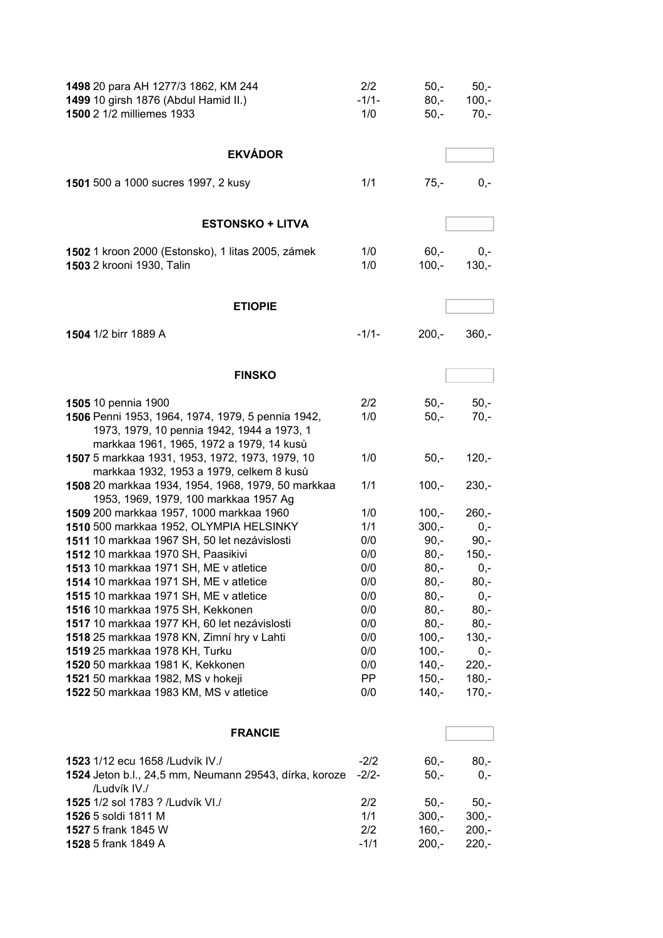| 1498 20 para AH 1277/3 1862, KM 244<br>1499 10 girsh 1876 (Abdul Hamid II.)<br>1500 2 1/2 milliemes 1933                                    | 2/2<br>$-1/1-$<br>1/0 | $50,-$<br>$80,-$<br>$50,-$ | $50,-$<br>$100,-$<br>$70,-$ |
|---------------------------------------------------------------------------------------------------------------------------------------------|-----------------------|----------------------------|-----------------------------|
| <b>EKVÁDOR</b>                                                                                                                              |                       |                            |                             |
| 1501 500 a 1000 sucres 1997, 2 kusy                                                                                                         | 1/1                   | $75,-$                     | $0,-$                       |
| <b>ESTONSKO + LITVA</b>                                                                                                                     |                       |                            |                             |
| 1502 1 kroon 2000 (Estonsko), 1 litas 2005, zámek<br>1503 2 krooni 1930, Talin                                                              | 1/0<br>1/0            | $60 -$<br>$100 -$          | $0,-$<br>$130,-$            |
| <b>ETIOPIE</b>                                                                                                                              |                       |                            |                             |
| 1504 1/2 birr 1889 A                                                                                                                        | $-1/1-$               | $200,-$                    | $360,-$                     |
| <b>FINSKO</b>                                                                                                                               |                       |                            |                             |
|                                                                                                                                             |                       |                            |                             |
| 1505 10 pennia 1900                                                                                                                         | 2/2                   | $50 -$                     | $50,-$                      |
| 1506 Penni 1953, 1964, 1974, 1979, 5 pennia 1942,<br>1973, 1979, 10 pennia 1942, 1944 a 1973, 1<br>markkaa 1961, 1965, 1972 a 1979, 14 kusů | 1/0                   | $50,-$                     | $70,-$                      |
| 1507 5 markkaa 1931, 1953, 1972, 1973, 1979, 10<br>markkaa 1932, 1953 a 1979, celkem 8 kusů                                                 | 1/0                   | $50,-$                     | $120,-$                     |
| 1508 20 markkaa 1934, 1954, 1968, 1979, 50 markkaa<br>1953, 1969, 1979, 100 markkaa 1957 Ag                                                 | 1/1                   | $100,-$                    | $230,-$                     |
| 1509 200 markkaa 1957, 1000 markkaa 1960                                                                                                    | 1/0                   | $100 -$                    | $260,-$                     |
| 1510 500 markkaa 1952, OLYMPIA HELSINKY                                                                                                     | 1/1                   | $300,-$                    | $0,-$                       |
| 1511 10 markkaa 1967 SH, 50 let nezávislosti                                                                                                | 0/0                   | $90, -$                    | $90,-$                      |
| 1512 10 markkaa 1970 SH, Paasikivi                                                                                                          | 0/0                   | $80,-$                     | $150,-$                     |
| 1513 10 markkaa 1971 SH, ME v atletice                                                                                                      | 0/0                   | $80,-$                     | $0,-$                       |
| 1514 10 markkaa 1971 SH, ME v atletice                                                                                                      | 0/0                   | $80,-$                     | 80,-                        |
| 1515 10 markkaa 1971 SH, ME v atletice<br>1516 10 markkaa 1975 SH, Kekkonen                                                                 | 0/0                   | $80,-$<br>$80,-$           | $0,-$                       |
| 1517 10 markkaa 1977 KH, 60 let nezávislosti                                                                                                | 0/0<br>0/0            | $80,-$                     | $80,-$<br>$80,-$            |
| 1518 25 markkaa 1978 KN, Zimní hry v Lahti                                                                                                  | 0/0                   | $100,-$                    | $130,-$                     |
| 1519 25 markkaa 1978 KH, Turku                                                                                                              | 0/0                   | $100,-$                    | $0,-$                       |
| 1520 50 markkaa 1981 K, Kekkonen                                                                                                            | 0/0                   | $140,-$                    | $220,-$                     |
| 1521 50 markkaa 1982, MS v hokeji                                                                                                           | PP.                   | $150,-$                    | $180,-$                     |
| 1522 50 markkaa 1983 KM, MS v atletice                                                                                                      | 0/0                   | $140,-$                    | $170,-$                     |
| <b>FRANCIE</b>                                                                                                                              |                       |                            |                             |
| 1523 1/12 ecu 1658 /Ludvík IV./                                                                                                             | $-2/2$                | $60,-$                     | $80,-$                      |
| 1524 Jeton b.l., 24,5 mm, Neumann 29543, dírka, koroze<br>/Ludvík IV./                                                                      | $-2/2-$               | $50,-$                     | $0,-$                       |
| 1525 1/2 sol 1783 ? /Ludvík VI./                                                                                                            | 2/2                   | $50,-$                     | $50,-$                      |
| 1526 5 soldi 1811 M                                                                                                                         | 1/1                   | $300,-$                    | $300,-$                     |
| 1527 5 frank 1845 W                                                                                                                         | 2/2                   | $160,-$                    | $200,-$                     |
| 1528 5 frank 1849 A                                                                                                                         | $-1/1$                | $200,-$                    | $220,-$                     |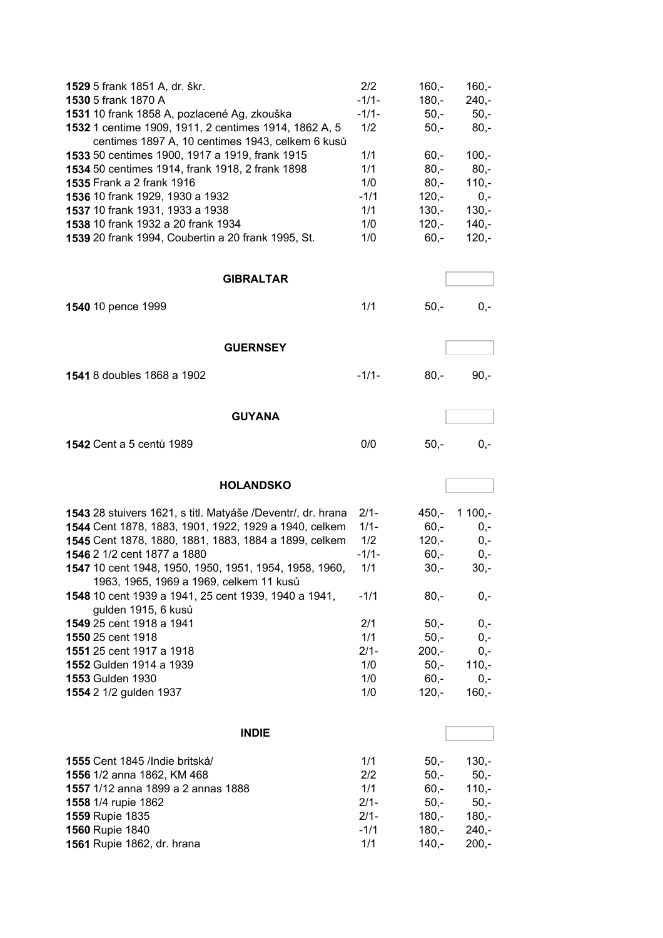| 1529 5 frank 1851 A, dr. škr.<br>1530 5 frank 1870 A<br>1531 10 frank 1858 A, pozlacené Ag, zkouška<br>1532 1 centime 1909, 1911, 2 centimes 1914, 1862 A, 5<br>centimes 1897 A, 10 centimes 1943, celkem 6 kusů<br>1533 50 centimes 1900, 1917 a 1919, frank 1915<br>1534 50 centimes 1914, frank 1918, 2 frank 1898<br>1535 Frank a 2 frank 1916<br>1536 10 frank 1929, 1930 a 1932<br>1537 10 frank 1931, 1933 a 1938<br>1538 10 frank 1932 a 20 frank 1934<br>1539 20 frank 1994, Coubertin a 20 frank 1995, St.<br><b>GIBRALTAR</b> | 2/2<br>$-1/1-$<br>$-1/1-$<br>1/2<br>1/1<br>1/1<br>1/0<br>$-1/1$<br>1/1<br>1/0<br>1/0 | $160 -$<br>$180 -$<br>$50,-$<br>$50,-$<br>$60,-$<br>$80,-$<br>$80,-$<br>$120,-$<br>$130,-$<br>$120,-$<br>$60,-$ | $160,-$<br>$240,-$<br>$50,-$<br>$80,-$<br>$100,-$<br>$80,-$<br>$110,-$<br>$0,-$<br>$130 -$<br>$140,-$<br>$120,-$ |
|------------------------------------------------------------------------------------------------------------------------------------------------------------------------------------------------------------------------------------------------------------------------------------------------------------------------------------------------------------------------------------------------------------------------------------------------------------------------------------------------------------------------------------------|--------------------------------------------------------------------------------------|-----------------------------------------------------------------------------------------------------------------|------------------------------------------------------------------------------------------------------------------|
|                                                                                                                                                                                                                                                                                                                                                                                                                                                                                                                                          |                                                                                      |                                                                                                                 |                                                                                                                  |
| 1540 10 pence 1999                                                                                                                                                                                                                                                                                                                                                                                                                                                                                                                       | 1/1                                                                                  | $50,-$                                                                                                          | $0,-$                                                                                                            |
| <b>GUERNSEY</b>                                                                                                                                                                                                                                                                                                                                                                                                                                                                                                                          |                                                                                      |                                                                                                                 |                                                                                                                  |
| 1541 8 doubles 1868 a 1902                                                                                                                                                                                                                                                                                                                                                                                                                                                                                                               | $-1/1-$                                                                              | $80,-$                                                                                                          | $90,-$                                                                                                           |
| <b>GUYANA</b>                                                                                                                                                                                                                                                                                                                                                                                                                                                                                                                            |                                                                                      |                                                                                                                 |                                                                                                                  |
| 1542 Cent a 5 centů 1989                                                                                                                                                                                                                                                                                                                                                                                                                                                                                                                 | 0/0                                                                                  | $50,-$                                                                                                          | $0,-$                                                                                                            |
| <b>HOLANDSKO</b>                                                                                                                                                                                                                                                                                                                                                                                                                                                                                                                         |                                                                                      |                                                                                                                 |                                                                                                                  |
| 1543 28 stuivers 1621, s titl. Matyáše /Deventr/, dr. hrana                                                                                                                                                                                                                                                                                                                                                                                                                                                                              | $2/1 -$                                                                              | $450 -$                                                                                                         | $1100,-$                                                                                                         |
|                                                                                                                                                                                                                                                                                                                                                                                                                                                                                                                                          |                                                                                      | $60 -$                                                                                                          | $0,-$                                                                                                            |
| 1544 Cent 1878, 1883, 1901, 1922, 1929 a 1940, celkem                                                                                                                                                                                                                                                                                                                                                                                                                                                                                    | $1/1 -$                                                                              |                                                                                                                 |                                                                                                                  |
| 1545 Cent 1878, 1880, 1881, 1883, 1884 a 1899, celkem                                                                                                                                                                                                                                                                                                                                                                                                                                                                                    | 1/2                                                                                  | $120 -$                                                                                                         | $0,-$                                                                                                            |
| 1546 2 1/2 cent 1877 a 1880                                                                                                                                                                                                                                                                                                                                                                                                                                                                                                              | $-1/1-$                                                                              | $60,-$                                                                                                          | $0,-$                                                                                                            |
| 1547 10 cent 1948, 1950, 1950, 1951, 1954, 1958, 1960,                                                                                                                                                                                                                                                                                                                                                                                                                                                                                   | 1/1                                                                                  | $30 -$                                                                                                          | $30 -$                                                                                                           |
| 1963, 1965, 1969 a 1969, celkem 11 kusů<br>1548 10 cent 1939 a 1941, 25 cent 1939, 1940 a 1941,<br>gulden 1915, 6 kusů                                                                                                                                                                                                                                                                                                                                                                                                                   | $-1/1$                                                                               | $80,-$                                                                                                          | 0,-                                                                                                              |
| 1549 25 cent 1918 a 1941                                                                                                                                                                                                                                                                                                                                                                                                                                                                                                                 | 2/1                                                                                  | $50,-$                                                                                                          | $0,-$                                                                                                            |
| 1550 25 cent 1918                                                                                                                                                                                                                                                                                                                                                                                                                                                                                                                        | 1/1                                                                                  | $50,-$                                                                                                          | $0,-$                                                                                                            |
| 1551 25 cent 1917 a 1918                                                                                                                                                                                                                                                                                                                                                                                                                                                                                                                 | $2/1 -$                                                                              | $200,-$                                                                                                         | $0,-$                                                                                                            |
| 1552 Gulden 1914 a 1939                                                                                                                                                                                                                                                                                                                                                                                                                                                                                                                  | 1/0                                                                                  | $50,-$                                                                                                          | $110,-$                                                                                                          |
| 1553 Gulden 1930<br>1554 2 1/2 gulden 1937                                                                                                                                                                                                                                                                                                                                                                                                                                                                                               | 1/0<br>1/0                                                                           | $60,-$<br>$120,-$                                                                                               | $0,-$<br>$160,-$                                                                                                 |
|                                                                                                                                                                                                                                                                                                                                                                                                                                                                                                                                          |                                                                                      |                                                                                                                 |                                                                                                                  |
| <b>INDIE</b>                                                                                                                                                                                                                                                                                                                                                                                                                                                                                                                             |                                                                                      |                                                                                                                 |                                                                                                                  |
| 1555 Cent 1845 /Indie britská/                                                                                                                                                                                                                                                                                                                                                                                                                                                                                                           | 1/1                                                                                  | $50,-$                                                                                                          | $130,-$                                                                                                          |
| 1556 1/2 anna 1862, KM 468                                                                                                                                                                                                                                                                                                                                                                                                                                                                                                               | 2/2                                                                                  | $50,-$                                                                                                          | $50,-$                                                                                                           |
| 1557 1/12 anna 1899 a 2 annas 1888                                                                                                                                                                                                                                                                                                                                                                                                                                                                                                       | 1/1                                                                                  | $60,-$                                                                                                          | $110,-$                                                                                                          |
| 1558 1/4 rupie 1862                                                                                                                                                                                                                                                                                                                                                                                                                                                                                                                      | $2/1-$                                                                               | $50,-$                                                                                                          | $50,-$                                                                                                           |
| 1559 Rupie 1835<br>1560 Rupie 1840                                                                                                                                                                                                                                                                                                                                                                                                                                                                                                       | $2/1-$<br>$-1/1$                                                                     | $180,-$<br>$180,-$                                                                                              | $180,-$<br>$240,-$                                                                                               |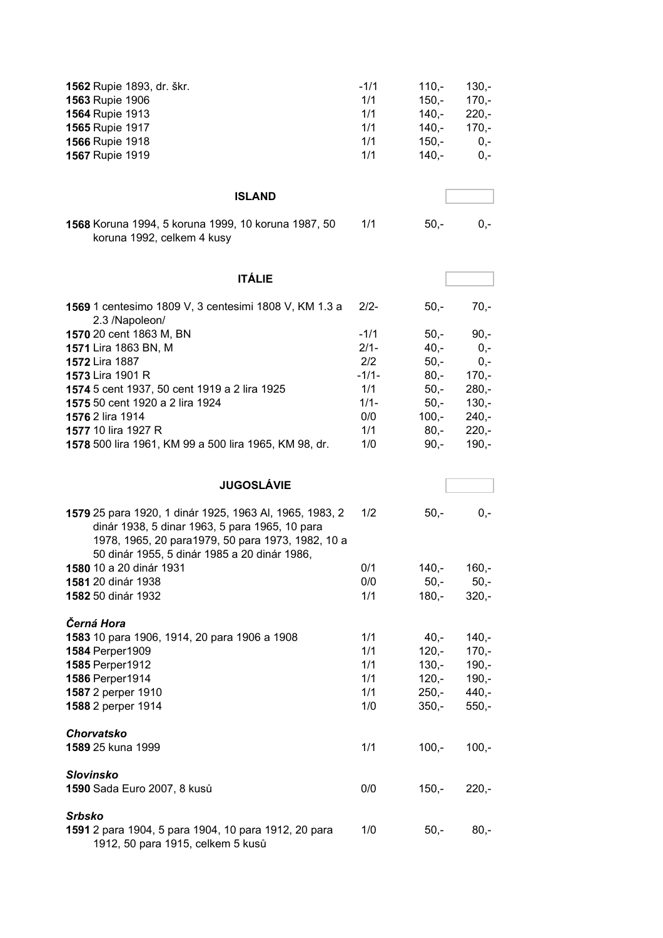| 1562 Rupie 1893, dr. škr.<br>1563 Rupie 1906<br>1564 Rupie 1913<br>1565 Rupie 1917<br>1566 Rupie 1918<br>1567 Rupie 1919                                                                                       | $-1/1$<br>1/1<br>1/1<br>1/1<br>1/1<br>1/1 | $110,-$<br>$150,-$<br>$140,-$<br>$140,-$<br>$150,-$<br>$140,-$ | $130,-$<br>$170,-$<br>$220,-$<br>$170,-$<br>$0,-$<br>$0,-$ |
|----------------------------------------------------------------------------------------------------------------------------------------------------------------------------------------------------------------|-------------------------------------------|----------------------------------------------------------------|------------------------------------------------------------|
| <b>ISLAND</b>                                                                                                                                                                                                  |                                           |                                                                |                                                            |
| 1568 Koruna 1994, 5 koruna 1999, 10 koruna 1987, 50<br>koruna 1992, celkem 4 kusy                                                                                                                              | 1/1                                       | $50,-$                                                         | $0,-$                                                      |
| <b>ITÁLIE</b>                                                                                                                                                                                                  |                                           |                                                                |                                                            |
| 1569 1 centesimo 1809 V, 3 centesimi 1808 V, KM 1.3 a<br>2.3 /Napoleon/                                                                                                                                        | $2/2-$                                    | $50,-$                                                         | $70,-$                                                     |
| 1570 20 cent 1863 M, BN                                                                                                                                                                                        | $-1/1$                                    | $50,-$                                                         | $90,-$                                                     |
| 1571 Lira 1863 BN, M                                                                                                                                                                                           | $2/1 -$                                   | $40,-$                                                         | $0,-$                                                      |
| 1572 Lira 1887                                                                                                                                                                                                 | 2/2                                       | $50,-$                                                         | $0,-$                                                      |
| 1573 Lira 1901 R                                                                                                                                                                                               | $-1/1-$                                   | $80,-$                                                         | $170,-$                                                    |
| 1574 5 cent 1937, 50 cent 1919 a 2 lira 1925                                                                                                                                                                   | 1/1                                       | $50,-$                                                         | $280,-$                                                    |
| 1575 50 cent 1920 a 2 lira 1924                                                                                                                                                                                | $1/1 -$                                   | $50,-$                                                         | $130 -$                                                    |
| 1576 2 lira 1914                                                                                                                                                                                               | 0/0                                       | $100,-$                                                        | $240,-$                                                    |
| 1577 10 lira 1927 R                                                                                                                                                                                            | 1/1                                       | $80,-$                                                         | $220,-$                                                    |
| 1578 500 lira 1961, KM 99 a 500 lira 1965, KM 98, dr.                                                                                                                                                          | 1/0                                       | $90, -$                                                        | $190,-$                                                    |
| <b>JUGOSLÁVIE</b>                                                                                                                                                                                              |                                           |                                                                |                                                            |
|                                                                                                                                                                                                                |                                           |                                                                |                                                            |
| 1579 25 para 1920, 1 dinár 1925, 1963 Al, 1965, 1983, 2<br>dinár 1938, 5 dinar 1963, 5 para 1965, 10 para<br>1978, 1965, 20 para1979, 50 para 1973, 1982, 10 a<br>50 dinár 1955, 5 dinár 1985 a 20 dinár 1986, | 1/2                                       | $50,-$                                                         | $0,-$                                                      |
| 1580 10 a 20 dinár 1931                                                                                                                                                                                        | 0/1                                       | $140,-$                                                        | $160,-$                                                    |
| 1581 20 dinár 1938                                                                                                                                                                                             | 0/0                                       | $50,-$                                                         | $50,-$                                                     |
| 1582 50 dinár 1932                                                                                                                                                                                             | 1/1                                       | $180,-$                                                        | $320,-$                                                    |
| Černá Hora<br>1583 10 para 1906, 1914, 20 para 1906 a 1908                                                                                                                                                     | 1/1                                       | $40,-$                                                         | $140,-$                                                    |
| 1584 Perper1909                                                                                                                                                                                                | 1/1                                       | $120,-$                                                        | $170,-$                                                    |
| 1585 Perper1912                                                                                                                                                                                                | 1/1                                       | $130 -$                                                        | $190,-$                                                    |
| 1586 Perper1914                                                                                                                                                                                                | 1/1                                       | $120,-$                                                        | $190 -$                                                    |
| 1587 2 perper 1910                                                                                                                                                                                             | 1/1                                       | $250,-$                                                        | $440,-$                                                    |
| 1588 2 perper 1914                                                                                                                                                                                             | 1/0                                       | $350,-$                                                        | $550,-$                                                    |
| Chorvatsko<br>1589 25 kuna 1999                                                                                                                                                                                | 1/1                                       | $100,-$                                                        | $100,-$                                                    |
| <b>Slovinsko</b><br>1590 Sada Euro 2007, 8 kusů                                                                                                                                                                | 0/0                                       | $150,-$                                                        | $220,-$                                                    |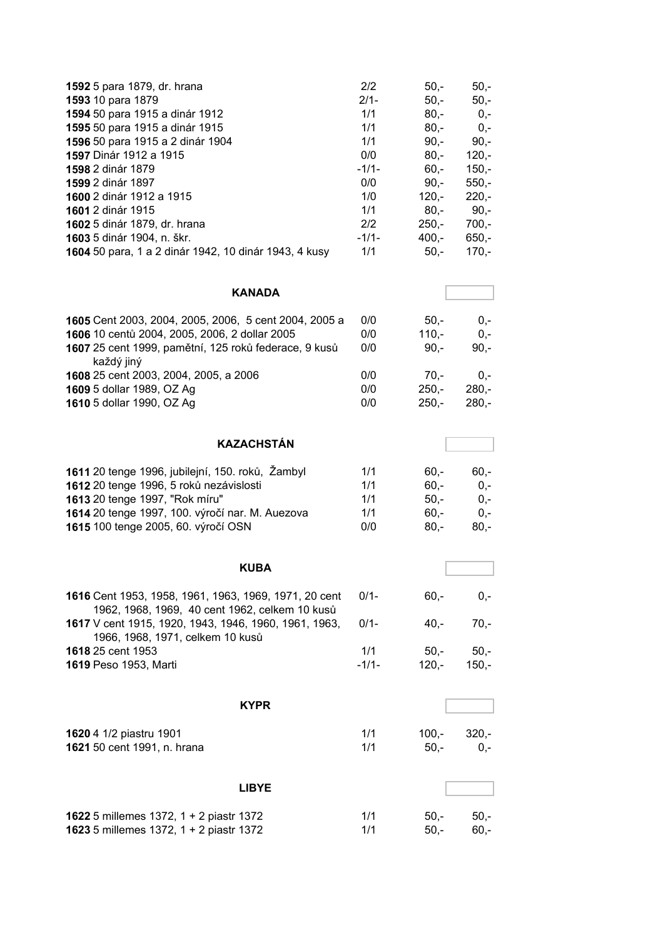| 1592 5 para 1879, dr. hrana                           | 2/2     | $50,-$  | $50,-$  |
|-------------------------------------------------------|---------|---------|---------|
| 1593 10 para 1879                                     | $2/1-$  | $50,-$  | $50,-$  |
| 1594 50 para 1915 a dinár 1912                        | 1/1     | $80 -$  | $0,-$   |
| 1595 50 para 1915 a dinár 1915                        | 1/1     | $80 -$  | $0,-$   |
| 1596 50 para 1915 a 2 dinár 1904                      | 1/1     | $90 -$  | $90,-$  |
| <b>1597</b> Dinár 1912 a 1915                         | 0/0     | $80 -$  | $120 -$ |
| <b>1598 2 dinár 1879</b>                              | $-1/1-$ | $60 -$  | $150 -$ |
| <b>1599 2 dinár 1897</b>                              | 0/0     | $90 -$  | $550 -$ |
| 1600 2 dinár 1912 a 1915                              | 1/0     | $120 -$ | $220 -$ |
| 1601 2 dinár 1915                                     | 1/1     | $80 -$  | $90,-$  |
| 1602 5 dinár 1879, dr. hrana                          | 2/2     | $250 -$ | $700,-$ |
| 1603 5 dinár 1904, n. škr.                            | $-1/1-$ | $400 -$ | $650 -$ |
| 1604 50 para, 1 a 2 dinár 1942, 10 dinár 1943, 4 kusy | 1/1     | $50,-$  | $170,-$ |

| <b>KANADA</b>                                                       |     |         |         |
|---------------------------------------------------------------------|-----|---------|---------|
| 1605 Cent 2003, 2004, 2005, 2006, 5 cent 2004, 2005 a               | 0/0 | $50 -$  | $0 -$   |
| 1606 10 centů 2004, 2005, 2006, 2 dollar 2005                       | 0/0 | $110 -$ | $0 -$   |
| 1607 25 cent 1999, pamětní, 125 roků federace, 9 kusů<br>každý jiný | 0/0 | $90 -$  | $90 -$  |
| 1608 25 cent 2003, 2004, 2005, a 2006                               | 0/0 | $70 -$  | $0 -$   |
| 1609 5 dollar 1989, OZ Ag                                           | 0/0 | $250 -$ | $280 -$ |
| 1610 5 dollar 1990, OZ Ag                                           | 0/0 | $250 -$ | $280 -$ |

| 1611 20 tenge 1996, jubilejní, 150. roků, Žambyl | 1/1 | $60 -$ | $60 -$ |
|--------------------------------------------------|-----|--------|--------|
| 1612 20 tenge 1996, 5 roků nezávislosti          | 1/1 | $60 -$ | $0 -$  |
| 1613 20 tenge 1997, "Rok míru"                   | 1/1 | $50 -$ | $0 -$  |
| 1614 20 tenge 1997, 100. výročí nar. M. Auezova  | 1/1 | $60 -$ | $0 -$  |
| 1615 100 tenge 2005, 60. výročí OSN              | 0/0 | $80 -$ | $80 -$ |

**KAZACHSTÁN**

| <b>KUBA</b>                                                                                             |                |                   |                   |
|---------------------------------------------------------------------------------------------------------|----------------|-------------------|-------------------|
| 1616 Cent 1953, 1958, 1961, 1963, 1969, 1971, 20 cent<br>1962, 1968, 1969, 40 cent 1962, celkem 10 kusů | $0/1 -$        | 60.-              | $0 -$             |
| <b>1617</b> V cent 1915, 1920, 1943, 1946, 1960, 1961, 1963,<br>1966, 1968, 1971, celkem 10 kusů        | $0/1 -$        | $40 -$            | $70 -$            |
| <b>1618</b> 25 cent 1953<br><b>1619 Peso 1953, Marti</b>                                                | 1/1<br>$-1/1-$ | $50 -$<br>$120 -$ | $50 -$<br>$150 -$ |

|                                                        | <b>KYPR</b>  |                   |                  |
|--------------------------------------------------------|--------------|-------------------|------------------|
| 1620 4 1/2 piastru 1901<br>1621 50 cent 1991, n. hrana | 1/1<br>1/1   | $100 -$<br>$50 -$ | $320 -$<br>$0 -$ |
|                                                        | <b>LIBYE</b> |                   |                  |

| <b>1622</b> 5 millemes 1372, $1 + 2$ piastr 1372 | 1/1 | 50.- 50.- |        |
|--------------------------------------------------|-----|-----------|--------|
| 1623 5 millemes 1372, 1 + 2 piastr 1372          | 1/1 | 50.-      | - 60.- |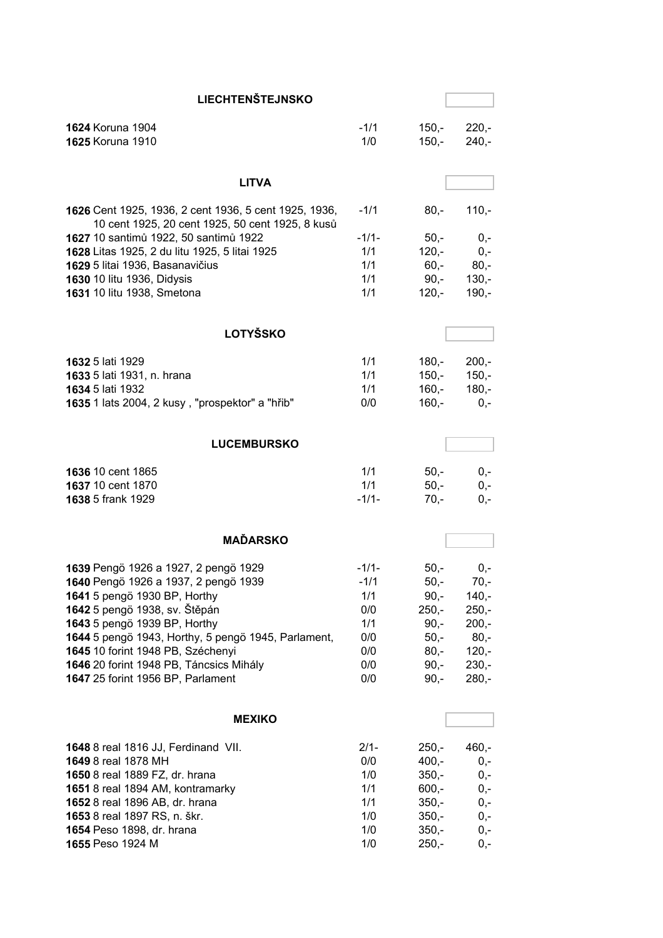| <b>LIECHTENŠTEJNSKO</b>                                                                                                                                                                                                                                                                                                                                   |                                                                    |                                                                                            |                                                                                           |
|-----------------------------------------------------------------------------------------------------------------------------------------------------------------------------------------------------------------------------------------------------------------------------------------------------------------------------------------------------------|--------------------------------------------------------------------|--------------------------------------------------------------------------------------------|-------------------------------------------------------------------------------------------|
| 1624 Koruna 1904<br>1625 Koruna 1910                                                                                                                                                                                                                                                                                                                      | $-1/1$<br>1/0                                                      | $150 -$<br>$150,-$                                                                         | $220,-$<br>$240,-$                                                                        |
| <b>LITVA</b>                                                                                                                                                                                                                                                                                                                                              |                                                                    |                                                                                            |                                                                                           |
| 1626 Cent 1925, 1936, 2 cent 1936, 5 cent 1925, 1936,<br>10 cent 1925, 20 cent 1925, 50 cent 1925, 8 kusů                                                                                                                                                                                                                                                 | $-1/1$                                                             | $80,-$                                                                                     | $110,-$                                                                                   |
| 1627 10 santimů 1922, 50 santimů 1922<br>1628 Litas 1925, 2 du litu 1925, 5 litai 1925<br>1629 5 litai 1936, Basanavičius                                                                                                                                                                                                                                 | $-1/1-$<br>1/1<br>1/1                                              | $50,-$<br>$120 -$<br>$60 -$                                                                | $0,-$<br>$0,-$<br>$80,-$                                                                  |
| 1630 10 litu 1936, Didysis<br>1631 10 litu 1938, Smetona                                                                                                                                                                                                                                                                                                  | 1/1<br>1/1                                                         | $90 -$<br>$120,-$                                                                          | $130,-$<br>$190,-$                                                                        |
| <b>LOTYŠSKO</b>                                                                                                                                                                                                                                                                                                                                           |                                                                    |                                                                                            |                                                                                           |
| 1632 5 lati 1929<br>1633 5 lati 1931, n. hrana<br>1634 5 lati 1932                                                                                                                                                                                                                                                                                        | 1/1<br>1/1<br>1/1                                                  | $180,-$<br>$150 -$<br>$160 -$                                                              | $200 -$<br>$150,-$<br>$180,-$                                                             |
| 1635 1 lats 2004, 2 kusy, "prospektor" a "hřib"                                                                                                                                                                                                                                                                                                           | 0/0                                                                | $160,-$                                                                                    | $0,-$                                                                                     |
| <b>LUCEMBURSKO</b>                                                                                                                                                                                                                                                                                                                                        |                                                                    |                                                                                            |                                                                                           |
| 1636 10 cent 1865<br>1637 10 cent 1870<br>1638 5 frank 1929                                                                                                                                                                                                                                                                                               | 1/1<br>1/1<br>$-1/1-$                                              | $50,-$<br>$50,-$<br>$70,-$                                                                 | $0,-$<br>$0,-$<br>$0,-$                                                                   |
| <b>MAĎARSKO</b>                                                                                                                                                                                                                                                                                                                                           |                                                                    |                                                                                            |                                                                                           |
| 1639 Pengö 1926 a 1927, 2 pengö 1929<br>1640 Pengö 1926 a 1937, 2 pengö 1939<br>1641 5 pengö 1930 BP, Horthy<br>1642 5 pengö 1938, sv. Štěpán<br>1643 5 pengö 1939 BP, Horthy<br>1644 5 pengö 1943, Horthy, 5 pengö 1945, Parlament,<br>1645 10 forint 1948 PB, Széchenyi<br>1646 20 forint 1948 PB, Táncsics Mihály<br>1647 25 forint 1956 BP, Parlament | $-1/1-$<br>$-1/1$<br>1/1<br>0/0<br>1/1<br>0/0<br>0/0<br>0/0<br>0/0 | $50,-$<br>$50,-$<br>$90, -$<br>$250 -$<br>$90,-$<br>$50,-$<br>$80,-$<br>$90, -$<br>$90, -$ | $0,-$<br>70.-<br>$140,-$<br>$250,-$<br>$200,-$<br>$80,-$<br>$120,-$<br>$230,-$<br>$280,-$ |
| <b>MEXIKO</b>                                                                                                                                                                                                                                                                                                                                             |                                                                    |                                                                                            |                                                                                           |
| 1648 8 real 1816 JJ, Ferdinand VII.<br><b>1649</b> 8 real 1878 MH<br>1650 8 real 1889 FZ, dr. hrana<br>1651 8 real 1894 AM, kontramarky<br>1652 8 real 1896 AB, dr. hrana<br>1653 8 real 1897 RS, n. škr.<br>1654 Peso 1898, dr. hrana<br>1655 Peso 1924 M                                                                                                | $2/1 -$<br>0/0<br>1/0<br>1/1<br>1/1<br>1/0<br>1/0<br>1/0           | $250,-$<br>$400,-$<br>$350,-$<br>$600,-$<br>$350,-$<br>$350,-$<br>$350,-$<br>$250,-$       | $460,-$<br>$0,-$<br>$0,-$<br>$0,-$<br>$0,-$<br>0,-<br>$0,-$<br>0,-                        |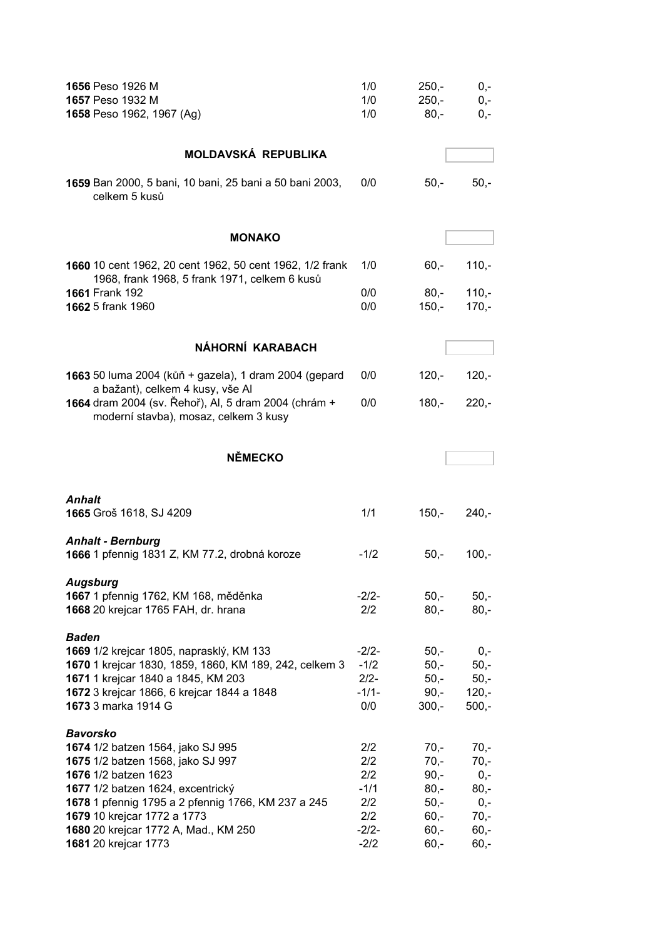| 1656 Peso 1926 M<br>1657 Peso 1932 M<br>1658 Peso 1962, 1967 (Ag)                                                                                                                                                                                                                                                  | 1/0<br>1/0<br>1/0                                              | $250 -$<br>$250,-$<br>$80,-$                                                  | $0,-$<br>$0,-$<br>$0,-$                                                    |
|--------------------------------------------------------------------------------------------------------------------------------------------------------------------------------------------------------------------------------------------------------------------------------------------------------------------|----------------------------------------------------------------|-------------------------------------------------------------------------------|----------------------------------------------------------------------------|
| <b>MOLDAVSKÁ REPUBLIKA</b>                                                                                                                                                                                                                                                                                         |                                                                |                                                                               |                                                                            |
| 1659 Ban 2000, 5 bani, 10 bani, 25 bani a 50 bani 2003,<br>celkem 5 kusů                                                                                                                                                                                                                                           | 0/0                                                            | $50,-$                                                                        | $50,-$                                                                     |
| <b>MONAKO</b>                                                                                                                                                                                                                                                                                                      |                                                                |                                                                               |                                                                            |
| 1660 10 cent 1962, 20 cent 1962, 50 cent 1962, 1/2 frank<br>1968, frank 1968, 5 frank 1971, celkem 6 kusů                                                                                                                                                                                                          | 1/0                                                            | $60, -$                                                                       | $110,-$                                                                    |
| 1661 Frank 192<br>1662 5 frank 1960                                                                                                                                                                                                                                                                                | 0/0<br>0/0                                                     | $80,-$<br>150,-                                                               | $110,-$<br>$170,-$                                                         |
| NÁHORNÍ KARABACH                                                                                                                                                                                                                                                                                                   |                                                                |                                                                               |                                                                            |
| 1663 50 luma 2004 (kůň + gazela), 1 dram 2004 (gepard<br>a bažant), celkem 4 kusy, vše Al                                                                                                                                                                                                                          | 0/0                                                            | $120,-$                                                                       | $120,-$                                                                    |
| 1664 dram 2004 (sv. Řehoř), Al, 5 dram 2004 (chrám +<br>moderní stavba), mosaz, celkem 3 kusy                                                                                                                                                                                                                      | 0/0                                                            | 180,-                                                                         | $220 -$                                                                    |
| <b>NĚMECKO</b>                                                                                                                                                                                                                                                                                                     |                                                                |                                                                               |                                                                            |
| Anhalt<br>1665 Groš 1618, SJ 4209                                                                                                                                                                                                                                                                                  | 1/1                                                            | $150,-$                                                                       | $240 -$                                                                    |
| <b>Anhalt - Bernburg</b><br>1666 1 pfennig 1831 Z, KM 77.2, drobná koroze                                                                                                                                                                                                                                          | $-1/2$                                                         | $50,-$                                                                        | $100,-$                                                                    |
| <b>Augsburg</b><br>1667 1 pfennig 1762, KM 168, měděnka<br>1668 20 krejcar 1765 FAH, dr. hrana                                                                                                                                                                                                                     | $-2/2-$<br>2/2                                                 | $50,-$<br>$80,-$                                                              | $50,-$<br>$80,-$                                                           |
| <b>Baden</b><br>1669 1/2 krejcar 1805, naprasklý, KM 133<br>1670 1 krejcar 1830, 1859, 1860, KM 189, 242, celkem 3<br>1671 1 krejcar 1840 a 1845, KM 203<br>1672 3 krejcar 1866, 6 krejcar 1844 a 1848<br>1673 3 marka 1914 G                                                                                      | $-2/2-$<br>$-1/2$<br>$2/2 -$<br>$-1/1-$<br>0/0                 | $50,-$<br>$50 -$<br>$50,-$<br>$90, -$<br>$300,-$                              | $0,-$<br>$50,-$<br>$50,-$<br>$120,-$<br>$500,-$                            |
| <b>Bavorsko</b><br>1674 1/2 batzen 1564, jako SJ 995<br>1675 1/2 batzen 1568, jako SJ 997<br><b>1676</b> 1/2 batzen 1623<br>1677 1/2 batzen 1624, excentrický<br>1678 1 pfennig 1795 a 2 pfennig 1766, KM 237 a 245<br>1679 10 krejcar 1772 a 1773<br>1680 20 krejcar 1772 A, Mad., KM 250<br>1681 20 krejcar 1773 | 2/2<br>2/2<br>2/2<br>$-1/1$<br>2/2<br>2/2<br>$-2/2-$<br>$-2/2$ | $70,-$<br>$70,-$<br>$90,-$<br>$80,-$<br>$50,-$<br>$60,-$<br>$60,-$<br>$60, -$ | $70,-$<br>$70,-$<br>$0,-$<br>$80,-$<br>$0,-$<br>$70,-$<br>$60,-$<br>$60,-$ |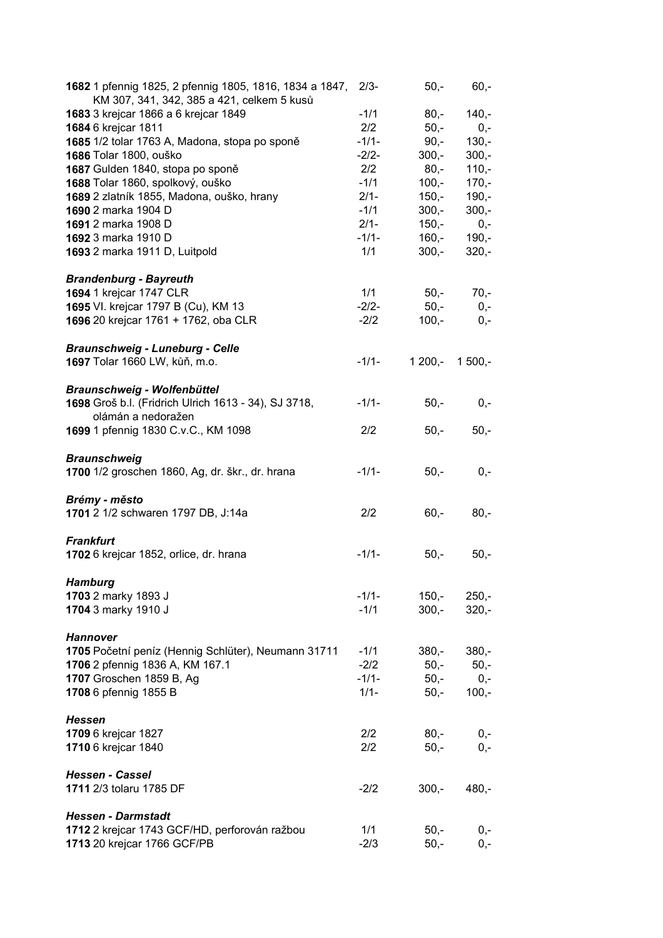| 1682 1 pfennig 1825, 2 pfennig 1805, 1816, 1834 a 1847, 2/3-<br>KM 307, 341, 342, 385 a 421, celkem 5 kusů |         | $50,-$   | $60,-$   |
|------------------------------------------------------------------------------------------------------------|---------|----------|----------|
| 1683 3 krejcar 1866 a 6 krejcar 1849                                                                       | $-1/1$  | $80,-$   | $140 -$  |
| 1684 6 krejcar 1811                                                                                        | 2/2     | $50,-$   | $0,-$    |
| 1685 1/2 tolar 1763 A, Madona, stopa po sponě                                                              | $-1/1-$ | $90,-$   | $130,-$  |
| 1686 Tolar 1800, ouško                                                                                     | $-2/2-$ | $300,-$  | $300,-$  |
|                                                                                                            |         |          |          |
| 1687 Gulden 1840, stopa po sponě                                                                           | 2/2     | 80,-     | $110,-$  |
| 1688 Tolar 1860, spolkový, ouško                                                                           | $-1/1$  | $100,-$  | $170,-$  |
| 1689 2 zlatník 1855, Madona, ouško, hrany                                                                  | $2/1 -$ | $150,-$  | $190,-$  |
| 1690 2 marka 1904 D                                                                                        | $-1/1$  | $300,-$  | $300,-$  |
| 1691 2 marka 1908 D                                                                                        | $2/1 -$ | $150,-$  | $0,-$    |
| 1692 3 marka 1910 D                                                                                        | $-1/1-$ | $160,-$  | $190,-$  |
| 1693 2 marka 1911 D, Luitpold                                                                              | 1/1     | $300,-$  | $320,-$  |
| <b>Brandenburg - Bayreuth</b>                                                                              |         |          |          |
| 1694 1 krejcar 1747 CLR                                                                                    | 1/1     | 50,-     | $70,-$   |
| 1695 VI. krejcar 1797 B (Cu), KM 13                                                                        | $-2/2-$ | $50,-$   | $0,-$    |
| 1696 20 krejcar 1761 + 1762, oba CLR                                                                       | $-2/2$  | $100,-$  | $0,-$    |
|                                                                                                            |         |          |          |
| <b>Braunschweig - Luneburg - Celle</b>                                                                     |         |          |          |
| 1697 Tolar 1660 LW, kůň, m.o.                                                                              | $-1/1-$ | $1200,-$ | $1500,-$ |
| <b>Braunschweig - Wolfenbüttel</b>                                                                         |         |          |          |
| 1698 Groš b.l. (Fridrich Ulrich 1613 - 34), SJ 3718,                                                       | $-1/1-$ | $50,-$   | $0,-$    |
| olámán a nedoražen                                                                                         |         |          |          |
| 1699 1 pfennig 1830 C.v.C., KM 1098                                                                        | 2/2     | $50,-$   | $50,-$   |
| <b>Braunschweig</b>                                                                                        |         |          |          |
| 1700 1/2 groschen 1860, Ag, dr. škr., dr. hrana                                                            | $-1/1-$ | $50,-$   | $0,-$    |
|                                                                                                            |         |          |          |
| Brémy - město                                                                                              | 2/2     |          |          |
| 1701 2 1/2 schwaren 1797 DB, J:14a                                                                         |         | $60,-$   | $80,-$   |
| <b>Frankfurt</b>                                                                                           |         |          |          |
| 1702 6 krejcar 1852, orlice, dr. hrana                                                                     | $-1/1-$ | $50,-$   | $50,-$   |
| <b>Hamburg</b>                                                                                             |         |          |          |
| 1703 2 marky 1893 J                                                                                        | $-1/1-$ | $150,-$  | $250,-$  |
| 1704 3 marky 1910 J                                                                                        | $-1/1$  | $300,-$  | $320,-$  |
| <b>Hannover</b>                                                                                            |         |          |          |
| 1705 Početní peníz (Hennig Schlüter), Neumann 31711                                                        | $-1/1$  | $380,-$  | $380,-$  |
|                                                                                                            |         |          |          |
| 1706 2 pfennig 1836 A, KM 167.1                                                                            | $-2/2$  | $50,-$   | $50,-$   |
| 1707 Groschen 1859 B, Ag                                                                                   | $-1/1-$ | $50,-$   | $0,-$    |
| 1708 6 pfennig 1855 B                                                                                      | $1/1 -$ | $50,-$   | $100,-$  |
| <b>Hessen</b>                                                                                              |         |          |          |
| 1709 6 krejcar 1827                                                                                        | 2/2     | $80,-$   | $0,-$    |
| 1710 6 krejcar 1840                                                                                        | 2/2     | $50,-$   | $0,-$    |
| <b>Hessen - Cassel</b>                                                                                     |         |          |          |
| 1711 2/3 tolaru 1785 DF                                                                                    | $-2/2$  | $300,-$  | $480,-$  |
|                                                                                                            |         |          |          |
| <b>Hessen - Darmstadt</b>                                                                                  |         |          |          |
| 1712 2 krejcar 1743 GCF/HD, perforován ražbou                                                              | 1/1     | $50,-$   | $0,-$    |
| 1713 20 krejcar 1766 GCF/PB                                                                                | $-2/3$  | $50,-$   | $0,-$    |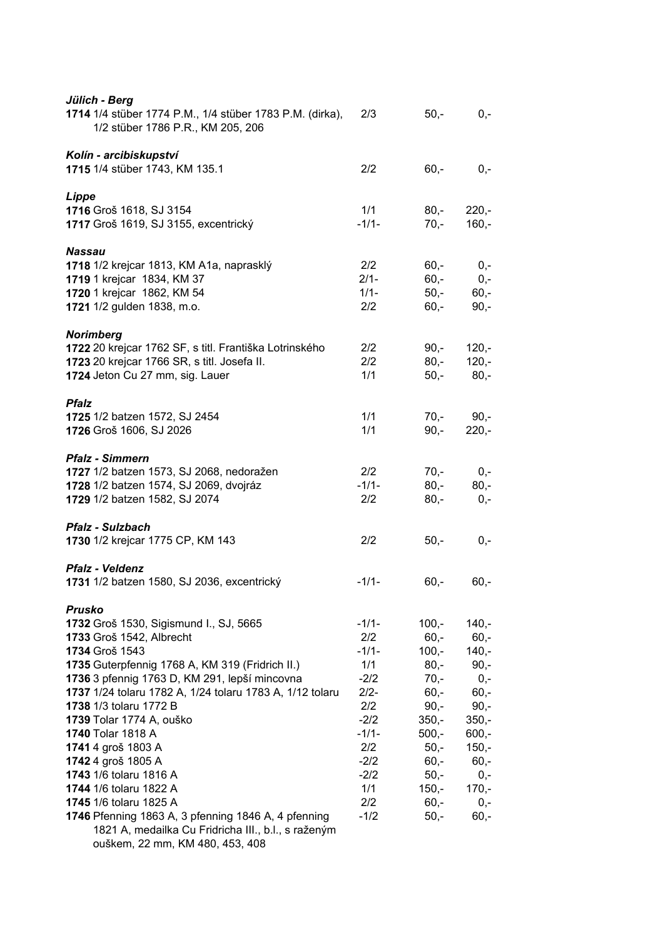| 2/3     | $50,-$  | $0,-$   |
|---------|---------|---------|
| 2/2     | $60,-$  | $0,-$   |
| 1/1     | $80,-$  | $220,-$ |
| $-1/1-$ | $70,-$  | $160,-$ |
| 2/2     | $60 -$  | $0,-$   |
| $2/1 -$ | $60,-$  | $0,-$   |
| $1/1 -$ | $50,-$  | $60,-$  |
| 2/2     | $60,-$  | $90,-$  |
| 2/2     | $90,-$  | $120,-$ |
| 2/2     | $80,-$  | $120,-$ |
| 1/1     | $50,-$  | $80 -$  |
| 1/1     | $70,-$  | $90,-$  |
| 1/1     | $90 -$  | $220 -$ |
| 2/2     | $70,-$  | $0,-$   |
| $-1/1-$ | $80,-$  | $80,-$  |
| 2/2     | $80,-$  | $0,-$   |
| 2/2     | $50,-$  | $0,-$   |
| $-1/1-$ | $60,-$  | $60,-$  |
| $-1/1-$ | $100,-$ | $140,-$ |
| 2/2     | $60 -$  | $60,-$  |
| $-1/1-$ | $100 -$ | $140,-$ |
| 1/1     | $80 -$  | $90,-$  |
| $-2/2$  | $70 -$  | $0,-$   |
| $2/2-$  | $60 -$  | $60,-$  |
| 2/2     | $90,-$  | $90 -$  |
| $-2/2$  | $350 -$ | $350 -$ |
| $-1/1-$ | $500 -$ | $600,-$ |
| 2/2     | $50 -$  | $150,-$ |
| $-2/2$  | $60, -$ | $60,-$  |
| $-2/2$  | $50,-$  | $0,-$   |
| 1/1     | $150 -$ | $170,-$ |
| 2/2     | $60 -$  | $0,-$   |
| $-1/2$  | $50,-$  | $60,-$  |
|         |         |         |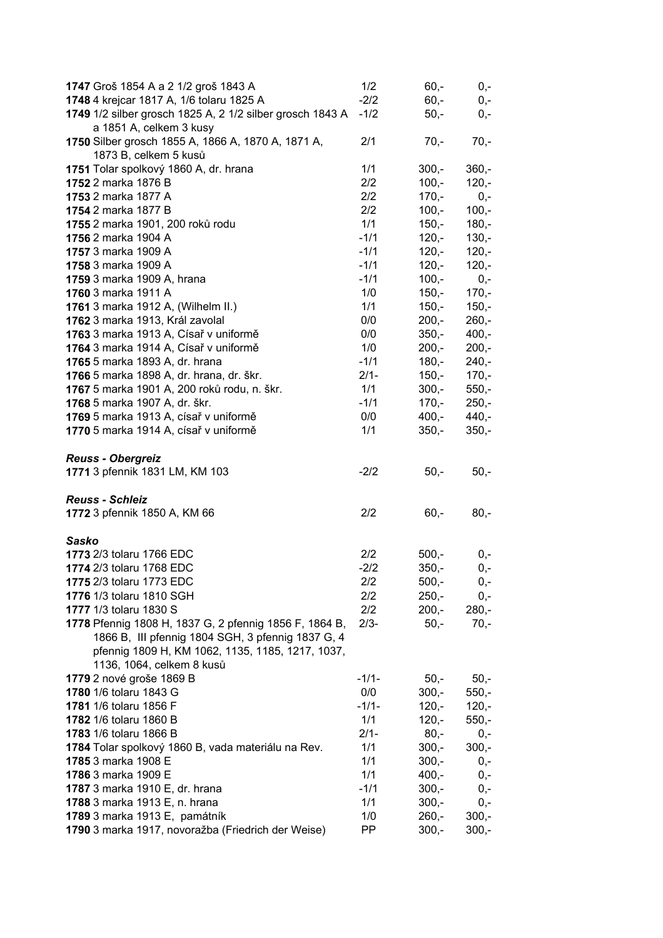| 1747 Groš 1854 A a 2 1/2 groš 1843 A                                                | 1/2        | $60,-$             | $0,-$              |
|-------------------------------------------------------------------------------------|------------|--------------------|--------------------|
| 1748 4 krejcar 1817 A, 1/6 tolaru 1825 A                                            | $-2/2$     | $60,-$             | $0,-$              |
| 1749 1/2 silber grosch 1825 A, 2 1/2 silber grosch 1843 A                           | $-1/2$     | $50,-$             | 0,-                |
| a 1851 A, celkem 3 kusy                                                             |            |                    |                    |
| 1750 Silber grosch 1855 A, 1866 A, 1870 A, 1871 A,                                  | 2/1        | $70,-$             | $70,-$             |
| 1873 B, celkem 5 kusů                                                               |            |                    |                    |
| 1751 Tolar spolkový 1860 A, dr. hrana                                               | 1/1        | $300,-$            | $360,-$            |
| 1752 2 marka 1876 B                                                                 | 2/2        | $100,-$            | $120,-$            |
| 1753 2 marka 1877 A                                                                 | 2/2        | $170,-$            | $0,-$              |
| 1754 2 marka 1877 B                                                                 | 2/2        | $100,-$            | $100,-$            |
| 1755 2 marka 1901, 200 roků rodu                                                    | 1/1        | $150,-$            | $180,-$            |
| 1756 2 marka 1904 A                                                                 | $-1/1$     | $120,-$            | $130,-$            |
| 1757 3 marka 1909 A                                                                 | $-1/1$     | $120,-$            | $120,-$            |
| 1758 3 marka 1909 A                                                                 | $-1/1$     | $120,-$            | $120,-$            |
|                                                                                     |            |                    |                    |
| 1759 3 marka 1909 A, hrana                                                          | $-1/1$     | $100,-$            | $0,-$              |
| 1760 3 marka 1911 A                                                                 | 1/0        | $150,-$            | $170,-$            |
| 1761 3 marka 1912 A, (Wilhelm II.)                                                  | 1/1        | $150,-$            | $150,-$            |
| 1762 3 marka 1913, Král zavolal                                                     | 0/0        | $200,-$            | $260,-$            |
| 1763 3 marka 1913 A, Císař v uniformě                                               | 0/0        | $350 -$            | $400,-$            |
| 1764 3 marka 1914 A, Císař v uniformě                                               | 1/0        | $200 -$            | $200,-$            |
| 1765 5 marka 1893 A, dr. hrana                                                      | $-1/1$     | $180,-$            | $240,-$            |
| 1766 5 marka 1898 A, dr. hrana, dr. škr.                                            | $2/1 -$    | $150,-$            | $170,-$            |
| 1767 5 marka 1901 A, 200 roků rodu, n. škr.                                         | 1/1        | $300,-$            | $550,-$            |
| 1768 5 marka 1907 A, dr. škr.                                                       | $-1/1$     | $170,-$            | $250,-$            |
| 1769 5 marka 1913 A, císař v uniformě                                               | 0/0        | $400,-$            | $440,-$            |
| 1770 5 marka 1914 A, císař v uniformě                                               | 1/1        | $350,-$            | $350,-$            |
|                                                                                     |            |                    |                    |
| <b>Reuss - Obergreiz</b>                                                            |            |                    |                    |
| 1771 3 pfennik 1831 LM, KM 103                                                      | $-2/2$     | $50,-$             | $50,-$             |
|                                                                                     |            |                    |                    |
|                                                                                     |            |                    |                    |
| <b>Reuss - Schleiz</b>                                                              |            |                    |                    |
| 1772 3 pfennik 1850 A, KM 66                                                        | 2/2        | $60,-$             | $80,-$             |
|                                                                                     |            |                    |                    |
| <b>Sasko</b>                                                                        |            |                    |                    |
| 1773 2/3 tolaru 1766 EDC                                                            | 2/2        | $500,-$            | $0,-$              |
| 1774 2/3 tolaru 1768 EDC                                                            | $-2/2$     | $350 -$            | 0,-                |
| 1775 2/3 tolaru 1773 EDC                                                            | 2/2        | $500,-$            | $0,-$              |
| 1776 1/3 tolaru 1810 SGH                                                            | 2/2        | $250,-$            | $0,-$              |
| 1777 1/3 tolaru 1830 S                                                              | 2/2        |                    |                    |
|                                                                                     |            | $200,-$            | $280,-$            |
| 1778 Pfennig 1808 H, 1837 G, 2 pfennig 1856 F, 1864 B,                              | $2/3-$     | $50,-$             | $70,-$             |
| 1866 B, III pfennig 1804 SGH, 3 pfennig 1837 G, 4                                   |            |                    |                    |
| pfennig 1809 H, KM 1062, 1135, 1185, 1217, 1037,                                    |            |                    |                    |
| 1136, 1064, celkem 8 kusů                                                           |            |                    |                    |
| 1779 2 nové groše 1869 B                                                            | $-1/1-$    | $50 -$             | $50,-$             |
| 1780 1/6 tolaru 1843 G                                                              | 0/0        | $300,-$            | $550,-$            |
| 1781 1/6 tolaru 1856 F                                                              | $-1/1-$    | $120 -$            | $120,-$            |
| 1782 1/6 tolaru 1860 B                                                              | 1/1        | $120,-$            | $550,-$            |
| 1783 1/6 tolaru 1866 B                                                              | $2/1 -$    | $80 -$             | $0,-$              |
| 1784 Tolar spolkový 1860 B, vada materiálu na Rev.                                  | 1/1        | $300,-$            | $300,-$            |
| 1785 3 marka 1908 E                                                                 | 1/1        | $300,-$            | $0,-$              |
| 1786 3 marka 1909 E                                                                 | 1/1        | $400,-$            | $0,-$              |
| 1787 3 marka 1910 E, dr. hrana                                                      | $-1/1$     | $300,-$            | $0,-$              |
| 1788 3 marka 1913 E, n. hrana                                                       | 1/1        | $300,-$            | $0,-$              |
| 1789 3 marka 1913 E, památník<br>1790 3 marka 1917, novoražba (Friedrich der Weise) | 1/0<br>PP. | $260,-$<br>$300,-$ | $300,-$<br>$300,-$ |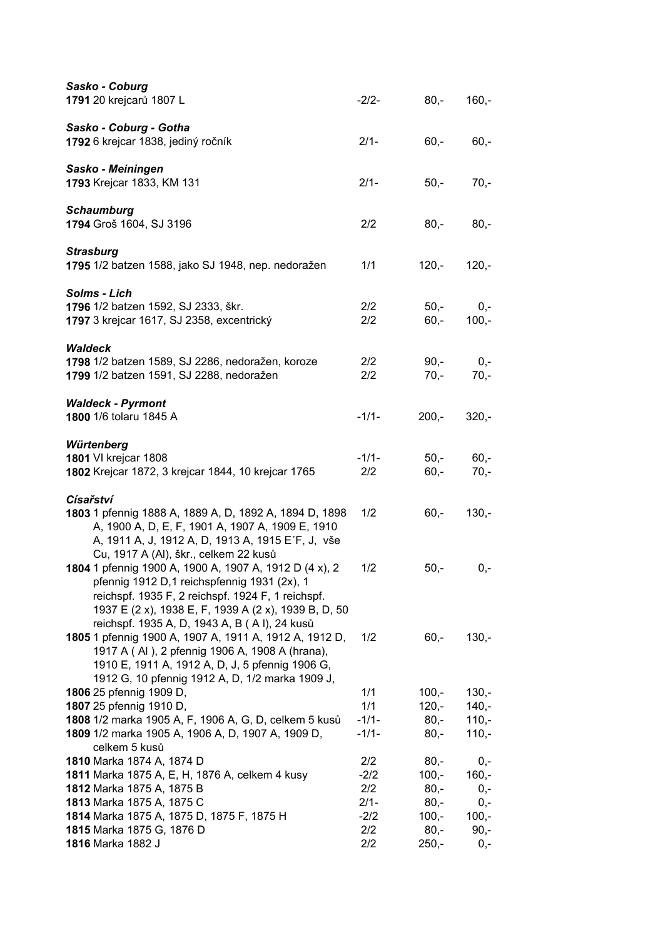| Sasko - Coburg<br>1791 20 krejcarů 1807 L                                                                                                                                                                                                                                                                   | $-2/2-$            | $80,-$           | $160,-$            |
|-------------------------------------------------------------------------------------------------------------------------------------------------------------------------------------------------------------------------------------------------------------------------------------------------------------|--------------------|------------------|--------------------|
| Sasko - Coburg - Gotha<br>1792 6 krejcar 1838, jediný ročník                                                                                                                                                                                                                                                | $2/1 -$            | $60,-$           | $60,-$             |
| Sasko - Meiningen<br>1793 Krejcar 1833, KM 131                                                                                                                                                                                                                                                              | $2/1 -$            | $50,-$           | $70,-$             |
| <b>Schaumburg</b><br>1794 Groš 1604, SJ 3196                                                                                                                                                                                                                                                                | 2/2                | $80,-$           | $80,-$             |
| <b>Strasburg</b><br>1795 1/2 batzen 1588, jako SJ 1948, nep. nedoražen                                                                                                                                                                                                                                      | 1/1                | $120,-$          | $120,-$            |
| Solms - Lich<br>1796 1/2 batzen 1592, SJ 2333, škr.<br>1797 3 krejcar 1617, SJ 2358, excentrický                                                                                                                                                                                                            | 2/2<br>2/2         | $50,-$<br>$60,-$ | $0,-$<br>$100,-$   |
| <b>Waldeck</b><br>1798 1/2 batzen 1589, SJ 2286, nedoražen, koroze<br>1799 1/2 batzen 1591, SJ 2288, nedoražen                                                                                                                                                                                              | 2/2<br>2/2         | $90,-$<br>$70,-$ | $0,-$<br>$70,-$    |
| <b>Waldeck - Pyrmont</b><br>1800 1/6 tolaru 1845 A                                                                                                                                                                                                                                                          | $-1/1-$            | $200,-$          | $320,-$            |
| Würtenberg<br>1801 VI krejcar 1808<br>1802 Krejcar 1872, 3 krejcar 1844, 10 krejcar 1765                                                                                                                                                                                                                    | $-1/1-$<br>2/2     | $50,-$<br>$60,-$ | $60,-$<br>$70,-$   |
| <b>Císařství</b><br>1803 1 pfennig 1888 A, 1889 A, D, 1892 A, 1894 D, 1898<br>A, 1900 A, D, E, F, 1901 A, 1907 A, 1909 E, 1910<br>A, 1911 A, J, 1912 A, D, 1913 A, 1915 E'F, J, vše                                                                                                                         | 1/2                | $60,-$           | $130,-$            |
| Cu, 1917 A (Al), škr., celkem 22 kusů<br>1804 1 pfennig 1900 A, 1900 A, 1907 A, 1912 D (4 x), 2<br>pfennig 1912 D,1 reichspfennig 1931 (2x), 1<br>reichspf. 1935 F, 2 reichspf. 1924 F, 1 reichspf.<br>1937 E (2 x), 1938 E, F, 1939 A (2 x), 1939 B, D, 50<br>reichspf. 1935 A, D, 1943 A, B (AI), 24 kusů | 1/2                | $50,-$           | $0,-$              |
| 1805 1 pfennig 1900 A, 1907 A, 1911 A, 1912 A, 1912 D,<br>1917 A (AI), 2 pfennig 1906 A, 1908 A (hrana),<br>1910 E, 1911 A, 1912 A, D, J, 5 pfennig 1906 G,<br>1912 G, 10 pfennig 1912 A, D, 1/2 marka 1909 J,                                                                                              | 1/2                | $60,-$           | $130,-$            |
| 1806 25 pfennig 1909 D,                                                                                                                                                                                                                                                                                     | 1/1                | $100,-$          | $130,-$            |
| 1807 25 pfennig 1910 D,                                                                                                                                                                                                                                                                                     | 1/1                | $120,-$          | $140 -$            |
| 1808 1/2 marka 1905 A, F, 1906 A, G, D, celkem 5 kusů<br>1809 1/2 marka 1905 A, 1906 A, D, 1907 A, 1909 D,<br>celkem 5 kusů                                                                                                                                                                                 | $-1/1-$<br>$-1/1-$ | $80,-$<br>$80,-$ | $110,-$<br>$110,-$ |
| 1810 Marka 1874 A, 1874 D                                                                                                                                                                                                                                                                                   | 2/2                | $80,-$           | 0,-                |
| 1811 Marka 1875 A, E, H, 1876 A, celkem 4 kusy                                                                                                                                                                                                                                                              | $-2/2$             | $100,-$          | $160,-$            |
| 1812 Marka 1875 A, 1875 B<br>1813 Marka 1875 A, 1875 C                                                                                                                                                                                                                                                      | 2/2<br>$2/1 -$     | $80,-$<br>$80,-$ | $0,-$              |
| 1814 Marka 1875 A, 1875 D, 1875 F, 1875 H                                                                                                                                                                                                                                                                   | $-2/2$             | $100,-$          | $0,-$<br>$100,-$   |
| 1815 Marka 1875 G, 1876 D                                                                                                                                                                                                                                                                                   | 2/2                | $80,-$           | $90,-$             |
| 1816 Marka 1882 J                                                                                                                                                                                                                                                                                           | 2/2                | $250,-$          | 0,-                |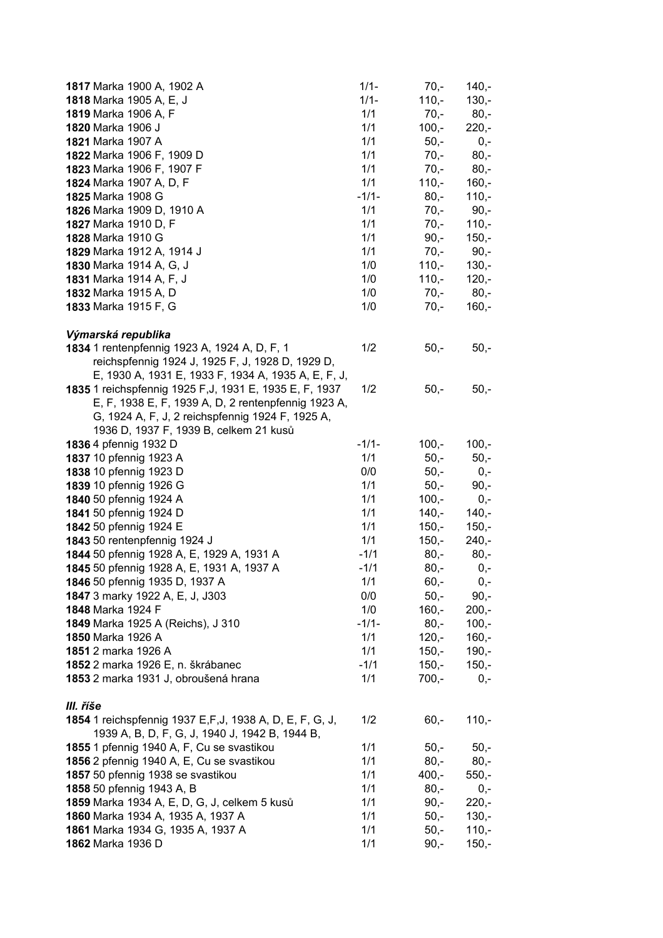| 1817 Marka 1900 A, 1902 A                                 | $1/1 -$    | $70,-$  | $140,-$ |
|-----------------------------------------------------------|------------|---------|---------|
| 1818 Marka 1905 A, E, J                                   | $1/1 -$    | $110,-$ | $130,-$ |
| 1819 Marka 1906 A, F                                      | 1/1        | $70 -$  | $80,-$  |
| 1820 Marka 1906 J                                         | 1/1        | $100,-$ | $220,-$ |
| 1821 Marka 1907 A                                         | 1/1        | $50 -$  | $0,-$   |
| 1822 Marka 1906 F, 1909 D                                 | 1/1        | $70,-$  | $80,-$  |
| 1823 Marka 1906 F, 1907 F                                 | 1/1        | $70,-$  | $80,-$  |
| 1824 Marka 1907 A, D, F                                   | 1/1        | $110,-$ | $160,-$ |
| 1825 Marka 1908 G                                         | $-1/1-$    | $80,-$  | $110,-$ |
| 1826 Marka 1909 D, 1910 A                                 | 1/1        | $70,-$  | $90,-$  |
| 1827 Marka 1910 D, F                                      | 1/1        | $70,-$  | $110,-$ |
| 1828 Marka 1910 G                                         | 1/1        | $90, -$ | $150,-$ |
| 1829 Marka 1912 A, 1914 J                                 | 1/1        | $70,-$  | $90,-$  |
| 1830 Marka 1914 A, G, J                                   | 1/0        | $110,-$ | $130 -$ |
| 1831 Marka 1914 A, F, J                                   | 1/0        | $110,-$ | $120,-$ |
| 1832 Marka 1915 A, D                                      | 1/0        | $70,-$  | $80,-$  |
| 1833 Marka 1915 F, G                                      | 1/0        | $70,-$  | $160,-$ |
|                                                           |            |         |         |
| Výmarská republika                                        |            |         |         |
| 1834 1 rentenpfennig 1923 A, 1924 A, D, F, 1              | 1/2        | $50,-$  | $50,-$  |
| reichspfennig 1924 J, 1925 F, J, 1928 D, 1929 D,          |            |         |         |
| E, 1930 A, 1931 E, 1933 F, 1934 A, 1935 A, E, F, J,       |            |         |         |
| 1835 1 reichspfennig 1925 F, J, 1931 E, 1935 E, F, 1937   | 1/2        | $50,-$  | $50,-$  |
| E, F, 1938 E, F, 1939 A, D, 2 rentenpfennig 1923 A,       |            |         |         |
| G, 1924 A, F, J, 2 reichspfennig 1924 F, 1925 A,          |            |         |         |
| 1936 D, 1937 F, 1939 B, celkem 21 kusů                    |            |         |         |
| 1836 4 pfennig 1932 D                                     | $-1/1-$    | $100,-$ | $100,-$ |
| 1837 10 pfennig 1923 A                                    | 1/1        | $50,-$  | $50,-$  |
| 1838 10 pfennig 1923 D                                    | 0/0        | $50,-$  | $0,-$   |
| 1839 10 pfennig 1926 G                                    | 1/1        | $50,-$  | $90,-$  |
| 1840 50 pfennig 1924 A                                    | 1/1        | $100,-$ | $0,-$   |
| 1841 50 pfennig 1924 D                                    | 1/1        | $140,-$ | $140,-$ |
| 1842 50 pfennig 1924 E                                    | 1/1        | $150,-$ | $150,-$ |
| 1843 50 rentenpfennig 1924 J                              | 1/1        | $150,-$ | $240,-$ |
| 1844 50 pfennig 1928 A, E, 1929 A, 1931 A                 | $-1/1$     | $80,-$  | $80,-$  |
| 1845 50 pfennig 1928 A, E, 1931 A, 1937 A                 | $-1/1$     | $80,-$  | $0,-$   |
| 1846 50 pfennig 1935 D, 1937 A                            | 1/1        | $60,-$  | $0,-$   |
| 1847 3 marky 1922 A, E, J, J303                           | 0/0        | $50,-$  | $90,-$  |
| 1848 Marka 1924 F                                         | 1/0        | $160 -$ | $200,-$ |
| 1849 Marka 1925 A (Reichs), J 310                         | $-1/1-$    | $80,-$  | $100,-$ |
| 1850 Marka 1926 A                                         |            | $120,-$ |         |
| 1851 2 marka 1926 A                                       | 1/1<br>1/1 |         | $160,-$ |
|                                                           |            | $150,-$ | $190,-$ |
| 1852 2 marka 1926 E, n. škrábanec                         | $-1/1$     | $150,-$ | $150,-$ |
| 1853 2 marka 1931 J, obroušená hrana                      | 1/1        | $700,-$ | $0,-$   |
|                                                           |            |         |         |
| III. říše                                                 |            |         |         |
| 1854 1 reichspfennig 1937 E, F, J, 1938 A, D, E, F, G, J, | 1/2        | $60,-$  | $110,-$ |
| 1939 A, B, D, F, G, J, 1940 J, 1942 B, 1944 B,            |            |         |         |
| 1855 1 pfennig 1940 A, F, Cu se svastikou                 | 1/1        | $50,-$  | $50,-$  |
| 1856 2 pfennig 1940 A, E, Cu se svastikou                 | 1/1        | $80 -$  | $80,-$  |
| 1857 50 pfennig 1938 se svastikou                         | 1/1        | $400,-$ | $550,-$ |
| 1858 50 pfennig 1943 A, B                                 | 1/1        | $80 -$  | $0,-$   |
| 1859 Marka 1934 A, E, D, G, J, celkem 5 kusů              | 1/1        | $90, -$ | $220,-$ |
| 1860 Marka 1934 A, 1935 A, 1937 A                         | 1/1        | $50,-$  | $130 -$ |
| 1861 Marka 1934 G, 1935 A, 1937 A                         | 1/1        | $50,-$  | $110,-$ |
| 1862 Marka 1936 D                                         | 1/1        | $90,-$  | $150,-$ |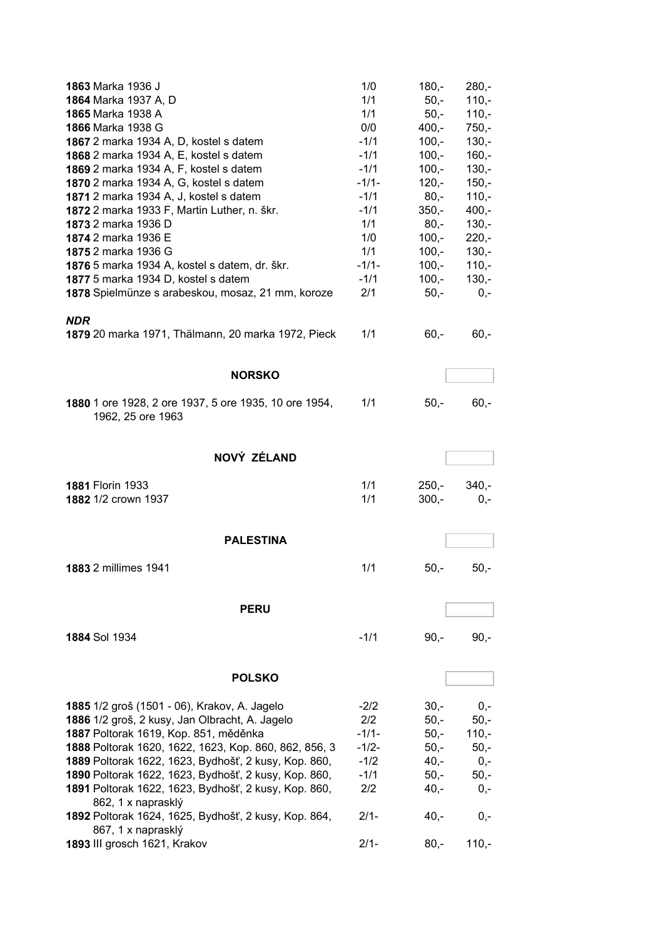| <b>1863 Marka 1936 J</b><br>1864 Marka 1937 A, D<br>1865 Marka 1938 A<br>1866 Marka 1938 G<br>1867 2 marka 1934 A, D, kostel s datem<br>1868 2 marka 1934 A, E, kostel s datem<br>1869 2 marka 1934 A, F, kostel s datem<br>1870 2 marka 1934 A, G, kostel s datem<br>1871 2 marka 1934 A, J, kostel s datem<br>1872 2 marka 1933 F, Martin Luther, n. škr.<br>1873 2 marka 1936 D | 1/0<br>1/1<br>1/1<br>0/0<br>$-1/1$<br>$-1/1$<br>$-1/1$<br>$-1/1-$<br>$-1/1$<br>$-1/1$<br>1/1 | $180 -$<br>$50 -$<br>$50,-$<br>$400,-$<br>$100,-$<br>$100,-$<br>$100,-$<br>$120,-$<br>$80,-$<br>$350,-$<br>$80,-$ | $280 -$<br>$110,-$<br>$110,-$<br>$750,-$<br>$130,-$<br>$160 -$<br>$130,-$<br>$150,-$<br>$110,-$<br>$400,-$<br>$130,-$ |
|------------------------------------------------------------------------------------------------------------------------------------------------------------------------------------------------------------------------------------------------------------------------------------------------------------------------------------------------------------------------------------|----------------------------------------------------------------------------------------------|-------------------------------------------------------------------------------------------------------------------|-----------------------------------------------------------------------------------------------------------------------|
| 1874 2 marka 1936 E                                                                                                                                                                                                                                                                                                                                                                | 1/0                                                                                          | $100,-$                                                                                                           | $220 -$                                                                                                               |
| 1875 2 marka 1936 G                                                                                                                                                                                                                                                                                                                                                                | 1/1                                                                                          | $100,-$                                                                                                           | $130,-$                                                                                                               |
| 1876 5 marka 1934 A, kostel s datem, dr. škr.<br>1877 5 marka 1934 D, kostel s datem                                                                                                                                                                                                                                                                                               | $-1/1-$<br>$-1/1$                                                                            | $100,-$<br>$100,-$                                                                                                | $110,-$<br>$130,-$                                                                                                    |
| 1878 Spielmünze s arabeskou, mosaz, 21 mm, koroze                                                                                                                                                                                                                                                                                                                                  | 2/1                                                                                          | $50,-$                                                                                                            | $0,-$                                                                                                                 |
|                                                                                                                                                                                                                                                                                                                                                                                    |                                                                                              |                                                                                                                   |                                                                                                                       |
| <b>NDR</b><br>1879 20 marka 1971, Thälmann, 20 marka 1972, Pieck                                                                                                                                                                                                                                                                                                                   | 1/1                                                                                          | $60,-$                                                                                                            | $60,-$                                                                                                                |
| <b>NORSKO</b>                                                                                                                                                                                                                                                                                                                                                                      |                                                                                              |                                                                                                                   |                                                                                                                       |
|                                                                                                                                                                                                                                                                                                                                                                                    |                                                                                              |                                                                                                                   |                                                                                                                       |
| 1880 1 ore 1928, 2 ore 1937, 5 ore 1935, 10 ore 1954,<br>1962, 25 ore 1963                                                                                                                                                                                                                                                                                                         | 1/1                                                                                          | $50,-$                                                                                                            | $60,-$                                                                                                                |
| NOVÝ ZÉLAND                                                                                                                                                                                                                                                                                                                                                                        |                                                                                              |                                                                                                                   |                                                                                                                       |
| <b>1881 Florin 1933</b>                                                                                                                                                                                                                                                                                                                                                            | 1/1                                                                                          | $250 -$                                                                                                           | $340,-$                                                                                                               |
| 1882 1/2 crown 1937                                                                                                                                                                                                                                                                                                                                                                | 1/1                                                                                          | $300,-$                                                                                                           | $0,-$                                                                                                                 |
| <b>PALESTINA</b>                                                                                                                                                                                                                                                                                                                                                                   |                                                                                              |                                                                                                                   |                                                                                                                       |
|                                                                                                                                                                                                                                                                                                                                                                                    |                                                                                              |                                                                                                                   |                                                                                                                       |
| 1883 2 millimes 1941                                                                                                                                                                                                                                                                                                                                                               | 1/1                                                                                          | $50,-$                                                                                                            | $50,-$                                                                                                                |
|                                                                                                                                                                                                                                                                                                                                                                                    |                                                                                              |                                                                                                                   |                                                                                                                       |
| <b>PERU</b>                                                                                                                                                                                                                                                                                                                                                                        |                                                                                              |                                                                                                                   |                                                                                                                       |
|                                                                                                                                                                                                                                                                                                                                                                                    |                                                                                              |                                                                                                                   |                                                                                                                       |
| 1884 Sol 1934                                                                                                                                                                                                                                                                                                                                                                      | $-1/1$                                                                                       | $90, -$                                                                                                           | $90,-$                                                                                                                |
|                                                                                                                                                                                                                                                                                                                                                                                    |                                                                                              |                                                                                                                   |                                                                                                                       |
| <b>POLSKO</b>                                                                                                                                                                                                                                                                                                                                                                      |                                                                                              |                                                                                                                   |                                                                                                                       |
| 1885 1/2 groš (1501 - 06), Krakov, A. Jagelo                                                                                                                                                                                                                                                                                                                                       | $-2/2$                                                                                       | $30 -$                                                                                                            | $0 -$                                                                                                                 |
| 1886 1/2 groš, 2 kusy, Jan Olbracht, A. Jagelo                                                                                                                                                                                                                                                                                                                                     | 2/2                                                                                          | $50 -$                                                                                                            | $50 -$                                                                                                                |
| 1887 Poltorak 1619, Kop. 851, měděnka                                                                                                                                                                                                                                                                                                                                              | $-1/1-$                                                                                      | $50 -$                                                                                                            | $110,-$                                                                                                               |
| 1888 Poltorak 1620, 1622, 1623, Kop. 860, 862, 856, 3                                                                                                                                                                                                                                                                                                                              | $-1/2-$                                                                                      | $50 -$                                                                                                            | $50 -$                                                                                                                |
| 1889 Poltorak 1622, 1623, Bydhošť, 2 kusy, Kop. 860,                                                                                                                                                                                                                                                                                                                               | $-1/2$                                                                                       | $40,-$                                                                                                            | $0,-$                                                                                                                 |
| 1890 Poltorak 1622, 1623, Bydhošť, 2 kusy, Kop. 860,                                                                                                                                                                                                                                                                                                                               | $-1/1$                                                                                       | $50,-$                                                                                                            | $50,-$                                                                                                                |
| 1891 Poltorak 1622, 1623, Bydhošť, 2 kusy, Kop. 860,                                                                                                                                                                                                                                                                                                                               | 2/2                                                                                          | $40,-$                                                                                                            | $0,-$                                                                                                                 |
| 862, 1 x naprasklý<br>1892 Poltorak 1624, 1625, Bydhošť, 2 kusy, Kop. 864,<br>867, 1 x naprasklý                                                                                                                                                                                                                                                                                   | $2/1-$                                                                                       | $40,-$                                                                                                            | $0,-$                                                                                                                 |
| 1893 III grosch 1621, Krakov                                                                                                                                                                                                                                                                                                                                                       | $2/1 -$                                                                                      | $80,-$                                                                                                            | $110,-$                                                                                                               |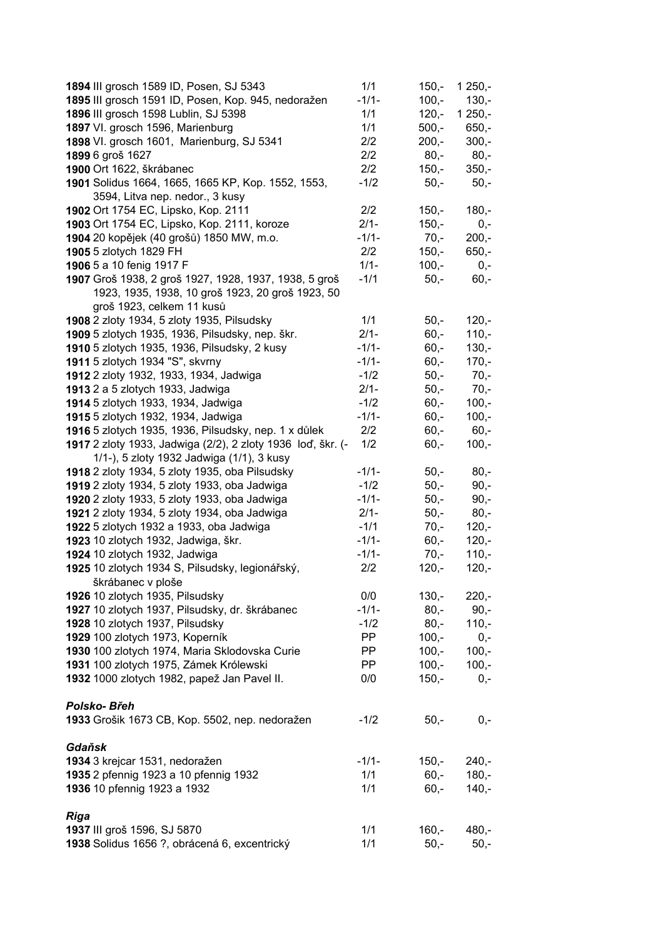| 1894 III grosch 1589 ID, Posen, SJ 5343                                                                   | 1/1       | $150,-$ | $1250,-$ |
|-----------------------------------------------------------------------------------------------------------|-----------|---------|----------|
| 1895 III grosch 1591 ID, Posen, Kop. 945, nedoražen                                                       | $-1/1-$   | $100,-$ | $130,-$  |
| 1896 III grosch 1598 Lublin, SJ 5398                                                                      | 1/1       | $120,-$ | $1250,-$ |
| 1897 VI. grosch 1596, Marienburg                                                                          | 1/1       | $500,-$ | $650,-$  |
| 1898 VI. grosch 1601, Marienburg, SJ 5341                                                                 | 2/2       | $200,-$ | $300,-$  |
| 1899 6 groš 1627                                                                                          | 2/2       | $80,-$  | $80,-$   |
| 1900 Ort 1622, škrábanec                                                                                  | 2/2       | $150,-$ | $350,-$  |
| 1901 Solidus 1664, 1665, 1665 KP, Kop. 1552, 1553,                                                        | $-1/2$    | $50,-$  | $50,-$   |
| 3594, Litva nep. nedor., 3 kusy                                                                           |           |         |          |
| 1902 Ort 1754 EC, Lipsko, Kop. 2111                                                                       | 2/2       | $150,-$ | $180,-$  |
| 1903 Ort 1754 EC, Lipsko, Kop. 2111, koroze                                                               | $2/1 -$   | $150,-$ | $0,-$    |
| 1904 20 kopějek (40 grošů) 1850 MW, m.o.                                                                  | $-1/1-$   | $70,-$  | $200,-$  |
| 1905 5 zlotych 1829 FH                                                                                    | 2/2       | $150,-$ | $650,-$  |
| 1906 5 a 10 fenig 1917 F                                                                                  | $1/1 -$   | $100,-$ | $0,-$    |
| 1907 Groš 1938, 2 groš 1927, 1928, 1937, 1938, 5 groš<br>1923, 1935, 1938, 10 groš 1923, 20 groš 1923, 50 | $-1/1$    | $50,-$  | $60,-$   |
| groš 1923, celkem 11 kusů                                                                                 |           |         |          |
| 1908 2 zloty 1934, 5 zloty 1935, Pilsudsky                                                                | 1/1       | $50,-$  | $120,-$  |
| 1909 5 zlotych 1935, 1936, Pilsudsky, nep. škr.                                                           | $2/1 -$   | $60, -$ | $110,-$  |
| 1910 5 zlotych 1935, 1936, Pilsudsky, 2 kusy                                                              | $-1/1-$   | $60, -$ | $130,-$  |
| 1911 5 zlotych 1934 "S", skvrny                                                                           | $-1/1-$   | $60,-$  | $170,-$  |
| 1912 2 zloty 1932, 1933, 1934, Jadwiga                                                                    | $-1/2$    | $50,-$  | $70,-$   |
| 1913 2 a 5 zlotych 1933, Jadwiga                                                                          | $2/1 -$   | $50,-$  | $70,-$   |
| 1914 5 zlotych 1933, 1934, Jadwiga                                                                        | $-1/2$    | $60, -$ | $100,-$  |
| 1915 5 zlotych 1932, 1934, Jadwiga                                                                        | $-1/1-$   | $60, -$ | $100,-$  |
| 1916 5 zlotych 1935, 1936, Pilsudsky, nep. 1 x důlek                                                      | 2/2       | $60, -$ | $60,-$   |
| 1917 2 zloty 1933, Jadwiga (2/2), 2 zloty 1936 loď, škr. (-<br>1/1-), 5 zloty 1932 Jadwiga (1/1), 3 kusy  | 1/2       | $60, -$ | $100,-$  |
| 1918 2 zloty 1934, 5 zloty 1935, oba Pilsudsky                                                            | $-1/1-$   | $50,-$  | $80,-$   |
| 1919 2 zloty 1934, 5 zloty 1933, oba Jadwiga                                                              | $-1/2$    | $50,-$  | $90,-$   |
| 1920 2 zloty 1933, 5 zloty 1933, oba Jadwiga                                                              | $-1/1-$   | $50,-$  | $90,-$   |
| 1921 2 zloty 1934, 5 zloty 1934, oba Jadwiga                                                              | $2/1 -$   | $50,-$  | $80,-$   |
| 1922 5 zlotych 1932 a 1933, oba Jadwiga                                                                   | $-1/1$    | $70,-$  | $120,-$  |
| 1923 10 zlotych 1932, Jadwiga, škr.                                                                       | $-1/1-$   | $60, -$ | $120,-$  |
| 1924 10 zlotych 1932, Jadwiga                                                                             | $-1/1-$   | $70,-$  | $110,-$  |
| 1925 10 zlotych 1934 S, Pilsudsky, legionářský,<br>škrábanec v ploše                                      | 2/2       | $120 -$ | $120,-$  |
| 1926 10 zlotych 1935, Pilsudsky                                                                           | 0/0       | $130,-$ | $220,-$  |
| 1927 10 zlotych 1937, Pilsudsky, dr. škrábanec                                                            | $-1/1-$   | $80,-$  | $90,-$   |
| 1928 10 zlotych 1937, Pilsudsky                                                                           | $-1/2$    | $80,-$  | $110,-$  |
| 1929 100 zlotych 1973, Koperník                                                                           | PP.       | $100,-$ | $0,-$    |
| 1930 100 zlotych 1974, Maria Sklodovska Curie                                                             | PP        | $100,-$ | $100 -$  |
| 1931 100 zlotych 1975, Zámek Królewski                                                                    | <b>PP</b> | $100,-$ | $100,-$  |
| 1932 1000 zlotych 1982, papež Jan Pavel II.                                                               | 0/0       | $150,-$ | $0,-$    |
| Polsko-Břeh                                                                                               |           |         |          |
| 1933 Grošik 1673 CB, Kop. 5502, nep. nedoražen                                                            | $-1/2$    | $50,-$  | $0,-$    |
| Gdaňsk                                                                                                    |           |         |          |
| 1934 3 krejcar 1531, nedoražen                                                                            | $-1/1-$   | $150,-$ | $240,-$  |
| 1935 2 pfennig 1923 a 10 pfennig 1932                                                                     | 1/1       | $60 -$  | $180,-$  |
| 1936 10 pfennig 1923 a 1932                                                                               | 1/1       | $60,-$  | $140,-$  |
|                                                                                                           |           |         |          |
| <b>Riga</b>                                                                                               |           |         |          |
| 1937 III groš 1596, SJ 5870                                                                               | 1/1       | $160,-$ | $480,-$  |
| 1938 Solidus 1656 ?, obrácená 6, excentrický                                                              | 1/1       | $50,-$  | $50,-$   |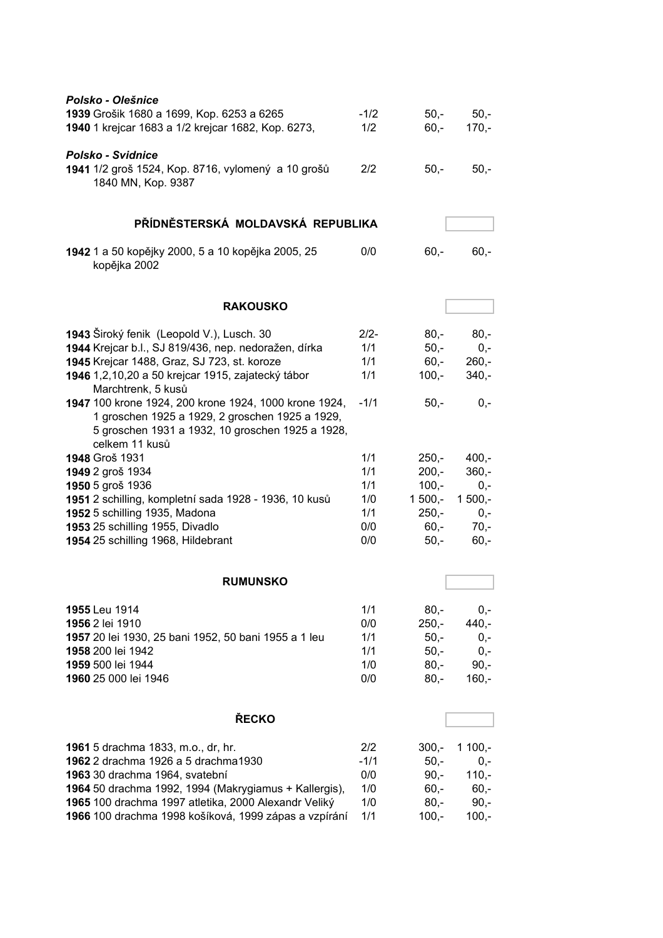| Polsko - Olešnice<br>1939 Grošik 1680 a 1699, Kop. 6253 a 6265<br>1940 1 krejcar 1683 a 1/2 krejcar 1682, Kop. 6273,                                                           | $-1/2$<br>1/2 | $50 -$<br>$60,-$ | $50,-$<br>$170,-$ |
|--------------------------------------------------------------------------------------------------------------------------------------------------------------------------------|---------------|------------------|-------------------|
| <b>Polsko - Svidnice</b><br>1941 1/2 groš 1524, Kop. 8716, vylomený a 10 grošů<br>1840 MN, Kop. 9387                                                                           | 2/2           | $50,-$           | $50,-$            |
| PŘÍDNĚSTERSKÁ MOLDAVSKÁ REPUBLIKA                                                                                                                                              |               |                  |                   |
| 1942 1 a 50 kopějky 2000, 5 a 10 kopějka 2005, 25<br>kopějka 2002                                                                                                              | 0/0           | $60,-$           | $60,-$            |
| <b>RAKOUSKO</b>                                                                                                                                                                |               |                  |                   |
| 1943 Široký fenik (Leopold V.), Lusch. 30                                                                                                                                      | $2/2-$        | $80 -$           | $80,-$            |
| 1944 Krejcar b.l., SJ 819/436, nep. nedoražen, dírka                                                                                                                           | 1/1           | $50,-$           | $0,-$             |
| 1945 Krejcar 1488, Graz, SJ 723, st. koroze                                                                                                                                    | 1/1           | $60,-$           | $260,-$           |
| 1946 1,2,10,20 a 50 krejcar 1915, zajatecký tábor<br>Marchtrenk, 5 kusů                                                                                                        | 1/1           | $100,-$          | $340,-$           |
| 1947 100 krone 1924, 200 krone 1924, 1000 krone 1924,<br>1 groschen 1925 a 1929, 2 groschen 1925 a 1929,<br>5 groschen 1931 a 1932, 10 groschen 1925 a 1928,<br>celkem 11 kusů | $-1/1$        | $50,-$           | $0,-$             |
| 1948 Groš 1931                                                                                                                                                                 | 1/1           | $250 -$          | $400,-$           |
| 1949 2 groš 1934                                                                                                                                                               | 1/1           | $200,-$          | $360,-$           |
| 1950 5 groš 1936                                                                                                                                                               | 1/1           | $100,-$          | $0,-$             |
| 1951 2 schilling, kompletní sada 1928 - 1936, 10 kusů                                                                                                                          | 1/0           | $1500,-$         | $1500,-$          |
| 1952 5 schilling 1935, Madona                                                                                                                                                  | 1/1           | $250 -$          | $0,-$             |
| 1953 25 schilling 1955, Divadlo                                                                                                                                                | 0/0           | $60 -$           | $70,-$            |
| 1954 25 schilling 1968, Hildebrant                                                                                                                                             | 0/0           | $50,-$           | $60,-$            |
| <b>RUMUNSKO</b>                                                                                                                                                                |               |                  |                   |
|                                                                                                                                                                                |               |                  |                   |
| 1955 Leu 1914                                                                                                                                                                  | 1/1           | $80,-$           | $0,-$             |
| 1956 2 lei 1910                                                                                                                                                                | 0/0           | $250,-$          | $440,-$           |
| 1957 20 lei 1930, 25 bani 1952, 50 bani 1955 a 1 leu                                                                                                                           | 1/1           | $50 -$           | $0,-$             |
| 1958 200 lei 1942<br>1959 500 lei 1944                                                                                                                                         | 1/1<br>1/0    | $50 -$<br>$80 -$ | $0,-$             |
| 1960 25 000 lei 1946                                                                                                                                                           | 0/0           | $80,-$           | $90,-$<br>$160,-$ |
| ŘECKO                                                                                                                                                                          |               |                  |                   |
|                                                                                                                                                                                |               |                  |                   |
| 1961 5 drachma 1833, m.o., dr, hr.                                                                                                                                             | 2/2           | $300,-$          | $1100,-$          |
| 1962 2 drachma 1926 a 5 drachma1930                                                                                                                                            | $-1/1$        | $50 -$           | $0,-$             |
| 1963 30 drachma 1964, svatební                                                                                                                                                 | 0/0           | $90,-$           | $110,-$           |
| 1964 50 drachma 1992, 1994 (Makrygiamus + Kallergis),                                                                                                                          | 1/0           | $60,-$           | $60,-$            |
| 1965 100 drachma 1997 atletika, 2000 Alexandr Veliký                                                                                                                           | 1/0           | $80,-$           | $90,-$            |
| 1966 100 drachma 1998 košíková, 1999 zápas a vzpírání                                                                                                                          | 1/1           | $100,-$          | $100,-$           |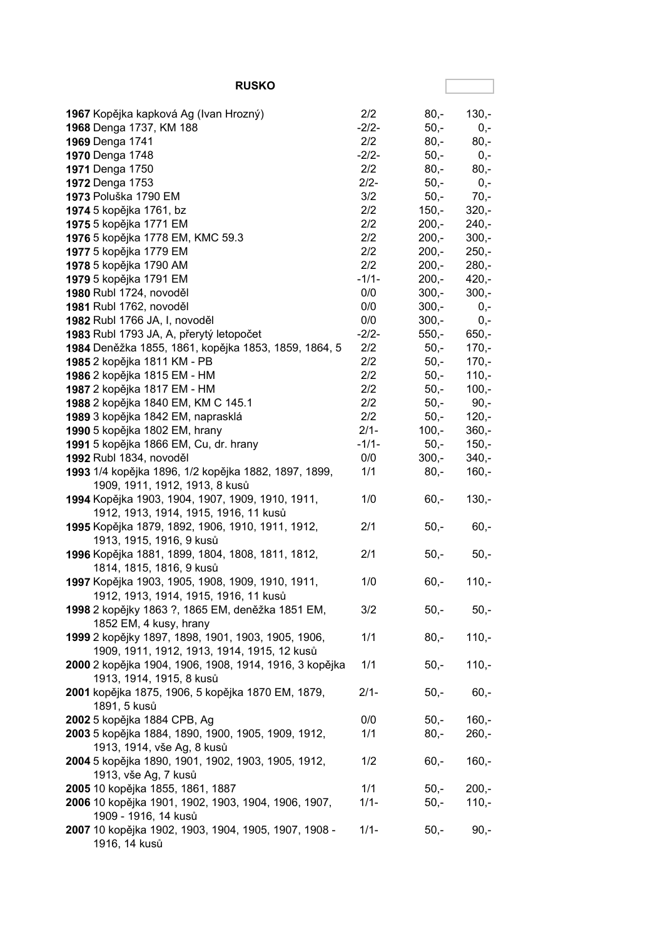| <b>RUSKO</b>                                                                                      |            |                    |                  |
|---------------------------------------------------------------------------------------------------|------------|--------------------|------------------|
| 1967 Kopějka kapková Ag (Ivan Hrozný)                                                             | 2/2        | $80 -$             | $130,-$          |
| 1968 Denga 1737, KM 188                                                                           | $-2/2-$    | $50,-$             | $0,-$            |
| 1969 Denga 1741                                                                                   | 2/2        | $80,-$             | $80,-$           |
| 1970 Denga 1748                                                                                   | $-2/2-$    | $50,-$             | $0,-$            |
| 1971 Denga 1750                                                                                   | 2/2        | $80,-$             | $80,-$           |
| 1972 Denga 1753                                                                                   | $2/2-$     | $50,-$             | $0,-$            |
| 1973 Poluška 1790 EM                                                                              | 3/2        | $50,-$             | $70,-$           |
| 1974 5 kopějka 1761, bz                                                                           | 2/2        | $150,-$            | $320,-$          |
| 1975 5 kopějka 1771 EM                                                                            | 2/2        | $200,-$            | $240,-$          |
| 1976 5 kopějka 1778 EM, KMC 59.3                                                                  | 2/2        | $200,-$            | $300,-$          |
| 1977 5 kopějka 1779 EM                                                                            | 2/2        | $200,-$            | $250,-$          |
| 1978 5 kopějka 1790 AM                                                                            | 2/2        | $200,-$            | $280,-$          |
| 1979 5 kopějka 1791 EM                                                                            | $-1/1-$    | $200,-$            | $420,-$          |
| 1980 Rubl 1724, novoděl                                                                           | 0/0        | $300 -$            | $300 -$          |
| 1981 Rubl 1762, novoděl                                                                           | 0/0<br>0/0 | $300,-$            | $0,-$            |
| 1982 Rubl 1766 JA, I, novoděl<br>1983 Rubl 1793 JA, A, přerytý letopočet                          | $-2/2-$    | $300,-$<br>$550 -$ | $0,-$<br>$650,-$ |
| 1984 Deněžka 1855, 1861, kopějka 1853, 1859, 1864, 5                                              | 2/2        | $50,-$             | $170,-$          |
| 1985 2 kopějka 1811 KM - PB                                                                       | 2/2        | $50,-$             | $170,-$          |
| 1986 2 kopějka 1815 EM - HM                                                                       | 2/2        | $50,-$             | $110,-$          |
| 1987 2 kopějka 1817 EM - HM                                                                       | 2/2        | $50,-$             | $100,-$          |
| 1988 2 kopějka 1840 EM, KM C 145.1                                                                | 2/2        | $50,-$             | $90,-$           |
| 1989 3 kopějka 1842 EM, naprasklá                                                                 | 2/2        | $50,-$             | $120,-$          |
| 1990 5 kopějka 1802 EM, hrany                                                                     | $2/1-$     | $100,-$            | $360,-$          |
| 1991 5 kopějka 1866 EM, Cu, dr. hrany                                                             | $-1/1-$    | $50,-$             | $150,-$          |
| 1992 Rubl 1834, novoděl                                                                           | 0/0        | $300,-$            | $340,-$          |
| 1993 1/4 kopějka 1896, 1/2 kopějka 1882, 1897, 1899,<br>1909, 1911, 1912, 1913, 8 kusů            | 1/1        | $80,-$             | $160,-$          |
| 1994 Kopějka 1903, 1904, 1907, 1909, 1910, 1911,<br>1912, 1913, 1914, 1915, 1916, 11 kusů         | 1/0        | $60,-$             | $130,-$          |
| 1995 Kopějka 1879, 1892, 1906, 1910, 1911, 1912,<br>1913, 1915, 1916, 9 kusů                      | 2/1        | $50,-$             | $60,-$           |
| 1996 Kopějka 1881, 1899, 1804, 1808, 1811, 1812,<br>1814, 1815, 1816, 9 kusů                      | 2/1        | $50,-$             | $50,-$           |
| 1997 Kopějka 1903, 1905, 1908, 1909, 1910, 1911,<br>1912, 1913, 1914, 1915, 1916, 11 kusů         | 1/0        | $60,-$             | $110,-$          |
| 1998 2 kopějky 1863 ?, 1865 EM, deněžka 1851 EM,<br>1852 EM, 4 kusy, hrany                        | 3/2        | 50,-               | $50,-$           |
| 1999 2 kopějky 1897, 1898, 1901, 1903, 1905, 1906,<br>1909, 1911, 1912, 1913, 1914, 1915, 12 kusů | 1/1        | $80,-$             | $110,-$          |
| 2000 2 kopějka 1904, 1906, 1908, 1914, 1916, 3 kopějka<br>1913, 1914, 1915, 8 kusů                | 1/1        | $50,-$             | $110,-$          |
| 2001 kopějka 1875, 1906, 5 kopějka 1870 EM, 1879,<br>1891, 5 kusů                                 | $2/1 -$    | $50,-$             | $60,-$           |
| 2002 5 kopějka 1884 CPB, Ag                                                                       | 0/0        | $50,-$             | $160,-$          |
| 2003 5 kopějka 1884, 1890, 1900, 1905, 1909, 1912,                                                | 1/1        | $80,-$             | $260,-$          |
| 1913, 1914, vše Ag, 8 kusů                                                                        |            |                    |                  |
| 2004 5 kopějka 1890, 1901, 1902, 1903, 1905, 1912,<br>1913, vše Ag, 7 kusů                        | 1/2        | $60,-$             | $160,-$          |
| 2005 10 kopějka 1855, 1861, 1887                                                                  | 1/1        | $50,-$             | $200,-$          |
| 2006 10 kopějka 1901, 1902, 1903, 1904, 1906, 1907,<br>1909 - 1916, 14 kusů                       | $1/1 -$    | $50,-$             | $110,-$          |
| 2007 10 kopějka 1902, 1903, 1904, 1905, 1907, 1908 -<br>1916, 14 kusů                             | $1/1 -$    | $50,-$             | $90,-$           |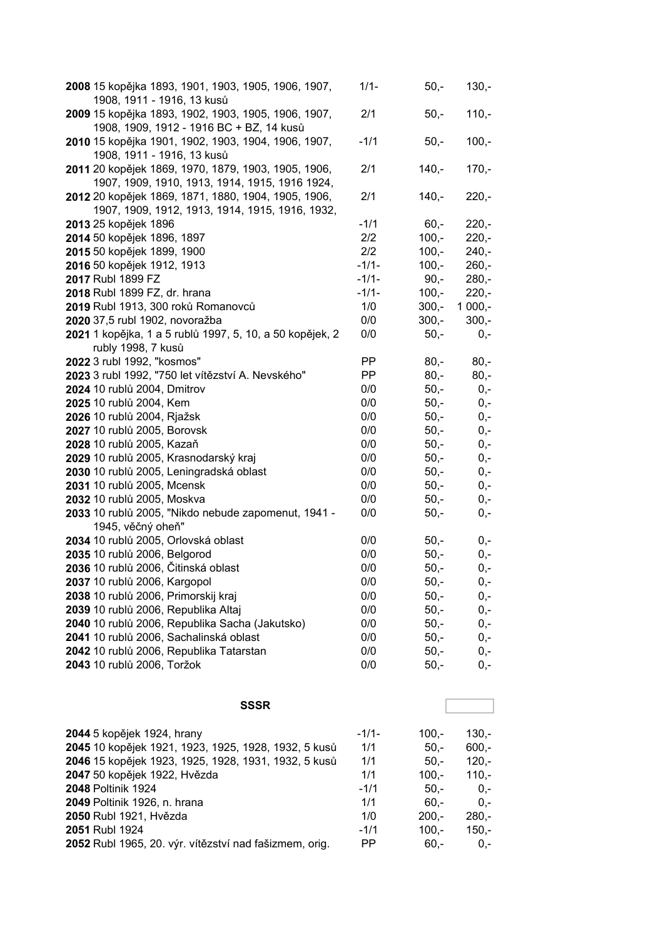| 2008 15 kopějka 1893, 1901, 1903, 1905, 1906, 1907,<br>1908, 1911 - 1916, 13 kusů                      | $1/1 -$   | $50,-$  | $130,-$  |
|--------------------------------------------------------------------------------------------------------|-----------|---------|----------|
| 2009 15 kopějka 1893, 1902, 1903, 1905, 1906, 1907,<br>1908, 1909, 1912 - 1916 BC + BZ, 14 kusů        | 2/1       | $50,-$  | $110,-$  |
| 2010 15 kopějka 1901, 1902, 1903, 1904, 1906, 1907,<br>1908, 1911 - 1916, 13 kusů                      | $-1/1$    | $50,-$  | $100,-$  |
| 2011 20 kopějek 1869, 1970, 1879, 1903, 1905, 1906,<br>1907, 1909, 1910, 1913, 1914, 1915, 1916 1924,  | 2/1       | $140,-$ | $170,-$  |
| 2012 20 kopějek 1869, 1871, 1880, 1904, 1905, 1906,<br>1907, 1909, 1912, 1913, 1914, 1915, 1916, 1932, | 2/1       | $140,-$ | $220,-$  |
| 2013 25 kopějek 1896                                                                                   | $-1/1$    | $60,-$  | $220,-$  |
| 2014 50 kopějek 1896, 1897                                                                             | 2/2       | $100,-$ | $220 -$  |
| 2015 50 kopějek 1899, 1900                                                                             | 2/2       | $100,-$ | $240,-$  |
| 2016 50 kopějek 1912, 1913                                                                             | $-1/1-$   | $100,-$ | $260,-$  |
| 2017 Rubl 1899 FZ                                                                                      | $-1/1-$   | $90,-$  | $280,-$  |
| 2018 Rubl 1899 FZ, dr. hrana                                                                           | $-1/1-$   | $100,-$ | $220,-$  |
| 2019 Rubl 1913, 300 roků Romanovců                                                                     | 1/0       | $300,-$ | $1000,-$ |
| 2020 37,5 rubl 1902, novoražba                                                                         | 0/0       | $300,-$ | $300 -$  |
| 2021 1 kopějka, 1 a 5 rublů 1997, 5, 10, a 50 kopějek, 2                                               | 0/0       | $50,-$  | $0,-$    |
| rubly 1998, 7 kusů                                                                                     |           |         |          |
| 2022 3 rubl 1992, "kosmos"                                                                             | <b>PP</b> | $80,-$  | $80,-$   |
| 2023 3 rubl 1992, "750 let vítězství A. Nevského"                                                      | <b>PP</b> | $80 -$  | $80 -$   |
| 2024 10 rublů 2004, Dmitrov                                                                            | 0/0       | $50,-$  | $0,-$    |
| 2025 10 rublů 2004, Kem                                                                                | 0/0       | $50,-$  | $0,-$    |
| 2026 10 rublů 2004, Rjažsk                                                                             | 0/0       | $50,-$  | $0,-$    |
| 2027 10 rublů 2005, Borovsk                                                                            | 0/0       | $50,-$  | $0,-$    |
| 2028 10 rublů 2005, Kazaň                                                                              | 0/0       | $50,-$  | $0,-$    |
| 2029 10 rublů 2005, Krasnodarský kraj                                                                  | 0/0       | $50,-$  | $0,-$    |
| 2030 10 rublů 2005, Leningradská oblast                                                                | 0/0       | $50,-$  | $0,-$    |
| 2031 10 rublů 2005, Mcensk                                                                             | 0/0       | $50,-$  | $0,-$    |
| 2032 10 rublů 2005, Moskva                                                                             | 0/0       | $50,-$  | $0,-$    |
| 2033 10 rublů 2005, "Nikdo nebude zapomenut, 1941 -                                                    | 0/0       | $50,-$  | $0,-$    |
| 1945, věčný oheň"                                                                                      |           |         |          |
| 2034 10 rublů 2005, Orlovská oblast                                                                    | 0/0       | $50,-$  | $0,-$    |
| 2035 10 rublů 2006, Belgorod                                                                           | 0/0       | $50,-$  | $0,-$    |
| 2036 10 rublů 2006, Čitinská oblast                                                                    | 0/0       | $50,-$  | $0,-$    |
| 2037 10 rublů 2006, Kargopol                                                                           | 0/0       | $50,-$  | 0,-      |
| 2038 10 rublů 2006, Primorskij kraj                                                                    | 0/0       | $50,-$  | $0,-$    |
| 2039 10 rublů 2006, Republika Altaj                                                                    | 0/0       | $50,-$  | $0,-$    |
| 2040 10 rublů 2006, Republika Sacha (Jakutsko)                                                         | 0/0       | $50,-$  | 0,-      |
| 2041 10 rublů 2006, Sachalinská oblast                                                                 | 0/0       | $50,-$  | $0,-$    |
| 2042 10 rublů 2006, Republika Tatarstan                                                                | 0/0       | $50,-$  | 0,-      |
| 2043 10 rublů 2006, Toržok                                                                             | 0/0       | $50,-$  | $0,-$    |
| <b>SSSR</b>                                                                                            |           |         |          |
|                                                                                                        |           |         |          |
| 2044 5 kopějek 1924, hrany                                                                             | $-1/1-$   | $100,-$ | $130,-$  |
| 2045 10 kopějek 1921, 1923, 1925, 1928, 1932, 5 kusů                                                   | 1/1       | $50,-$  | $600,-$  |
| 2046 15 kopějek 1923, 1925, 1928, 1931, 1932, 5 kusů                                                   | 1/1       | $50,-$  | $120,-$  |
| 2047 50 kopějek 1922, Hvězda                                                                           | 1/1       | $100,-$ | $110,-$  |
| 2048 Poltinik 1924                                                                                     | $-1/1$    | $50,-$  | 0,-      |
| 2049 Poltinik 1926, n. hrana                                                                           | 1/1       | $60,-$  | $0,-$    |
| 2050 Rubl 1921, Hvězda                                                                                 | 1/0       | $200,-$ | $280,-$  |
| 2051 Rubl 1924                                                                                         | $-1/1$    | $100,-$ | $150,-$  |
| 2052 Rubl 1965, 20. výr. vítězství nad fašizmem, orig.                                                 | <b>PP</b> | $60,-$  | $0,-$    |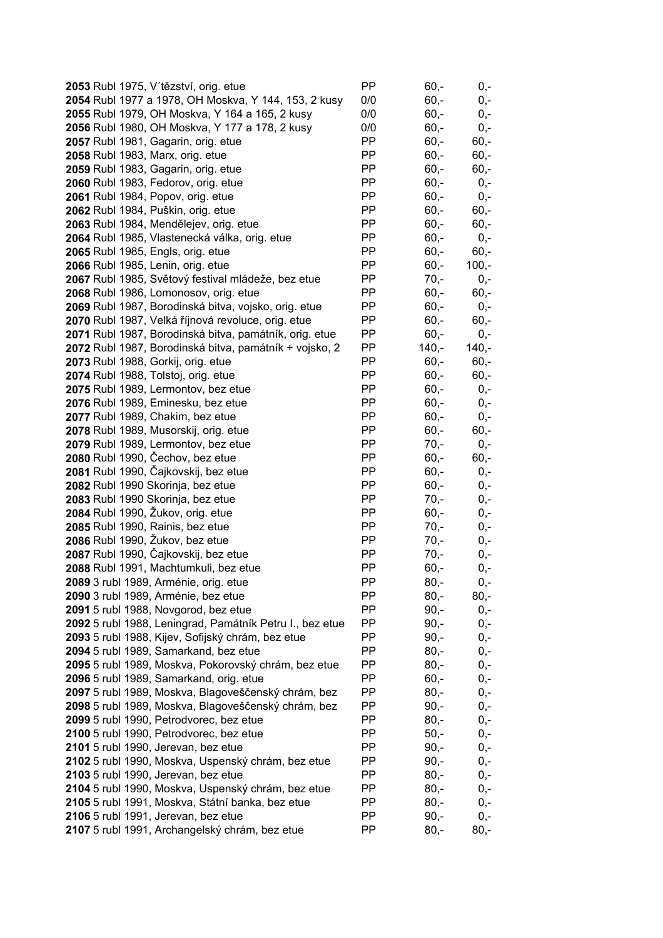| 2053 Rubl 1975, V'tězství, orig. etue                    | PP        | $60,-$  | $0,-$   |
|----------------------------------------------------------|-----------|---------|---------|
| 2054 Rubl 1977 a 1978, OH Moskva, Y 144, 153, 2 kusy     | 0/0       | $60, -$ | $0,-$   |
| 2055 Rubl 1979, OH Moskva, Y 164 a 165, 2 kusy           | 0/0       | $60, -$ | $0,-$   |
| 2056 Rubl 1980, OH Moskva, Y 177 a 178, 2 kusy           | 0/0       | $60, -$ | $0,-$   |
| 2057 Rubl 1981, Gagarin, orig. etue                      | PP        | $60,-$  | $60,-$  |
| 2058 Rubl 1983, Marx, orig. etue                         | PP        | $60,-$  | $60,-$  |
| 2059 Rubl 1983, Gagarin, orig. etue                      | PP        | $60,-$  | $60,-$  |
| 2060 Rubl 1983, Fedorov, orig. etue                      | PP        | $60,-$  | $0,-$   |
| 2061 Rubl 1984, Popov, orig. etue                        | PP        | $60, -$ | $0,-$   |
| 2062 Rubl 1984, Puškin, orig. etue                       | PP        | $60,-$  | $60,-$  |
| 2063 Rubl 1984, Mendělejev, orig. etue                   | PP        | $60, -$ | $60,-$  |
| 2064 Rubl 1985, Vlastenecká válka, orig. etue            | PP        | $60, -$ | $0,-$   |
| 2065 Rubl 1985, Engls, orig. etue                        | PP        | $60, -$ | $60,-$  |
| 2066 Rubl 1985, Lenin, orig. etue                        | PP        | $60, -$ | $100,-$ |
| 2067 Rubl 1985, Světový festival mládeže, bez etue       | PP        | $70,-$  | $0,-$   |
| 2068 Rubl 1986, Lomonosov, orig. etue                    | PP        | $60, -$ | $60,-$  |
| 2069 Rubl 1987, Borodinská bitva, vojsko, orig. etue     | PP        | $60, -$ | $0,-$   |
| 2070 Rubl 1987, Velká říjnová revoluce, orig. etue       | PP        | $60, -$ | $60,-$  |
| 2071 Rubl 1987, Borodinská bitva, památník, orig. etue   | PP        | $60, -$ | $0,-$   |
| 2072 Rubl 1987, Borodinská bitva, památník + vojsko, 2   | PP        | $140,-$ | $140,-$ |
| 2073 Rubl 1988, Gorkij, orig. etue                       | PP        | $60,-$  | $60,-$  |
| 2074 Rubl 1988, Tolstoj, orig. etue                      | PP        | $60,-$  | $60,-$  |
| 2075 Rubl 1989, Lermontov, bez etue                      | PP        | $60,-$  | $0,-$   |
| 2076 Rubl 1989, Eminesku, bez etue                       | PP        | $60,-$  | $0,-$   |
| 2077 Rubl 1989, Chakim, bez etue                         | PP        | $60,-$  | $0,-$   |
| 2078 Rubl 1989, Musorskij, orig. etue                    | PP        | $60,-$  | $60,-$  |
| 2079 Rubl 1989, Lermontov, bez etue                      | PP        | $70,-$  | $0,-$   |
| 2080 Rubl 1990, Čechov, bez etue                         | PP        | $60, -$ | $60,-$  |
| 2081 Rubl 1990, Čajkovskij, bez etue                     | PP        | $60, -$ | $0,-$   |
| 2082 Rubl 1990 Skorinja, bez etue                        | PP        | $60, -$ | $0,-$   |
| 2083 Rubl 1990 Skorinja, bez etue                        | PP        | $70,-$  | $0,-$   |
| 2084 Rubl 1990, Žukov, orig. etue                        | <b>PP</b> | $60, -$ | $0,-$   |
| 2085 Rubl 1990, Rainis, bez etue                         | PP        | $70 -$  | $0,-$   |
| 2086 Rubl 1990, Žukov, bez etue                          | PP        | $70,-$  | $0,-$   |
| 2087 Rubl 1990, Čajkovskij, bez etue                     | PP        | $70,-$  | 0,-     |
| 2088 Rubl 1991, Machtumkuli, bez etue                    | PP        | $60,-$  | 0,-     |
| <b>2089</b> 3 rubl 1989, Arménie, orig. etue             | <b>PP</b> | $80,-$  | 0,-     |
| 2090 3 rubl 1989, Arménie, bez etue                      | PP        | $80 -$  | $80,-$  |
| 2091 5 rubl 1988, Novgorod, bez etue                     | PP        | $90,-$  | $0,-$   |
| 2092 5 rubl 1988, Leningrad, Památník Petru I., bez etue | PP        | $90,-$  | $0,-$   |
| 2093 5 rubl 1988, Kijev, Sofijský chrám, bez etue        | PP        | $90,-$  | $0,-$   |
| 2094 5 rubl 1989, Samarkand, bez etue                    | PP        | $80 -$  | $0,-$   |
| 2095 5 rubl 1989, Moskva, Pokorovský chrám, bez etue     | PP        | $80,-$  | 0,-     |
| 2096 5 rubl 1989, Samarkand, orig. etue                  | PP        | $60,-$  | 0,-     |
| 2097 5 rubl 1989, Moskva, Blagoveščenský chrám, bez      | PP        | $80,-$  | 0,-     |
| 2098 5 rubl 1989, Moskva, Blagoveščenský chrám, bez      | PP        | $90, -$ | $0,-$   |
| 2099 5 rubl 1990, Petrodvorec, bez etue                  | PP        | $80,-$  | $0,-$   |
| 2100 5 rubl 1990, Petrodvorec, bez etue                  | PP        | $50,-$  | $0,-$   |
| 2101 5 rubl 1990, Jerevan, bez etue                      | PP        | $90,-$  | $0,-$   |
| 2102 5 rubl 1990, Moskva, Uspenský chrám, bez etue       | PP        | $90,-$  | $0,-$   |
| 2103 5 rubl 1990, Jerevan, bez etue                      | PP        | $80,-$  | 0,-     |
| 2104 5 rubl 1990, Moskva, Uspenský chrám, bez etue       | PP        | $80,-$  | $0,-$   |
| 2105 5 rubl 1991, Moskva, Státní banka, bez etue         | PP        | $80,-$  | $0,-$   |
| 2106 5 rubl 1991, Jerevan, bez etue                      | PP        | $90 -$  | $0,-$   |
| 2107 5 rubl 1991, Archangelský chrám, bez etue           | PP        | $80,-$  | $80,-$  |
|                                                          |           |         |         |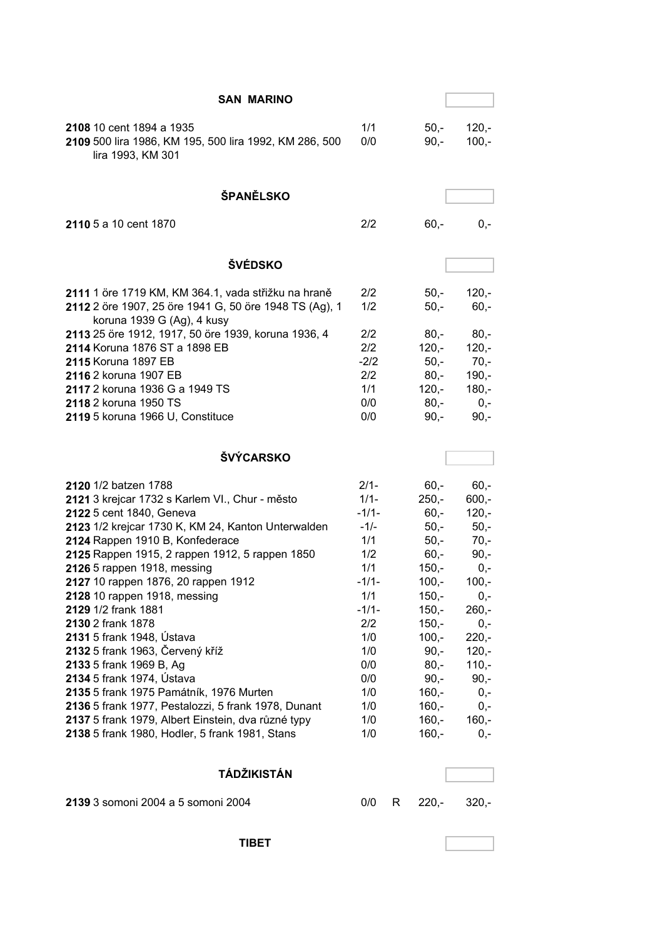| <b>SAN MARINO</b>                                                                                       |                |   |                    |                    |
|---------------------------------------------------------------------------------------------------------|----------------|---|--------------------|--------------------|
| 2108 10 cent 1894 a 1935<br>2109 500 lira 1986, KM 195, 500 lira 1992, KM 286, 500<br>lira 1993, KM 301 | 1/1<br>0/0     |   | $50 -$<br>$90 -$   | $120,-$<br>$100,-$ |
| ŠPANĚLSKO                                                                                               |                |   |                    |                    |
| 2110 5 a 10 cent 1870                                                                                   | 2/2            |   | $60,-$             | $0,-$              |
| <b>ŠVÉDSKO</b>                                                                                          |                |   |                    |                    |
| 2111 1 öre 1719 KM, KM 364.1, vada střižku na hraně                                                     | 2/2            |   | $50 -$             | $120,-$            |
| 2112 2 öre 1907, 25 öre 1941 G, 50 öre 1948 TS (Ag), 1<br>koruna 1939 G (Ag), 4 kusy                    | 1/2            |   | $50,-$             | $60,-$             |
| 2113 25 öre 1912, 1917, 50 öre 1939, koruna 1936, 4                                                     | 2/2            |   | $80,-$             | $80,-$             |
| 2114 Koruna 1876 ST a 1898 EB<br>2115 Koruna 1897 EB                                                    | 2/2<br>$-2/2$  |   | $120,-$<br>$50 -$  | $120 -$<br>$70,-$  |
| 2116 2 koruna 1907 EB                                                                                   | 2/2            |   | $80 -$             | $190 -$            |
| 2117 2 koruna 1936 G a 1949 TS                                                                          | 1/1            |   | $120,-$            | $180,-$            |
| 2118 2 koruna 1950 TS                                                                                   | 0/0            |   | $80,-$             | $0,-$              |
| 2119 5 koruna 1966 U, Constituce                                                                        | 0/0            |   | $90,-$             | $90,-$             |
| <b>ŠVÝCARSKO</b>                                                                                        |                |   |                    |                    |
| 2120 1/2 batzen 1788                                                                                    | $2/1 -$        |   | $60 -$             | $60,-$             |
| 2121 3 krejcar 1732 s Karlem VI., Chur - město                                                          | $1/1 -$        |   | $250,-$            | $600,-$            |
| 2122 5 cent 1840, Geneva                                                                                | $-1/1-$        |   | $60, -$            | $120,-$            |
| 2123 1/2 krejcar 1730 K, KM 24, Kanton Unterwalden                                                      | $-1/-$         |   | $50,-$             | $50,-$             |
| 2124 Rappen 1910 B, Konfederace                                                                         | 1/1            |   | $50,-$             | $70,-$             |
| 2125 Rappen 1915, 2 rappen 1912, 5 rappen 1850                                                          | 1/2            |   | $60,-$             | $90,-$             |
| 2126 5 rappen 1918, messing                                                                             | 1/1            |   | $150,-$            | $0,-$              |
| 2127 10 rappen 1876, 20 rappen 1912                                                                     | $-1/1-$        |   | $100,-$            | $100,-$            |
| 2128 10 rappen 1918, messing<br>2129 1/2 frank 1881                                                     | 1/1<br>$-1/1-$ |   | $150,-$<br>$150,-$ | $0,-$<br>$260,-$   |
| 2130 2 frank 1878                                                                                       | 2/2            |   | $150,-$            | $0,-$              |
| 2131 5 frank 1948, Ústava                                                                               | 1/0            |   | $100,-$            | $220,-$            |
| 2132 5 frank 1963, Červený kříž                                                                         | 1/0            |   | $90, -$            | $120,-$            |
| 2133 5 frank 1969 B, Ag                                                                                 | 0/0            |   | $80,-$             | $110,-$            |
| 2134 5 frank 1974, Ústava                                                                               | 0/0            |   | $90,-$             | $90,-$             |
| 2135 5 frank 1975 Památník, 1976 Murten                                                                 | 1/0            |   | $160,-$            | $0,-$              |
| 2136 5 frank 1977, Pestalozzi, 5 frank 1978, Dunant                                                     | 1/0            |   | $160,-$            | $0,-$              |
| 2137 5 frank 1979, Albert Einstein, dva různé typy                                                      | 1/0            |   | $160,-$            | $160,-$            |
| 2138 5 frank 1980, Hodler, 5 frank 1981, Stans                                                          | 1/0            |   | $160,-$            | $0,-$              |
| <b>TÁDŽIKISTÁN</b>                                                                                      |                |   |                    |                    |
| 2139 3 somoni 2004 a 5 somoni 2004                                                                      | 0/0            | R | $220,-$            | $320,-$            |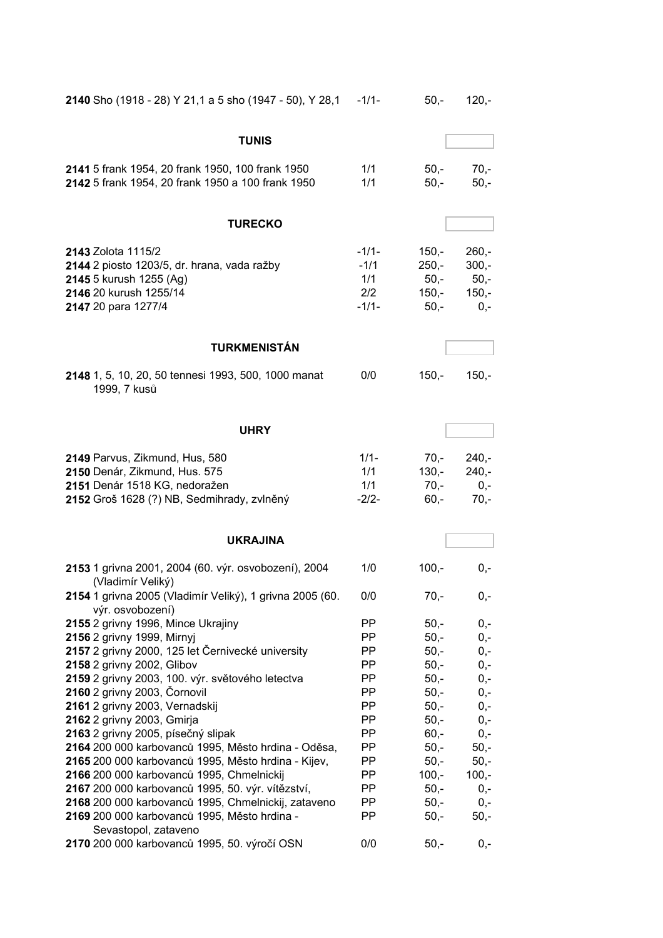| 2140 Sho (1918 - 28) Y 21,1 a 5 sho (1947 - 50), Y 28,1                                                                                        | $-1/1-$                                    | $50,-$                                            | $120,-$                                          |
|------------------------------------------------------------------------------------------------------------------------------------------------|--------------------------------------------|---------------------------------------------------|--------------------------------------------------|
| <b>TUNIS</b>                                                                                                                                   |                                            |                                                   |                                                  |
| 2141 5 frank 1954, 20 frank 1950, 100 frank 1950<br>2142 5 frank 1954, 20 frank 1950 a 100 frank 1950                                          | 1/1<br>1/1                                 | $50 -$<br>$50,-$                                  | $70,-$<br>$50,-$                                 |
| <b>TURECKO</b>                                                                                                                                 |                                            |                                                   |                                                  |
| 2143 Zolota 1115/2<br>2144 2 piosto 1203/5, dr. hrana, vada ražby<br>2145 5 kurush 1255 (Ag)<br>2146 20 kurush 1255/14<br>2147 20 para 1277/4  | $-1/1-$<br>$-1/1$<br>1/1<br>2/2<br>$-1/1-$ | $150,-$<br>$250,-$<br>$50,-$<br>$150,-$<br>$50,-$ | $260,-$<br>$300,-$<br>$50,-$<br>$150,-$<br>$0,-$ |
| <b>TURKMENISTÁN</b>                                                                                                                            |                                            |                                                   |                                                  |
| 2148 1, 5, 10, 20, 50 tennesi 1993, 500, 1000 manat<br>1999, 7 kusů                                                                            | 0/0                                        | $150,-$                                           | $150,-$                                          |
| <b>UHRY</b>                                                                                                                                    |                                            |                                                   |                                                  |
| 2149 Parvus, Zikmund, Hus, 580<br>2150 Denár, Zikmund, Hus. 575<br>2151 Denár 1518 KG, nedoražen<br>2152 Groš 1628 (?) NB, Sedmihrady, zvlněný | $1/1 -$<br>1/1<br>1/1<br>$-2/2-$           | $70,-$<br>$130,-$<br>$70,-$<br>$60,-$             | $240,-$<br>$240,-$<br>$0,-$<br>$70,-$            |
| <b>UKRAJINA</b>                                                                                                                                |                                            |                                                   |                                                  |
| 2153 1 grivna 2001, 2004 (60. výr. osvobození), 2004<br>(Vladimír Veliký)                                                                      | 1/0                                        | $100,-$                                           | $0,-$                                            |
| 2154 1 grivna 2005 (Vladimír Veliký), 1 grivna 2005 (60.<br>výr. osvobození)                                                                   | 0/0                                        | $70,-$                                            | $0,-$                                            |
| 2155 2 grivny 1996, Mince Ukrajiny                                                                                                             | PP                                         | $50,-$                                            | $0,-$                                            |
| 2156 2 grivny 1999, Mirnyj                                                                                                                     | PP.                                        | $50,-$                                            | $0,-$                                            |
| 2157 2 grivny 2000, 125 let Černivecké university                                                                                              | PP.                                        | $50,-$                                            | $0,-$                                            |
| 2158 2 grivny 2002, Glibov                                                                                                                     | PP.                                        | $50,-$                                            | $0,-$                                            |
| 2159 2 grivny 2003, 100. výr. světového letectva                                                                                               | PP.                                        | $50,-$                                            | $0,-$                                            |
| 2160 2 grivny 2003, Čornovil                                                                                                                   | PP.                                        | $50,-$                                            | $0,-$                                            |
| 2161 2 grivny 2003, Vernadskij                                                                                                                 | PP                                         | $50,-$                                            | $0,-$                                            |
| 2162 2 grivny 2003, Gmirja                                                                                                                     | PP                                         | $50,-$                                            | $0,-$                                            |
| 2163 2 grivny 2005, písečný slipak                                                                                                             | PP                                         | $60,-$                                            | $0,-$                                            |
| 2164 200 000 karbovanců 1995, Město hrdina - Oděsa,                                                                                            | PP                                         | $50,-$                                            | $50,-$                                           |
| 2165 200 000 karbovanců 1995, Město hrdina - Kijev,                                                                                            | PP                                         | $50,-$                                            | $50,-$                                           |
| 2166 200 000 karbovanců 1995, Chmelnickij                                                                                                      | PP                                         | $100,-$                                           | $100,-$                                          |
| 2167 200 000 karbovanců 1995, 50. výr. vítězství,                                                                                              | PP                                         | $50 -$                                            | $0,-$                                            |
| 2168 200 000 karbovanců 1995, Chmelnickij, zataveno                                                                                            | PP                                         | $50,-$                                            | $0,-$                                            |
| 2169 200 000 karbovanců 1995, Město hrdina -                                                                                                   | PP                                         | $50,-$                                            | $50,-$                                           |
| Sevastopol, zataveno                                                                                                                           |                                            |                                                   |                                                  |
| 2170 200 000 karbovanců 1995, 50. výročí OSN                                                                                                   | 0/0                                        | $50,-$                                            | 0,-                                              |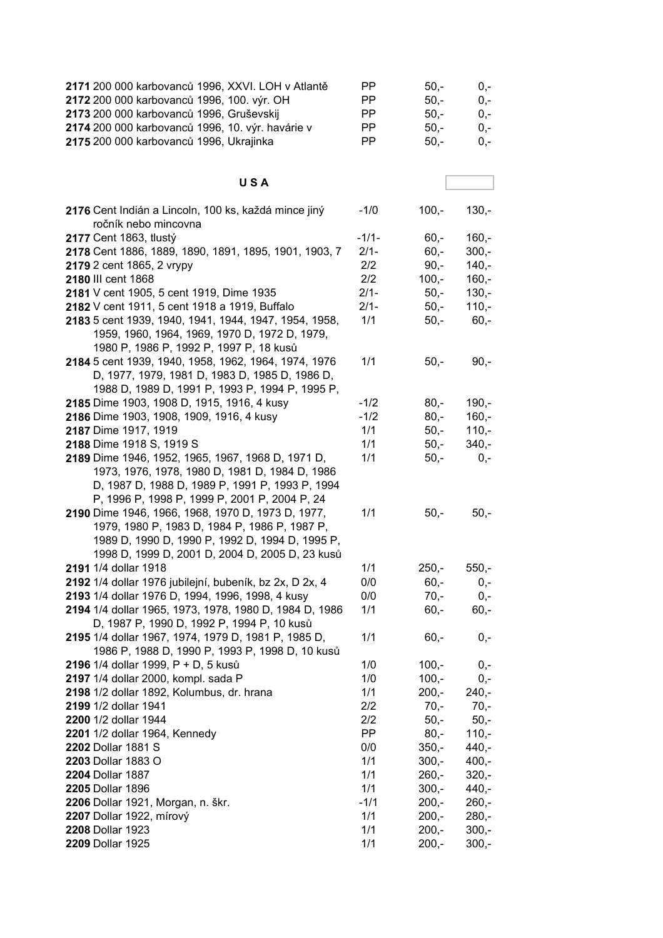| 2171 200 000 karbovanců 1996, XXVI. LOH v Atlantě       | ΡP        | $50,-$  | $0,-$   |
|---------------------------------------------------------|-----------|---------|---------|
| 2172 200 000 karbovanců 1996, 100. výr. OH              | PP.       | $50,-$  | $0,-$   |
| 2173 200 000 karbovanců 1996, Gruševskij                | PP.       | $50,-$  | $0,-$   |
| 2174 200 000 karbovanců 1996, 10. výr. havárie v        | PP.       | $50,-$  | $0,-$   |
| 2175 200 000 karbovanců 1996, Ukrajinka                 | <b>PP</b> | $50,-$  | $0,-$   |
|                                                         |           |         |         |
|                                                         |           |         |         |
| <b>USA</b>                                              |           |         |         |
| 2176 Cent Indián a Lincoln, 100 ks, každá mince jiný    | $-1/0$    | $100,-$ | $130,-$ |
| ročník nebo mincovna                                    |           |         |         |
| 2177 Cent 1863, tlustý                                  | $-1/1-$   | $60,-$  | $160,-$ |
| 2178 Cent 1886, 1889, 1890, 1891, 1895, 1901, 1903, 7   | $2/1 -$   | $60 -$  | $300,-$ |
| 2179 2 cent 1865, 2 vrypy                               | 2/2       | $90 -$  | $140 -$ |
| 2180 III cent 1868                                      | 2/2       | $100,-$ | $160,-$ |
| 2181 V cent 1905, 5 cent 1919, Dime 1935                | $2/1 -$   | $50 -$  | $130,-$ |
| 2182 V cent 1911, 5 cent 1918 a 1919, Buffalo           | $2/1 -$   | $50 -$  | $110,-$ |
| 2183 5 cent 1939, 1940, 1941, 1944, 1947, 1954, 1958,   | 1/1       | $50,-$  | $60 -$  |
| 1959, 1960, 1964, 1969, 1970 D, 1972 D, 1979,           |           |         |         |
| 1980 P, 1986 P, 1992 P, 1997 P, 18 kusů                 |           |         |         |
| 2184 5 cent 1939, 1940, 1958, 1962, 1964, 1974, 1976    | 1/1       | $50,-$  | $90,-$  |
| D, 1977, 1979, 1981 D, 1983 D, 1985 D, 1986 D,          |           |         |         |
| 1988 D, 1989 D, 1991 P, 1993 P, 1994 P, 1995 P,         |           |         |         |
| 2185 Dime 1903, 1908 D, 1915, 1916, 4 kusy              | $-1/2$    | $80 -$  | $190,-$ |
| 2186 Dime 1903, 1908, 1909, 1916, 4 kusy                | $-1/2$    | $80 -$  | $160,-$ |
| 2187 Dime 1917, 1919                                    | 1/1       | $50,-$  | $110,-$ |
| 2188 Dime 1918 S, 1919 S                                | 1/1       | $50,-$  | $340,-$ |
| 2189 Dime 1946, 1952, 1965, 1967, 1968 D, 1971 D,       | 1/1       | $50,-$  | $0,-$   |
| 1973, 1976, 1978, 1980 D, 1981 D, 1984 D, 1986          |           |         |         |
| D, 1987 D, 1988 D, 1989 P, 1991 P, 1993 P, 1994         |           |         |         |
| P, 1996 P, 1998 P, 1999 P, 2001 P, 2004 P, 24           |           |         |         |
| 2190 Dime 1946, 1966, 1968, 1970 D, 1973 D, 1977,       | 1/1       | $50,-$  | $50,-$  |
| 1979, 1980 P, 1983 D, 1984 P, 1986 P, 1987 P,           |           |         |         |
| 1989 D, 1990 D, 1990 P, 1992 D, 1994 D, 1995 P,         |           |         |         |
| 1998 D, 1999 D, 2001 D, 2004 D, 2005 D, 23 kusů         |           |         |         |
| 2191 1/4 dollar 1918                                    | 1/1       | $250,-$ | $550,-$ |
| 2192 1/4 dollar 1976 jubilejní, bubeník, bz 2x, D 2x, 4 | 0/0       | $60,-$  | 0,-     |
| 2193 1/4 dollar 1976 D, 1994, 1996, 1998, 4 kusy        | 0/0       | $70,-$  | $0,-$   |
| 2194 1/4 dollar 1965, 1973, 1978, 1980 D, 1984 D, 1986  | 1/1       | $60,-$  | $60,-$  |
| D, 1987 P, 1990 D, 1992 P, 1994 P, 10 kusů              |           |         |         |
| 2195 1/4 dollar 1967, 1974, 1979 D, 1981 P, 1985 D,     | 1/1       | $60,-$  | 0,-     |
| 1986 P, 1988 D, 1990 P, 1993 P, 1998 D, 10 kusů         |           |         |         |
| 2196 1/4 dollar 1999, P + D, 5 kusů                     | 1/0       | $100,-$ | 0,-     |
| 2197 1/4 dollar 2000, kompl. sada P                     | 1/0       | $100 -$ | $0,-$   |
| 2198 1/2 dollar 1892, Kolumbus, dr. hrana               | 1/1       | $200,-$ | $240,-$ |
| 2199 1/2 dollar 1941                                    | 2/2       | $70,-$  | $70,-$  |
| 2200 1/2 dollar 1944                                    | 2/2       | $50,-$  | $50,-$  |
| 2201 1/2 dollar 1964, Kennedy                           | PP        | $80,-$  | $110,-$ |
| 2202 Dollar 1881 S                                      | 0/0       | $350,-$ | $440,-$ |
| <b>2203 Dollar 1883 O</b>                               | 1/1       | $300,-$ | $400,-$ |
| 2204 Dollar 1887                                        | 1/1       | $260 -$ | $320,-$ |
| 2205 Dollar 1896                                        | 1/1       | $300 -$ | $440,-$ |
| 2206 Dollar 1921, Morgan, n. škr.                       | $-1/1$    | $200,-$ | $260,-$ |
| 2207 Dollar 1922, mírový                                | 1/1       | $200,-$ | $280,-$ |
| 2208 Dollar 1923                                        | 1/1       | $200,-$ | $300,-$ |
| 2209 Dollar 1925                                        | 1/1       | $200,-$ | $300,-$ |
|                                                         |           |         |         |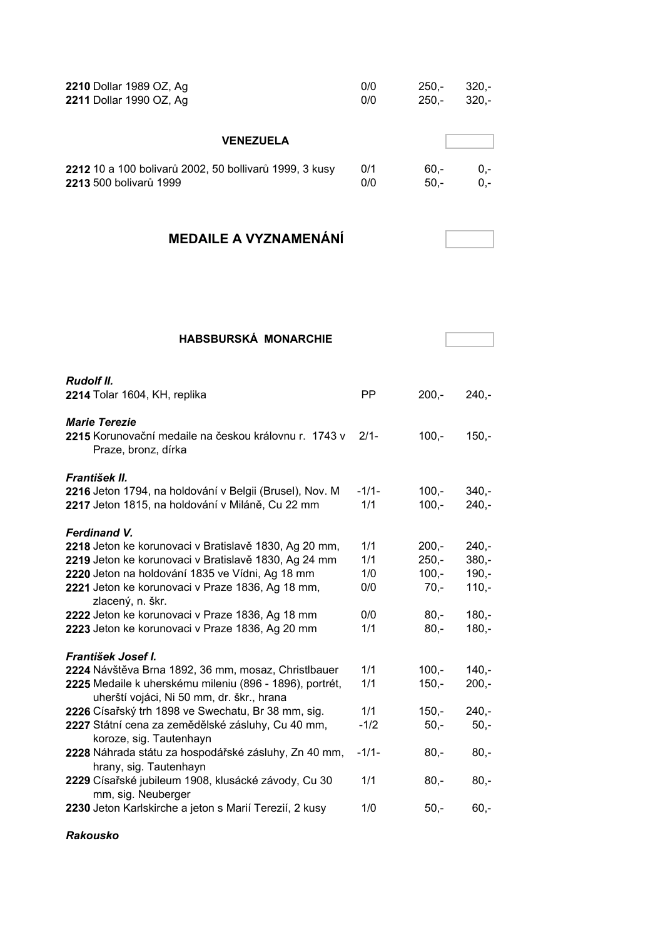| 2210 Dollar 1989 OZ, Ag                                       | 0/0 | $250 -$ | $320 -$ |
|---------------------------------------------------------------|-----|---------|---------|
| 2211 Dollar 1990 OZ, Ag                                       | 0/0 | $250 -$ | $320 -$ |
| <b>VENEZUELA</b>                                              |     |         |         |
| <b>2212</b> 10 a 100 bolivarů 2002, 50 bollivarů 1999, 3 kusy | 0/1 | $60 -$  | $0 -$   |
| <b>2213</b> 500 bolivarů 1999                                 | 0/0 | $50 -$  | $0 -$   |

## **MEDAILE A VYZNAMENÁNÍ**

| <b>HABSBURSKÁ MONARCHIE</b>                                                                                             |                |                    |                    |
|-------------------------------------------------------------------------------------------------------------------------|----------------|--------------------|--------------------|
|                                                                                                                         |                |                    |                    |
| <b>Rudolf II.</b><br>2214 Tolar 1604, KH, replika                                                                       | <b>PP</b>      | $200,-$            | $240 -$            |
| <b>Marie Terezie</b><br>2215 Korunovační medaile na českou královnu r. 1743 v<br>Praze, bronz, dírka                    | $2/1-$         | $100 -$            | $150 -$            |
| František II.                                                                                                           |                |                    |                    |
| 2216 Jeton 1794, na holdování v Belgii (Brusel), Nov. M<br>2217 Jeton 1815, na holdování v Miláně, Cu 22 mm             | $-1/1-$<br>1/1 | $100,-$<br>$100,-$ | $340 -$<br>$240 -$ |
| <b>Ferdinand V.</b>                                                                                                     |                |                    |                    |
| 2218 Jeton ke korunovaci v Bratislavě 1830, Ag 20 mm,                                                                   | 1/1            | $200,-$            | $240 -$            |
| 2219 Jeton ke korunovaci v Bratislavě 1830, Ag 24 mm                                                                    | 1/1            | $250 -$            | $380 -$            |
| 2220 Jeton na holdování 1835 ve Vídni, Ag 18 mm<br>2221 Jeton ke korunovaci v Praze 1836, Ag 18 mm,<br>zlacený, n. škr. | 1/0<br>0/0     | $100 -$<br>$70,-$  | $190 -$<br>$110,-$ |
| 2222 Jeton ke korunovaci v Praze 1836, Ag 18 mm                                                                         | 0/0            | $80 -$             | $180 -$            |
| 2223 Jeton ke korunovaci v Praze 1836, Ag 20 mm                                                                         | 1/1            | $80 -$             | $180 -$            |
| František Josef I.                                                                                                      |                |                    |                    |
| 2224 Návštěva Brna 1892, 36 mm, mosaz, Christlbauer                                                                     | 1/1            | $100 -$            | $140 -$            |
| 2225 Medaile k uherskému mileniu (896 - 1896), portrét,<br>uherští vojáci, Ni 50 mm, dr. škr., hrana                    | 1/1            | $150,-$            | $200,-$            |
| 2226 Císařský trh 1898 ve Swechatu, Br 38 mm, sig.                                                                      | 1/1            | $150,-$            | $240 -$            |
| 2227 Státní cena za zemědělské zásluhy, Cu 40 mm,<br>koroze, sig. Tautenhayn                                            | $-1/2$         | $50,-$             | $50 -$             |
| 2228 Náhrada státu za hospodářské zásluhy, Zn 40 mm,<br>hrany, sig. Tautenhayn                                          | $-1/1-$        | $80 -$             | $80 -$             |
| 2229 Císařské jubileum 1908, klusácké závody, Cu 30<br>mm, sig. Neuberger                                               | 1/1            | $80 -$             | $80 -$             |
| 2230 Jeton Karlskirche a jeton s Marií Terezií, 2 kusy                                                                  | 1/0            | $50 -$             | $60 -$             |

#### *Rakousko*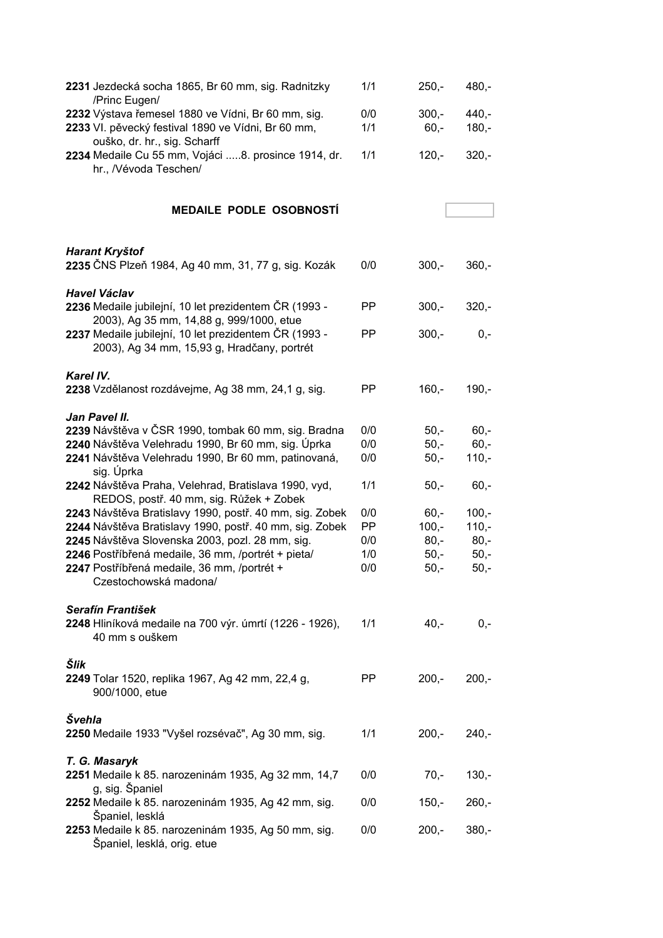| 2231 Jezdecká socha 1865, Br 60 mm, sig. Radnitzky<br>/Princ Eugen/                                          | 1/1        | $250,-$           | $480,-$            |
|--------------------------------------------------------------------------------------------------------------|------------|-------------------|--------------------|
| 2232 Výstava řemesel 1880 ve Vídni, Br 60 mm, sig.<br>2233 VI. pěvecký festival 1890 ve Vídni, Br 60 mm,     | 0/0<br>1/1 | $300,-$<br>$60,-$ | $440,-$<br>$180,-$ |
| ouško, dr. hr., sig. Scharff<br>2234 Medaile Cu 55 mm, Vojáci 8. prosince 1914, dr.<br>hr., /Vévoda Teschen/ | 1/1        | $120,-$           | $320,-$            |
| <b>MEDAILE PODLE OSOBNOSTI</b>                                                                               |            |                   |                    |
| Harant Kryštof                                                                                               |            |                   |                    |
| 2235 ČNS Plzeň 1984, Ag 40 mm, 31, 77 g, sig. Kozák                                                          | 0/0        | $300,-$           | $360,-$            |
| <b>Havel Václav</b><br>2236 Medaile jubilejní, 10 let prezidentem ČR (1993 -                                 | PP         | $300,-$           | $320,-$            |
| 2003), Ag 35 mm, 14,88 g, 999/1000, etue<br>2237 Medaile jubilejní, 10 let prezidentem ČR (1993 -            | <b>PP</b>  | $300,-$           | $0,-$              |
| 2003), Ag 34 mm, 15,93 g, Hradčany, portrét                                                                  |            |                   |                    |
| Karel IV.                                                                                                    |            |                   |                    |
| 2238 Vzdělanost rozdávejme, Ag 38 mm, 24,1 g, sig.                                                           | PP         | $160,-$           | $190,-$            |
| Jan Pavel II.<br>2239 Návštěva v ČSR 1990, tombak 60 mm, sig. Bradna                                         | 0/0        | $50 -$            | $60,-$             |
| 2240 Návštěva Velehradu 1990, Br 60 mm, sig. Úprka                                                           | 0/0        | $50,-$            | $60 -$             |
| 2241 Návštěva Velehradu 1990, Br 60 mm, patinovaná,<br>sig. Úprka                                            | 0/0        | $50,-$            | $110,-$            |
| 2242 Návštěva Praha, Velehrad, Bratislava 1990, vyd,<br>REDOS, postř. 40 mm, sig. Růžek + Zobek              | 1/1        | $50,-$            | $60,-$             |
| 2243 Návštěva Bratislavy 1990, postř. 40 mm, sig. Zobek                                                      | 0/0        | $60 -$            | $100,-$            |
| 2244 Návštěva Bratislavy 1990, postř. 40 mm, sig. Zobek                                                      | PP         | $100,-$           | $110,-$            |
| 2245 Návštěva Slovenska 2003, pozl. 28 mm, sig.                                                              | 0/0        | $80,-$            | $80,-$             |
| 2246 Postříbřená medaile, 36 mm, /portrét + pieta/                                                           | 1/0        | $50,-$            | $50,-$             |
| 2247 Postříbřená medaile, 36 mm, /portrét +<br>Czestochowská madona/                                         | 0/0        | $50,-$            | $50,-$             |
| Serafín František                                                                                            |            |                   |                    |
| 2248 Hliníková medaile na 700 výr. úmrtí (1226 - 1926),<br>40 mm s ouškem                                    | 1/1        | 40,-              | $0,-$              |
| Šlik<br>2249 Tolar 1520, replika 1967, Ag 42 mm, 22,4 g,<br>900/1000, etue                                   | PP.        | $200 -$           | $200,-$            |
| Švehla                                                                                                       |            |                   |                    |
| 2250 Medaile 1933 "Vyšel rozsévač", Ag 30 mm, sig.                                                           | 1/1        | $200,-$           | $240,-$            |
| T. G. Masaryk<br>2251 Medaile k 85. narozeninám 1935, Ag 32 mm, 14,7<br>g, sig. Španiel                      | 0/0        | $70,-$            | $130,-$            |
| 2252 Medaile k 85. narozeninám 1935, Ag 42 mm, sig.                                                          | 0/0        | $150,-$           | $260,-$            |
| Španiel, lesklá<br>2253 Medaile k 85. narozeninám 1935, Ag 50 mm, sig.<br>Španiel, lesklá, orig. etue        | 0/0        | $200,-$           | $380,-$            |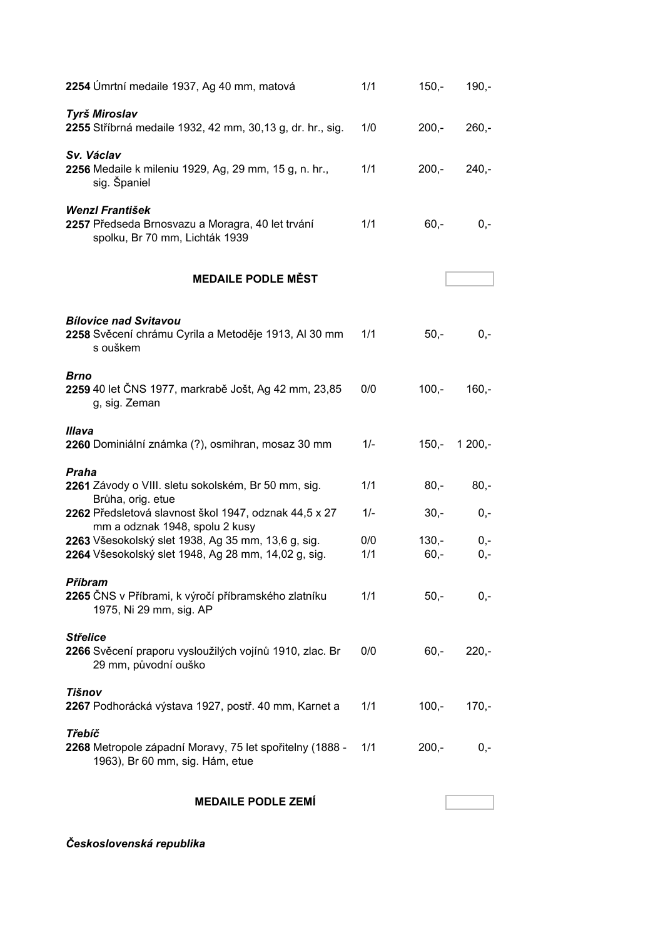| 2254 Úmrtní medaile 1937, Ag 40 mm, matová                                                                                                  | 1/1          | $150,-$           | $190,-$         |
|---------------------------------------------------------------------------------------------------------------------------------------------|--------------|-------------------|-----------------|
| <b>Tyrš Miroslav</b><br>2255 Stříbrná medaile 1932, 42 mm, 30,13 g, dr. hr., sig.                                                           | 1/0          | $200,-$           | $260,-$         |
| Sv. Václav<br>2256 Medaile k mileniu 1929, Ag, 29 mm, 15 g, n. hr.,<br>sig. Španiel                                                         | 1/1          | $200 -$           | $240,-$         |
| <b>Wenzl František</b><br>2257 Předseda Brnosvazu a Moragra, 40 let trvání<br>spolku, Br 70 mm, Lichták 1939                                | 1/1          | $60,-$            | $0,-$           |
| <b>MEDAILE PODLE MĚST</b>                                                                                                                   |              |                   |                 |
| <b>Bílovice nad Svitavou</b><br>2258 Svěcení chrámu Cyrila a Metoděje 1913, Al 30 mm<br>s ouškem                                            | 1/1          | $50,-$            | $0,-$           |
| <b>Brno</b><br>2259 40 let ČNS 1977, markrabě Jošt, Ag 42 mm, 23,85<br>g, sig. Zeman                                                        | 0/0          | $100,-$           | $160,-$         |
| <b>Illava</b><br>2260 Dominiální známka (?), osmihran, mosaz 30 mm                                                                          | $1/-$        | 150,-             | $1200,-$        |
| Praha<br>2261 Závody o VIII. sletu sokolském, Br 50 mm, sig.<br>Brůha, orig. etue<br>2262 Předsletová slavnost škol 1947, odznak 44,5 x 27  | 1/1<br>$1/-$ | $80,-$<br>$30,-$  | $80 -$<br>$0,-$ |
| mm a odznak 1948, spolu 2 kusy<br>2263 Všesokolský slet 1938, Ag 35 mm, 13,6 g, sig.<br>2264 Všesokolský slet 1948, Ag 28 mm, 14,02 g, sig. | 0/0<br>1/1   | $130 -$<br>$60,-$ | $0,-$<br>$0,-$  |
| Příbram<br>2265 ČNS v Příbrami, k výročí příbramského zlatníku<br>1975, Ni 29 mm, sig. AP                                                   | 1/1          | $50,-$            | $0,-$           |
| <b>Střelice</b><br>2266 Svěcení praporu vysloužilých vojínů 1910, zlac. Br<br>29 mm, původní ouško                                          | 0/0          | $60 -$            | $220,-$         |
| Tišnov<br>2267 Podhorácká výstava 1927, postř. 40 mm, Karnet a                                                                              | 1/1          | $100,-$           | $170,-$         |
| <b>Třebíč</b><br>2268 Metropole západní Moravy, 75 let spořitelny (1888 -<br>1963), Br 60 mm, sig. Hám, etue                                | 1/1          | $200,-$           | $0,-$           |
| <b>MEDAILE PODLE ZEMÍ</b>                                                                                                                   |              |                   |                 |

*Československá republika*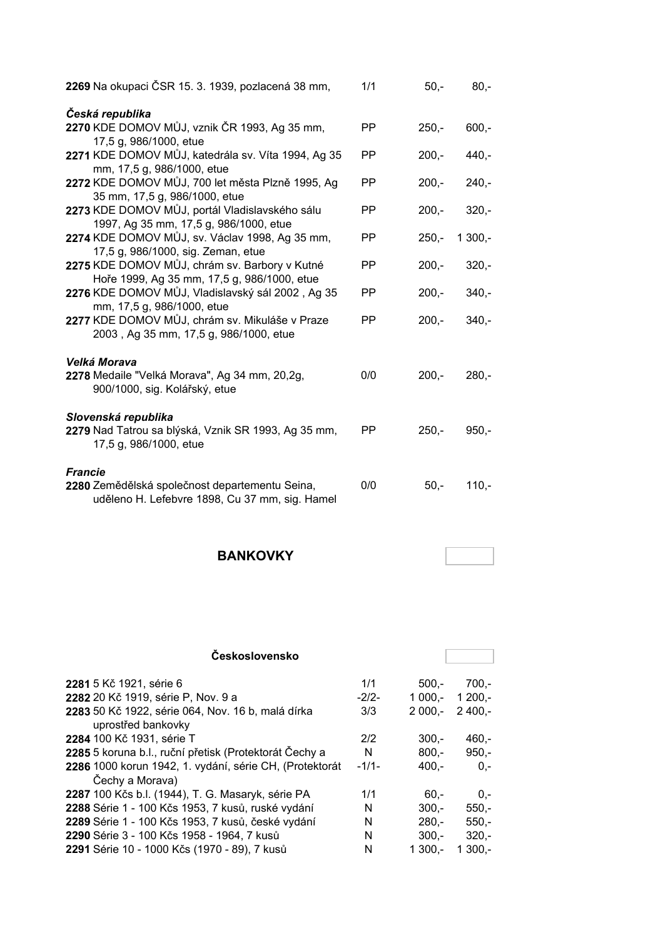| 2269 Na okupaci ČSR 15. 3. 1939, pozlacená 38 mm,                                                | 1/1       | $50 -$  | $80 -$   |
|--------------------------------------------------------------------------------------------------|-----------|---------|----------|
| Česká republika                                                                                  |           |         |          |
| 2270 KDE DOMOV MŮJ, vznik ČR 1993, Ag 35 mm,                                                     | <b>PP</b> | $250 -$ | $600 -$  |
| 17,5 g, 986/1000, etue                                                                           |           |         |          |
| 2271 KDE DOMOV MŮJ, katedrála sv. Víta 1994, Ag 35<br>mm, 17,5 g, 986/1000, etue                 | PP        | $200 -$ | $440 -$  |
| 2272 KDE DOMOV MŮJ, 700 let města Plzně 1995, Ag                                                 | PP.       | $200,-$ | $240 -$  |
| 35 mm, 17,5 g, 986/1000, etue                                                                    |           |         |          |
| 2273 KDE DOMOV MŮJ, portál Vladislavského sálu<br>1997, Ag 35 mm, 17,5 g, 986/1000, etue         | PP.       | $200,-$ | $320 -$  |
| 2274 KDE DOMOV MŮJ, sv. Václav 1998, Ag 35 mm,                                                   | PP.       | $250 -$ | $1300,-$ |
| 17,5 g, 986/1000, sig. Zeman, etue                                                               |           |         |          |
| 2275 KDE DOMOV MŮJ, chrám sv. Barbory v Kutné<br>Hoře 1999, Ag 35 mm, 17,5 g, 986/1000, etue     | PP        | $200,-$ | $320 -$  |
| 2276 KDE DOMOV MŮJ, Vladislavský sál 2002, Ag 35<br>mm, 17,5 g, 986/1000, etue                   | PP        | $200,-$ | $340 -$  |
| 2277 KDE DOMOV MŮJ, chrám sv. Mikuláše v Praze<br>2003, Ag 35 mm, 17,5 g, 986/1000, etue         | PP.       | $200 -$ | $340 -$  |
| Velká Morava                                                                                     |           |         |          |
| 2278 Medaile "Velká Morava", Ag 34 mm, 20,2g,<br>900/1000, sig. Kolářský, etue                   | 0/0       | $200,-$ | $280,-$  |
| Slovenská republika                                                                              |           |         |          |
| 2279 Nad Tatrou sa blýská, Vznik SR 1993, Ag 35 mm,<br>17,5 g, 986/1000, etue                    | PP.       | $250,-$ | $950,-$  |
| <b>Francie</b>                                                                                   |           |         |          |
| 2280 Zemědělská společnost departementu Seina,<br>uděleno H. Lefebvre 1898, Cu 37 mm, sig. Hamel | 0/0       | $50,-$  | $110,-$  |

### **BANKOVKY**

| <b>Československo</b>                                                      |         |          |           |
|----------------------------------------------------------------------------|---------|----------|-----------|
| 2281 5 Kč 1921, série 6                                                    | 1/1     | $500 -$  | 700.-     |
| 2282 20 Kč 1919, série P, Nov. 9 a                                         | $-2/2-$ | $1000 -$ | $1200 -$  |
| 2283 50 Kč 1922, série 064, Nov. 16 b, malá dírka<br>uprostřed bankovky    | 3/3     | $2000 -$ | $2,400,-$ |
| 2284 100 Kč 1931, série T                                                  | 2/2     | $300 -$  | 460.-     |
| 2285 5 koruna b.l., ruční přetisk (Protektorát Čechy a                     | N       | $800 -$  | $950 -$   |
| 2286 1000 korun 1942, 1. vydání, série CH, (Protektorát<br>Čechy a Morava) | $-1/1-$ | $400,-$  | $0 -$     |
| 2287 100 Kčs b.l. (1944), T. G. Masaryk, série PA                          | 1/1     | $60 -$   | $0,-$     |
| 2288 Série 1 - 100 Kčs 1953, 7 kusů, ruské vydání                          | N       | $300 -$  | $550,-$   |
| 2289 Série 1 - 100 Kčs 1953, 7 kusů, české vydání                          | N       | $280 -$  | $550,-$   |
| 2290 Série 3 - 100 Kčs 1958 - 1964, 7 kusů                                 | N       | $300 -$  | $320 -$   |
| 2291 Série 10 - 1000 Kčs (1970 - 89), 7 kusů                               | N       | $1300 -$ | $1300 -$  |